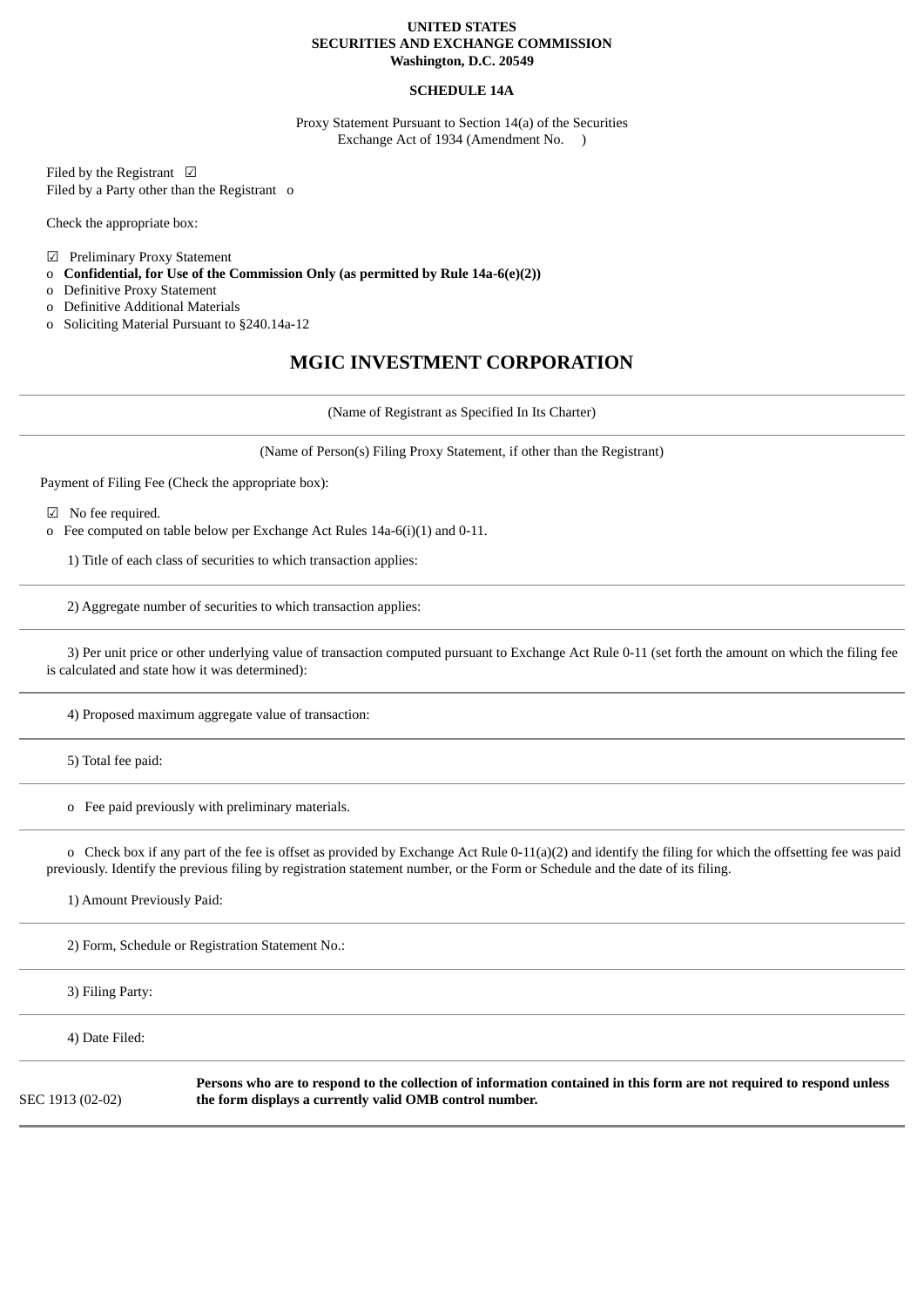# **UNITED STATES SECURITIES AND EXCHANGE COMMISSION Washington, D.C. 20549**

# **SCHEDULE 14A**

Proxy Statement Pursuant to Section 14(a) of the Securities Exchange Act of 1934 (Amendment No. )

Filed by the Registrant ☑ Filed by a Party other than the Registrant o

Check the appropriate box:

☑ Preliminary Proxy Statement

o **Confidential, for Use of the Commission Only (as permitted by Rule 14a-6(e)(2))**

o Definitive Proxy Statement

o Definitive Additional Materials

o Soliciting Material Pursuant to §240.14a-12

# **MGIC INVESTMENT CORPORATION**

(Name of Registrant as Specified In Its Charter)

(Name of Person(s) Filing Proxy Statement, if other than the Registrant)

Payment of Filing Fee (Check the appropriate box):

☑ No fee required.

o Fee computed on table below per Exchange Act Rules 14a-6(i)(1) and 0-11.

1) Title of each class of securities to which transaction applies:

2) Aggregate number of securities to which transaction applies:

3) Per unit price or other underlying value of transaction computed pursuant to Exchange Act Rule 0-11 (set forth the amount on which the filing fee is calculated and state how it was determined):

4) Proposed maximum aggregate value of transaction:

5) Total fee paid:

o Fee paid previously with preliminary materials.

o Check box if any part of the fee is offset as provided by Exchange Act Rule 0-11(a)(2) and identify the filing for which the offsetting fee was paid previously. Identify the previous filing by registration statement number, or the Form or Schedule and the date of its filing.

1) Amount Previously Paid:

2) Form, Schedule or Registration Statement No.:

3) Filing Party:

4) Date Filed:

SEC 1913 (02-02)

Persons who are to respond to the collection of information contained in this form are not required to respond unless **the form displays a currently valid OMB control number.**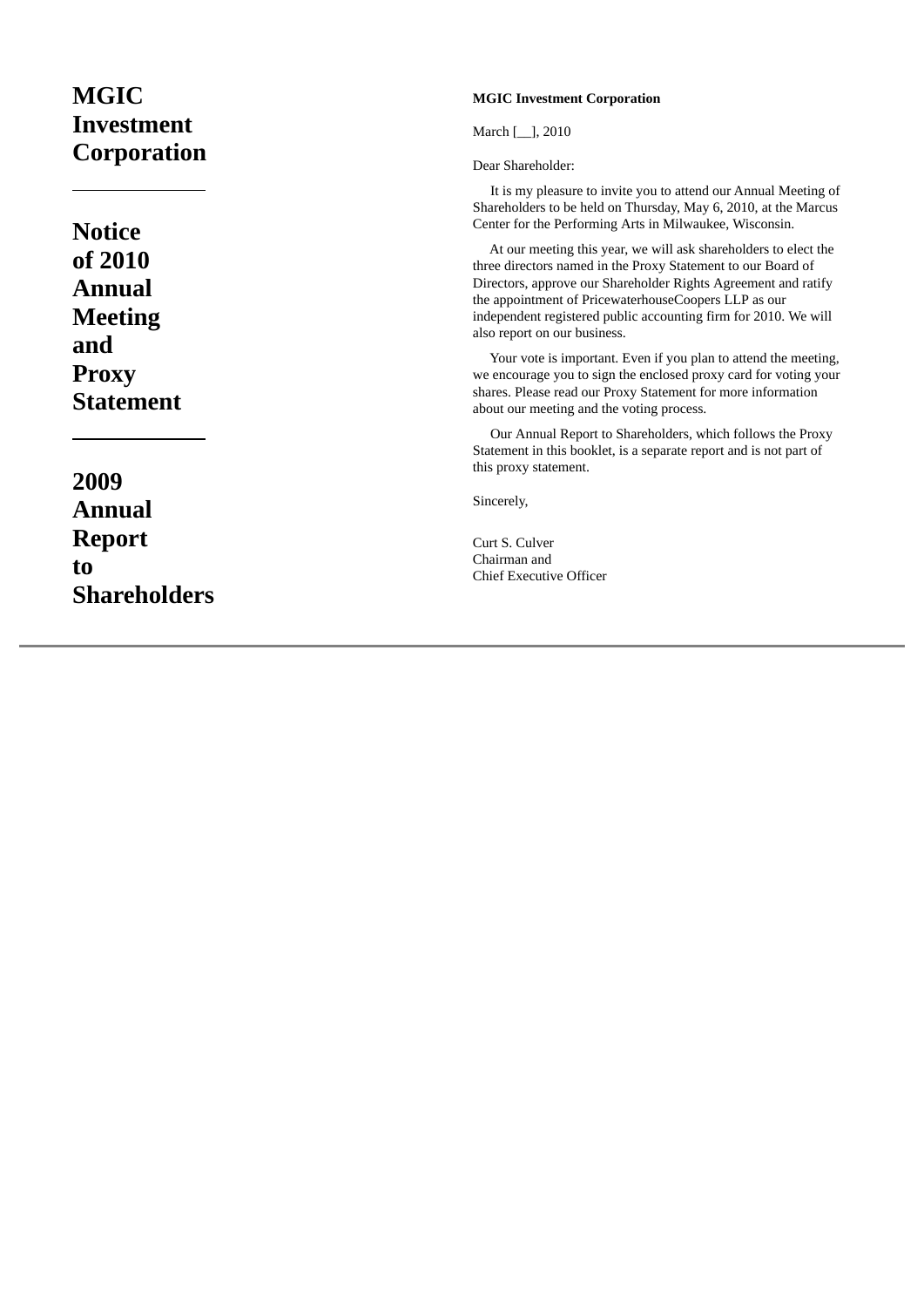# **MGIC Investment Corporation**

**Notice of 2010 Annual Meeting and Proxy Statement**

**2009 Annual Report to Shareholders**

# **MGIC Investment Corporation**

March [\_], 2010

Dear Shareholder:

It is my pleasure to invite you to attend our Annual Meeting of Shareholders to be held on Thursday, May 6, 2010, at the Marcus Center for the Performing Arts in Milwaukee, Wisconsin.

At our meeting this year, we will ask shareholders to elect the three directors named in the Proxy Statement to our Board of Directors, approve our Shareholder Rights Agreement and ratify the appointment of PricewaterhouseCoopers LLP as our independent registered public accounting firm for 2010. We will also report on our business.

Your vote is important. Even if you plan to attend the meeting, we encourage you to sign the enclosed proxy card for voting your shares. Please read our Proxy Statement for more information about our meeting and the voting process.

Our Annual Report to Shareholders, which follows the Proxy Statement in this booklet, is a separate report and is not part of this proxy statement.

Sincerely,

Curt S. Culver Chairman and Chief Executive Officer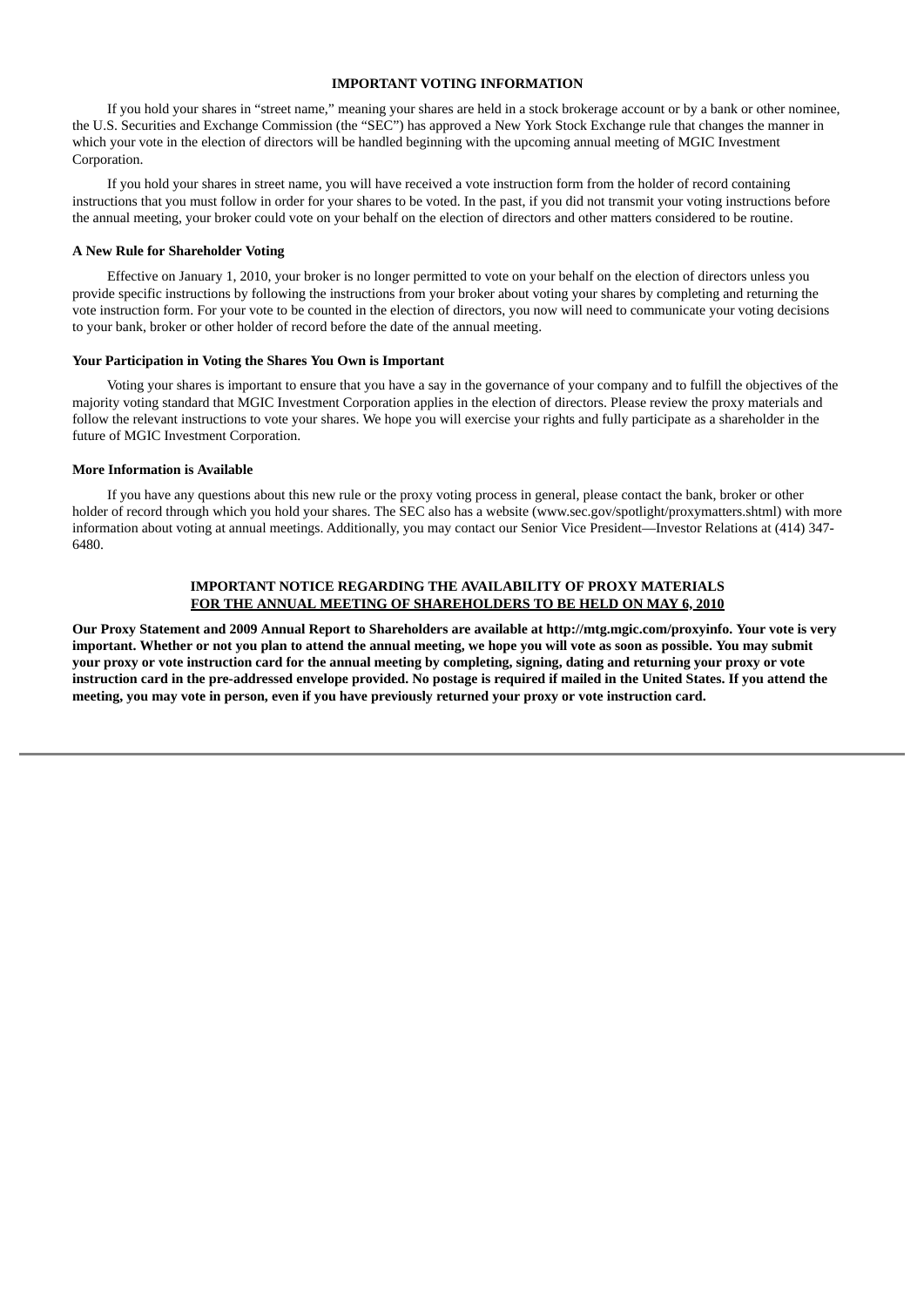#### **IMPORTANT VOTING INFORMATION**

If you hold your shares in "street name," meaning your shares are held in a stock brokerage account or by a bank or other nominee, the U.S. Securities and Exchange Commission (the "SEC") has approved a New York Stock Exchange rule that changes the manner in which your vote in the election of directors will be handled beginning with the upcoming annual meeting of MGIC Investment Corporation.

If you hold your shares in street name, you will have received a vote instruction form from the holder of record containing instructions that you must follow in order for your shares to be voted. In the past, if you did not transmit your voting instructions before the annual meeting, your broker could vote on your behalf on the election of directors and other matters considered to be routine.

#### **A New Rule for Shareholder Voting**

Effective on January 1, 2010, your broker is no longer permitted to vote on your behalf on the election of directors unless you provide specific instructions by following the instructions from your broker about voting your shares by completing and returning the vote instruction form. For your vote to be counted in the election of directors, you now will need to communicate your voting decisions to your bank, broker or other holder of record before the date of the annual meeting.

#### **Your Participation in Voting the Shares You Own is Important**

Voting your shares is important to ensure that you have a say in the governance of your company and to fulfill the objectives of the majority voting standard that MGIC Investment Corporation applies in the election of directors. Please review the proxy materials and follow the relevant instructions to vote your shares. We hope you will exercise your rights and fully participate as a shareholder in the future of MGIC Investment Corporation.

#### **More Information is Available**

If you have any questions about this new rule or the proxy voting process in general, please contact the bank, broker or other holder of record through which you hold your shares. The SEC also has a website (www.sec.gov/spotlight/proxymatters.shtml) with more information about voting at annual meetings. Additionally, you may contact our Senior Vice President—Investor Relations at (414) 347- 6480.

# **IMPORTANT NOTICE REGARDING THE AVAILABILITY OF PROXY MATERIALS FOR THE ANNUAL MEETING OF SHAREHOLDERS TO BE HELD ON MAY 6, 2010**

Our Proxy Statement and 2009 Annual Report to Shareholders are available at http://mtg.mgic.com/proxyinfo. Your vote is very important. Whether or not you plan to attend the annual meeting, we hope you will vote as soon as possible. You may submit your proxy or vote instruction card for the annual meeting by completing, signing, dating and returning your proxy or vote instruction card in the pre-addressed envelope provided. No postage is required if mailed in the United States. If you attend the meeting, you may vote in person, even if you have previously returned your proxy or vote instruction card.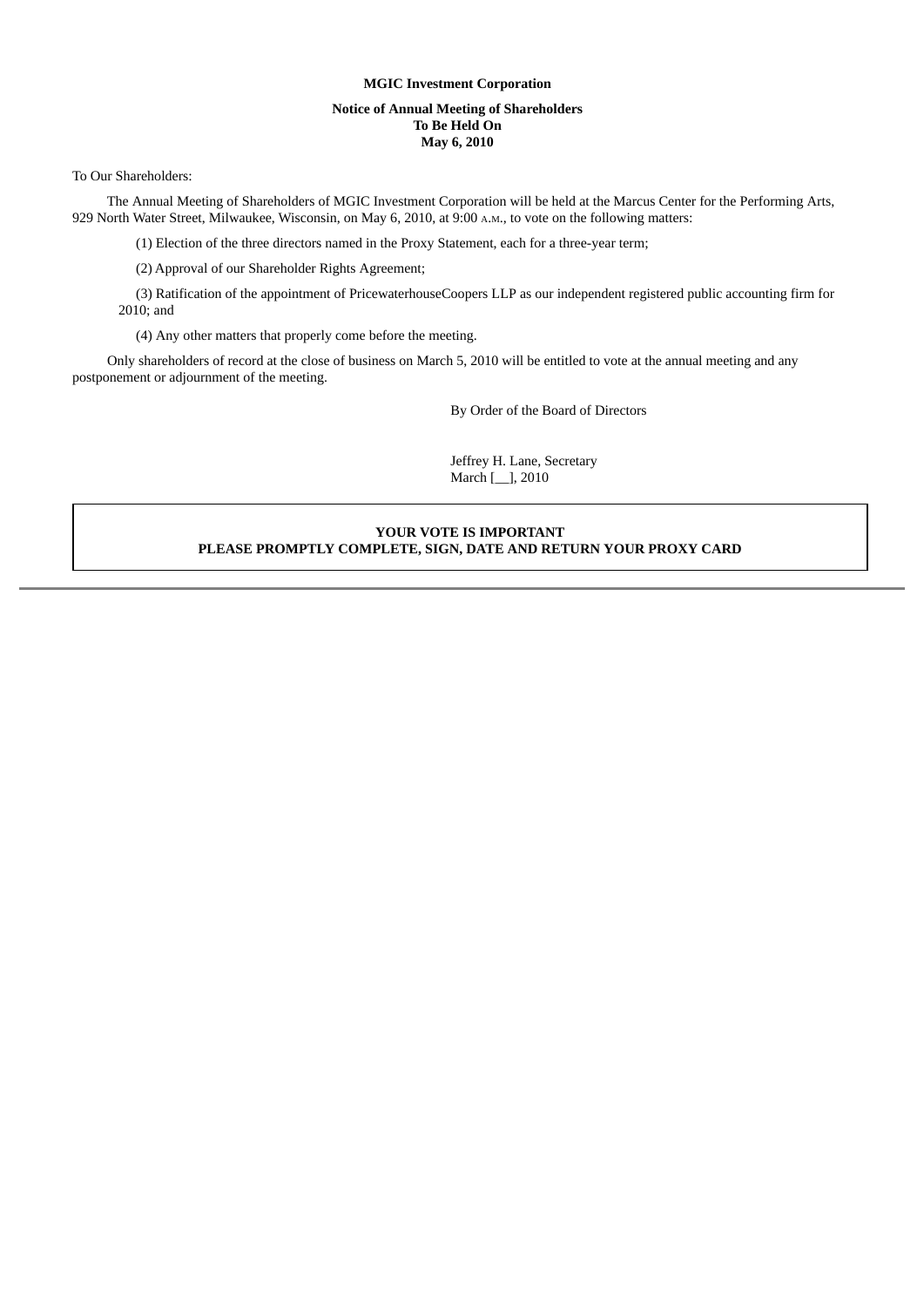# **MGIC Investment Corporation**

# **Notice of Annual Meeting of Shareholders To Be Held On May 6, 2010**

To Our Shareholders:

The Annual Meeting of Shareholders of MGIC Investment Corporation will be held at the Marcus Center for the Performing Arts, 929 North Water Street, Milwaukee, Wisconsin, on May 6, 2010, at 9:00 A.M., to vote on the following matters:

(1) Election of the three directors named in the Proxy Statement, each for a three-year term;

(2) Approval of our Shareholder Rights Agreement;

(3) Ratification of the appointment of PricewaterhouseCoopers LLP as our independent registered public accounting firm for 2010; and

(4) Any other matters that properly come before the meeting.

Only shareholders of record at the close of business on March 5, 2010 will be entitled to vote at the annual meeting and any postponement or adjournment of the meeting.

By Order of the Board of Directors

Jeffrey H. Lane, Secretary March [\_\_], 2010

# **YOUR VOTE IS IMPORTANT PLEASE PROMPTLY COMPLETE, SIGN, DATE AND RETURN YOUR PROXY CARD**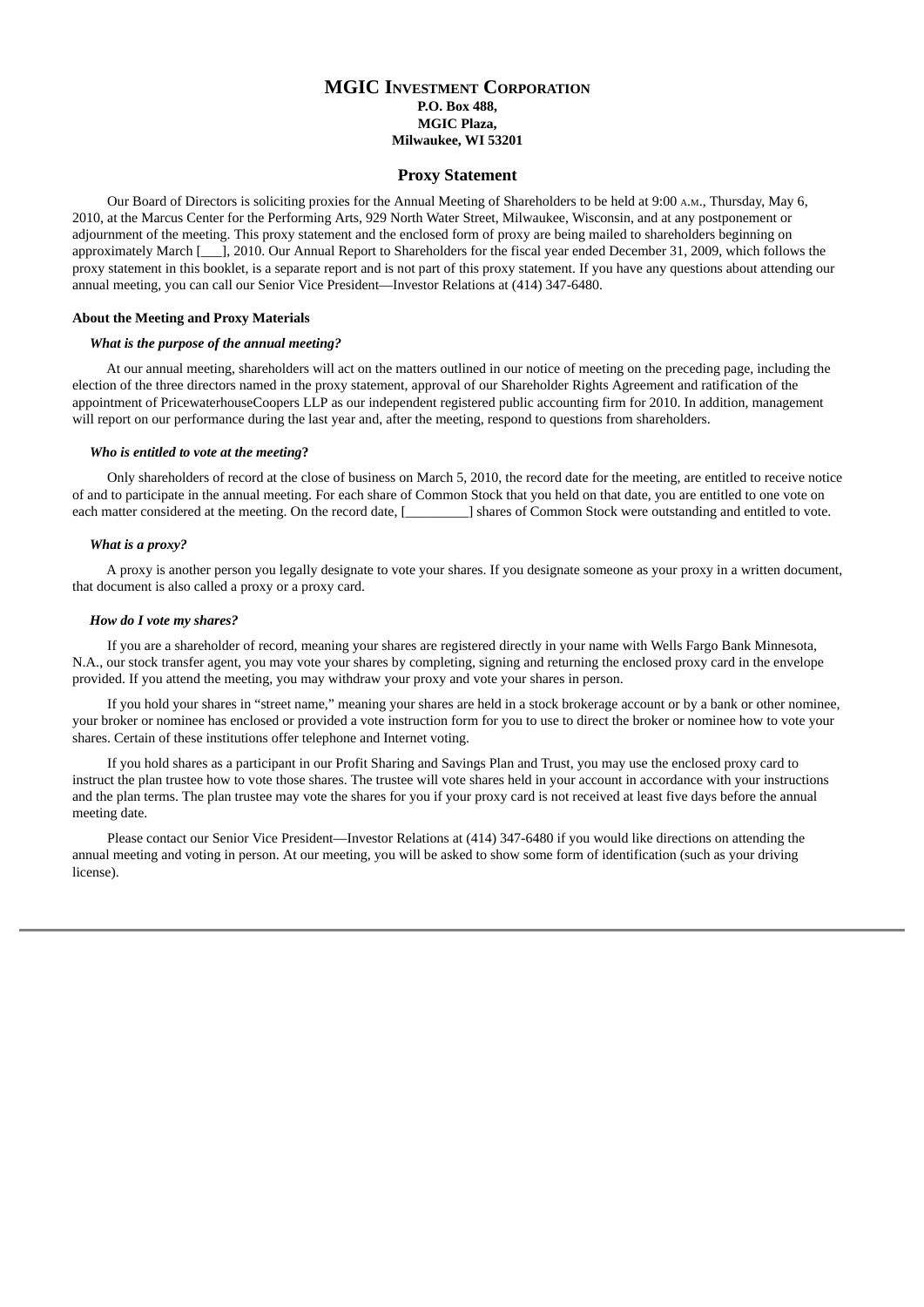# **MGIC INVESTMENT CORPORATION P.O. Box 488, MGIC Plaza, Milwaukee, WI 53201**

# **Proxy Statement**

Our Board of Directors is soliciting proxies for the Annual Meeting of Shareholders to be held at 9:00 <sup>A</sup>.M., Thursday, May 6, 2010, at the Marcus Center for the Performing Arts, 929 North Water Street, Milwaukee, Wisconsin, and at any postponement or adjournment of the meeting. This proxy statement and the enclosed form of proxy are being mailed to shareholders beginning on approximately March [\_\_\_], 2010. Our Annual Report to Shareholders for the fiscal year ended December 31, 2009, which follows the proxy statement in this booklet, is a separate report and is not part of this proxy statement. If you have any questions about attending our annual meeting, you can call our Senior Vice President—Investor Relations at (414) 347-6480.

#### **About the Meeting and Proxy Materials**

#### *What is the purpose of the annual meeting?*

At our annual meeting, shareholders will act on the matters outlined in our notice of meeting on the preceding page, including the election of the three directors named in the proxy statement, approval of our Shareholder Rights Agreement and ratification of the appointment of PricewaterhouseCoopers LLP as our independent registered public accounting firm for 2010. In addition, management will report on our performance during the last year and, after the meeting, respond to questions from shareholders.

### *Who is entitled to vote at the meeting***?**

Only shareholders of record at the close of business on March 5, 2010, the record date for the meeting, are entitled to receive notice of and to participate in the annual meeting. For each share of Common Stock that you held on that date, you are entitled to one vote on each matter considered at the meeting. On the record date, [\_\_\_\_\_\_\_\_\_] shares of Common Stock were outstanding and entitled to vote.

#### *What is a proxy?*

A proxy is another person you legally designate to vote your shares. If you designate someone as your proxy in a written document, that document is also called a proxy or a proxy card.

# *How do I vote my shares?*

If you are a shareholder of record, meaning your shares are registered directly in your name with Wells Fargo Bank Minnesota, N.A., our stock transfer agent, you may vote your shares by completing, signing and returning the enclosed proxy card in the envelope provided. If you attend the meeting, you may withdraw your proxy and vote your shares in person.

If you hold your shares in "street name," meaning your shares are held in a stock brokerage account or by a bank or other nominee, your broker or nominee has enclosed or provided a vote instruction form for you to use to direct the broker or nominee how to vote your shares. Certain of these institutions offer telephone and Internet voting.

If you hold shares as a participant in our Profit Sharing and Savings Plan and Trust, you may use the enclosed proxy card to instruct the plan trustee how to vote those shares. The trustee will vote shares held in your account in accordance with your instructions and the plan terms. The plan trustee may vote the shares for you if your proxy card is not received at least five days before the annual meeting date.

Please contact our Senior Vice President—Investor Relations at (414) 347-6480 if you would like directions on attending the annual meeting and voting in person. At our meeting, you will be asked to show some form of identification (such as your driving license).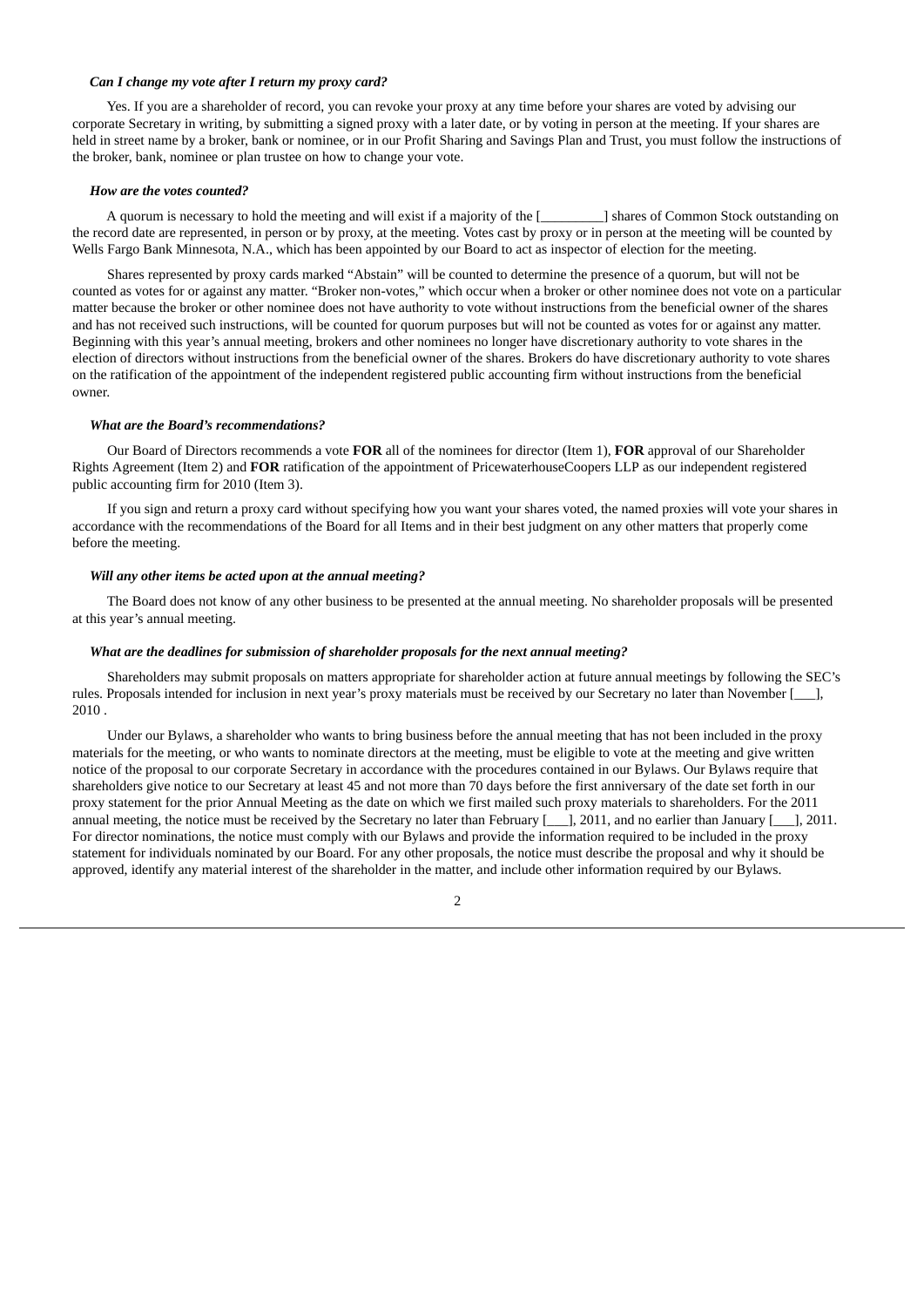#### *Can I change my vote after I return my proxy card?*

Yes. If you are a shareholder of record, you can revoke your proxy at any time before your shares are voted by advising our corporate Secretary in writing, by submitting a signed proxy with a later date, or by voting in person at the meeting. If your shares are held in street name by a broker, bank or nominee, or in our Profit Sharing and Savings Plan and Trust, you must follow the instructions of the broker, bank, nominee or plan trustee on how to change your vote.

#### *How are the votes counted?*

A quorum is necessary to hold the meeting and will exist if a majority of the [\_\_\_\_\_\_\_\_\_] shares of Common Stock outstanding on the record date are represented, in person or by proxy, at the meeting. Votes cast by proxy or in person at the meeting will be counted by Wells Fargo Bank Minnesota, N.A., which has been appointed by our Board to act as inspector of election for the meeting.

Shares represented by proxy cards marked "Abstain" will be counted to determine the presence of a quorum, but will not be counted as votes for or against any matter. "Broker non-votes," which occur when a broker or other nominee does not vote on a particular matter because the broker or other nominee does not have authority to vote without instructions from the beneficial owner of the shares and has not received such instructions, will be counted for quorum purposes but will not be counted as votes for or against any matter. Beginning with this year's annual meeting, brokers and other nominees no longer have discretionary authority to vote shares in the election of directors without instructions from the beneficial owner of the shares. Brokers do have discretionary authority to vote shares on the ratification of the appointment of the independent registered public accounting firm without instructions from the beneficial owner.

#### *What are the Board's recommendations?*

Our Board of Directors recommends a vote **FOR** all of the nominees for director (Item 1), **FOR** approval of our Shareholder Rights Agreement (Item 2) and **FOR** ratification of the appointment of PricewaterhouseCoopers LLP as our independent registered public accounting firm for 2010 (Item 3).

If you sign and return a proxy card without specifying how you want your shares voted, the named proxies will vote your shares in accordance with the recommendations of the Board for all Items and in their best judgment on any other matters that properly come before the meeting.

## *Will any other items be acted upon at the annual meeting?*

The Board does not know of any other business to be presented at the annual meeting. No shareholder proposals will be presented at this year's annual meeting.

## *What are the deadlines for submission of shareholder proposals for the next annual meeting?*

Shareholders may submit proposals on matters appropriate for shareholder action at future annual meetings by following the SEC's rules. Proposals intended for inclusion in next year's proxy materials must be received by our Secretary no later than November [\_\_\_], 2010 .

Under our Bylaws, a shareholder who wants to bring business before the annual meeting that has not been included in the proxy materials for the meeting, or who wants to nominate directors at the meeting, must be eligible to vote at the meeting and give written notice of the proposal to our corporate Secretary in accordance with the procedures contained in our Bylaws. Our Bylaws require that shareholders give notice to our Secretary at least 45 and not more than 70 days before the first anniversary of the date set forth in our proxy statement for the prior Annual Meeting as the date on which we first mailed such proxy materials to shareholders. For the 2011 annual meeting, the notice must be received by the Secretary no later than February [\_\_\_], 2011, and no earlier than January [\_\_\_], 2011. For director nominations, the notice must comply with our Bylaws and provide the information required to be included in the proxy statement for individuals nominated by our Board. For any other proposals, the notice must describe the proposal and why it should be approved, identify any material interest of the shareholder in the matter, and include other information required by our Bylaws.

#### $\overline{2}$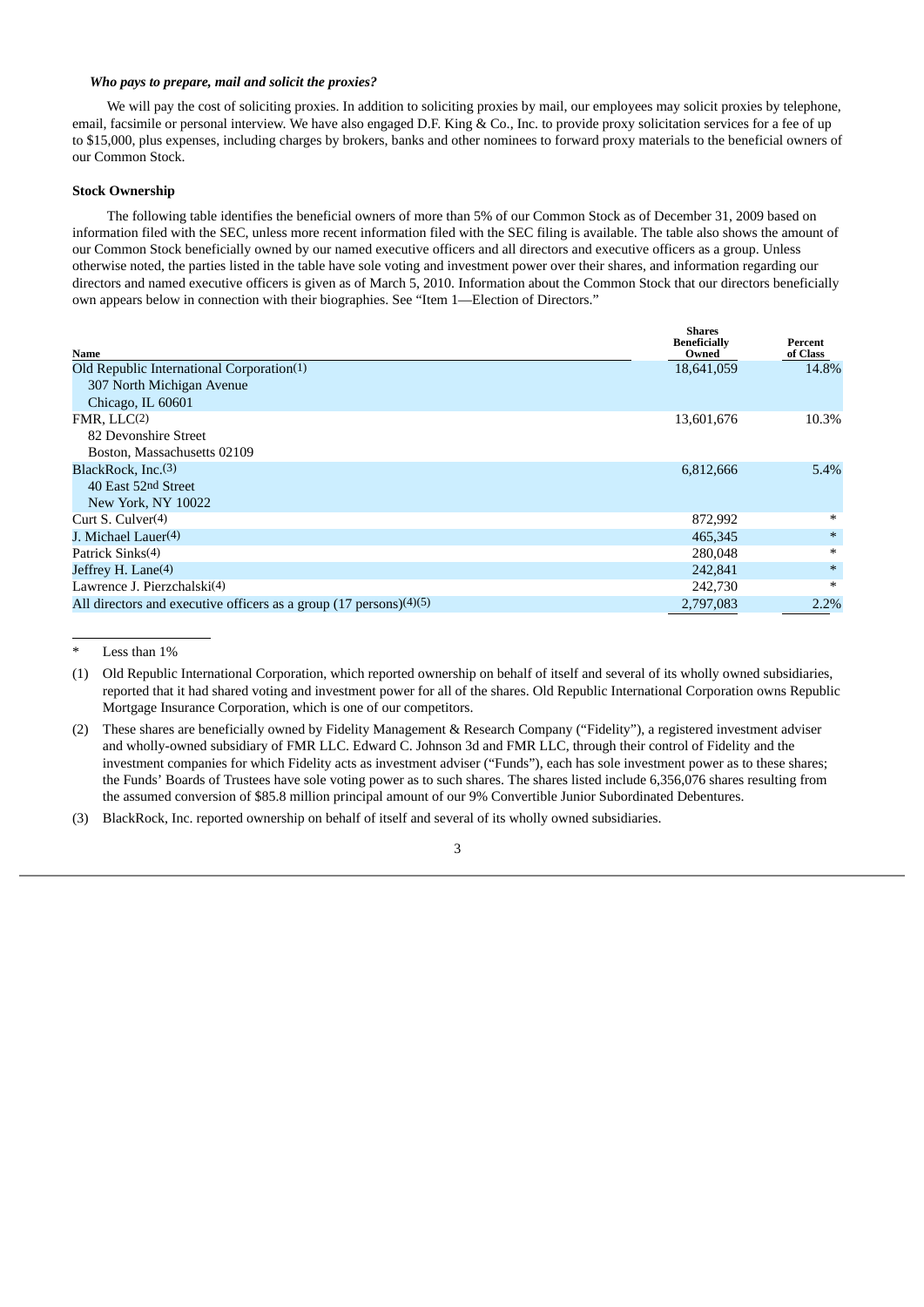#### *Who pays to prepare, mail and solicit the proxies?*

We will pay the cost of soliciting proxies. In addition to soliciting proxies by mail, our employees may solicit proxies by telephone, email, facsimile or personal interview. We have also engaged D.F. King & Co., Inc. to provide proxy solicitation services for a fee of up to \$15,000, plus expenses, including charges by brokers, banks and other nominees to forward proxy materials to the beneficial owners of our Common Stock.

## **Stock Ownership**

The following table identifies the beneficial owners of more than 5% of our Common Stock as of December 31, 2009 based on information filed with the SEC, unless more recent information filed with the SEC filing is available. The table also shows the amount of our Common Stock beneficially owned by our named executive officers and all directors and executive officers as a group. Unless otherwise noted, the parties listed in the table have sole voting and investment power over their shares, and information regarding our directors and named executive officers is given as of March 5, 2010. Information about the Common Stock that our directors beneficially own appears below in connection with their biographies. See "Item 1—Election of Directors."

| Name                                                                            | <b>Shares</b><br><b>Beneficially</b><br>Owned | Percent<br>of Class |
|---------------------------------------------------------------------------------|-----------------------------------------------|---------------------|
| Old Republic International Corporation(1)                                       | 18,641,059                                    | 14.8%               |
| 307 North Michigan Avenue                                                       |                                               |                     |
| Chicago, IL 60601                                                               |                                               |                     |
| FMR, LLC(2)                                                                     | 13,601,676                                    | 10.3%               |
| 82 Devonshire Street                                                            |                                               |                     |
| Boston, Massachusetts 02109                                                     |                                               |                     |
| BlackRock, Inc.(3)                                                              | 6,812,666                                     | 5.4%                |
| 40 East 52nd Street                                                             |                                               |                     |
| New York, NY 10022                                                              |                                               |                     |
| Curt S. Culver(4)                                                               | 872,992                                       | $\ast$              |
| J. Michael Lauer(4)                                                             | 465,345                                       | $\ast$              |
| Patrick Sinks <sup>(4)</sup>                                                    | 280,048                                       | $\ast$              |
| Jeffrey H. Lane(4)                                                              | 242,841                                       | $\ast$              |
| Lawrence J. Pierzchalski <sup>(4)</sup>                                         | 242,730                                       | $\ast$              |
| All directors and executive officers as a group $(17 \text{ persons})$ $(4)(5)$ | 2,797,083                                     | $2.2\%$             |

Less than  $1%$ 

(1) Old Republic International Corporation, which reported ownership on behalf of itself and several of its wholly owned subsidiaries, reported that it had shared voting and investment power for all of the shares. Old Republic International Corporation owns Republic Mortgage Insurance Corporation, which is one of our competitors.

(2) These shares are beneficially owned by Fidelity Management & Research Company ("Fidelity"), a registered investment adviser and wholly-owned subsidiary of FMR LLC. Edward C. Johnson 3d and FMR LLC, through their control of Fidelity and the investment companies for which Fidelity acts as investment adviser ("Funds"), each has sole investment power as to these shares; the Funds' Boards of Trustees have sole voting power as to such shares. The shares listed include 6,356,076 shares resulting from the assumed conversion of \$85.8 million principal amount of our 9% Convertible Junior Subordinated Debentures.

(3) BlackRock, Inc. reported ownership on behalf of itself and several of its wholly owned subsidiaries.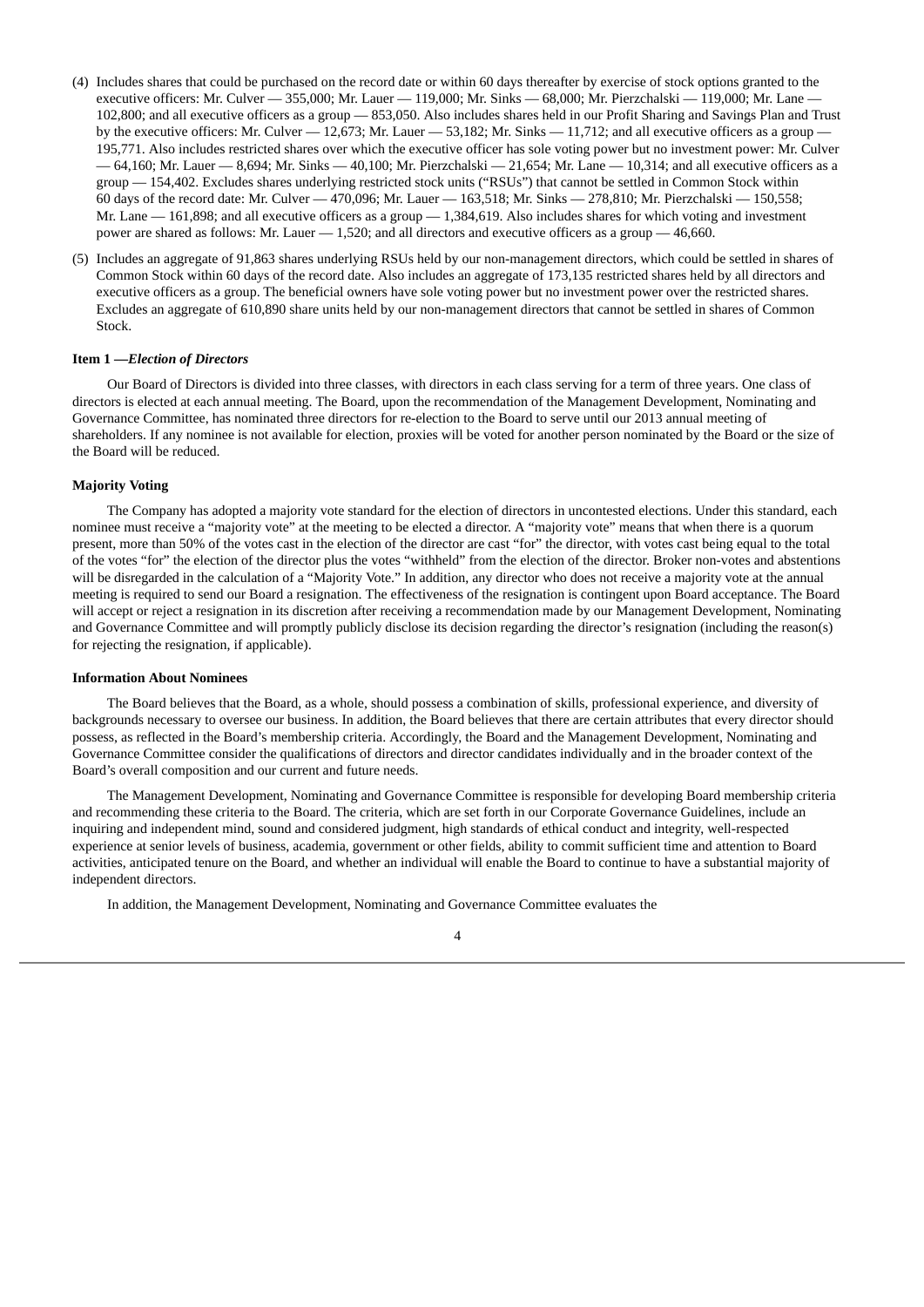- (4) Includes shares that could be purchased on the record date or within 60 days thereafter by exercise of stock options granted to the executive officers: Mr. Culver — 355,000; Mr. Lauer — 119,000; Mr. Sinks — 68,000; Mr. Pierzchalski — 119,000; Mr. Lane — 102,800; and all executive officers as a group — 853,050. Also includes shares held in our Profit Sharing and Savings Plan and Trust by the executive officers: Mr. Culver  $-$  12,673; Mr. Lauer  $-$  53,182; Mr. Sinks  $-$  11,712; and all executive officers as a group  $-$ 195,771. Also includes restricted shares over which the executive officer has sole voting power but no investment power: Mr. Culver  $-64,160$ ; Mr. Lauer  $-8,694$ ; Mr. Sinks  $-40,100$ ; Mr. Pierzchalski  $-21,654$ ; Mr. Lane  $-10,314$ ; and all executive officers as a group — 154,402. Excludes shares underlying restricted stock units ("RSUs") that cannot be settled in Common Stock within 60 days of the record date: Mr. Culver — 470,096; Mr. Lauer — 163,518; Mr. Sinks — 278,810; Mr. Pierzchalski — 150,558; Mr. Lane  $-161,898$ ; and all executive officers as a group  $-1,384,619$ . Also includes shares for which voting and investment power are shared as follows: Mr. Lauer — 1,520; and all directors and executive officers as a group — 46,660.
- (5) Includes an aggregate of 91,863 shares underlying RSUs held by our non-management directors, which could be settled in shares of Common Stock within 60 days of the record date. Also includes an aggregate of 173,135 restricted shares held by all directors and executive officers as a group. The beneficial owners have sole voting power but no investment power over the restricted shares. Excludes an aggregate of 610,890 share units held by our non-management directors that cannot be settled in shares of Common Stock.

#### **Item 1 —***Election of Directors*

Our Board of Directors is divided into three classes, with directors in each class serving for a term of three years. One class of directors is elected at each annual meeting. The Board, upon the recommendation of the Management Development, Nominating and Governance Committee, has nominated three directors for re-election to the Board to serve until our 2013 annual meeting of shareholders. If any nominee is not available for election, proxies will be voted for another person nominated by the Board or the size of the Board will be reduced.

# **Majority Voting**

The Company has adopted a majority vote standard for the election of directors in uncontested elections. Under this standard, each nominee must receive a "majority vote" at the meeting to be elected a director. A "majority vote" means that when there is a quorum present, more than 50% of the votes cast in the election of the director are cast "for" the director, with votes cast being equal to the total of the votes "for" the election of the director plus the votes "withheld" from the election of the director. Broker non-votes and abstentions will be disregarded in the calculation of a "Majority Vote." In addition, any director who does not receive a majority vote at the annual meeting is required to send our Board a resignation. The effectiveness of the resignation is contingent upon Board acceptance. The Board will accept or reject a resignation in its discretion after receiving a recommendation made by our Management Development, Nominating and Governance Committee and will promptly publicly disclose its decision regarding the director's resignation (including the reason(s) for rejecting the resignation, if applicable).

#### **Information About Nominees**

The Board believes that the Board, as a whole, should possess a combination of skills, professional experience, and diversity of backgrounds necessary to oversee our business. In addition, the Board believes that there are certain attributes that every director should possess, as reflected in the Board's membership criteria. Accordingly, the Board and the Management Development, Nominating and Governance Committee consider the qualifications of directors and director candidates individually and in the broader context of the Board's overall composition and our current and future needs.

The Management Development, Nominating and Governance Committee is responsible for developing Board membership criteria and recommending these criteria to the Board. The criteria, which are set forth in our Corporate Governance Guidelines, include an inquiring and independent mind, sound and considered judgment, high standards of ethical conduct and integrity, well-respected experience at senior levels of business, academia, government or other fields, ability to commit sufficient time and attention to Board activities, anticipated tenure on the Board, and whether an individual will enable the Board to continue to have a substantial majority of independent directors.

In addition, the Management Development, Nominating and Governance Committee evaluates the

#### $\overline{A}$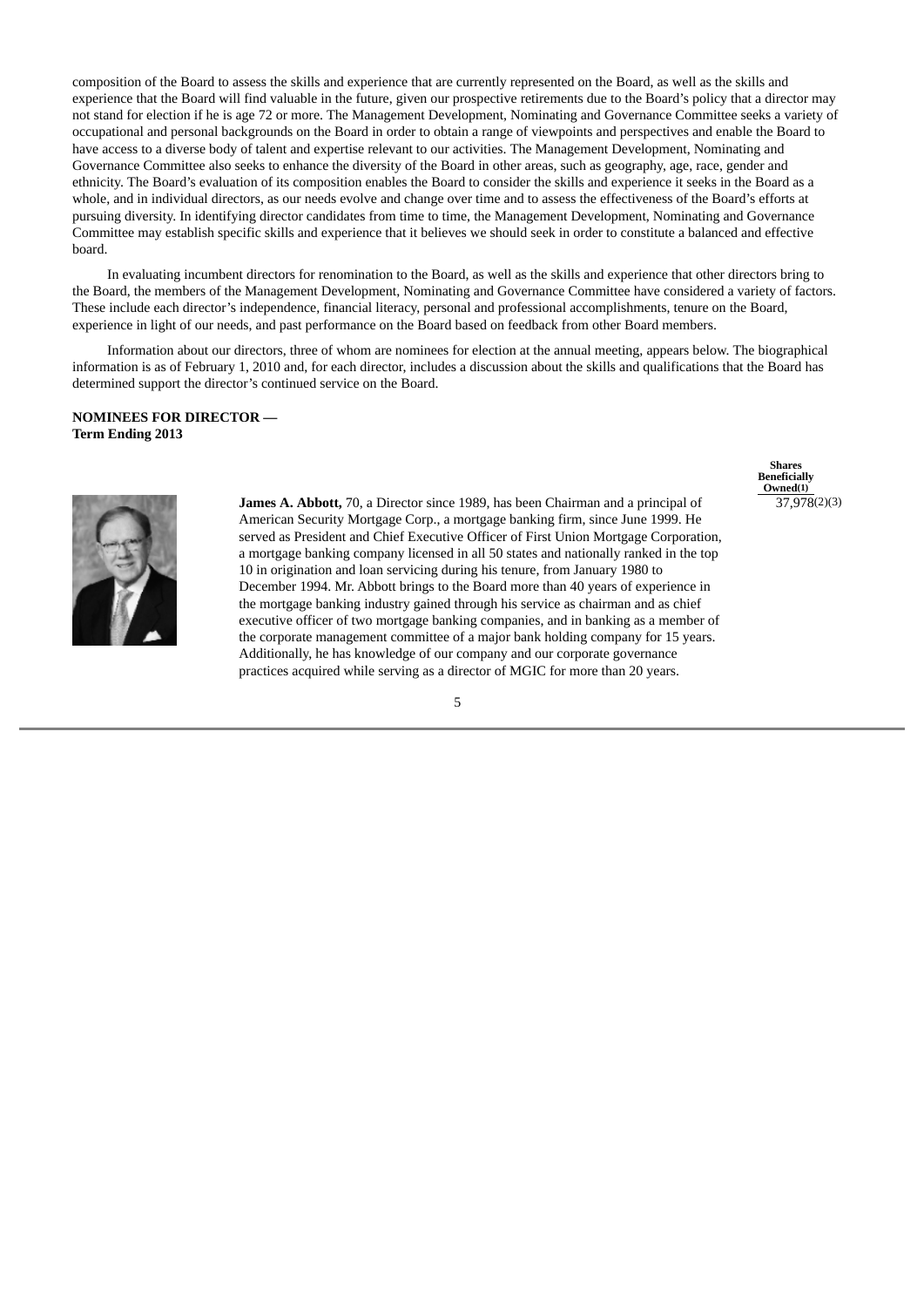composition of the Board to assess the skills and experience that are currently represented on the Board, as well as the skills and experience that the Board will find valuable in the future, given our prospective retirements due to the Board's policy that a director may not stand for election if he is age 72 or more. The Management Development, Nominating and Governance Committee seeks a variety of occupational and personal backgrounds on the Board in order to obtain a range of viewpoints and perspectives and enable the Board to have access to a diverse body of talent and expertise relevant to our activities. The Management Development, Nominating and Governance Committee also seeks to enhance the diversity of the Board in other areas, such as geography, age, race, gender and ethnicity. The Board's evaluation of its composition enables the Board to consider the skills and experience it seeks in the Board as a whole, and in individual directors, as our needs evolve and change over time and to assess the effectiveness of the Board's efforts at pursuing diversity. In identifying director candidates from time to time, the Management Development, Nominating and Governance Committee may establish specific skills and experience that it believes we should seek in order to constitute a balanced and effective board.

In evaluating incumbent directors for renomination to the Board, as well as the skills and experience that other directors bring to the Board, the members of the Management Development, Nominating and Governance Committee have considered a variety of factors. These include each director's independence, financial literacy, personal and professional accomplishments, tenure on the Board, experience in light of our needs, and past performance on the Board based on feedback from other Board members.

Information about our directors, three of whom are nominees for election at the annual meeting, appears below. The biographical information is as of February 1, 2010 and, for each director, includes a discussion about the skills and qualifications that the Board has determined support the director's continued service on the Board.

**NOMINEES FOR DIRECTOR — Term Ending 2013**

> **James A. Abbott,** 70, a Director since 1989, has been Chairman and a principal of American Security Mortgage Corp., a mortgage banking firm, since June 1999. He served as President and Chief Executive Officer of First Union Mortgage Corporation, a mortgage banking company licensed in all 50 states and nationally ranked in the top 10 in origination and loan servicing during his tenure, from January 1980 to December 1994. Mr. Abbott brings to the Board more than 40 years of experience in the mortgage banking industry gained through his service as chairman and as chief executive officer of two mortgage banking companies, and in banking as a member of the corporate management committee of a major bank holding company for 15 years. Additionally, he has knowledge of our company and our corporate governance practices acquired while serving as a director of MGIC for more than 20 years.

**Shares Beneficially Owned(1)**

37,978(2)(3)

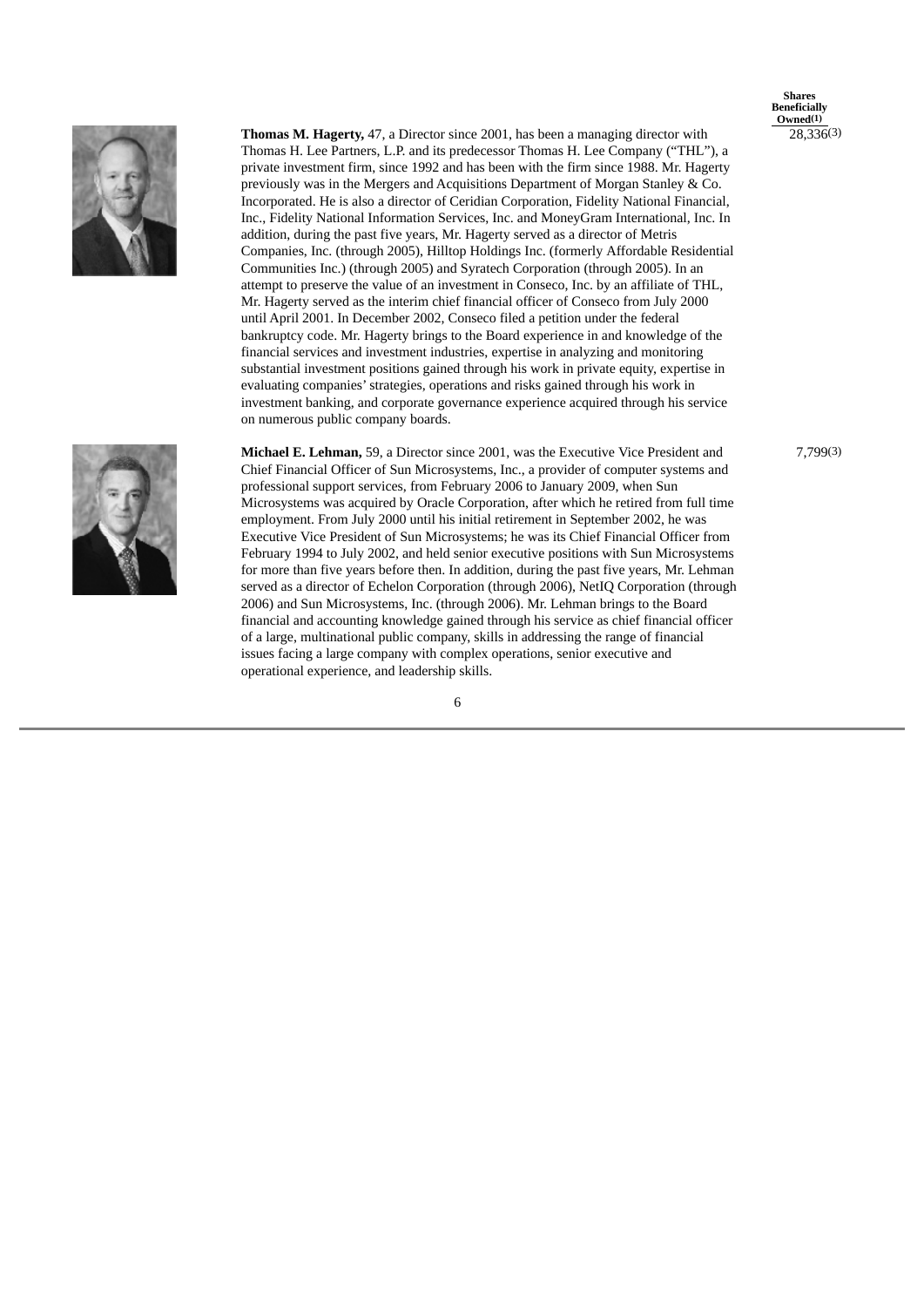#### **Shares Beneficially Owned(1)**  $28,336(3)$

7,799(3)





**Thomas M. Hagerty,** 47, a Director since 2001, has been a managing director with Thomas H. Lee Partners, L.P. and its predecessor Thomas H. Lee Company ("THL"), a private investment firm, since 1992 and has been with the firm since 1988. Mr. Hagerty previously was in the Mergers and Acquisitions Department of Morgan Stanley & Co. Incorporated. He is also a director of Ceridian Corporation, Fidelity National Financial, Inc., Fidelity National Information Services, Inc. and MoneyGram International, Inc. In addition, during the past five years, Mr. Hagerty served as a director of Metris Companies, Inc. (through 2005), Hilltop Holdings Inc. (formerly Affordable Residential Communities Inc.) (through 2005) and Syratech Corporation (through 2005). In an attempt to preserve the value of an investment in Conseco, Inc. by an affiliate of THL, Mr. Hagerty served as the interim chief financial officer of Conseco from July 2000 until April 2001. In December 2002, Conseco filed a petition under the federal bankruptcy code. Mr. Hagerty brings to the Board experience in and knowledge of the financial services and investment industries, expertise in analyzing and monitoring substantial investment positions gained through his work in private equity, expertise in evaluating companies' strategies, operations and risks gained through his work in investment banking, and corporate governance experience acquired through his service on numerous public company boards.

**Michael E. Lehman,** 59, a Director since 2001, was the Executive Vice President and Chief Financial Officer of Sun Microsystems, Inc., a provider of computer systems and professional support services, from February 2006 to January 2009, when Sun Microsystems was acquired by Oracle Corporation, after which he retired from full time employment. From July 2000 until his initial retirement in September 2002, he was Executive Vice President of Sun Microsystems; he was its Chief Financial Officer from February 1994 to July 2002, and held senior executive positions with Sun Microsystems for more than five years before then. In addition, during the past five years, Mr. Lehman served as a director of Echelon Corporation (through 2006), NetIQ Corporation (through 2006) and Sun Microsystems, Inc. (through 2006). Mr. Lehman brings to the Board financial and accounting knowledge gained through his service as chief financial officer of a large, multinational public company, skills in addressing the range of financial issues facing a large company with complex operations, senior executive and operational experience, and leadership skills.

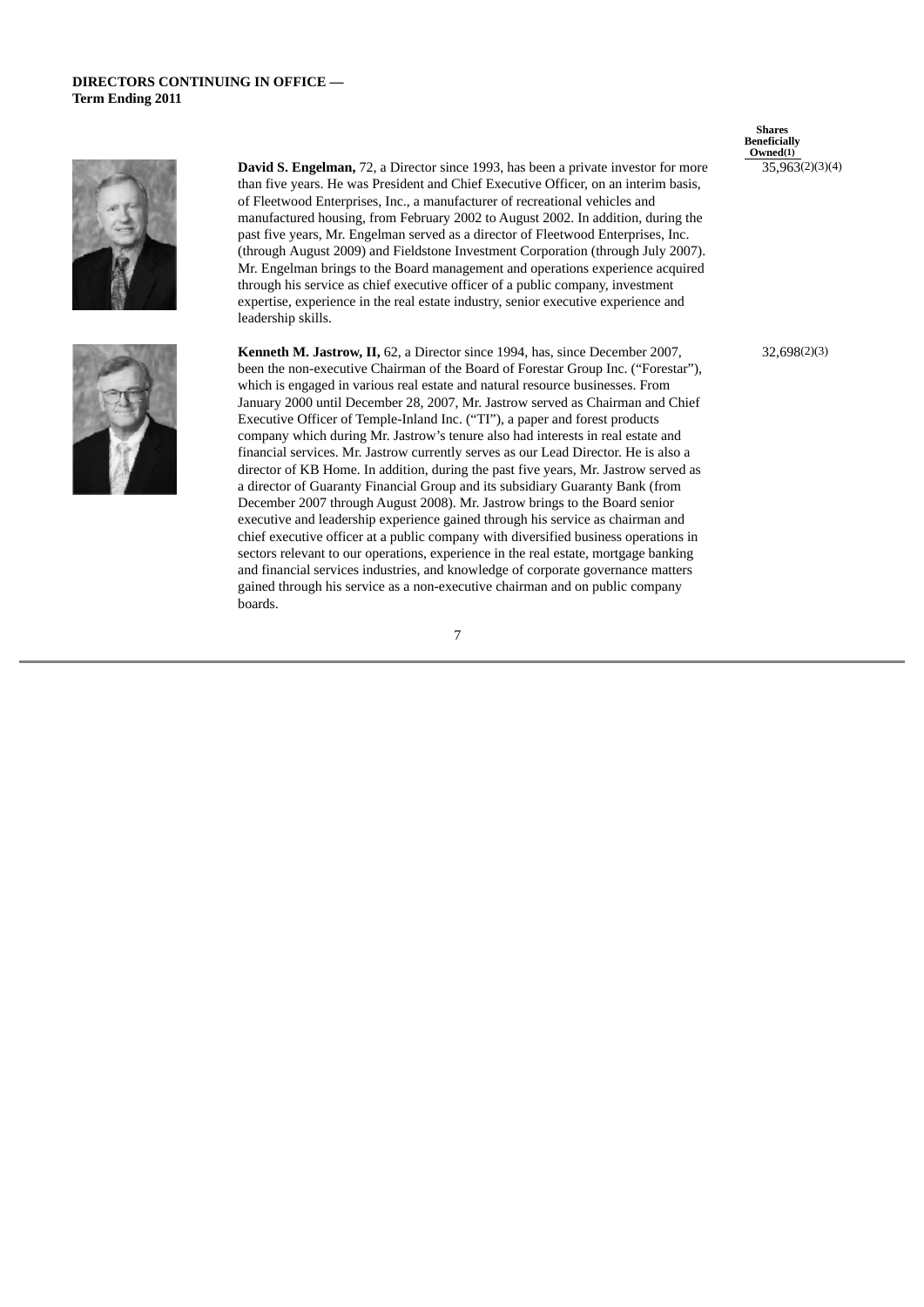# **DIRECTORS CONTINUING IN OFFICE — Term Ending 2011**





**David S. Engelman,** 72, a Director since 1993, has been a private investor for more than five years. He was President and Chief Executive Officer, on an interim basis, of Fleetwood Enterprises, Inc., a manufacturer of recreational vehicles and manufactured housing, from February 2002 to August 2002. In addition, during the past five years, Mr. Engelman served as a director of Fleetwood Enterprises, Inc. (through August 2009) and Fieldstone Investment Corporation (through July 2007). Mr. Engelman brings to the Board management and operations experience acquired through his service as chief executive officer of a public company, investment expertise, experience in the real estate industry, senior executive experience and leadership skills.

**Kenneth M. Jastrow, II,** 62, a Director since 1994, has, since December 2007, been the non-executive Chairman of the Board of Forestar Group Inc. ("Forestar"), which is engaged in various real estate and natural resource businesses. From January 2000 until December 28, 2007, Mr. Jastrow served as Chairman and Chief Executive Officer of Temple-Inland Inc. ("TI"), a paper and forest products company which during Mr. Jastrow's tenure also had interests in real estate and financial services. Mr. Jastrow currently serves as our Lead Director. He is also a director of KB Home. In addition, during the past five years, Mr. Jastrow served as a director of Guaranty Financial Group and its subsidiary Guaranty Bank (from December 2007 through August 2008). Mr. Jastrow brings to the Board senior executive and leadership experience gained through his service as chairman and chief executive officer at a public company with diversified business operations in sectors relevant to our operations, experience in the real estate, mortgage banking and financial services industries, and knowledge of corporate governance matters gained through his service as a non-executive chairman and on public company boards.

**Shares Beneficially Owned(1)**  $\overline{35,963}$ (2)(3)(4)

32,698(2)(3)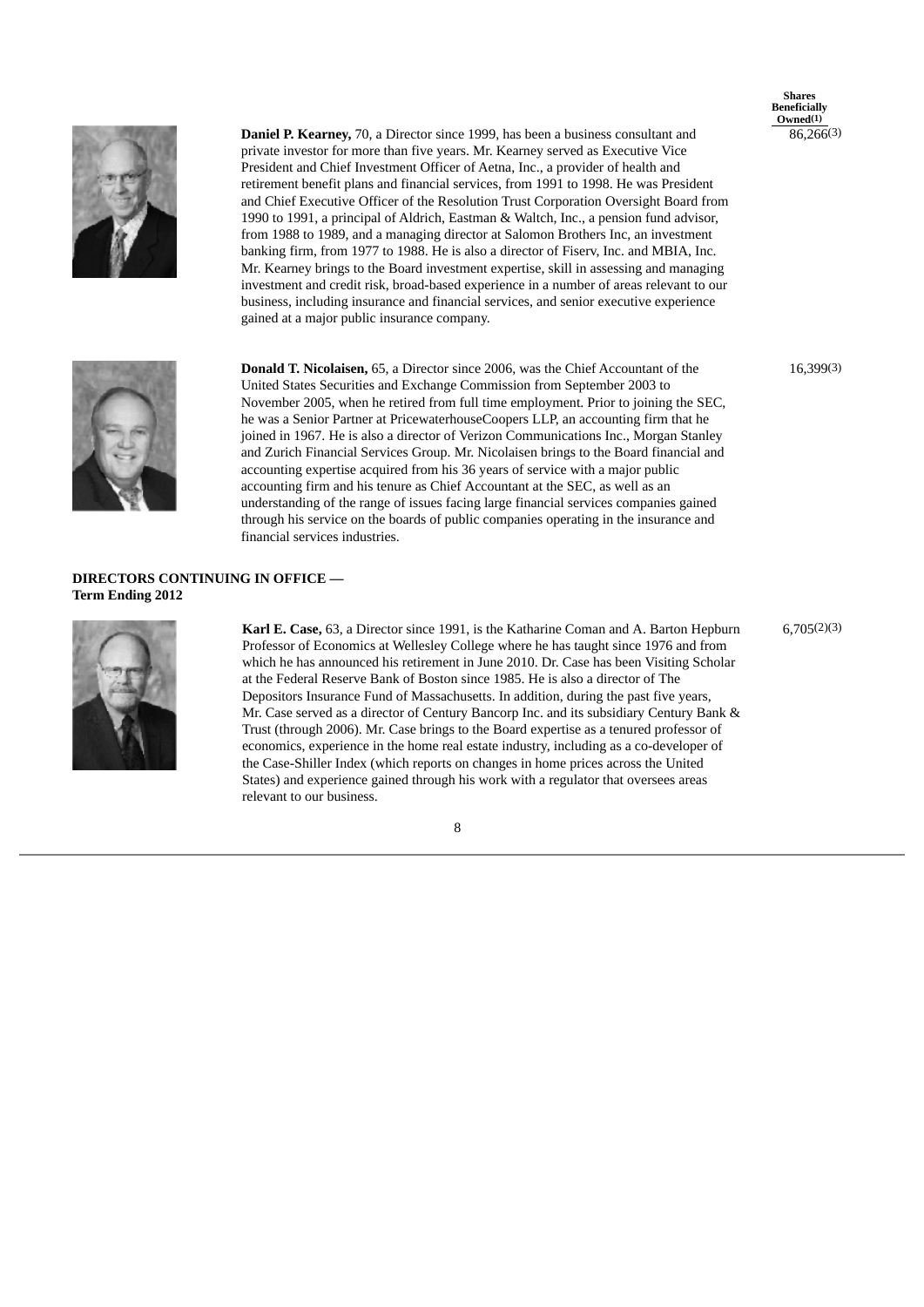

**Daniel P. Kearney,** 70, a Director since 1999, has been a business consultant and private investor for more than five years. Mr. Kearney served as Executive Vice President and Chief Investment Officer of Aetna, Inc., a provider of health and retirement benefit plans and financial services, from 1991 to 1998. He was President and Chief Executive Officer of the Resolution Trust Corporation Oversight Board from 1990 to 1991, a principal of Aldrich, Eastman & Waltch, Inc., a pension fund advisor, from 1988 to 1989, and a managing director at Salomon Brothers Inc, an investment banking firm, from 1977 to 1988. He is also a director of Fiserv, Inc. and MBIA, Inc. Mr. Kearney brings to the Board investment expertise, skill in assessing and managing investment and credit risk, broad-based experience in a number of areas relevant to our business, including insurance and financial services, and senior executive experience gained at a major public insurance company.

**Shares Beneficially Owned(1)**

 $86,266(3)$ 

16,399(3)

6,705(2)(3)



**Donald T. Nicolaisen,** 65, a Director since 2006, was the Chief Accountant of the United States Securities and Exchange Commission from September 2003 to November 2005, when he retired from full time employment. Prior to joining the SEC, he was a Senior Partner at PricewaterhouseCoopers LLP, an accounting firm that he joined in 1967. He is also a director of Verizon Communications Inc., Morgan Stanley and Zurich Financial Services Group. Mr. Nicolaisen brings to the Board financial and accounting expertise acquired from his 36 years of service with a major public accounting firm and his tenure as Chief Accountant at the SEC, as well as an understanding of the range of issues facing large financial services companies gained through his service on the boards of public companies operating in the insurance and financial services industries.

# **DIRECTORS CONTINUING IN OFFICE — Term Ending 2012**



**Karl E. Case,** 63, a Director since 1991, is the Katharine Coman and A. Barton Hepburn Professor of Economics at Wellesley College where he has taught since 1976 and from which he has announced his retirement in June 2010. Dr. Case has been Visiting Scholar at the Federal Reserve Bank of Boston since 1985. He is also a director of The Depositors Insurance Fund of Massachusetts. In addition, during the past five years, Mr. Case served as a director of Century Bancorp Inc. and its subsidiary Century Bank & Trust (through 2006). Mr. Case brings to the Board expertise as a tenured professor of economics, experience in the home real estate industry, including as a co-developer of the Case-Shiller Index (which reports on changes in home prices across the United States) and experience gained through his work with a regulator that oversees areas relevant to our business.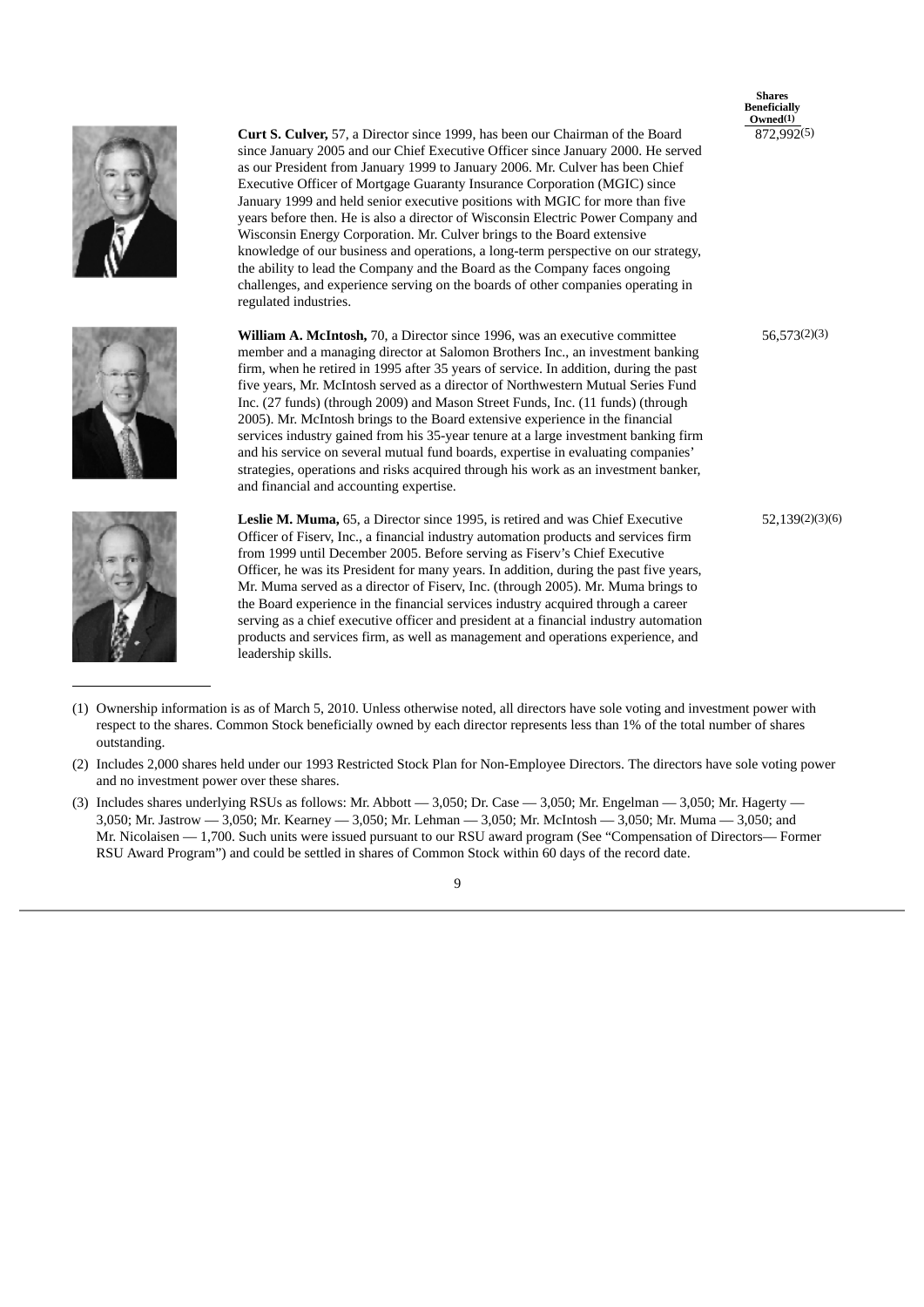





**Curt S. Culver,** 57, a Director since 1999, has been our Chairman of the Board since January 2005 and our Chief Executive Officer since January 2000. He served as our President from January 1999 to January 2006. Mr. Culver has been Chief Executive Officer of Mortgage Guaranty Insurance Corporation (MGIC) since January 1999 and held senior executive positions with MGIC for more than five years before then. He is also a director of Wisconsin Electric Power Company and Wisconsin Energy Corporation. Mr. Culver brings to the Board extensive knowledge of our business and operations, a long-term perspective on our strategy, the ability to lead the Company and the Board as the Company faces ongoing challenges, and experience serving on the boards of other companies operating in regulated industries.

**Shares Beneficially Owned(1)**

872,992(5)

56,573(2)(3)

52,139(2)(3)(6)

**William A. McIntosh,** 70, a Director since 1996, was an executive committee member and a managing director at Salomon Brothers Inc., an investment banking firm, when he retired in 1995 after 35 years of service. In addition, during the past five years, Mr. McIntosh served as a director of Northwestern Mutual Series Fund Inc. (27 funds) (through 2009) and Mason Street Funds, Inc. (11 funds) (through 2005). Mr. McIntosh brings to the Board extensive experience in the financial services industry gained from his 35-year tenure at a large investment banking firm and his service on several mutual fund boards, expertise in evaluating companies' strategies, operations and risks acquired through his work as an investment banker, and financial and accounting expertise.

**Leslie M. Muma,** 65, a Director since 1995, is retired and was Chief Executive Officer of Fiserv, Inc., a financial industry automation products and services firm from 1999 until December 2005. Before serving as Fiserv's Chief Executive Officer, he was its President for many years. In addition, during the past five years, Mr. Muma served as a director of Fiserv, Inc. (through 2005). Mr. Muma brings to the Board experience in the financial services industry acquired through a career serving as a chief executive officer and president at a financial industry automation products and services firm, as well as management and operations experience, and leadership skills.

- (1) Ownership information is as of March 5, 2010. Unless otherwise noted, all directors have sole voting and investment power with respect to the shares. Common Stock beneficially owned by each director represents less than 1% of the total number of shares outstanding.
- (2) Includes 2,000 shares held under our 1993 Restricted Stock Plan for Non-Employee Directors. The directors have sole voting power and no investment power over these shares.
- (3) Includes shares underlying RSUs as follows: Mr. Abbott 3,050; Dr. Case 3,050; Mr. Engelman 3,050; Mr. Hagerty 3,050; Mr. Jastrow — 3,050; Mr. Kearney — 3,050; Mr. Lehman — 3,050; Mr. McIntosh — 3,050; Mr. Muma — 3,050; and Mr. Nicolaisen — 1,700. Such units were issued pursuant to our RSU award program (See "Compensation of Directors— Former RSU Award Program") and could be settled in shares of Common Stock within 60 days of the record date.

 $\overline{Q}$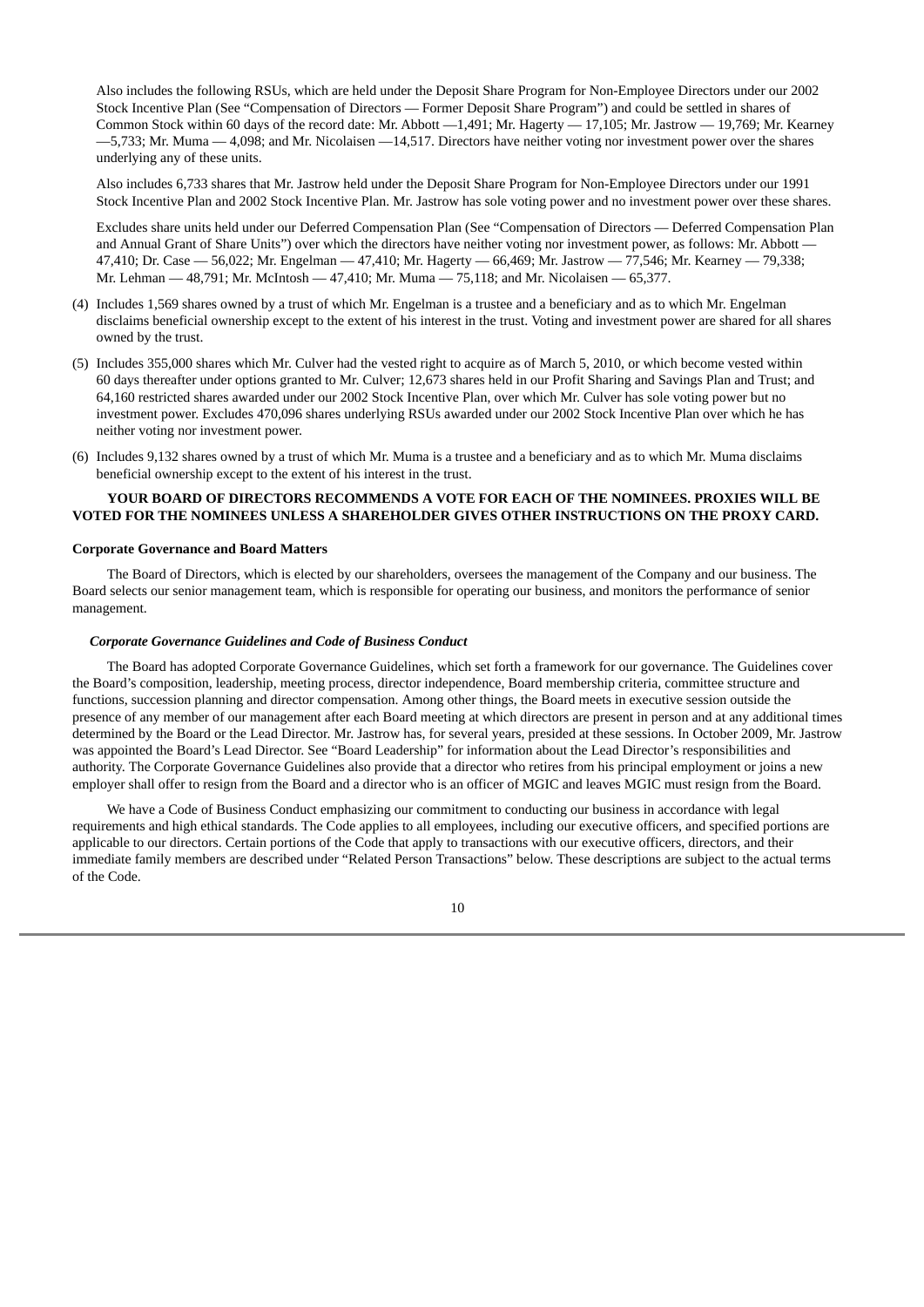Also includes the following RSUs, which are held under the Deposit Share Program for Non-Employee Directors under our 2002 Stock Incentive Plan (See "Compensation of Directors — Former Deposit Share Program") and could be settled in shares of Common Stock within 60 days of the record date: Mr. Abbott —1,491; Mr. Hagerty — 17,105; Mr. Jastrow — 19,769; Mr. Kearney —5,733; Mr. Muma — 4,098; and Mr. Nicolaisen —14,517. Directors have neither voting nor investment power over the shares underlying any of these units.

Also includes 6,733 shares that Mr. Jastrow held under the Deposit Share Program for Non-Employee Directors under our 1991 Stock Incentive Plan and 2002 Stock Incentive Plan. Mr. Jastrow has sole voting power and no investment power over these shares.

Excludes share units held under our Deferred Compensation Plan (See "Compensation of Directors — Deferred Compensation Plan and Annual Grant of Share Units") over which the directors have neither voting nor investment power, as follows: Mr. Abbott -47,410; Dr. Case — 56,022; Mr. Engelman — 47,410; Mr. Hagerty — 66,469; Mr. Jastrow — 77,546; Mr. Kearney — 79,338; Mr. Lehman — 48,791; Mr. McIntosh — 47,410; Mr. Muma — 75,118; and Mr. Nicolaisen — 65,377.

- (4) Includes 1,569 shares owned by a trust of which Mr. Engelman is a trustee and a beneficiary and as to which Mr. Engelman disclaims beneficial ownership except to the extent of his interest in the trust. Voting and investment power are shared for all shares owned by the trust.
- (5) Includes 355,000 shares which Mr. Culver had the vested right to acquire as of March 5, 2010, or which become vested within 60 days thereafter under options granted to Mr. Culver; 12,673 shares held in our Profit Sharing and Savings Plan and Trust; and 64,160 restricted shares awarded under our 2002 Stock Incentive Plan, over which Mr. Culver has sole voting power but no investment power. Excludes 470,096 shares underlying RSUs awarded under our 2002 Stock Incentive Plan over which he has neither voting nor investment power.
- (6) Includes 9,132 shares owned by a trust of which Mr. Muma is a trustee and a beneficiary and as to which Mr. Muma disclaims beneficial ownership except to the extent of his interest in the trust.

# **YOUR BOARD OF DIRECTORS RECOMMENDS A VOTE FOR EACH OF THE NOMINEES. PROXIES WILL BE VOTED FOR THE NOMINEES UNLESS A SHAREHOLDER GIVES OTHER INSTRUCTIONS ON THE PROXY CARD.**

## **Corporate Governance and Board Matters**

The Board of Directors, which is elected by our shareholders, oversees the management of the Company and our business. The Board selects our senior management team, which is responsible for operating our business, and monitors the performance of senior management.

#### *Corporate Governance Guidelines and Code of Business Conduct*

The Board has adopted Corporate Governance Guidelines, which set forth a framework for our governance. The Guidelines cover the Board's composition, leadership, meeting process, director independence, Board membership criteria, committee structure and functions, succession planning and director compensation. Among other things, the Board meets in executive session outside the presence of any member of our management after each Board meeting at which directors are present in person and at any additional times determined by the Board or the Lead Director. Mr. Jastrow has, for several years, presided at these sessions. In October 2009, Mr. Jastrow was appointed the Board's Lead Director. See "Board Leadership" for information about the Lead Director's responsibilities and authority. The Corporate Governance Guidelines also provide that a director who retires from his principal employment or joins a new employer shall offer to resign from the Board and a director who is an officer of MGIC and leaves MGIC must resign from the Board.

We have a Code of Business Conduct emphasizing our commitment to conducting our business in accordance with legal requirements and high ethical standards. The Code applies to all employees, including our executive officers, and specified portions are applicable to our directors. Certain portions of the Code that apply to transactions with our executive officers, directors, and their immediate family members are described under "Related Person Transactions" below. These descriptions are subject to the actual terms of the Code.

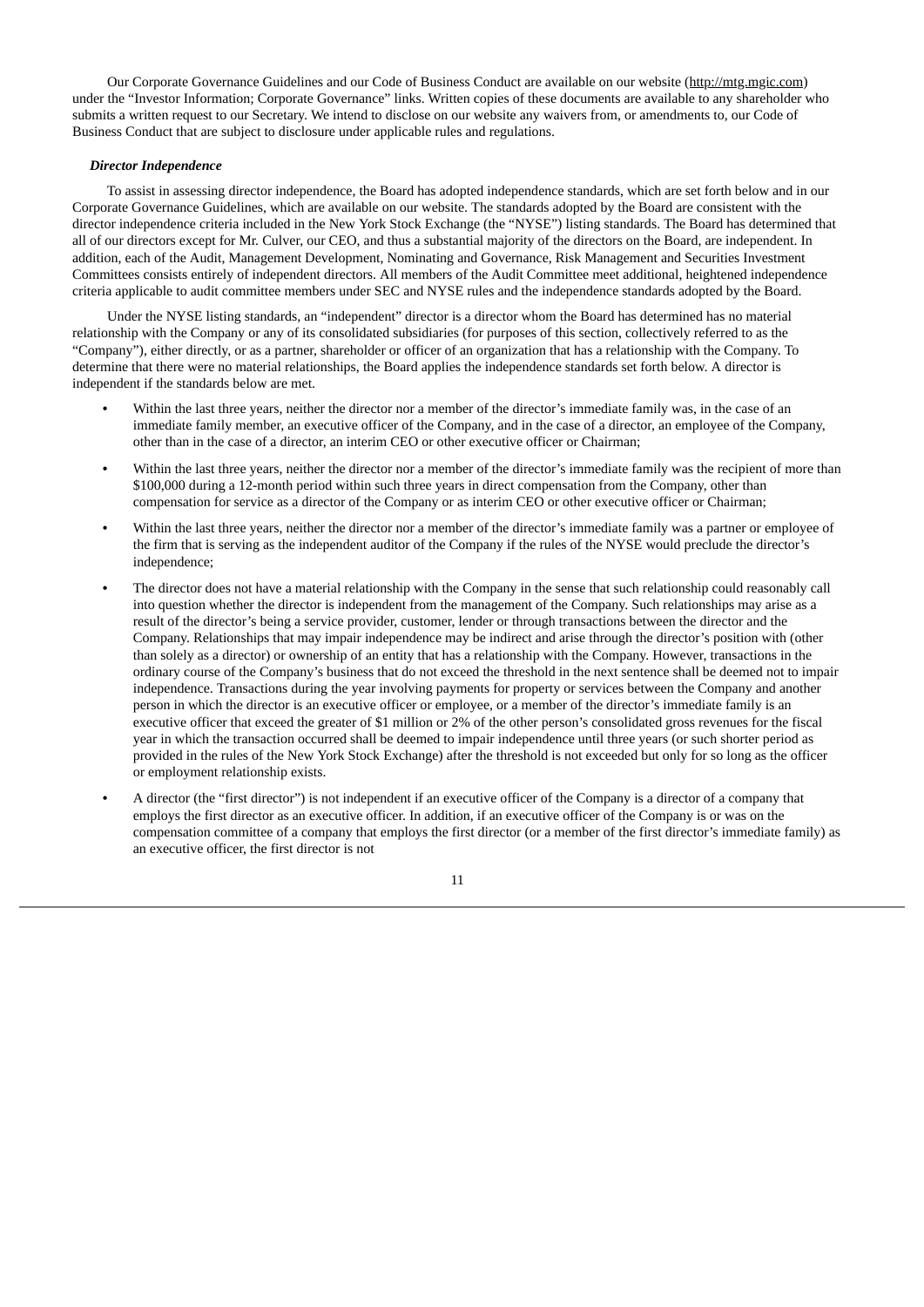Our Corporate Governance Guidelines and our Code of Business Conduct are available on our website (http://mtg.mgic.com) under the "Investor Information; Corporate Governance" links. Written copies of these documents are available to any shareholder who submits a written request to our Secretary. We intend to disclose on our website any waivers from, or amendments to, our Code of Business Conduct that are subject to disclosure under applicable rules and regulations.

# *Director Independence*

To assist in assessing director independence, the Board has adopted independence standards, which are set forth below and in our Corporate Governance Guidelines, which are available on our website. The standards adopted by the Board are consistent with the director independence criteria included in the New York Stock Exchange (the "NYSE") listing standards. The Board has determined that all of our directors except for Mr. Culver, our CEO, and thus a substantial majority of the directors on the Board, are independent. In addition, each of the Audit, Management Development, Nominating and Governance, Risk Management and Securities Investment Committees consists entirely of independent directors. All members of the Audit Committee meet additional, heightened independence criteria applicable to audit committee members under SEC and NYSE rules and the independence standards adopted by the Board.

Under the NYSE listing standards, an "independent" director is a director whom the Board has determined has no material relationship with the Company or any of its consolidated subsidiaries (for purposes of this section, collectively referred to as the "Company"), either directly, or as a partner, shareholder or officer of an organization that has a relationship with the Company. To determine that there were no material relationships, the Board applies the independence standards set forth below. A director is independent if the standards below are met.

- **•** Within the last three years, neither the director nor a member of the director's immediate family was, in the case of an immediate family member, an executive officer of the Company, and in the case of a director, an employee of the Company, other than in the case of a director, an interim CEO or other executive officer or Chairman;
- **•** Within the last three years, neither the director nor a member of the director's immediate family was the recipient of more than \$100,000 during a 12-month period within such three years in direct compensation from the Company, other than compensation for service as a director of the Company or as interim CEO or other executive officer or Chairman;
- **•** Within the last three years, neither the director nor a member of the director's immediate family was a partner or employee of the firm that is serving as the independent auditor of the Company if the rules of the NYSE would preclude the director's independence;
- **•** The director does not have a material relationship with the Company in the sense that such relationship could reasonably call into question whether the director is independent from the management of the Company. Such relationships may arise as a result of the director's being a service provider, customer, lender or through transactions between the director and the Company. Relationships that may impair independence may be indirect and arise through the director's position with (other than solely as a director) or ownership of an entity that has a relationship with the Company. However, transactions in the ordinary course of the Company's business that do not exceed the threshold in the next sentence shall be deemed not to impair independence. Transactions during the year involving payments for property or services between the Company and another person in which the director is an executive officer or employee, or a member of the director's immediate family is an executive officer that exceed the greater of \$1 million or 2% of the other person's consolidated gross revenues for the fiscal year in which the transaction occurred shall be deemed to impair independence until three years (or such shorter period as provided in the rules of the New York Stock Exchange) after the threshold is not exceeded but only for so long as the officer or employment relationship exists.
- **•** A director (the "first director") is not independent if an executive officer of the Company is a director of a company that employs the first director as an executive officer. In addition, if an executive officer of the Company is or was on the compensation committee of a company that employs the first director (or a member of the first director's immediate family) as an executive officer, the first director is not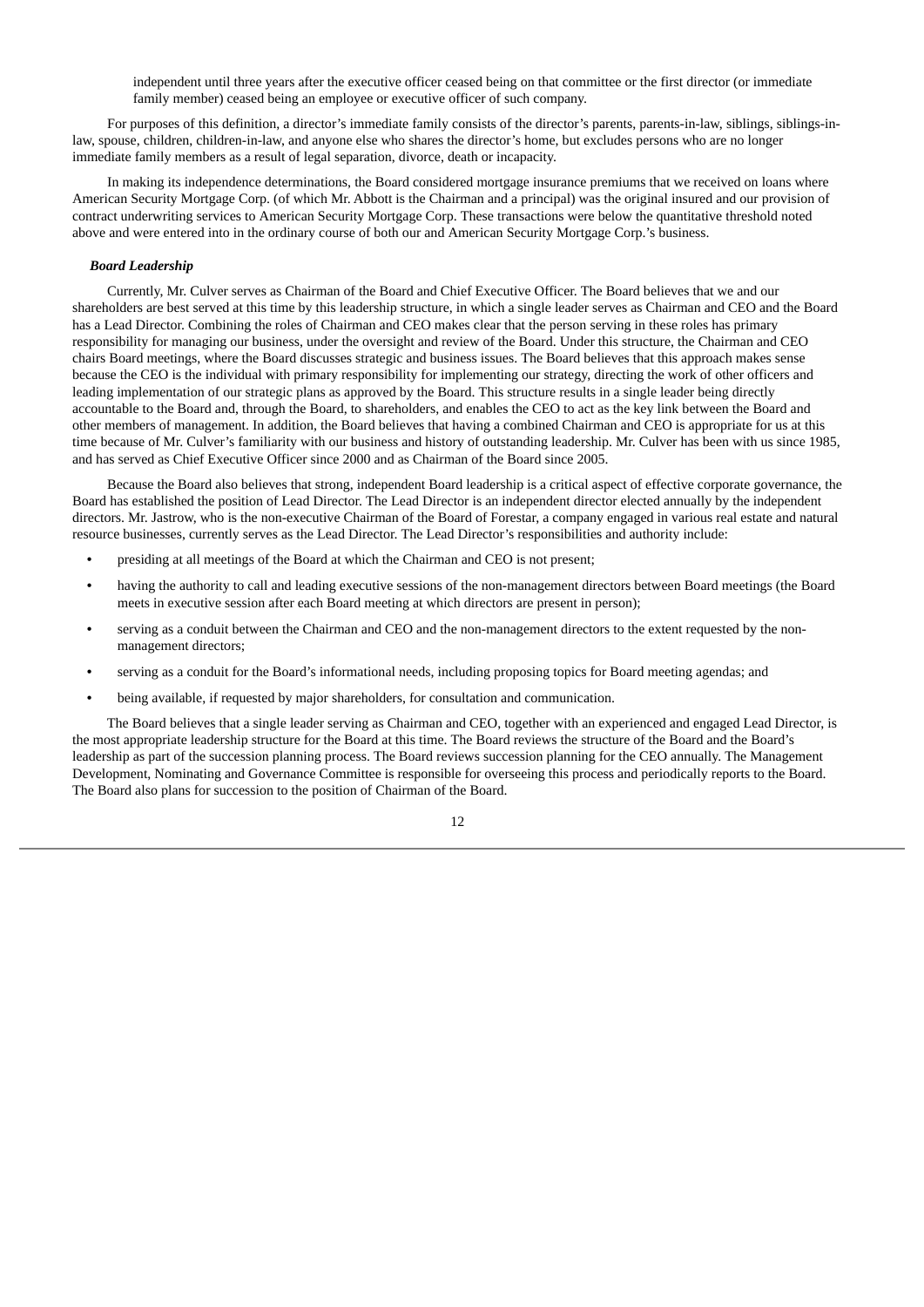independent until three years after the executive officer ceased being on that committee or the first director (or immediate family member) ceased being an employee or executive officer of such company.

For purposes of this definition, a director's immediate family consists of the director's parents, parents-in-law, siblings, siblings-inlaw, spouse, children, children-in-law, and anyone else who shares the director's home, but excludes persons who are no longer immediate family members as a result of legal separation, divorce, death or incapacity.

In making its independence determinations, the Board considered mortgage insurance premiums that we received on loans where American Security Mortgage Corp. (of which Mr. Abbott is the Chairman and a principal) was the original insured and our provision of contract underwriting services to American Security Mortgage Corp. These transactions were below the quantitative threshold noted above and were entered into in the ordinary course of both our and American Security Mortgage Corp.'s business.

# *Board Leadership*

Currently, Mr. Culver serves as Chairman of the Board and Chief Executive Officer. The Board believes that we and our shareholders are best served at this time by this leadership structure, in which a single leader serves as Chairman and CEO and the Board has a Lead Director. Combining the roles of Chairman and CEO makes clear that the person serving in these roles has primary responsibility for managing our business, under the oversight and review of the Board. Under this structure, the Chairman and CEO chairs Board meetings, where the Board discusses strategic and business issues. The Board believes that this approach makes sense because the CEO is the individual with primary responsibility for implementing our strategy, directing the work of other officers and leading implementation of our strategic plans as approved by the Board. This structure results in a single leader being directly accountable to the Board and, through the Board, to shareholders, and enables the CEO to act as the key link between the Board and other members of management. In addition, the Board believes that having a combined Chairman and CEO is appropriate for us at this time because of Mr. Culver's familiarity with our business and history of outstanding leadership. Mr. Culver has been with us since 1985, and has served as Chief Executive Officer since 2000 and as Chairman of the Board since 2005.

Because the Board also believes that strong, independent Board leadership is a critical aspect of effective corporate governance, the Board has established the position of Lead Director. The Lead Director is an independent director elected annually by the independent directors. Mr. Jastrow, who is the non-executive Chairman of the Board of Forestar, a company engaged in various real estate and natural resource businesses, currently serves as the Lead Director. The Lead Director's responsibilities and authority include:

- **•** presiding at all meetings of the Board at which the Chairman and CEO is not present;
- **•** having the authority to call and leading executive sessions of the non-management directors between Board meetings (the Board meets in executive session after each Board meeting at which directors are present in person);
- **•** serving as a conduit between the Chairman and CEO and the non-management directors to the extent requested by the nonmanagement directors;
- **•** serving as a conduit for the Board's informational needs, including proposing topics for Board meeting agendas; and
- **•** being available, if requested by major shareholders, for consultation and communication.

The Board believes that a single leader serving as Chairman and CEO, together with an experienced and engaged Lead Director, is the most appropriate leadership structure for the Board at this time. The Board reviews the structure of the Board and the Board's leadership as part of the succession planning process. The Board reviews succession planning for the CEO annually. The Management Development, Nominating and Governance Committee is responsible for overseeing this process and periodically reports to the Board. The Board also plans for succession to the position of Chairman of the Board.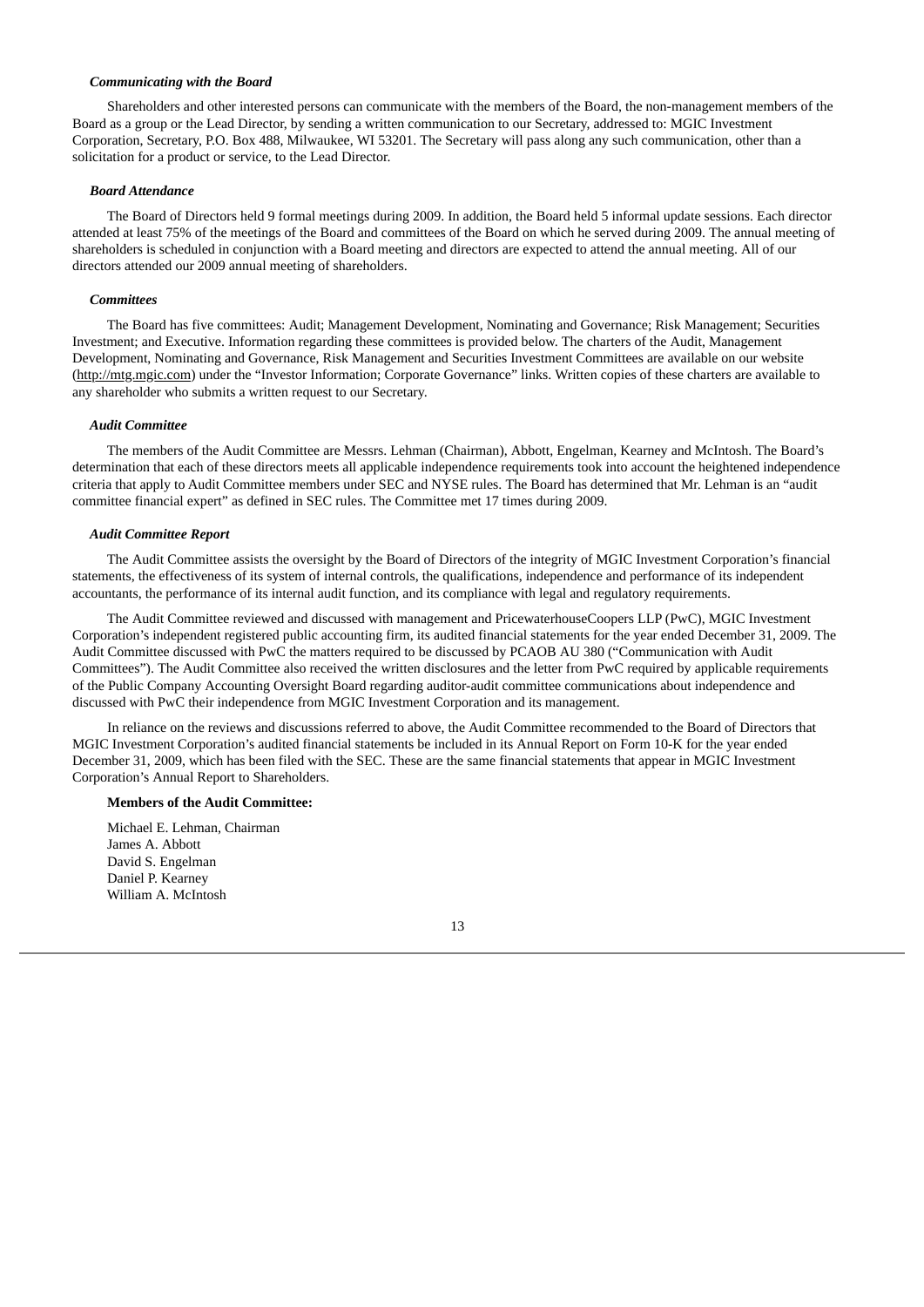#### *Communicating with the Board*

Shareholders and other interested persons can communicate with the members of the Board, the non-management members of the Board as a group or the Lead Director, by sending a written communication to our Secretary, addressed to: MGIC Investment Corporation, Secretary, P.O. Box 488, Milwaukee, WI 53201. The Secretary will pass along any such communication, other than a solicitation for a product or service, to the Lead Director.

#### *Board Attendance*

The Board of Directors held 9 formal meetings during 2009. In addition, the Board held 5 informal update sessions. Each director attended at least 75% of the meetings of the Board and committees of the Board on which he served during 2009. The annual meeting of shareholders is scheduled in conjunction with a Board meeting and directors are expected to attend the annual meeting. All of our directors attended our 2009 annual meeting of shareholders.

#### *Committees*

The Board has five committees: Audit; Management Development, Nominating and Governance; Risk Management; Securities Investment; and Executive. Information regarding these committees is provided below. The charters of the Audit, Management Development, Nominating and Governance, Risk Management and Securities Investment Committees are available on our website (http://mtg.mgic.com) under the "Investor Information; Corporate Governance" links. Written copies of these charters are available to any shareholder who submits a written request to our Secretary.

#### *Audit Committee*

The members of the Audit Committee are Messrs. Lehman (Chairman), Abbott, Engelman, Kearney and McIntosh. The Board's determination that each of these directors meets all applicable independence requirements took into account the heightened independence criteria that apply to Audit Committee members under SEC and NYSE rules. The Board has determined that Mr. Lehman is an "audit committee financial expert" as defined in SEC rules. The Committee met 17 times during 2009.

#### *Audit Committee Report*

The Audit Committee assists the oversight by the Board of Directors of the integrity of MGIC Investment Corporation's financial statements, the effectiveness of its system of internal controls, the qualifications, independence and performance of its independent accountants, the performance of its internal audit function, and its compliance with legal and regulatory requirements.

The Audit Committee reviewed and discussed with management and PricewaterhouseCoopers LLP (PwC), MGIC Investment Corporation's independent registered public accounting firm, its audited financial statements for the year ended December 31, 2009. The Audit Committee discussed with PwC the matters required to be discussed by PCAOB AU 380 ("Communication with Audit Committees"). The Audit Committee also received the written disclosures and the letter from PwC required by applicable requirements of the Public Company Accounting Oversight Board regarding auditor-audit committee communications about independence and discussed with PwC their independence from MGIC Investment Corporation and its management.

In reliance on the reviews and discussions referred to above, the Audit Committee recommended to the Board of Directors that MGIC Investment Corporation's audited financial statements be included in its Annual Report on Form 10-K for the year ended December 31, 2009, which has been filed with the SEC. These are the same financial statements that appear in MGIC Investment Corporation's Annual Report to Shareholders.

## **Members of the Audit Committee:**

Michael E. Lehman, Chairman James A. Abbott David S. Engelman Daniel P. Kearney William A. McIntosh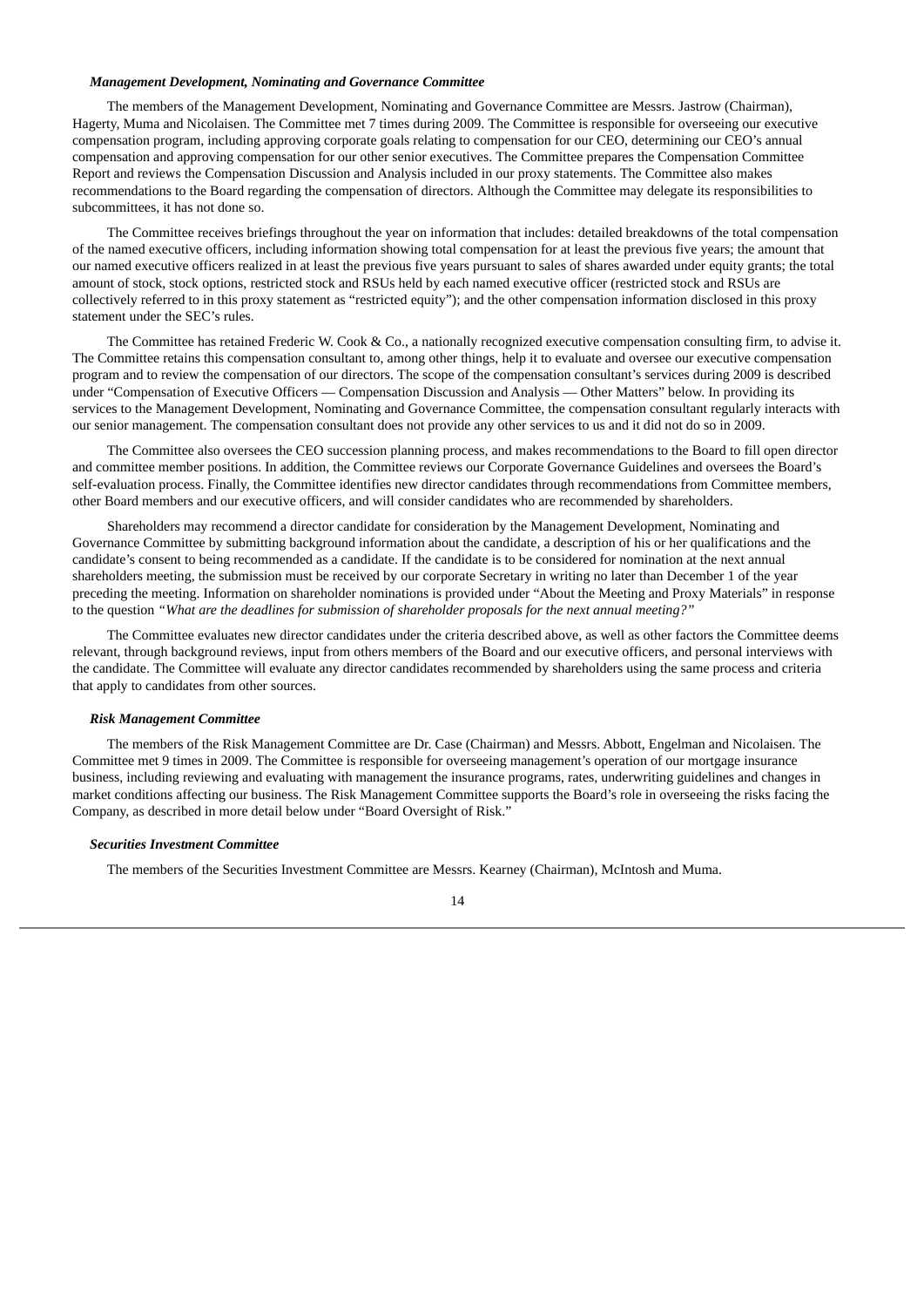#### *Management Development, Nominating and Governance Committee*

The members of the Management Development, Nominating and Governance Committee are Messrs. Jastrow (Chairman), Hagerty, Muma and Nicolaisen. The Committee met 7 times during 2009. The Committee is responsible for overseeing our executive compensation program, including approving corporate goals relating to compensation for our CEO, determining our CEO's annual compensation and approving compensation for our other senior executives. The Committee prepares the Compensation Committee Report and reviews the Compensation Discussion and Analysis included in our proxy statements. The Committee also makes recommendations to the Board regarding the compensation of directors. Although the Committee may delegate its responsibilities to subcommittees, it has not done so.

The Committee receives briefings throughout the year on information that includes: detailed breakdowns of the total compensation of the named executive officers, including information showing total compensation for at least the previous five years; the amount that our named executive officers realized in at least the previous five years pursuant to sales of shares awarded under equity grants; the total amount of stock, stock options, restricted stock and RSUs held by each named executive officer (restricted stock and RSUs are collectively referred to in this proxy statement as "restricted equity"); and the other compensation information disclosed in this proxy statement under the SEC's rules.

The Committee has retained Frederic W. Cook & Co., a nationally recognized executive compensation consulting firm, to advise it. The Committee retains this compensation consultant to, among other things, help it to evaluate and oversee our executive compensation program and to review the compensation of our directors. The scope of the compensation consultant's services during 2009 is described under "Compensation of Executive Officers — Compensation Discussion and Analysis — Other Matters" below. In providing its services to the Management Development, Nominating and Governance Committee, the compensation consultant regularly interacts with our senior management. The compensation consultant does not provide any other services to us and it did not do so in 2009.

The Committee also oversees the CEO succession planning process, and makes recommendations to the Board to fill open director and committee member positions. In addition, the Committee reviews our Corporate Governance Guidelines and oversees the Board's self-evaluation process. Finally, the Committee identifies new director candidates through recommendations from Committee members, other Board members and our executive officers, and will consider candidates who are recommended by shareholders.

Shareholders may recommend a director candidate for consideration by the Management Development, Nominating and Governance Committee by submitting background information about the candidate, a description of his or her qualifications and the candidate's consent to being recommended as a candidate. If the candidate is to be considered for nomination at the next annual shareholders meeting, the submission must be received by our corporate Secretary in writing no later than December 1 of the year preceding the meeting. Information on shareholder nominations is provided under "About the Meeting and Proxy Materials" in response to the question *"What are the deadlines for submission of shareholder proposals for the next annual meeting?"*

The Committee evaluates new director candidates under the criteria described above, as well as other factors the Committee deems relevant, through background reviews, input from others members of the Board and our executive officers, and personal interviews with the candidate. The Committee will evaluate any director candidates recommended by shareholders using the same process and criteria that apply to candidates from other sources.

#### *Risk Management Committee*

The members of the Risk Management Committee are Dr. Case (Chairman) and Messrs. Abbott, Engelman and Nicolaisen. The Committee met 9 times in 2009. The Committee is responsible for overseeing management's operation of our mortgage insurance business, including reviewing and evaluating with management the insurance programs, rates, underwriting guidelines and changes in market conditions affecting our business. The Risk Management Committee supports the Board's role in overseeing the risks facing the Company, as described in more detail below under "Board Oversight of Risk."

#### *Securities Investment Committee*

The members of the Securities Investment Committee are Messrs. Kearney (Chairman), McIntosh and Muma.

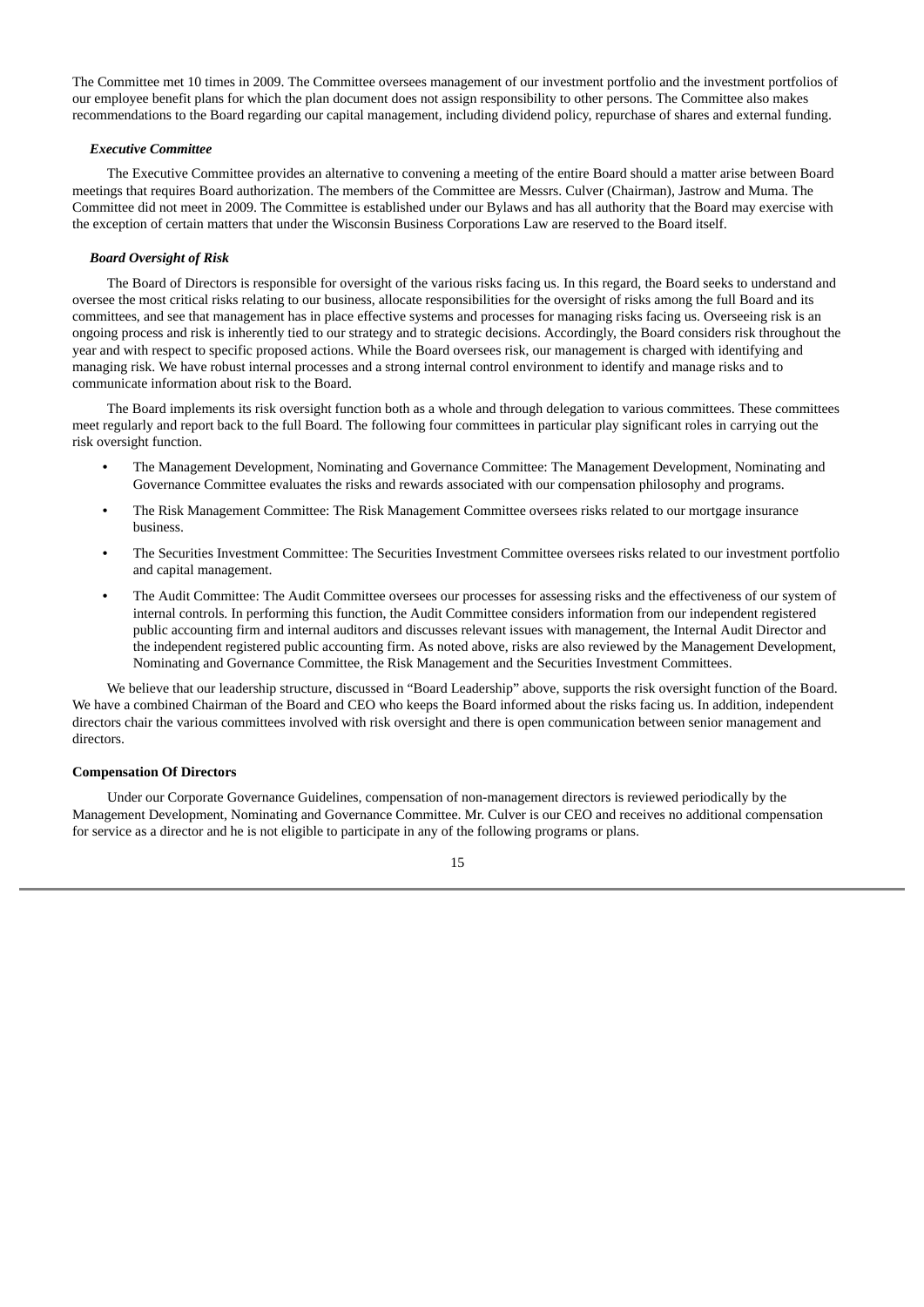The Committee met 10 times in 2009. The Committee oversees management of our investment portfolio and the investment portfolios of our employee benefit plans for which the plan document does not assign responsibility to other persons. The Committee also makes recommendations to the Board regarding our capital management, including dividend policy, repurchase of shares and external funding.

## *Executive Committee*

The Executive Committee provides an alternative to convening a meeting of the entire Board should a matter arise between Board meetings that requires Board authorization. The members of the Committee are Messrs. Culver (Chairman), Jastrow and Muma. The Committee did not meet in 2009. The Committee is established under our Bylaws and has all authority that the Board may exercise with the exception of certain matters that under the Wisconsin Business Corporations Law are reserved to the Board itself.

# *Board Oversight of Risk*

The Board of Directors is responsible for oversight of the various risks facing us. In this regard, the Board seeks to understand and oversee the most critical risks relating to our business, allocate responsibilities for the oversight of risks among the full Board and its committees, and see that management has in place effective systems and processes for managing risks facing us. Overseeing risk is an ongoing process and risk is inherently tied to our strategy and to strategic decisions. Accordingly, the Board considers risk throughout the year and with respect to specific proposed actions. While the Board oversees risk, our management is charged with identifying and managing risk. We have robust internal processes and a strong internal control environment to identify and manage risks and to communicate information about risk to the Board.

The Board implements its risk oversight function both as a whole and through delegation to various committees. These committees meet regularly and report back to the full Board. The following four committees in particular play significant roles in carrying out the risk oversight function.

- **•** The Management Development, Nominating and Governance Committee: The Management Development, Nominating and Governance Committee evaluates the risks and rewards associated with our compensation philosophy and programs.
- **•** The Risk Management Committee: The Risk Management Committee oversees risks related to our mortgage insurance business.
- **•** The Securities Investment Committee: The Securities Investment Committee oversees risks related to our investment portfolio and capital management.
- **•** The Audit Committee: The Audit Committee oversees our processes for assessing risks and the effectiveness of our system of internal controls. In performing this function, the Audit Committee considers information from our independent registered public accounting firm and internal auditors and discusses relevant issues with management, the Internal Audit Director and the independent registered public accounting firm. As noted above, risks are also reviewed by the Management Development, Nominating and Governance Committee, the Risk Management and the Securities Investment Committees.

We believe that our leadership structure, discussed in "Board Leadership" above, supports the risk oversight function of the Board. We have a combined Chairman of the Board and CEO who keeps the Board informed about the risks facing us. In addition, independent directors chair the various committees involved with risk oversight and there is open communication between senior management and directors.

#### **Compensation Of Directors**

Under our Corporate Governance Guidelines, compensation of non-management directors is reviewed periodically by the Management Development, Nominating and Governance Committee. Mr. Culver is our CEO and receives no additional compensation for service as a director and he is not eligible to participate in any of the following programs or plans.

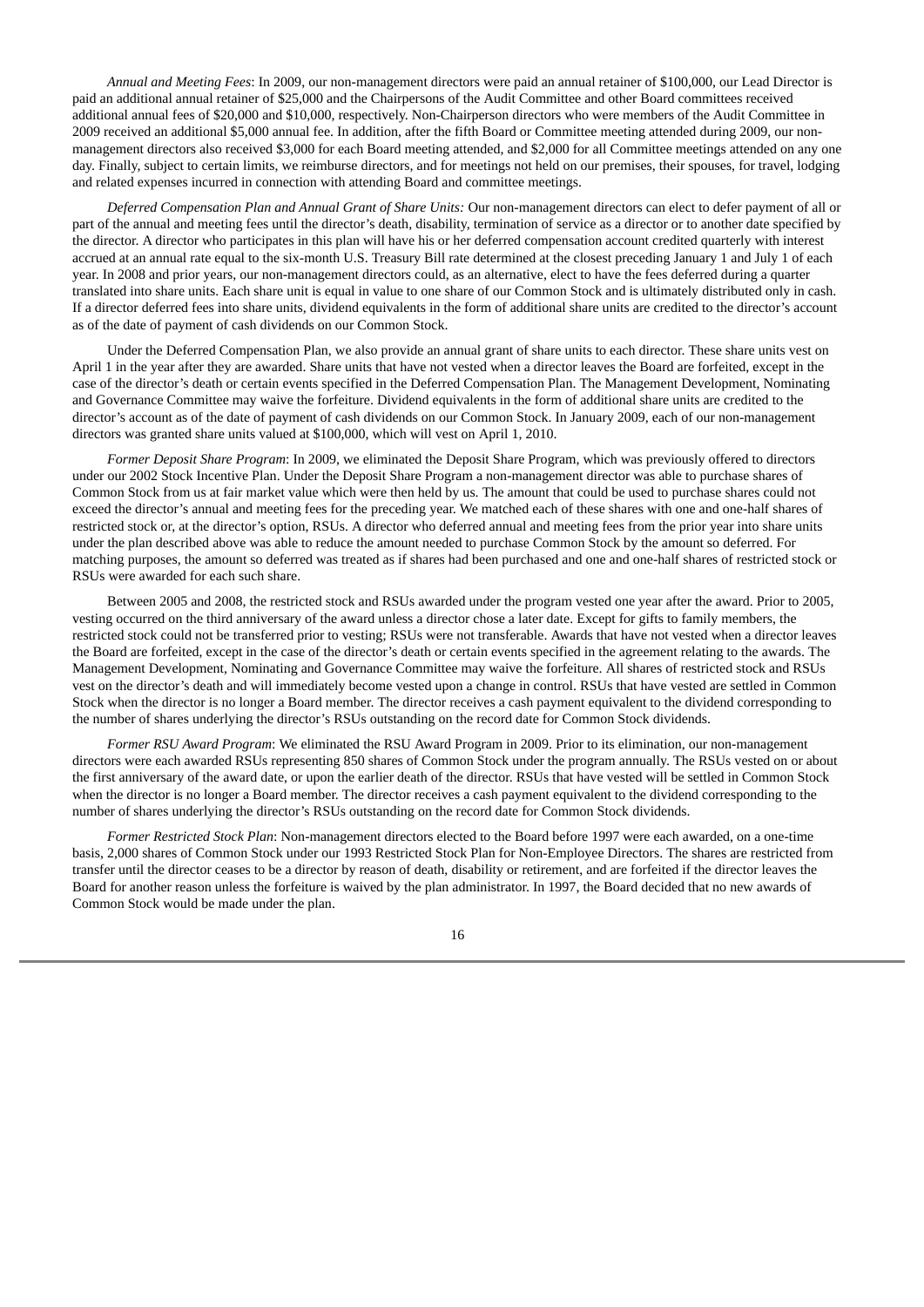*Annual and Meeting Fees*: In 2009, our non-management directors were paid an annual retainer of \$100,000, our Lead Director is paid an additional annual retainer of \$25,000 and the Chairpersons of the Audit Committee and other Board committees received additional annual fees of \$20,000 and \$10,000, respectively. Non-Chairperson directors who were members of the Audit Committee in 2009 received an additional \$5,000 annual fee. In addition, after the fifth Board or Committee meeting attended during 2009, our nonmanagement directors also received \$3,000 for each Board meeting attended, and \$2,000 for all Committee meetings attended on any one day. Finally, subject to certain limits, we reimburse directors, and for meetings not held on our premises, their spouses, for travel, lodging and related expenses incurred in connection with attending Board and committee meetings.

*Deferred Compensation Plan and Annual Grant of Share Units:* Our non-management directors can elect to defer payment of all or part of the annual and meeting fees until the director's death, disability, termination of service as a director or to another date specified by the director. A director who participates in this plan will have his or her deferred compensation account credited quarterly with interest accrued at an annual rate equal to the six-month U.S. Treasury Bill rate determined at the closest preceding January 1 and July 1 of each year. In 2008 and prior years, our non-management directors could, as an alternative, elect to have the fees deferred during a quarter translated into share units. Each share unit is equal in value to one share of our Common Stock and is ultimately distributed only in cash. If a director deferred fees into share units, dividend equivalents in the form of additional share units are credited to the director's account as of the date of payment of cash dividends on our Common Stock.

Under the Deferred Compensation Plan, we also provide an annual grant of share units to each director. These share units vest on April 1 in the year after they are awarded. Share units that have not vested when a director leaves the Board are forfeited, except in the case of the director's death or certain events specified in the Deferred Compensation Plan. The Management Development, Nominating and Governance Committee may waive the forfeiture. Dividend equivalents in the form of additional share units are credited to the director's account as of the date of payment of cash dividends on our Common Stock. In January 2009, each of our non-management directors was granted share units valued at \$100,000, which will vest on April 1, 2010.

*Former Deposit Share Program*: In 2009, we eliminated the Deposit Share Program, which was previously offered to directors under our 2002 Stock Incentive Plan. Under the Deposit Share Program a non-management director was able to purchase shares of Common Stock from us at fair market value which were then held by us. The amount that could be used to purchase shares could not exceed the director's annual and meeting fees for the preceding year. We matched each of these shares with one and one-half shares of restricted stock or, at the director's option, RSUs. A director who deferred annual and meeting fees from the prior year into share units under the plan described above was able to reduce the amount needed to purchase Common Stock by the amount so deferred. For matching purposes, the amount so deferred was treated as if shares had been purchased and one and one-half shares of restricted stock or RSUs were awarded for each such share.

Between 2005 and 2008, the restricted stock and RSUs awarded under the program vested one year after the award. Prior to 2005, vesting occurred on the third anniversary of the award unless a director chose a later date. Except for gifts to family members, the restricted stock could not be transferred prior to vesting; RSUs were not transferable. Awards that have not vested when a director leaves the Board are forfeited, except in the case of the director's death or certain events specified in the agreement relating to the awards. The Management Development, Nominating and Governance Committee may waive the forfeiture. All shares of restricted stock and RSUs vest on the director's death and will immediately become vested upon a change in control. RSUs that have vested are settled in Common Stock when the director is no longer a Board member. The director receives a cash payment equivalent to the dividend corresponding to the number of shares underlying the director's RSUs outstanding on the record date for Common Stock dividends.

*Former RSU Award Program*: We eliminated the RSU Award Program in 2009. Prior to its elimination, our non-management directors were each awarded RSUs representing 850 shares of Common Stock under the program annually. The RSUs vested on or about the first anniversary of the award date, or upon the earlier death of the director. RSUs that have vested will be settled in Common Stock when the director is no longer a Board member. The director receives a cash payment equivalent to the dividend corresponding to the number of shares underlying the director's RSUs outstanding on the record date for Common Stock dividends.

*Former Restricted Stock Plan*: Non-management directors elected to the Board before 1997 were each awarded, on a one-time basis, 2,000 shares of Common Stock under our 1993 Restricted Stock Plan for Non-Employee Directors. The shares are restricted from transfer until the director ceases to be a director by reason of death, disability or retirement, and are forfeited if the director leaves the Board for another reason unless the forfeiture is waived by the plan administrator. In 1997, the Board decided that no new awards of Common Stock would be made under the plan.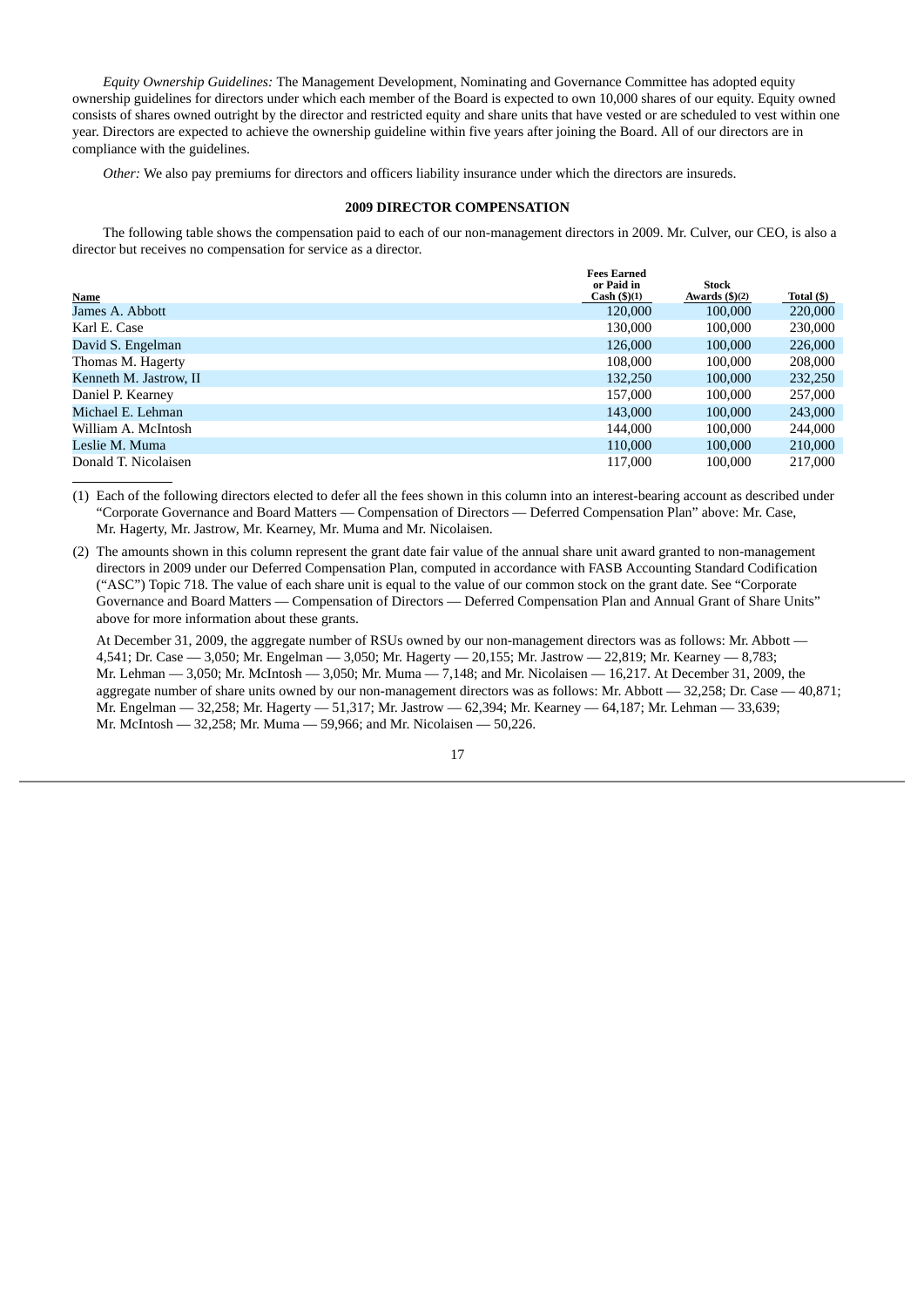*Equity Ownership Guidelines:* The Management Development, Nominating and Governance Committee has adopted equity ownership guidelines for directors under which each member of the Board is expected to own 10,000 shares of our equity. Equity owned consists of shares owned outright by the director and restricted equity and share units that have vested or are scheduled to vest within one year. Directors are expected to achieve the ownership guideline within five years after joining the Board. All of our directors are in compliance with the guidelines.

*Other:* We also pay premiums for directors and officers liability insurance under which the directors are insureds.

# **2009 DIRECTOR COMPENSATION**

The following table shows the compensation paid to each of our non-management directors in 2009. Mr. Culver, our CEO, is also a director but receives no compensation for service as a director.

|                        | <b>Fees Earned</b> |                        |            |
|------------------------|--------------------|------------------------|------------|
|                        | or Paid in         | <b>Stock</b>           |            |
| Name                   | Cash (\$()(1)      | Awards $(\frac{5}{2})$ | Total (\$) |
| James A. Abbott        | 120,000            | 100,000                | 220,000    |
| Karl E. Case           | 130,000            | 100,000                | 230,000    |
| David S. Engelman      | 126,000            | 100,000                | 226,000    |
| Thomas M. Hagerty      | 108,000            | 100,000                | 208,000    |
| Kenneth M. Jastrow, II | 132,250            | 100,000                | 232,250    |
| Daniel P. Kearney      | 157,000            | 100,000                | 257,000    |
| Michael E. Lehman      | 143,000            | 100,000                | 243,000    |
| William A. McIntosh    | 144,000            | 100,000                | 244,000    |
| Leslie M. Muma         | 110,000            | 100,000                | 210,000    |
| Donald T. Nicolaisen   | 117,000            | 100,000                | 217,000    |

(1) Each of the following directors elected to defer all the fees shown in this column into an interest-bearing account as described under "Corporate Governance and Board Matters — Compensation of Directors — Deferred Compensation Plan" above: Mr. Case, Mr. Hagerty, Mr. Jastrow, Mr. Kearney, Mr. Muma and Mr. Nicolaisen.

(2) The amounts shown in this column represent the grant date fair value of the annual share unit award granted to non-management directors in 2009 under our Deferred Compensation Plan, computed in accordance with FASB Accounting Standard Codification ("ASC") Topic 718. The value of each share unit is equal to the value of our common stock on the grant date. See "Corporate Governance and Board Matters — Compensation of Directors — Deferred Compensation Plan and Annual Grant of Share Units" above for more information about these grants.

At December 31, 2009, the aggregate number of RSUs owned by our non-management directors was as follows: Mr. Abbott — 4,541; Dr. Case — 3,050; Mr. Engelman — 3,050; Mr. Hagerty — 20,155; Mr. Jastrow — 22,819; Mr. Kearney — 8,783; Mr. Lehman — 3,050; Mr. McIntosh — 3,050; Mr. Muma — 7,148; and Mr. Nicolaisen — 16,217. At December 31, 2009, the aggregate number of share units owned by our non-management directors was as follows: Mr. Abbott — 32,258; Dr. Case — 40,871; Mr. Engelman — 32,258; Mr. Hagerty — 51,317; Mr. Jastrow — 62,394; Mr. Kearney — 64,187; Mr. Lehman — 33,639; Mr. McIntosh — 32,258; Mr. Muma — 59,966; and Mr. Nicolaisen — 50,226.

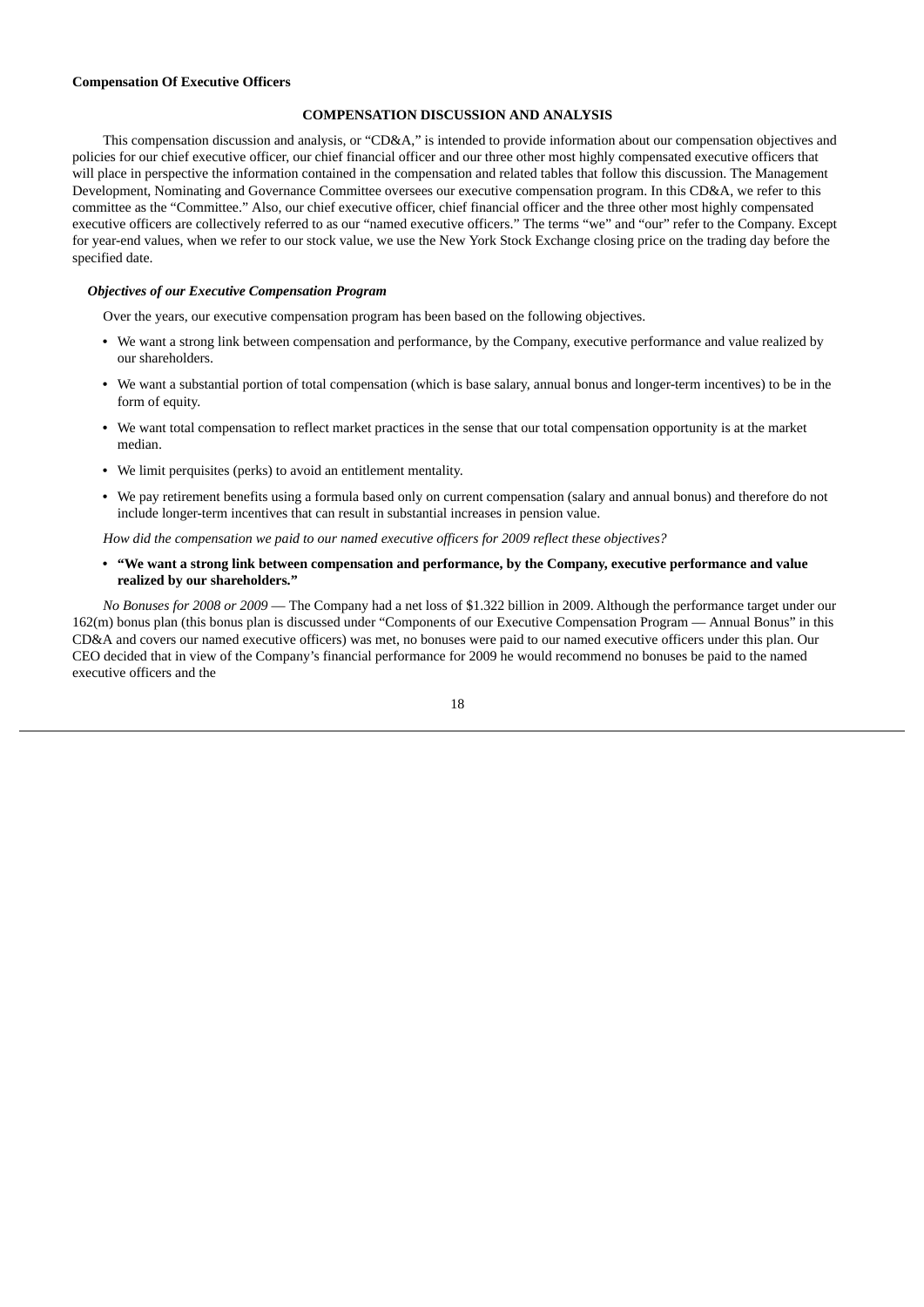#### **Compensation Of Executive Officers**

# **COMPENSATION DISCUSSION AND ANALYSIS**

This compensation discussion and analysis, or "CD&A," is intended to provide information about our compensation objectives and policies for our chief executive officer, our chief financial officer and our three other most highly compensated executive officers that will place in perspective the information contained in the compensation and related tables that follow this discussion. The Management Development, Nominating and Governance Committee oversees our executive compensation program. In this CD&A, we refer to this committee as the "Committee." Also, our chief executive officer, chief financial officer and the three other most highly compensated executive officers are collectively referred to as our "named executive officers." The terms "we" and "our" refer to the Company. Except for year-end values, when we refer to our stock value, we use the New York Stock Exchange closing price on the trading day before the specified date.

#### *Objectives of our Executive Compensation Program*

Over the years, our executive compensation program has been based on the following objectives.

- **•** We want a strong link between compensation and performance, by the Company, executive performance and value realized by our shareholders.
- **•** We want a substantial portion of total compensation (which is base salary, annual bonus and longer-term incentives) to be in the form of equity.
- **•** We want total compensation to reflect market practices in the sense that our total compensation opportunity is at the market median.
- **•** We limit perquisites (perks) to avoid an entitlement mentality.
- **•** We pay retirement benefits using a formula based only on current compensation (salary and annual bonus) and therefore do not include longer-term incentives that can result in substantial increases in pension value.

*How did the compensation we paid to our named executive officers for 2009 reflect these objectives?*

• "We want a strong link between compensation and performance, by the Company, executive performance and value **realized by our shareholders."**

*No Bonuses for 2008 or 2009* — The Company had a net loss of \$1.322 billion in 2009. Although the performance target under our 162(m) bonus plan (this bonus plan is discussed under "Components of our Executive Compensation Program — Annual Bonus" in this CD&A and covers our named executive officers) was met, no bonuses were paid to our named executive officers under this plan. Our CEO decided that in view of the Company's financial performance for 2009 he would recommend no bonuses be paid to the named executive officers and the

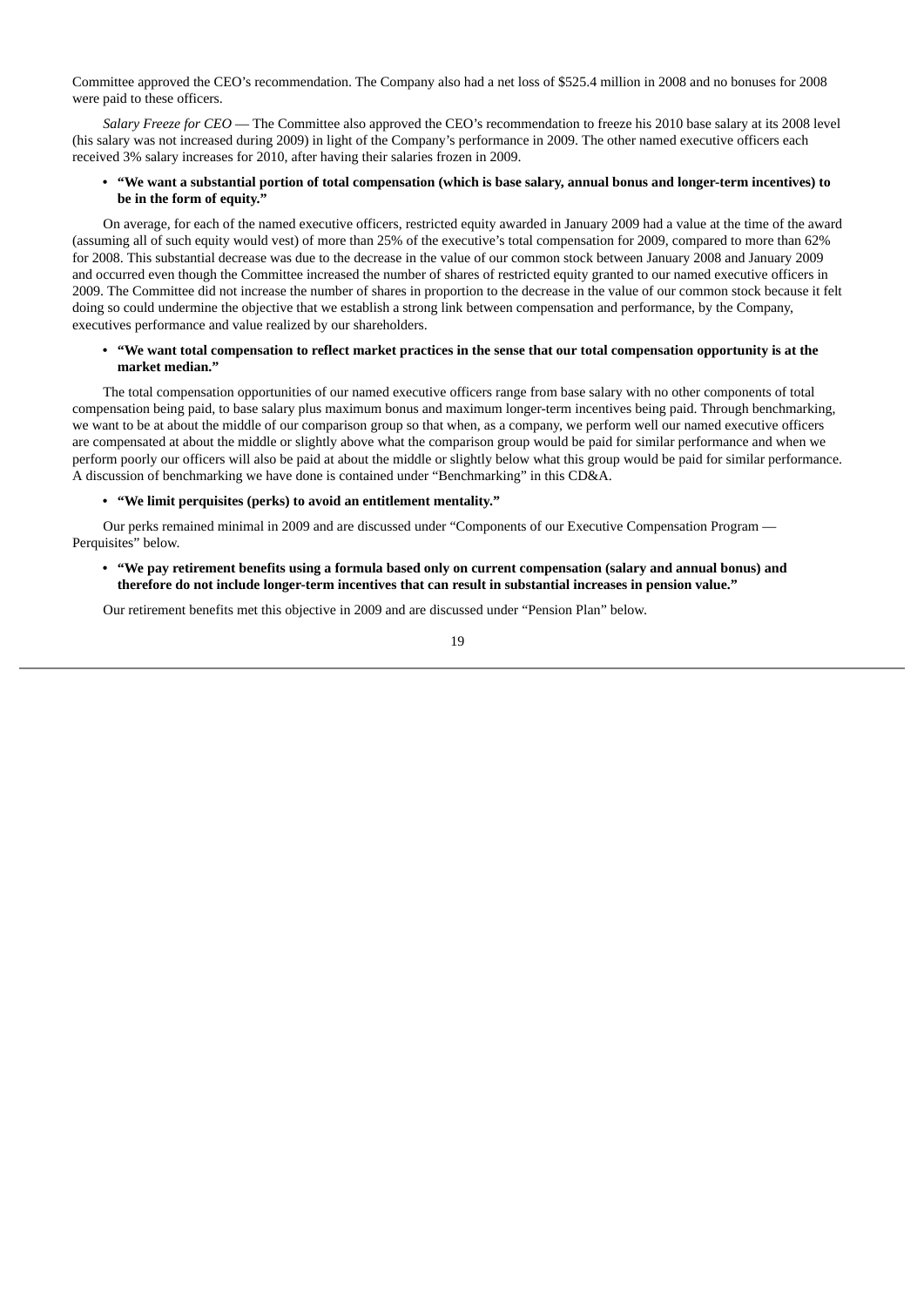Committee approved the CEO's recommendation. The Company also had a net loss of \$525.4 million in 2008 and no bonuses for 2008 were paid to these officers.

*Salary Freeze for CEO* — The Committee also approved the CEO's recommendation to freeze his 2010 base salary at its 2008 level (his salary was not increased during 2009) in light of the Company's performance in 2009. The other named executive officers each received 3% salary increases for 2010, after having their salaries frozen in 2009.

# • "We want a substantial portion of total compensation (which is base salary, annual bonus and longer-term incentives) to **be in the form of equity."**

On average, for each of the named executive officers, restricted equity awarded in January 2009 had a value at the time of the award (assuming all of such equity would vest) of more than 25% of the executive's total compensation for 2009, compared to more than 62% for 2008. This substantial decrease was due to the decrease in the value of our common stock between January 2008 and January 2009 and occurred even though the Committee increased the number of shares of restricted equity granted to our named executive officers in 2009. The Committee did not increase the number of shares in proportion to the decrease in the value of our common stock because it felt doing so could undermine the objective that we establish a strong link between compensation and performance, by the Company, executives performance and value realized by our shareholders.

# • "We want total compensation to reflect market practices in the sense that our total compensation opportunity is at the **market median."**

The total compensation opportunities of our named executive officers range from base salary with no other components of total compensation being paid, to base salary plus maximum bonus and maximum longer-term incentives being paid. Through benchmarking, we want to be at about the middle of our comparison group so that when, as a company, we perform well our named executive officers are compensated at about the middle or slightly above what the comparison group would be paid for similar performance and when we perform poorly our officers will also be paid at about the middle or slightly below what this group would be paid for similar performance. A discussion of benchmarking we have done is contained under "Benchmarking" in this CD&A.

# **• "We limit perquisites (perks) to avoid an entitlement mentality."**

Our perks remained minimal in 2009 and are discussed under "Components of our Executive Compensation Program — Perquisites" below.

• "We pay retirement benefits using a formula based only on current compensation (salary and annual bonus) and **therefore do not include longer-term incentives that can result in substantial increases in pension value."**

Our retirement benefits met this objective in 2009 and are discussed under "Pension Plan" below.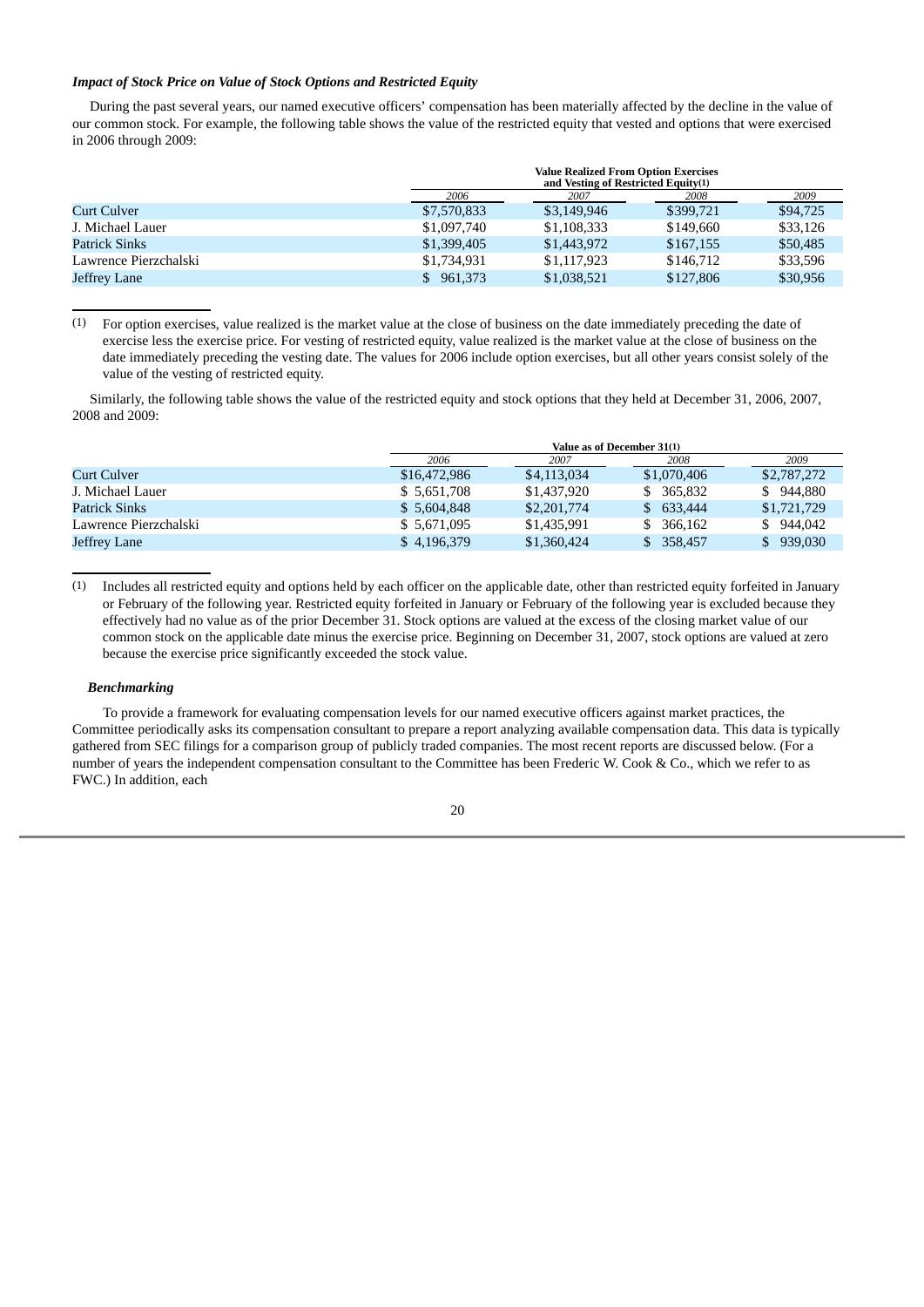## *Impact of Stock Price on Value of Stock Options and Restricted Equity*

During the past several years, our named executive officers' compensation has been materially affected by the decline in the value of our common stock. For example, the following table shows the value of the restricted equity that vested and options that were exercised in 2006 through 2009:

|                       | <b>Value Realized From Option Exercises</b><br>and Vesting of Restricted Equity(1) |             |           |          |
|-----------------------|------------------------------------------------------------------------------------|-------------|-----------|----------|
|                       | 2006                                                                               | 2007        | 2008      | 2009     |
| Curt Culver           | \$7,570,833                                                                        | \$3,149,946 | \$399,721 | \$94,725 |
| J. Michael Lauer      | \$1,097,740                                                                        | \$1,108,333 | \$149,660 | \$33,126 |
| Patrick Sinks         | \$1,399,405                                                                        | \$1,443,972 | \$167,155 | \$50,485 |
| Lawrence Pierzchalski | \$1,734,931                                                                        | \$1,117,923 | \$146,712 | \$33,596 |
| Jeffrey Lane          | 961,373                                                                            | \$1,038,521 | \$127,806 | \$30,956 |

(1) For option exercises, value realized is the market value at the close of business on the date immediately preceding the date of exercise less the exercise price. For vesting of restricted equity, value realized is the market value at the close of business on the date immediately preceding the vesting date. The values for 2006 include option exercises, but all other years consist solely of the value of the vesting of restricted equity.

Similarly, the following table shows the value of the restricted equity and stock options that they held at December 31, 2006, 2007, 2008 and 2009:

|                       | Value as of December 31(1) |             |             |               |
|-----------------------|----------------------------|-------------|-------------|---------------|
|                       | 2006                       | 2007        | 2008        | 2009          |
| Curt Culver           | \$16,472,986               | \$4,113,034 | \$1,070,406 | \$2,787,272   |
| J. Michael Lauer      | \$5,651,708                | \$1,437,920 | 365.832     | 944.880<br>S. |
| Patrick Sinks         | \$5,604,848                | \$2,201,774 | \$633.444   | \$1,721,729   |
| Lawrence Pierzchalski | \$ 5,671,095               | \$1,435,991 | 366.162     | 944.042       |
| Jeffrey Lane          | \$4,196,379                | \$1,360,424 | 358,457     | 939,030       |

(1) Includes all restricted equity and options held by each officer on the applicable date, other than restricted equity forfeited in January or February of the following year. Restricted equity forfeited in January or February of the following year is excluded because they effectively had no value as of the prior December 31. Stock options are valued at the excess of the closing market value of our common stock on the applicable date minus the exercise price. Beginning on December 31, 2007, stock options are valued at zero because the exercise price significantly exceeded the stock value.

# *Benchmarking*

To provide a framework for evaluating compensation levels for our named executive officers against market practices, the Committee periodically asks its compensation consultant to prepare a report analyzing available compensation data. This data is typically gathered from SEC filings for a comparison group of publicly traded companies. The most recent reports are discussed below. (For a number of years the independent compensation consultant to the Committee has been Frederic W. Cook & Co., which we refer to as FWC.) In addition, each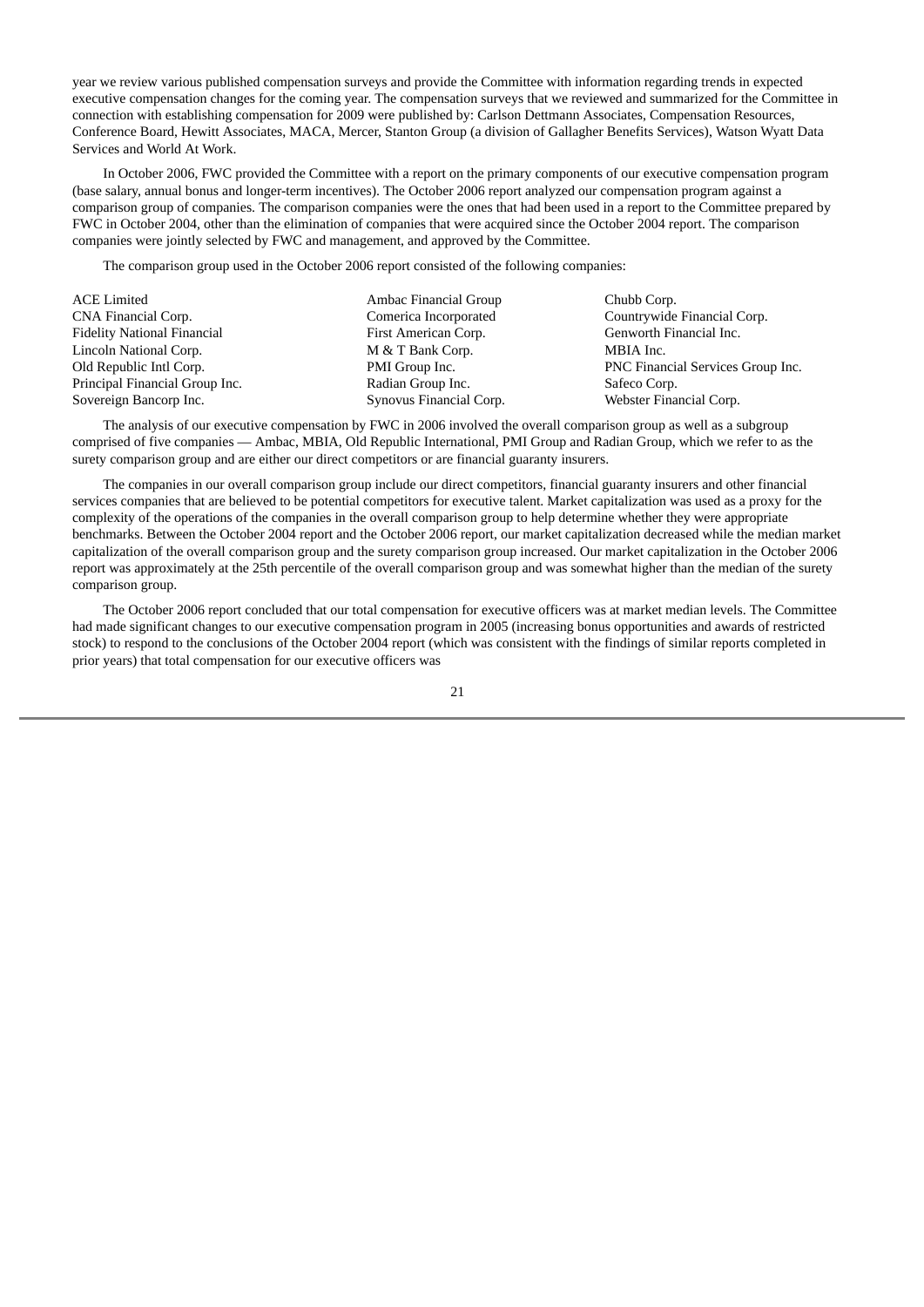year we review various published compensation surveys and provide the Committee with information regarding trends in expected executive compensation changes for the coming year. The compensation surveys that we reviewed and summarized for the Committee in connection with establishing compensation for 2009 were published by: Carlson Dettmann Associates, Compensation Resources, Conference Board, Hewitt Associates, MACA, Mercer, Stanton Group (a division of Gallagher Benefits Services), Watson Wyatt Data Services and World At Work.

In October 2006, FWC provided the Committee with a report on the primary components of our executive compensation program (base salary, annual bonus and longer-term incentives). The October 2006 report analyzed our compensation program against a comparison group of companies. The comparison companies were the ones that had been used in a report to the Committee prepared by FWC in October 2004, other than the elimination of companies that were acquired since the October 2004 report. The comparison companies were jointly selected by FWC and management, and approved by the Committee.

The comparison group used in the October 2006 report consisted of the following companies:

| <b>ACE Limited</b>                 | Ambac Financial Group   | Chubb Corp.                       |
|------------------------------------|-------------------------|-----------------------------------|
| CNA Financial Corp.                | Comerica Incorporated   | Countrywide Financial Corp.       |
| <b>Fidelity National Financial</b> | First American Corp.    | Genworth Financial Inc.           |
| Lincoln National Corp.             | M & T Bank Corp.        | MBIA Inc.                         |
| Old Republic Intl Corp.            | PMI Group Inc.          | PNC Financial Services Group Inc. |
| Principal Financial Group Inc.     | Radian Group Inc.       | Safeco Corp.                      |
| Sovereign Bancorp Inc.             | Synovus Financial Corp. | Webster Financial Corp.           |
|                                    |                         |                                   |

The analysis of our executive compensation by FWC in 2006 involved the overall comparison group as well as a subgroup comprised of five companies — Ambac, MBIA, Old Republic International, PMI Group and Radian Group, which we refer to as the surety comparison group and are either our direct competitors or are financial guaranty insurers.

The companies in our overall comparison group include our direct competitors, financial guaranty insurers and other financial services companies that are believed to be potential competitors for executive talent. Market capitalization was used as a proxy for the complexity of the operations of the companies in the overall comparison group to help determine whether they were appropriate benchmarks. Between the October 2004 report and the October 2006 report, our market capitalization decreased while the median market capitalization of the overall comparison group and the surety comparison group increased. Our market capitalization in the October 2006 report was approximately at the 25th percentile of the overall comparison group and was somewhat higher than the median of the surety comparison group.

The October 2006 report concluded that our total compensation for executive officers was at market median levels. The Committee had made significant changes to our executive compensation program in 2005 (increasing bonus opportunities and awards of restricted stock) to respond to the conclusions of the October 2004 report (which was consistent with the findings of similar reports completed in prior years) that total compensation for our executive officers was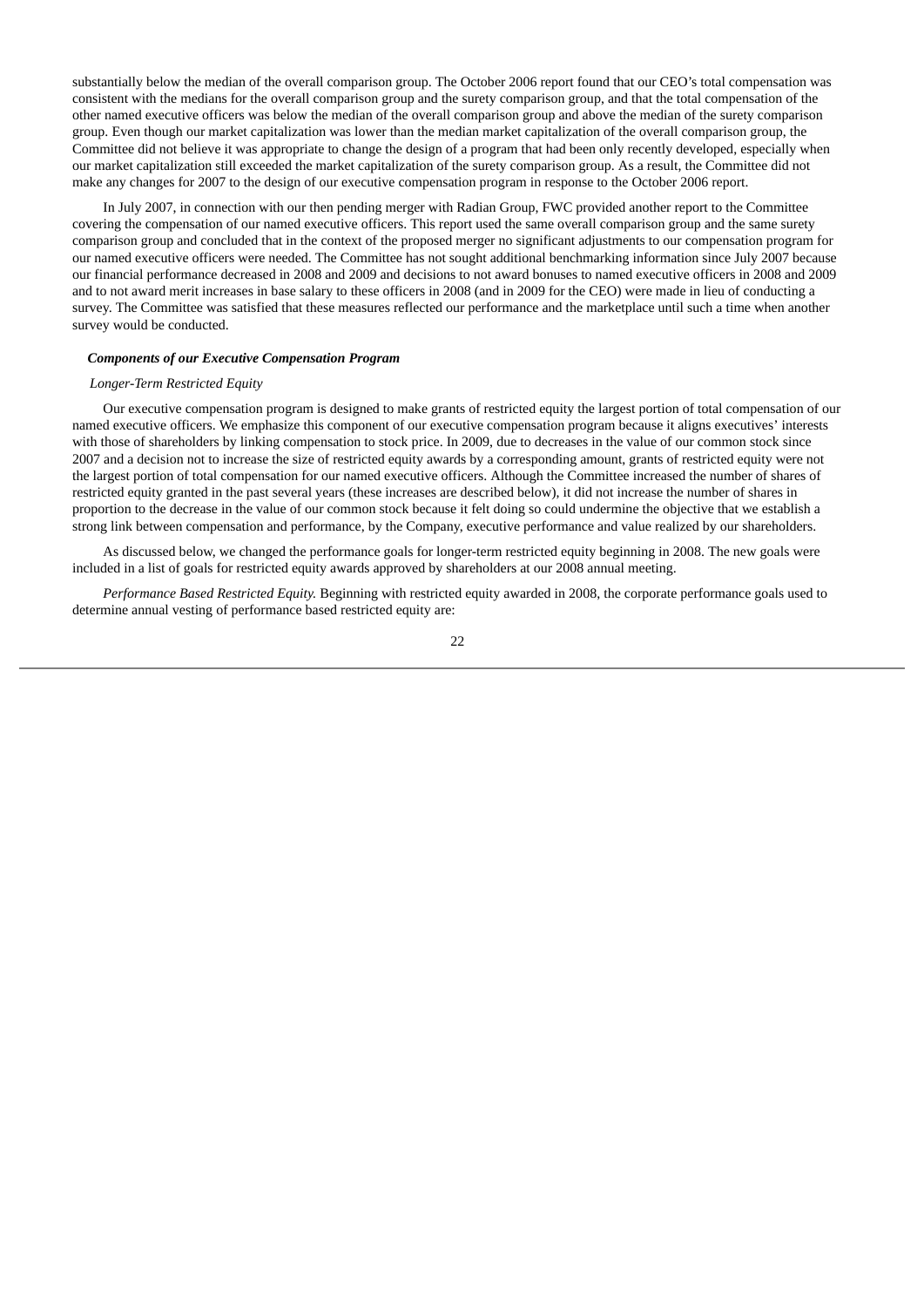substantially below the median of the overall comparison group. The October 2006 report found that our CEO's total compensation was consistent with the medians for the overall comparison group and the surety comparison group, and that the total compensation of the other named executive officers was below the median of the overall comparison group and above the median of the surety comparison group. Even though our market capitalization was lower than the median market capitalization of the overall comparison group, the Committee did not believe it was appropriate to change the design of a program that had been only recently developed, especially when our market capitalization still exceeded the market capitalization of the surety comparison group. As a result, the Committee did not make any changes for 2007 to the design of our executive compensation program in response to the October 2006 report.

In July 2007, in connection with our then pending merger with Radian Group, FWC provided another report to the Committee covering the compensation of our named executive officers. This report used the same overall comparison group and the same surety comparison group and concluded that in the context of the proposed merger no significant adjustments to our compensation program for our named executive officers were needed. The Committee has not sought additional benchmarking information since July 2007 because our financial performance decreased in 2008 and 2009 and decisions to not award bonuses to named executive officers in 2008 and 2009 and to not award merit increases in base salary to these officers in 2008 (and in 2009 for the CEO) were made in lieu of conducting a survey. The Committee was satisfied that these measures reflected our performance and the marketplace until such a time when another survey would be conducted.

# *Components of our Executive Compensation Program*

# *Longer-Term Restricted Equity*

Our executive compensation program is designed to make grants of restricted equity the largest portion of total compensation of our named executive officers. We emphasize this component of our executive compensation program because it aligns executives' interests with those of shareholders by linking compensation to stock price. In 2009, due to decreases in the value of our common stock since 2007 and a decision not to increase the size of restricted equity awards by a corresponding amount, grants of restricted equity were not the largest portion of total compensation for our named executive officers. Although the Committee increased the number of shares of restricted equity granted in the past several years (these increases are described below), it did not increase the number of shares in proportion to the decrease in the value of our common stock because it felt doing so could undermine the objective that we establish a strong link between compensation and performance, by the Company, executive performance and value realized by our shareholders.

As discussed below, we changed the performance goals for longer-term restricted equity beginning in 2008. The new goals were included in a list of goals for restricted equity awards approved by shareholders at our 2008 annual meeting.

*Performance Based Restricted Equity.* Beginning with restricted equity awarded in 2008, the corporate performance goals used to determine annual vesting of performance based restricted equity are: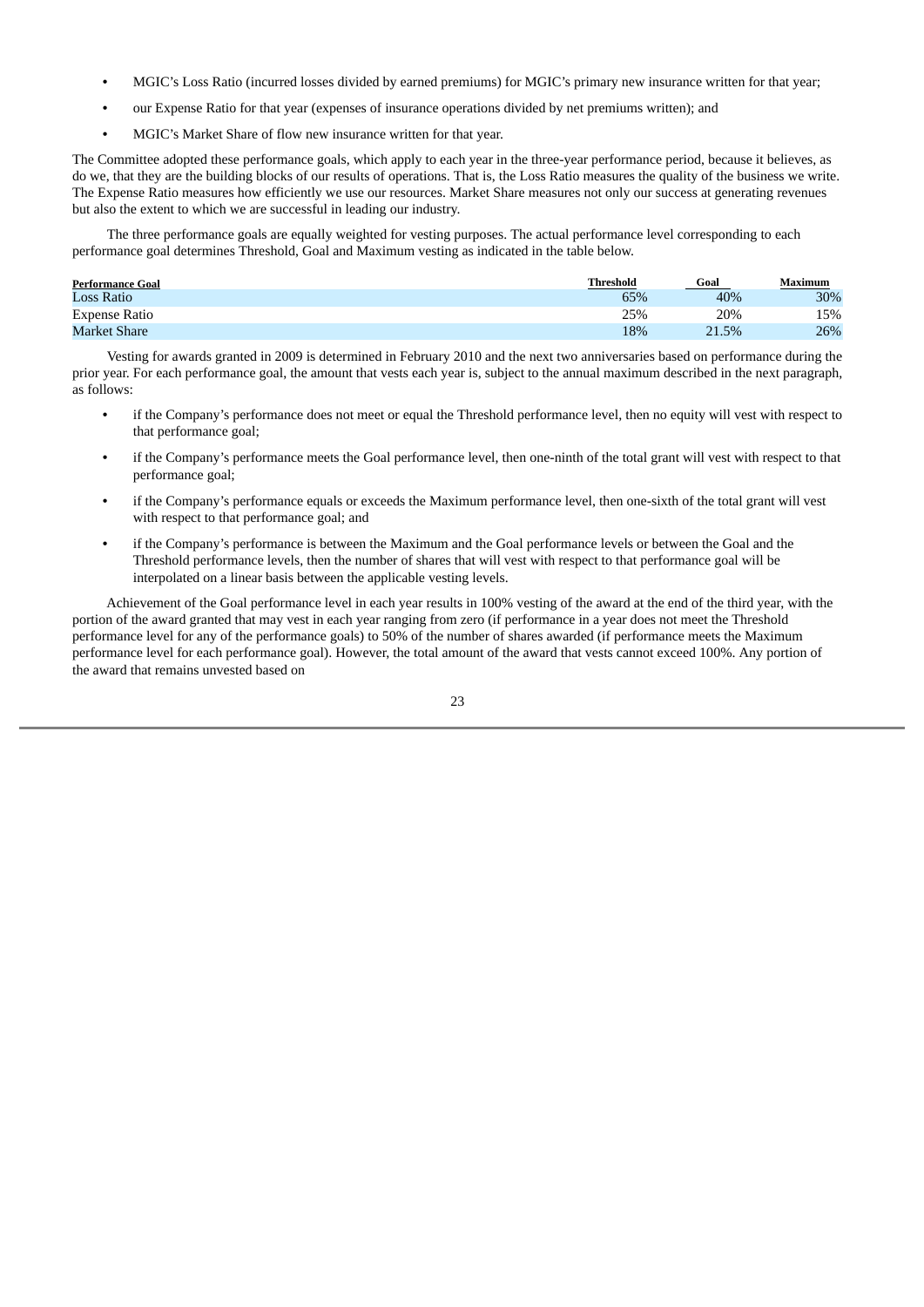- **•** MGIC's Loss Ratio (incurred losses divided by earned premiums) for MGIC's primary new insurance written for that year;
- **•** our Expense Ratio for that year (expenses of insurance operations divided by net premiums written); and
- **•** MGIC's Market Share of flow new insurance written for that year.

The Committee adopted these performance goals, which apply to each year in the three-year performance period, because it believes, as do we, that they are the building blocks of our results of operations. That is, the Loss Ratio measures the quality of the business we write. The Expense Ratio measures how efficiently we use our resources. Market Share measures not only our success at generating revenues but also the extent to which we are successful in leading our industry.

The three performance goals are equally weighted for vesting purposes. The actual performance level corresponding to each performance goal determines Threshold, Goal and Maximum vesting as indicated in the table below.

| <b>Performance Goal</b> | <b>Threshold</b> | Goal  | Maximum |
|-------------------------|------------------|-------|---------|
| Loss Ratio              | 65%              | 40%   | 30%     |
| Expense Ratio           | 25%              | 20%   | 15%     |
| Market Share            | 18%              | 21.5% | 26%     |

Vesting for awards granted in 2009 is determined in February 2010 and the next two anniversaries based on performance during the prior year. For each performance goal, the amount that vests each year is, subject to the annual maximum described in the next paragraph, as follows:

- **•** if the Company's performance does not meet or equal the Threshold performance level, then no equity will vest with respect to that performance goal;
- **•** if the Company's performance meets the Goal performance level, then one-ninth of the total grant will vest with respect to that performance goal;
- **•** if the Company's performance equals or exceeds the Maximum performance level, then one-sixth of the total grant will vest with respect to that performance goal; and
- **•** if the Company's performance is between the Maximum and the Goal performance levels or between the Goal and the Threshold performance levels, then the number of shares that will vest with respect to that performance goal will be interpolated on a linear basis between the applicable vesting levels.

Achievement of the Goal performance level in each year results in 100% vesting of the award at the end of the third year, with the portion of the award granted that may vest in each year ranging from zero (if performance in a year does not meet the Threshold performance level for any of the performance goals) to 50% of the number of shares awarded (if performance meets the Maximum performance level for each performance goal). However, the total amount of the award that vests cannot exceed 100%. Any portion of the award that remains unvested based on

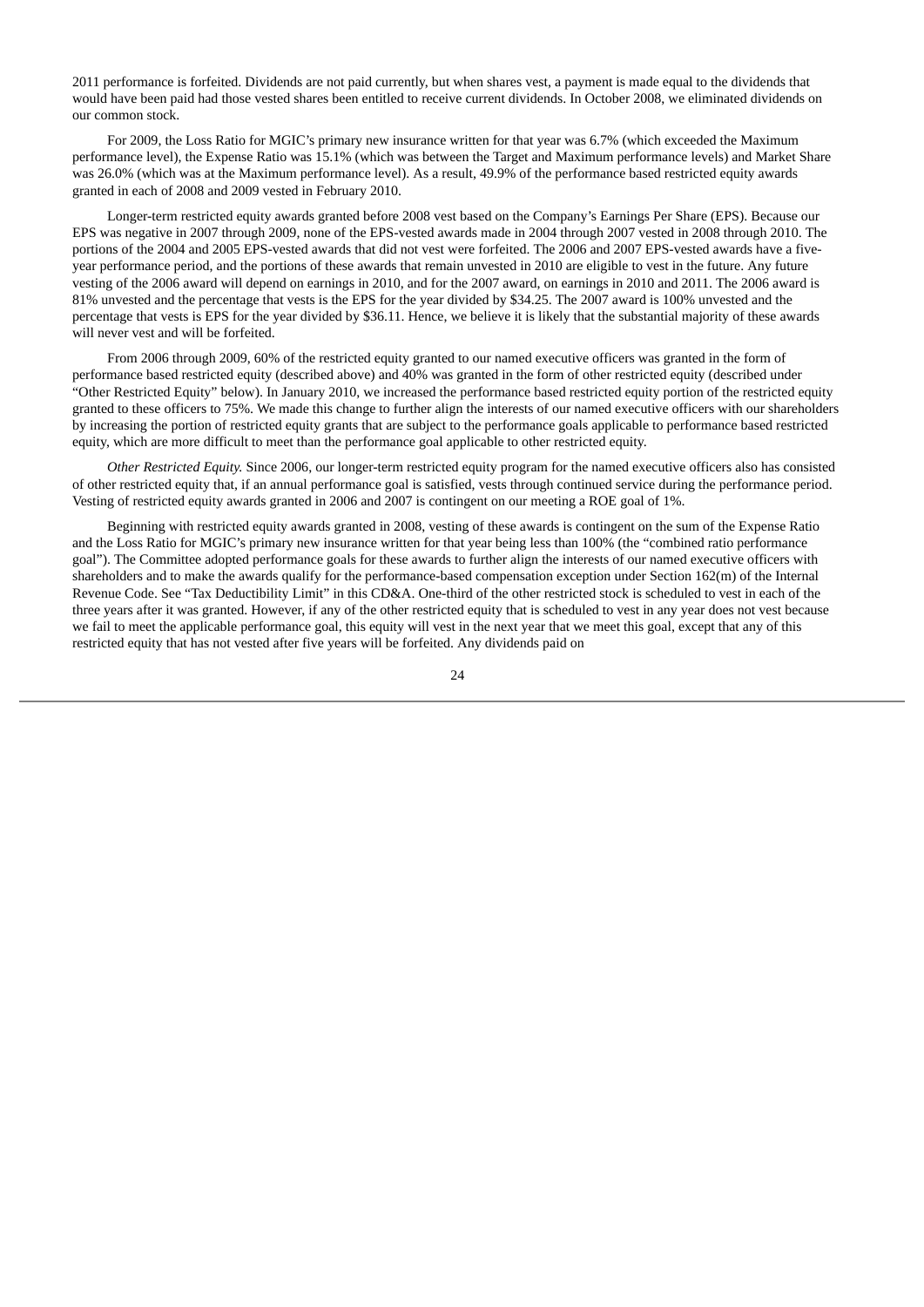2011 performance is forfeited. Dividends are not paid currently, but when shares vest, a payment is made equal to the dividends that would have been paid had those vested shares been entitled to receive current dividends. In October 2008, we eliminated dividends on our common stock.

For 2009, the Loss Ratio for MGIC's primary new insurance written for that year was 6.7% (which exceeded the Maximum performance level), the Expense Ratio was 15.1% (which was between the Target and Maximum performance levels) and Market Share was 26.0% (which was at the Maximum performance level). As a result, 49.9% of the performance based restricted equity awards granted in each of 2008 and 2009 vested in February 2010.

Longer-term restricted equity awards granted before 2008 vest based on the Company's Earnings Per Share (EPS). Because our EPS was negative in 2007 through 2009, none of the EPS-vested awards made in 2004 through 2007 vested in 2008 through 2010. The portions of the 2004 and 2005 EPS-vested awards that did not vest were forfeited. The 2006 and 2007 EPS-vested awards have a fiveyear performance period, and the portions of these awards that remain unvested in 2010 are eligible to vest in the future. Any future vesting of the 2006 award will depend on earnings in 2010, and for the 2007 award, on earnings in 2010 and 2011. The 2006 award is 81% unvested and the percentage that vests is the EPS for the year divided by \$34.25. The 2007 award is 100% unvested and the percentage that vests is EPS for the year divided by \$36.11. Hence, we believe it is likely that the substantial majority of these awards will never vest and will be forfeited.

From 2006 through 2009, 60% of the restricted equity granted to our named executive officers was granted in the form of performance based restricted equity (described above) and 40% was granted in the form of other restricted equity (described under "Other Restricted Equity" below). In January 2010, we increased the performance based restricted equity portion of the restricted equity granted to these officers to 75%. We made this change to further align the interests of our named executive officers with our shareholders by increasing the portion of restricted equity grants that are subject to the performance goals applicable to performance based restricted equity, which are more difficult to meet than the performance goal applicable to other restricted equity.

*Other Restricted Equity.* Since 2006, our longer-term restricted equity program for the named executive officers also has consisted of other restricted equity that, if an annual performance goal is satisfied, vests through continued service during the performance period. Vesting of restricted equity awards granted in 2006 and 2007 is contingent on our meeting a ROE goal of 1%.

Beginning with restricted equity awards granted in 2008, vesting of these awards is contingent on the sum of the Expense Ratio and the Loss Ratio for MGIC's primary new insurance written for that year being less than 100% (the "combined ratio performance goal"). The Committee adopted performance goals for these awards to further align the interests of our named executive officers with shareholders and to make the awards qualify for the performance-based compensation exception under Section 162(m) of the Internal Revenue Code. See "Tax Deductibility Limit" in this CD&A. One-third of the other restricted stock is scheduled to vest in each of the three years after it was granted. However, if any of the other restricted equity that is scheduled to vest in any year does not vest because we fail to meet the applicable performance goal, this equity will vest in the next year that we meet this goal, except that any of this restricted equity that has not vested after five years will be forfeited. Any dividends paid on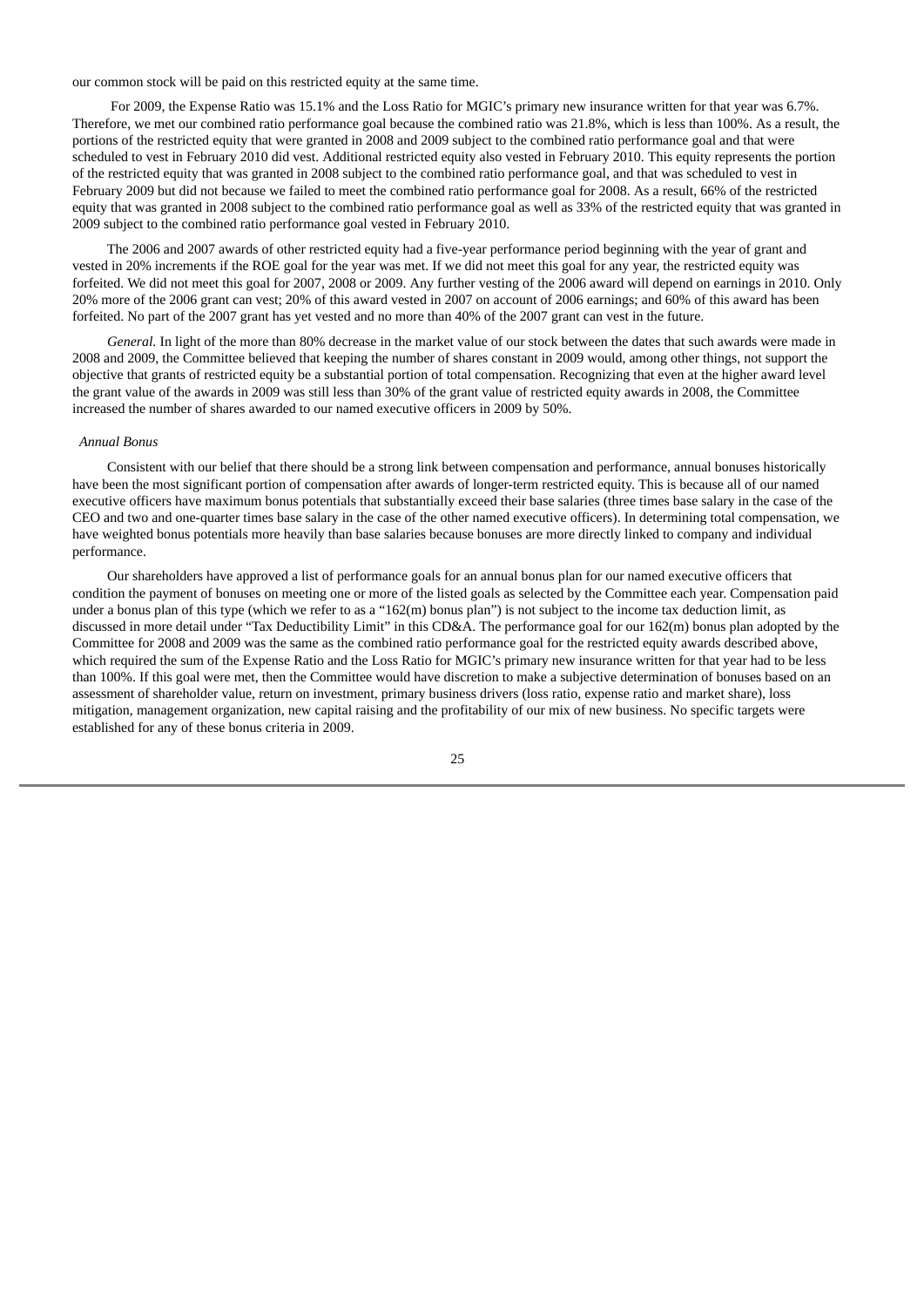our common stock will be paid on this restricted equity at the same time.

For 2009, the Expense Ratio was 15.1% and the Loss Ratio for MGIC's primary new insurance written for that year was 6.7%. Therefore, we met our combined ratio performance goal because the combined ratio was 21.8%, which is less than 100%. As a result, the portions of the restricted equity that were granted in 2008 and 2009 subject to the combined ratio performance goal and that were scheduled to vest in February 2010 did vest. Additional restricted equity also vested in February 2010. This equity represents the portion of the restricted equity that was granted in 2008 subject to the combined ratio performance goal, and that was scheduled to vest in February 2009 but did not because we failed to meet the combined ratio performance goal for 2008. As a result, 66% of the restricted equity that was granted in 2008 subject to the combined ratio performance goal as well as 33% of the restricted equity that was granted in 2009 subject to the combined ratio performance goal vested in February 2010.

The 2006 and 2007 awards of other restricted equity had a five-year performance period beginning with the year of grant and vested in 20% increments if the ROE goal for the year was met. If we did not meet this goal for any year, the restricted equity was forfeited. We did not meet this goal for 2007, 2008 or 2009. Any further vesting of the 2006 award will depend on earnings in 2010. Only 20% more of the 2006 grant can vest; 20% of this award vested in 2007 on account of 2006 earnings; and 60% of this award has been forfeited. No part of the 2007 grant has yet vested and no more than 40% of the 2007 grant can vest in the future.

*General.* In light of the more than 80% decrease in the market value of our stock between the dates that such awards were made in 2008 and 2009, the Committee believed that keeping the number of shares constant in 2009 would, among other things, not support the objective that grants of restricted equity be a substantial portion of total compensation. Recognizing that even at the higher award level the grant value of the awards in 2009 was still less than 30% of the grant value of restricted equity awards in 2008, the Committee increased the number of shares awarded to our named executive officers in 2009 by 50%.

#### *Annual Bonus*

Consistent with our belief that there should be a strong link between compensation and performance, annual bonuses historically have been the most significant portion of compensation after awards of longer-term restricted equity. This is because all of our named executive officers have maximum bonus potentials that substantially exceed their base salaries (three times base salary in the case of the CEO and two and one-quarter times base salary in the case of the other named executive officers). In determining total compensation, we have weighted bonus potentials more heavily than base salaries because bonuses are more directly linked to company and individual performance.

Our shareholders have approved a list of performance goals for an annual bonus plan for our named executive officers that condition the payment of bonuses on meeting one or more of the listed goals as selected by the Committee each year. Compensation paid under a bonus plan of this type (which we refer to as a "162(m) bonus plan") is not subject to the income tax deduction limit, as discussed in more detail under "Tax Deductibility Limit" in this CD&A. The performance goal for our 162(m) bonus plan adopted by the Committee for 2008 and 2009 was the same as the combined ratio performance goal for the restricted equity awards described above, which required the sum of the Expense Ratio and the Loss Ratio for MGIC's primary new insurance written for that year had to be less than 100%. If this goal were met, then the Committee would have discretion to make a subjective determination of bonuses based on an assessment of shareholder value, return on investment, primary business drivers (loss ratio, expense ratio and market share), loss mitigation, management organization, new capital raising and the profitability of our mix of new business. No specific targets were established for any of these bonus criteria in 2009.

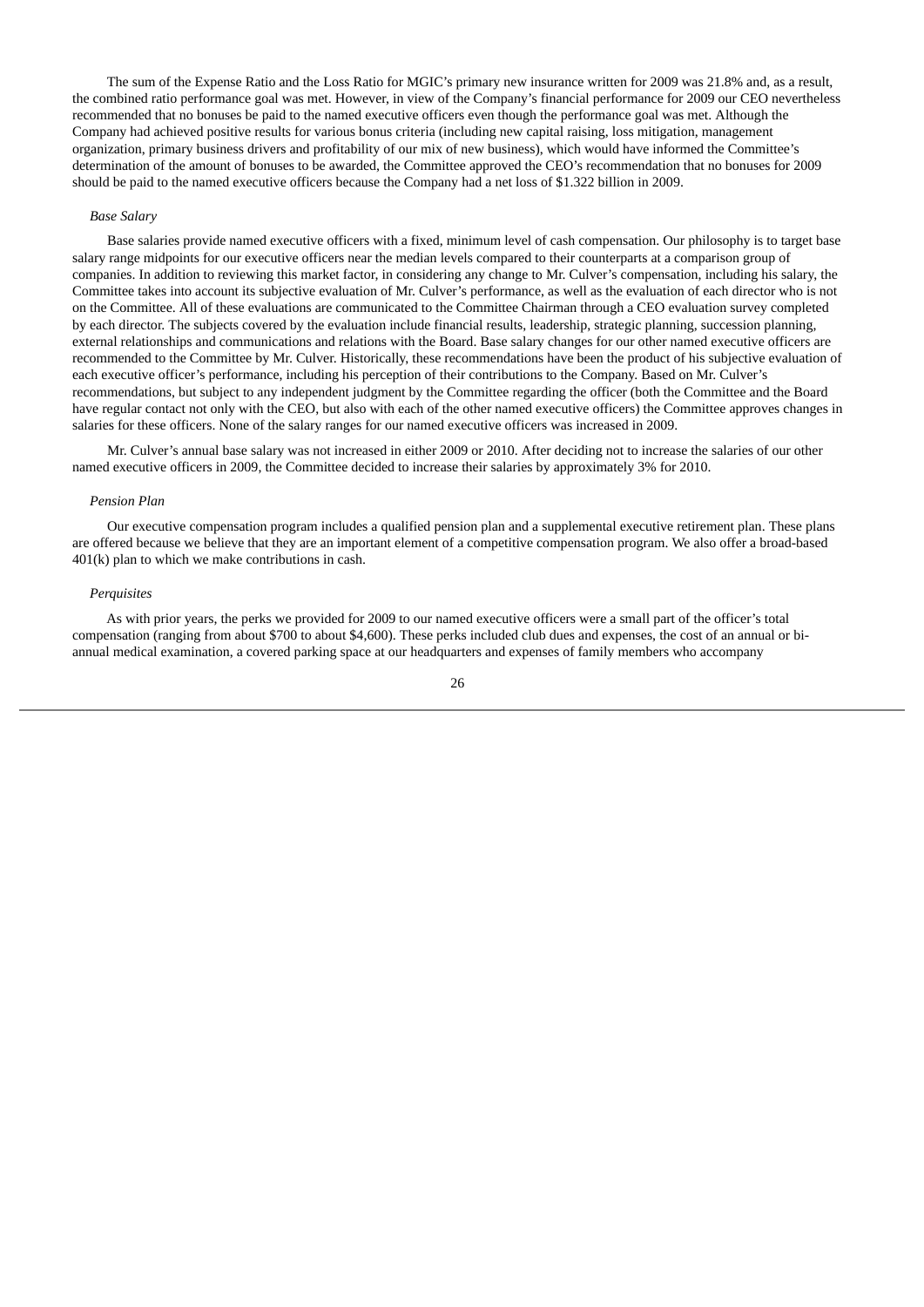The sum of the Expense Ratio and the Loss Ratio for MGIC's primary new insurance written for 2009 was 21.8% and, as a result, the combined ratio performance goal was met. However, in view of the Company's financial performance for 2009 our CEO nevertheless recommended that no bonuses be paid to the named executive officers even though the performance goal was met. Although the Company had achieved positive results for various bonus criteria (including new capital raising, loss mitigation, management organization, primary business drivers and profitability of our mix of new business), which would have informed the Committee's determination of the amount of bonuses to be awarded, the Committee approved the CEO's recommendation that no bonuses for 2009 should be paid to the named executive officers because the Company had a net loss of \$1.322 billion in 2009.

#### *Base Salary*

Base salaries provide named executive officers with a fixed, minimum level of cash compensation. Our philosophy is to target base salary range midpoints for our executive officers near the median levels compared to their counterparts at a comparison group of companies. In addition to reviewing this market factor, in considering any change to Mr. Culver's compensation, including his salary, the Committee takes into account its subjective evaluation of Mr. Culver's performance, as well as the evaluation of each director who is not on the Committee. All of these evaluations are communicated to the Committee Chairman through a CEO evaluation survey completed by each director. The subjects covered by the evaluation include financial results, leadership, strategic planning, succession planning, external relationships and communications and relations with the Board. Base salary changes for our other named executive officers are recommended to the Committee by Mr. Culver. Historically, these recommendations have been the product of his subjective evaluation of each executive officer's performance, including his perception of their contributions to the Company. Based on Mr. Culver's recommendations, but subject to any independent judgment by the Committee regarding the officer (both the Committee and the Board have regular contact not only with the CEO, but also with each of the other named executive officers) the Committee approves changes in salaries for these officers. None of the salary ranges for our named executive officers was increased in 2009.

Mr. Culver's annual base salary was not increased in either 2009 or 2010. After deciding not to increase the salaries of our other named executive officers in 2009, the Committee decided to increase their salaries by approximately 3% for 2010.

## *Pension Plan*

Our executive compensation program includes a qualified pension plan and a supplemental executive retirement plan. These plans are offered because we believe that they are an important element of a competitive compensation program. We also offer a broad-based 401(k) plan to which we make contributions in cash.

#### *Perquisites*

As with prior years, the perks we provided for 2009 to our named executive officers were a small part of the officer's total compensation (ranging from about \$700 to about \$4,600). These perks included club dues and expenses, the cost of an annual or biannual medical examination, a covered parking space at our headquarters and expenses of family members who accompany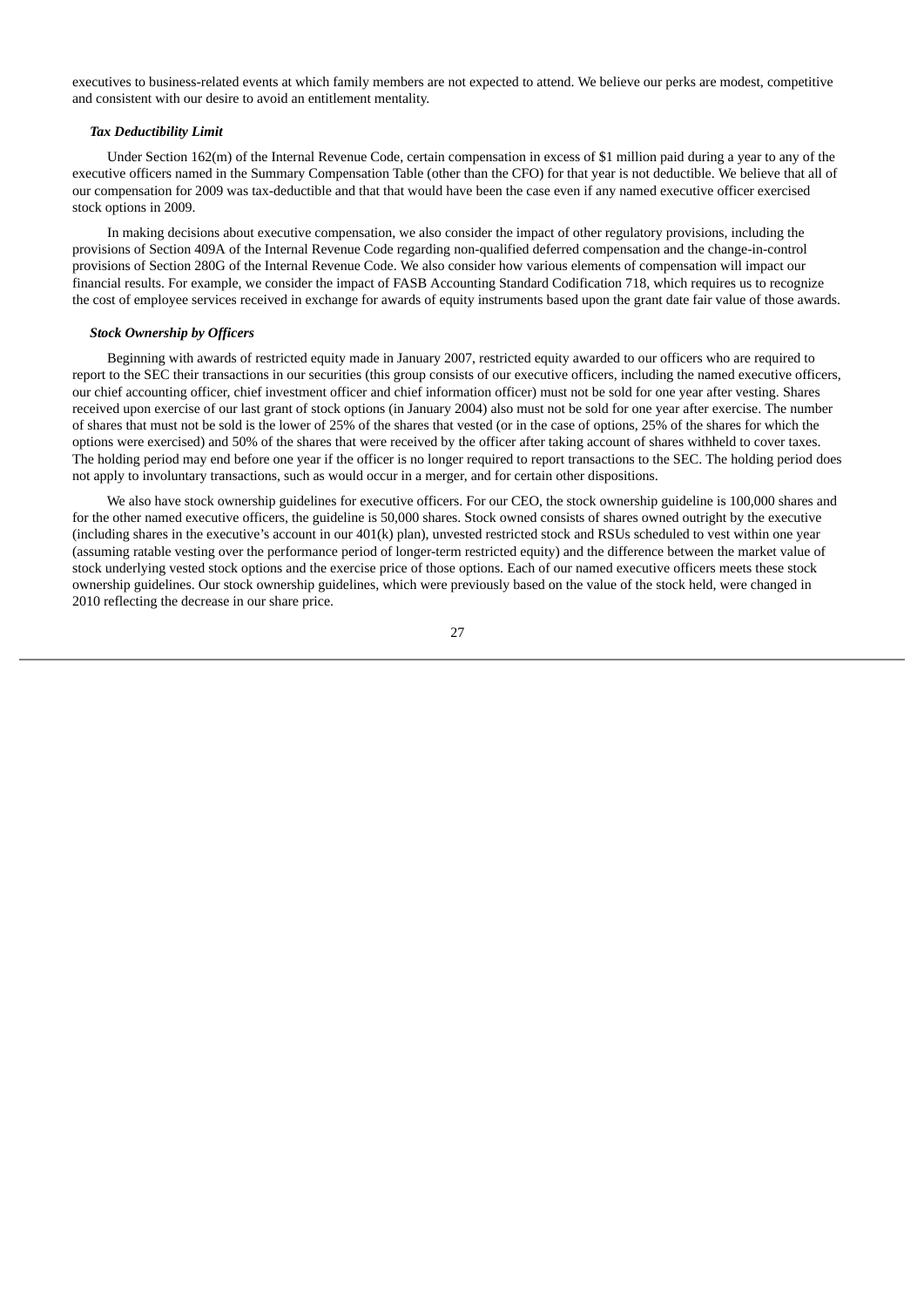executives to business-related events at which family members are not expected to attend. We believe our perks are modest, competitive and consistent with our desire to avoid an entitlement mentality.

# *Tax Deductibility Limit*

Under Section 162(m) of the Internal Revenue Code, certain compensation in excess of \$1 million paid during a year to any of the executive officers named in the Summary Compensation Table (other than the CFO) for that year is not deductible. We believe that all of our compensation for 2009 was tax-deductible and that that would have been the case even if any named executive officer exercised stock options in 2009.

In making decisions about executive compensation, we also consider the impact of other regulatory provisions, including the provisions of Section 409A of the Internal Revenue Code regarding non-qualified deferred compensation and the change-in-control provisions of Section 280G of the Internal Revenue Code. We also consider how various elements of compensation will impact our financial results. For example, we consider the impact of FASB Accounting Standard Codification 718, which requires us to recognize the cost of employee services received in exchange for awards of equity instruments based upon the grant date fair value of those awards.

## *Stock Ownership by Officers*

Beginning with awards of restricted equity made in January 2007, restricted equity awarded to our officers who are required to report to the SEC their transactions in our securities (this group consists of our executive officers, including the named executive officers, our chief accounting officer, chief investment officer and chief information officer) must not be sold for one year after vesting. Shares received upon exercise of our last grant of stock options (in January 2004) also must not be sold for one year after exercise. The number of shares that must not be sold is the lower of 25% of the shares that vested (or in the case of options, 25% of the shares for which the options were exercised) and 50% of the shares that were received by the officer after taking account of shares withheld to cover taxes. The holding period may end before one year if the officer is no longer required to report transactions to the SEC. The holding period does not apply to involuntary transactions, such as would occur in a merger, and for certain other dispositions.

We also have stock ownership guidelines for executive officers. For our CEO, the stock ownership guideline is 100,000 shares and for the other named executive officers, the guideline is 50,000 shares. Stock owned consists of shares owned outright by the executive (including shares in the executive's account in our 401(k) plan), unvested restricted stock and RSUs scheduled to vest within one year (assuming ratable vesting over the performance period of longer-term restricted equity) and the difference between the market value of stock underlying vested stock options and the exercise price of those options. Each of our named executive officers meets these stock ownership guidelines. Our stock ownership guidelines, which were previously based on the value of the stock held, were changed in 2010 reflecting the decrease in our share price.

27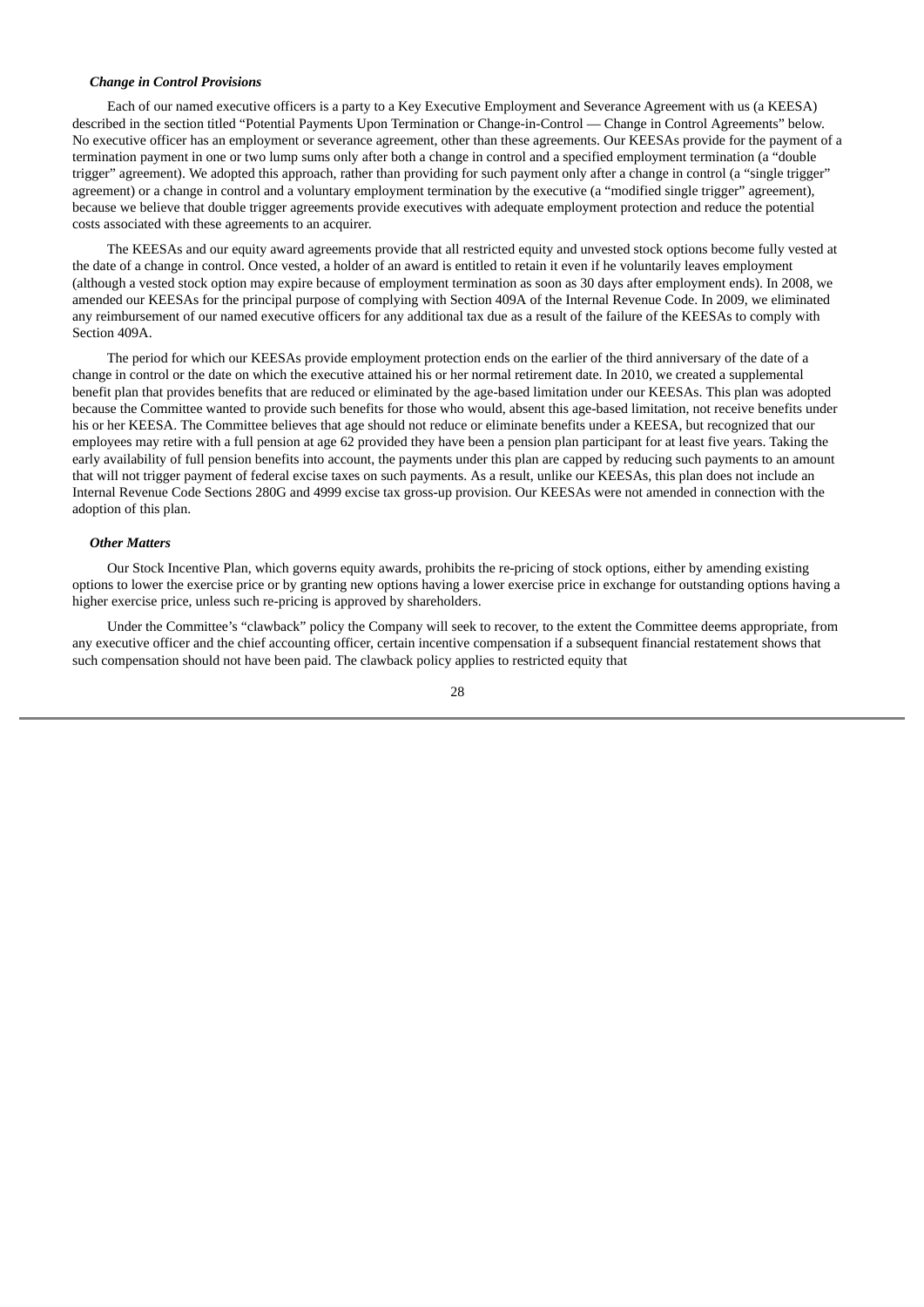#### *Change in Control Provisions*

Each of our named executive officers is a party to a Key Executive Employment and Severance Agreement with us (a KEESA) described in the section titled "Potential Payments Upon Termination or Change-in-Control — Change in Control Agreements" below. No executive officer has an employment or severance agreement, other than these agreements. Our KEESAs provide for the payment of a termination payment in one or two lump sums only after both a change in control and a specified employment termination (a "double trigger" agreement). We adopted this approach, rather than providing for such payment only after a change in control (a "single trigger" agreement) or a change in control and a voluntary employment termination by the executive (a "modified single trigger" agreement), because we believe that double trigger agreements provide executives with adequate employment protection and reduce the potential costs associated with these agreements to an acquirer.

The KEESAs and our equity award agreements provide that all restricted equity and unvested stock options become fully vested at the date of a change in control. Once vested, a holder of an award is entitled to retain it even if he voluntarily leaves employment (although a vested stock option may expire because of employment termination as soon as 30 days after employment ends). In 2008, we amended our KEESAs for the principal purpose of complying with Section 409A of the Internal Revenue Code. In 2009, we eliminated any reimbursement of our named executive officers for any additional tax due as a result of the failure of the KEESAs to comply with Section 409A.

The period for which our KEESAs provide employment protection ends on the earlier of the third anniversary of the date of a change in control or the date on which the executive attained his or her normal retirement date. In 2010, we created a supplemental benefit plan that provides benefits that are reduced or eliminated by the age-based limitation under our KEESAs. This plan was adopted because the Committee wanted to provide such benefits for those who would, absent this age-based limitation, not receive benefits under his or her KEESA. The Committee believes that age should not reduce or eliminate benefits under a KEESA, but recognized that our employees may retire with a full pension at age 62 provided they have been a pension plan participant for at least five years. Taking the early availability of full pension benefits into account, the payments under this plan are capped by reducing such payments to an amount that will not trigger payment of federal excise taxes on such payments. As a result, unlike our KEESAs, this plan does not include an Internal Revenue Code Sections 280G and 4999 excise tax gross-up provision. Our KEESAs were not amended in connection with the adoption of this plan.

## *Other Matters*

Our Stock Incentive Plan, which governs equity awards, prohibits the re-pricing of stock options, either by amending existing options to lower the exercise price or by granting new options having a lower exercise price in exchange for outstanding options having a higher exercise price, unless such re-pricing is approved by shareholders.

Under the Committee's "clawback" policy the Company will seek to recover, to the extent the Committee deems appropriate, from any executive officer and the chief accounting officer, certain incentive compensation if a subsequent financial restatement shows that such compensation should not have been paid. The clawback policy applies to restricted equity that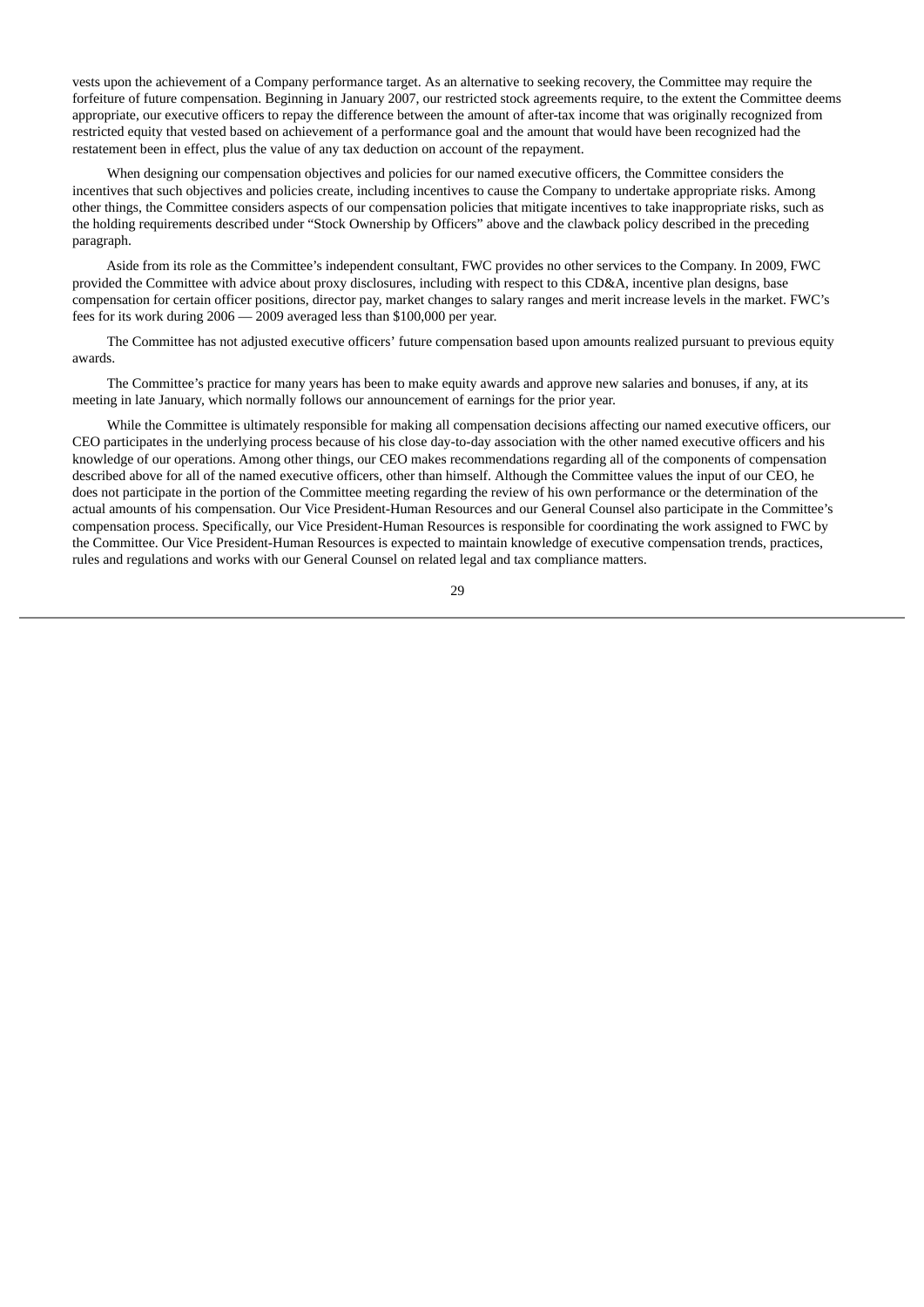vests upon the achievement of a Company performance target. As an alternative to seeking recovery, the Committee may require the forfeiture of future compensation. Beginning in January 2007, our restricted stock agreements require, to the extent the Committee deems appropriate, our executive officers to repay the difference between the amount of after-tax income that was originally recognized from restricted equity that vested based on achievement of a performance goal and the amount that would have been recognized had the restatement been in effect, plus the value of any tax deduction on account of the repayment.

When designing our compensation objectives and policies for our named executive officers, the Committee considers the incentives that such objectives and policies create, including incentives to cause the Company to undertake appropriate risks. Among other things, the Committee considers aspects of our compensation policies that mitigate incentives to take inappropriate risks, such as the holding requirements described under "Stock Ownership by Officers" above and the clawback policy described in the preceding paragraph.

Aside from its role as the Committee's independent consultant, FWC provides no other services to the Company. In 2009, FWC provided the Committee with advice about proxy disclosures, including with respect to this CD&A, incentive plan designs, base compensation for certain officer positions, director pay, market changes to salary ranges and merit increase levels in the market. FWC's fees for its work during 2006 — 2009 averaged less than \$100,000 per year.

The Committee has not adjusted executive officers' future compensation based upon amounts realized pursuant to previous equity awards.

The Committee's practice for many years has been to make equity awards and approve new salaries and bonuses, if any, at its meeting in late January, which normally follows our announcement of earnings for the prior year.

While the Committee is ultimately responsible for making all compensation decisions affecting our named executive officers, our CEO participates in the underlying process because of his close day-to-day association with the other named executive officers and his knowledge of our operations. Among other things, our CEO makes recommendations regarding all of the components of compensation described above for all of the named executive officers, other than himself. Although the Committee values the input of our CEO, he does not participate in the portion of the Committee meeting regarding the review of his own performance or the determination of the actual amounts of his compensation. Our Vice President-Human Resources and our General Counsel also participate in the Committee's compensation process. Specifically, our Vice President-Human Resources is responsible for coordinating the work assigned to FWC by the Committee. Our Vice President-Human Resources is expected to maintain knowledge of executive compensation trends, practices, rules and regulations and works with our General Counsel on related legal and tax compliance matters.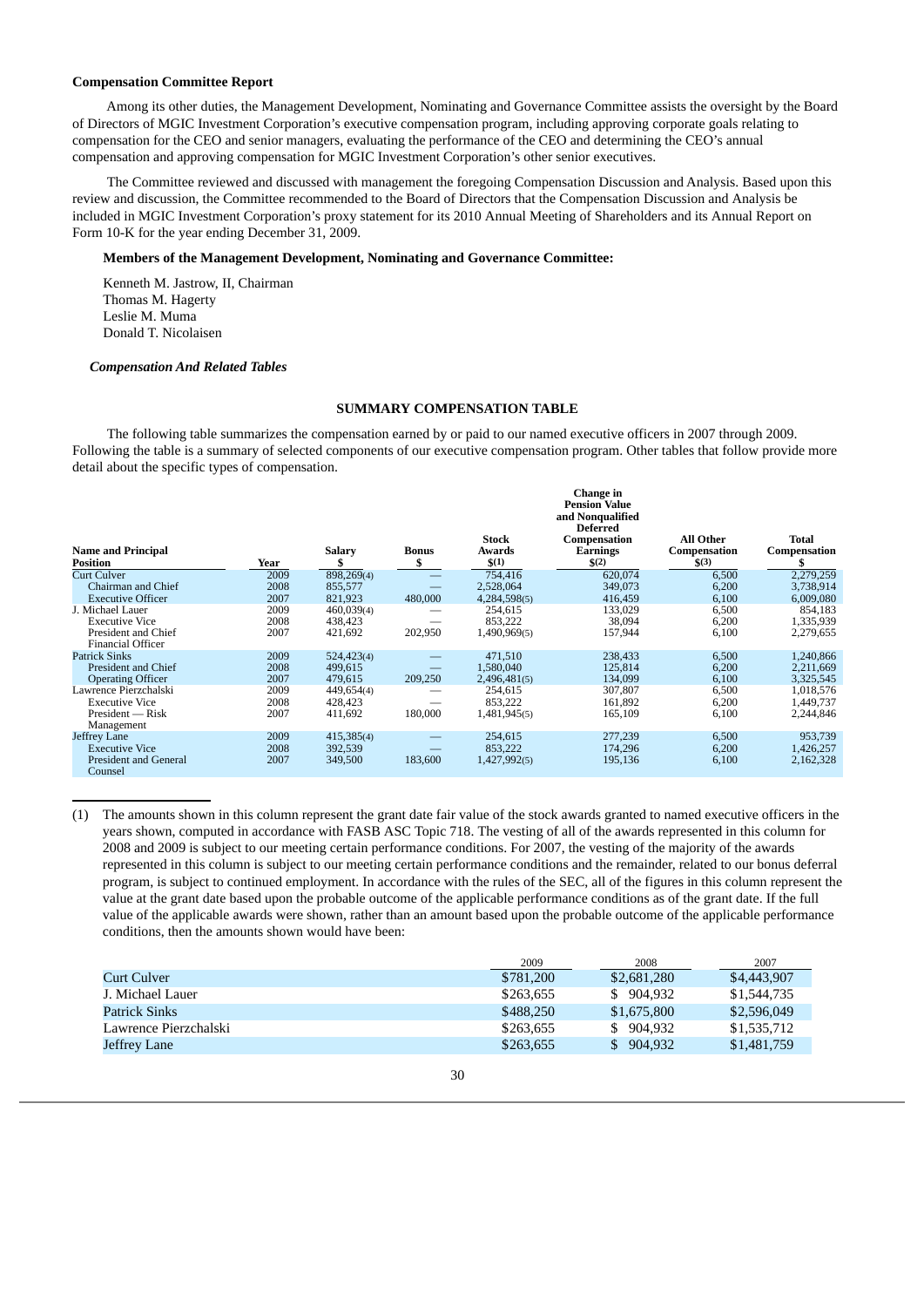#### **Compensation Committee Report**

Among its other duties, the Management Development, Nominating and Governance Committee assists the oversight by the Board of Directors of MGIC Investment Corporation's executive compensation program, including approving corporate goals relating to compensation for the CEO and senior managers, evaluating the performance of the CEO and determining the CEO's annual compensation and approving compensation for MGIC Investment Corporation's other senior executives.

The Committee reviewed and discussed with management the foregoing Compensation Discussion and Analysis. Based upon this review and discussion, the Committee recommended to the Board of Directors that the Compensation Discussion and Analysis be included in MGIC Investment Corporation's proxy statement for its 2010 Annual Meeting of Shareholders and its Annual Report on Form 10-K for the year ending December 31, 2009.

## **Members of the Management Development, Nominating and Governance Committee:**

Kenneth M. Jastrow, II, Chairman Thomas M. Hagerty Leslie M. Muma Donald T. Nicolaisen

#### *Compensation And Related Tables*

#### **SUMMARY COMPENSATION TABLE**

The following table summarizes the compensation earned by or paid to our named executive officers in 2007 through 2009. Following the table is a summary of selected components of our executive compensation program. Other tables that follow provide more detail about the specific types of compensation.

|                                                 |      |            |              |                 | Change in<br><b>Pension Value</b><br>and Nonqualified<br><b>Deferred</b> |                                  |                              |
|-------------------------------------------------|------|------------|--------------|-----------------|--------------------------------------------------------------------------|----------------------------------|------------------------------|
| <b>Name and Principal</b>                       |      | Salary     | <b>Bonus</b> | Stock<br>Awards | Compensation<br><b>Earnings</b>                                          | <b>All Other</b><br>Compensation | <b>Total</b><br>Compensation |
| <b>Position</b>                                 | Year |            | \$           | \$(1)           | \$(2)                                                                    | \$(3)                            |                              |
| <b>Curt Culver</b>                              | 2009 | 898,269(4) |              | 754,416         | 620,074                                                                  | 6,500                            | 2,279,259                    |
| Chairman and Chief                              | 2008 | 855,577    |              | 2,528,064       | 349,073                                                                  | 6,200                            | 3,738,914                    |
| <b>Executive Officer</b>                        | 2007 | 821,923    | 480,000      | 4,284,598(5)    | 416,459                                                                  | 6,100                            | 6,009,080                    |
| J. Michael Lauer                                | 2009 | 460,039(4) |              | 254,615         | 133,029                                                                  | 6,500                            | 854,183                      |
| <b>Executive Vice</b>                           | 2008 | 438,423    |              | 853,222         | 38,094                                                                   | 6,200                            | 1,335,939                    |
| President and Chief<br><b>Financial Officer</b> | 2007 | 421,692    | 202,950      | 1,490,969(5)    | 157,944                                                                  | 6,100                            | 2,279,655                    |
| <b>Patrick Sinks</b>                            | 2009 | 524,423(4) |              | 471,510         | 238,433                                                                  | 6,500                            | 1,240,866                    |
| President and Chief                             | 2008 | 499,615    |              | 1,580,040       | 125,814                                                                  | 6,200                            | 2,211,669                    |
| <b>Operating Officer</b>                        | 2007 | 479,615    | 209,250      | 2,496,481(5)    | 134,099                                                                  | 6,100                            | 3,325,545                    |
| Lawrence Pierzchalski                           | 2009 | 449,654(4) |              | 254,615         | 307,807                                                                  | 6,500                            | 1,018,576                    |
| <b>Executive Vice</b>                           | 2008 | 428,423    |              | 853,222         | 161,892                                                                  | 6,200                            | 1,449,737                    |
| President — Risk                                | 2007 | 411,692    | 180,000      | 1,481,945(5)    | 165,109                                                                  | 6,100                            | 2,244,846                    |
| Management                                      |      |            |              |                 |                                                                          |                                  |                              |
| Jeffrey Lane                                    | 2009 | 415,385(4) |              | 254,615         | 277,239                                                                  | 6,500                            | 953,739                      |
| <b>Executive Vice</b>                           | 2008 | 392,539    |              | 853,222         | 174,296                                                                  | 6,200                            | 1,426,257                    |
| President and General<br>Counsel                | 2007 | 349,500    | 183,600      | 1,427,992(5)    | 195,136                                                                  | 6,100                            | 2,162,328                    |

(1) The amounts shown in this column represent the grant date fair value of the stock awards granted to named executive officers in the years shown, computed in accordance with FASB ASC Topic 718. The vesting of all of the awards represented in this column for 2008 and 2009 is subject to our meeting certain performance conditions. For 2007, the vesting of the majority of the awards represented in this column is subject to our meeting certain performance conditions and the remainder, related to our bonus deferral program, is subject to continued employment. In accordance with the rules of the SEC, all of the figures in this column represent the value at the grant date based upon the probable outcome of the applicable performance conditions as of the grant date. If the full value of the applicable awards were shown, rather than an amount based upon the probable outcome of the applicable performance conditions, then the amounts shown would have been:

|                       | 2009      | 2008        | 2007        |
|-----------------------|-----------|-------------|-------------|
| Curt Culver           | \$781,200 | \$2,681,280 | \$4,443,907 |
| J. Michael Lauer      | \$263.655 | \$904,932   | \$1,544,735 |
| Patrick Sinks         | \$488,250 | \$1,675,800 | \$2,596,049 |
| Lawrence Pierzchalski | \$263,655 | \$904,932   | \$1,535,712 |
| Jeffrey Lane          | \$263,655 | \$904,932   | \$1,481,759 |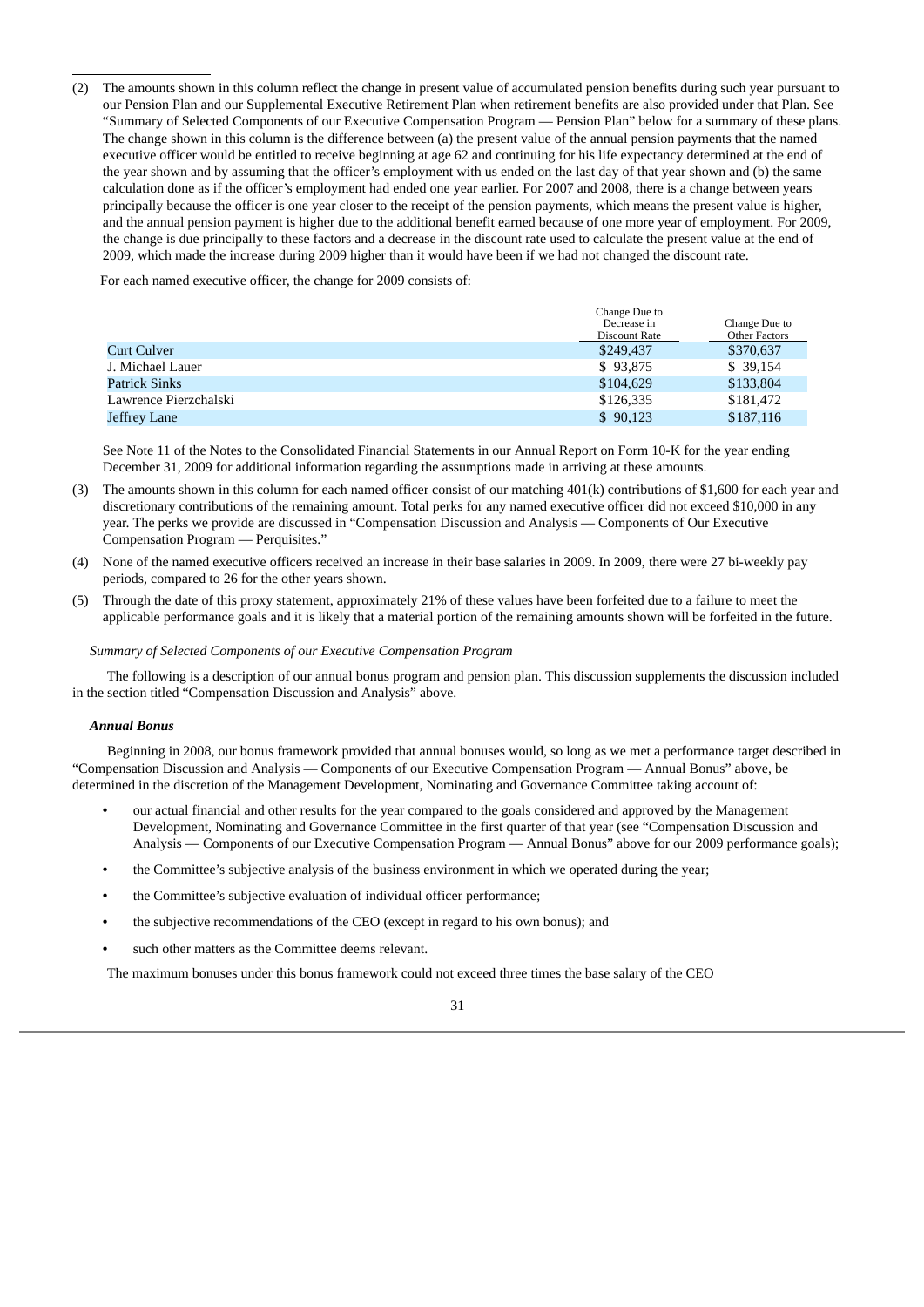(2) The amounts shown in this column reflect the change in present value of accumulated pension benefits during such year pursuant to our Pension Plan and our Supplemental Executive Retirement Plan when retirement benefits are also provided under that Plan. See "Summary of Selected Components of our Executive Compensation Program — Pension Plan" below for a summary of these plans. The change shown in this column is the difference between (a) the present value of the annual pension payments that the named executive officer would be entitled to receive beginning at age 62 and continuing for his life expectancy determined at the end of the year shown and by assuming that the officer's employment with us ended on the last day of that year shown and (b) the same calculation done as if the officer's employment had ended one year earlier. For 2007 and 2008, there is a change between years principally because the officer is one year closer to the receipt of the pension payments, which means the present value is higher, and the annual pension payment is higher due to the additional benefit earned because of one more year of employment. For 2009, the change is due principally to these factors and a decrease in the discount rate used to calculate the present value at the end of 2009, which made the increase during 2009 higher than it would have been if we had not changed the discount rate.

For each named executive officer, the change for 2009 consists of:

|                       | Change Due to<br>Decrease in | Change Due to |
|-----------------------|------------------------------|---------------|
|                       | Discount Rate                | Other Factors |
| Curt Culver           | \$249,437                    | \$370,637     |
| J. Michael Lauer      | \$93,875                     | \$39,154      |
| Patrick Sinks         | \$104,629                    | \$133,804     |
| Lawrence Pierzchalski | \$126,335                    | \$181,472     |
| Jeffrey Lane          | \$90,123                     | \$187,116     |

See Note 11 of the Notes to the Consolidated Financial Statements in our Annual Report on Form 10-K for the year ending December 31, 2009 for additional information regarding the assumptions made in arriving at these amounts.

- (3) The amounts shown in this column for each named officer consist of our matching 401(k) contributions of \$1,600 for each year and discretionary contributions of the remaining amount. Total perks for any named executive officer did not exceed \$10,000 in any year. The perks we provide are discussed in "Compensation Discussion and Analysis — Components of Our Executive Compensation Program — Perquisites."
- (4) None of the named executive officers received an increase in their base salaries in 2009. In 2009, there were 27 bi-weekly pay periods, compared to 26 for the other years shown.
- (5) Through the date of this proxy statement, approximately 21% of these values have been forfeited due to a failure to meet the applicable performance goals and it is likely that a material portion of the remaining amounts shown will be forfeited in the future.

# *Summary of Selected Components of our Executive Compensation Program*

The following is a description of our annual bonus program and pension plan. This discussion supplements the discussion included in the section titled "Compensation Discussion and Analysis" above.

#### *Annual Bonus*

Beginning in 2008, our bonus framework provided that annual bonuses would, so long as we met a performance target described in "Compensation Discussion and Analysis — Components of our Executive Compensation Program — Annual Bonus" above, be determined in the discretion of the Management Development, Nominating and Governance Committee taking account of:

- **•** our actual financial and other results for the year compared to the goals considered and approved by the Management Development, Nominating and Governance Committee in the first quarter of that year (see "Compensation Discussion and Analysis — Components of our Executive Compensation Program — Annual Bonus" above for our 2009 performance goals);
- **•** the Committee's subjective analysis of the business environment in which we operated during the year;
- **•** the Committee's subjective evaluation of individual officer performance;
- **•** the subjective recommendations of the CEO (except in regard to his own bonus); and
- **•** such other matters as the Committee deems relevant.

The maximum bonuses under this bonus framework could not exceed three times the base salary of the CEO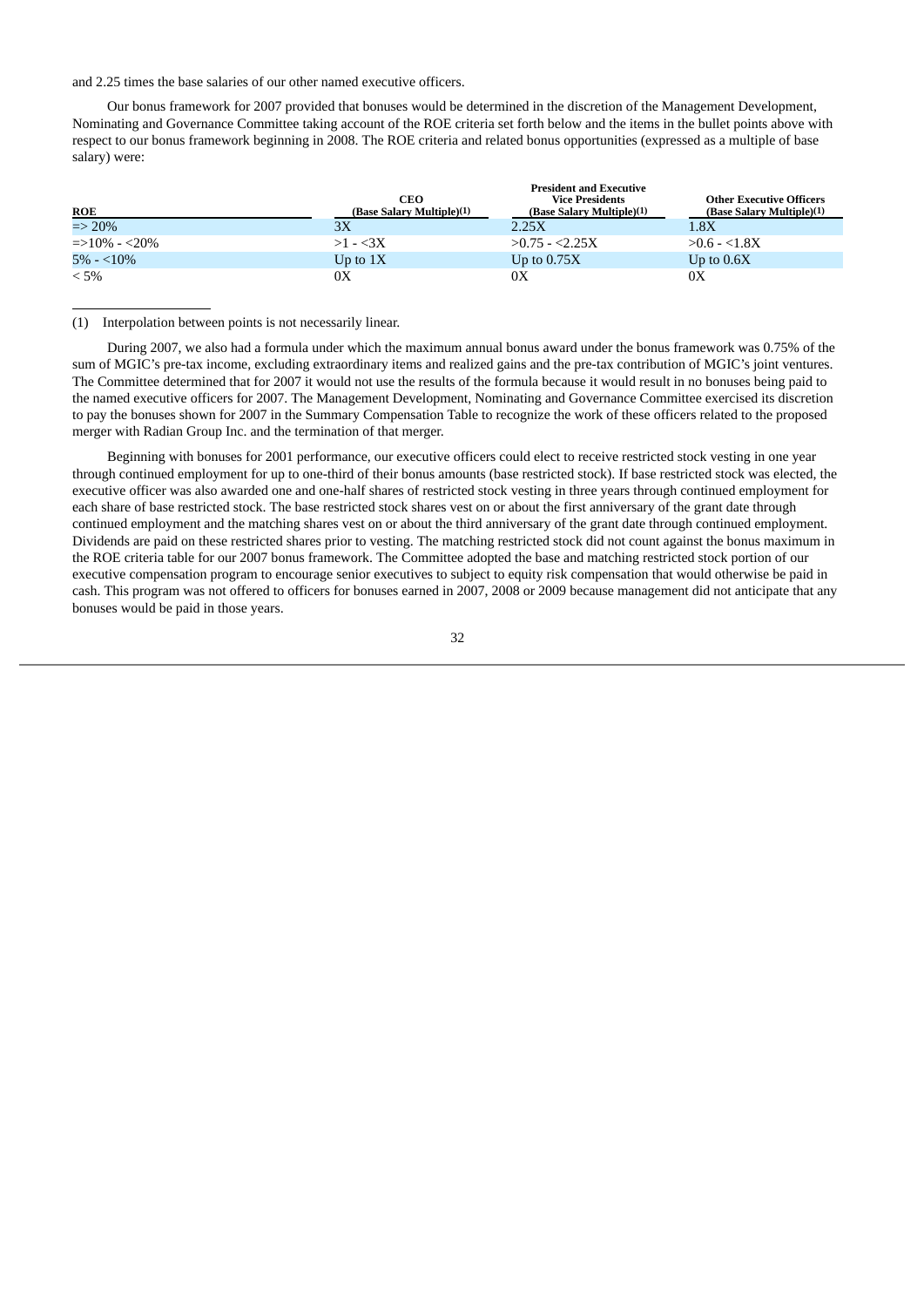and 2.25 times the base salaries of our other named executive officers.

Our bonus framework for 2007 provided that bonuses would be determined in the discretion of the Management Development, Nominating and Governance Committee taking account of the ROE criteria set forth below and the items in the bullet points above with respect to our bonus framework beginning in 2008. The ROE criteria and related bonus opportunities (expressed as a multiple of base salary) were:

| ROE                    | <b>CEO</b><br>(Base Salary Multiple)(1) | <b>President and Executive</b><br><b>Vice Presidents</b><br>(Base Salary Multiple)(1) | <b>Other Executive Officers</b><br>(Base Salary Multiple)(1) |
|------------------------|-----------------------------------------|---------------------------------------------------------------------------------------|--------------------------------------------------------------|
| $\approx$ 20%          | 3X                                      | 2.25X                                                                                 | $1.8\mathrm{X}$                                              |
| $\approx$ =>10% - <20% | $>1 - 3x$                               | $>0.75 - 2.25X$                                                                       | $>0.6 - 1.8X$                                                |
| 5% - $\leq$ 10%        | Up to $1X$                              | Up to $0.75X$                                                                         | Up to $0.6X$                                                 |
| $< 5\%$                | 0X                                      | 0 <sup>X</sup>                                                                        | 0 <sup>X</sup>                                               |

#### (1) Interpolation between points is not necessarily linear.

During 2007, we also had a formula under which the maximum annual bonus award under the bonus framework was 0.75% of the sum of MGIC's pre-tax income, excluding extraordinary items and realized gains and the pre-tax contribution of MGIC's joint ventures. The Committee determined that for 2007 it would not use the results of the formula because it would result in no bonuses being paid to the named executive officers for 2007. The Management Development, Nominating and Governance Committee exercised its discretion to pay the bonuses shown for 2007 in the Summary Compensation Table to recognize the work of these officers related to the proposed merger with Radian Group Inc. and the termination of that merger.

Beginning with bonuses for 2001 performance, our executive officers could elect to receive restricted stock vesting in one year through continued employment for up to one-third of their bonus amounts (base restricted stock). If base restricted stock was elected, the executive officer was also awarded one and one-half shares of restricted stock vesting in three years through continued employment for each share of base restricted stock. The base restricted stock shares vest on or about the first anniversary of the grant date through continued employment and the matching shares vest on or about the third anniversary of the grant date through continued employment. Dividends are paid on these restricted shares prior to vesting. The matching restricted stock did not count against the bonus maximum in the ROE criteria table for our 2007 bonus framework. The Committee adopted the base and matching restricted stock portion of our executive compensation program to encourage senior executives to subject to equity risk compensation that would otherwise be paid in cash. This program was not offered to officers for bonuses earned in 2007, 2008 or 2009 because management did not anticipate that any bonuses would be paid in those years.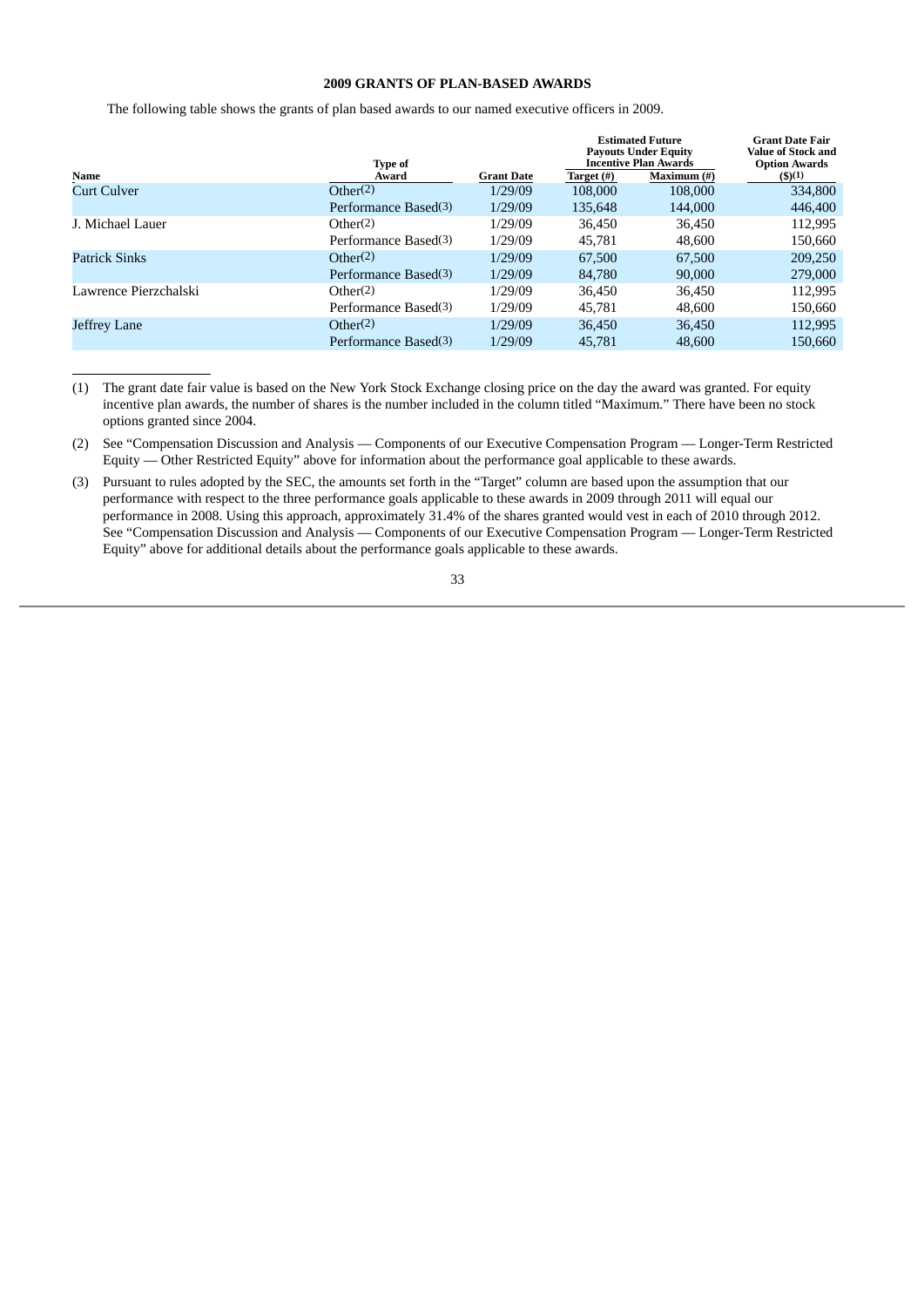# **2009 GRANTS OF PLAN-BASED AWARDS**

The following table shows the grants of plan based awards to our named executive officers in 2009.

|                       |                      |                   |            |                              | <b>Grant Date Fair</b><br>Value of Stock and |  |
|-----------------------|----------------------|-------------------|------------|------------------------------|----------------------------------------------|--|
|                       | <b>Type of</b>       |                   |            | <b>Incentive Plan Awards</b> | <b>Option Awards</b>                         |  |
| Name                  | Award                | <b>Grant Date</b> | Target (#) | Maximum (#)                  | $($ \$ $)(1)$                                |  |
| Curt Culver           | Other(2)             | 1/29/09           | 108,000    | 108,000                      | 334,800                                      |  |
|                       | Performance Based(3) | 1/29/09           | 135,648    | 144,000                      | 446,400                                      |  |
| J. Michael Lauer      | Other(2)             | 1/29/09           | 36,450     | 36,450                       | 112,995                                      |  |
|                       | Performance Based(3) | 1/29/09           | 45.781     | 48,600                       | 150,660                                      |  |
| Patrick Sinks         | Other(2)             | 1/29/09           | 67,500     | 67,500                       | 209,250                                      |  |
|                       | Performance Based(3) | 1/29/09           | 84,780     | 90,000                       | 279,000                                      |  |
| Lawrence Pierzchalski | Other(2)             | 1/29/09           | 36,450     | 36,450                       | 112,995                                      |  |
|                       | Performance Based(3) | 1/29/09           | 45.781     | 48,600                       | 150,660                                      |  |
| Jeffrey Lane          | Other(2)             | 1/29/09           | 36,450     | 36,450                       | 112,995                                      |  |
|                       | Performance Based(3) | 1/29/09           | 45,781     | 48,600                       | 150,660                                      |  |
|                       |                      |                   |            |                              |                                              |  |

(1) The grant date fair value is based on the New York Stock Exchange closing price on the day the award was granted. For equity incentive plan awards, the number of shares is the number included in the column titled "Maximum." There have been no stock options granted since 2004.

(2) See "Compensation Discussion and Analysis — Components of our Executive Compensation Program — Longer-Term Restricted Equity — Other Restricted Equity" above for information about the performance goal applicable to these awards.

(3) Pursuant to rules adopted by the SEC, the amounts set forth in the "Target" column are based upon the assumption that our performance with respect to the three performance goals applicable to these awards in 2009 through 2011 will equal our performance in 2008. Using this approach, approximately 31.4% of the shares granted would vest in each of 2010 through 2012. See "Compensation Discussion and Analysis — Components of our Executive Compensation Program — Longer-Term Restricted Equity" above for additional details about the performance goals applicable to these awards.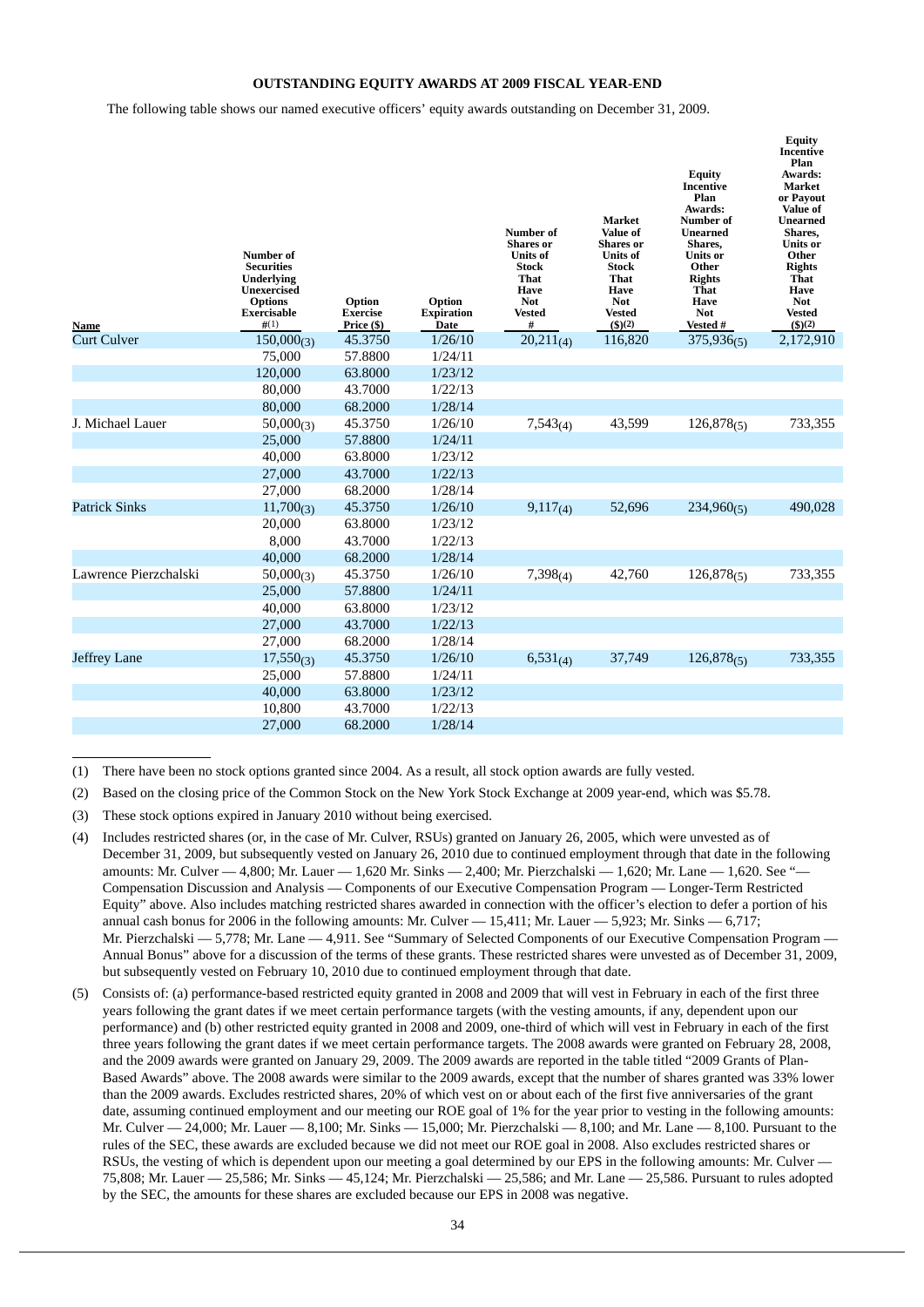# **OUTSTANDING EQUITY AWARDS AT 2009 FISCAL YEAR-END**

The following table shows our named executive officers' equity awards outstanding on December 31, 2009.

| Name                  | Number of<br><b>Securities</b><br><b>Underlying</b><br><b>Unexercised</b><br><b>Options</b><br><b>Exercisable</b><br>#(1) | Option<br><b>Exercise</b><br>Price (\$) | Option<br><b>Expiration</b><br>Date | Number of<br><b>Shares</b> or<br><b>Units of</b><br><b>Stock</b><br><b>That</b><br><b>Have</b><br><b>Not</b><br>Vested<br># | <b>Market</b><br><b>Value of</b><br><b>Shares</b> or<br><b>Units</b> of<br><b>Stock</b><br>That<br>Have<br><b>Not</b><br><b>Vested</b><br>$($ \$) $(2)$ | <b>Equity</b><br>Incentive<br>Plan<br>Awards:<br>Number of<br>Unearned<br>Shares,<br><b>Units</b> or<br>Other<br><b>Rights</b><br><b>That</b><br>Have<br><b>Not</b><br>Vested # | <b>Equity</b><br>Incentive<br>Plan<br>Awards:<br>Market<br>or Payout<br>Value of<br><b>Unearned</b><br>Shares,<br><b>Units or</b><br>Other<br><b>Rights</b><br><b>That</b><br>Have<br><b>Not</b><br><b>Vested</b><br>$($ \$ $)(2)$ |
|-----------------------|---------------------------------------------------------------------------------------------------------------------------|-----------------------------------------|-------------------------------------|-----------------------------------------------------------------------------------------------------------------------------|---------------------------------------------------------------------------------------------------------------------------------------------------------|---------------------------------------------------------------------------------------------------------------------------------------------------------------------------------|------------------------------------------------------------------------------------------------------------------------------------------------------------------------------------------------------------------------------------|
| <b>Curt Culver</b>    | 150,000(3)                                                                                                                | 45.3750                                 | 1/26/10                             | 20,211(4)                                                                                                                   | 116,820                                                                                                                                                 | 375,936(5)                                                                                                                                                                      | 2,172,910                                                                                                                                                                                                                          |
|                       | 75,000                                                                                                                    | 57.8800                                 | 1/24/11                             |                                                                                                                             |                                                                                                                                                         |                                                                                                                                                                                 |                                                                                                                                                                                                                                    |
|                       | 120,000                                                                                                                   | 63.8000                                 | 1/23/12                             |                                                                                                                             |                                                                                                                                                         |                                                                                                                                                                                 |                                                                                                                                                                                                                                    |
|                       | 80,000                                                                                                                    | 43.7000                                 | 1/22/13                             |                                                                                                                             |                                                                                                                                                         |                                                                                                                                                                                 |                                                                                                                                                                                                                                    |
|                       | 80,000                                                                                                                    | 68.2000                                 | 1/28/14                             |                                                                                                                             |                                                                                                                                                         |                                                                                                                                                                                 |                                                                                                                                                                                                                                    |
| J. Michael Lauer      | $50,000_{(3)}$                                                                                                            | 45.3750                                 | 1/26/10                             | 7,543(4)                                                                                                                    | 43,599                                                                                                                                                  | 126,878(5)                                                                                                                                                                      | 733,355                                                                                                                                                                                                                            |
|                       | 25,000                                                                                                                    | 57.8800                                 | 1/24/11                             |                                                                                                                             |                                                                                                                                                         |                                                                                                                                                                                 |                                                                                                                                                                                                                                    |
|                       | 40,000                                                                                                                    | 63.8000                                 | 1/23/12                             |                                                                                                                             |                                                                                                                                                         |                                                                                                                                                                                 |                                                                                                                                                                                                                                    |
|                       | 27,000                                                                                                                    | 43.7000                                 | 1/22/13                             |                                                                                                                             |                                                                                                                                                         |                                                                                                                                                                                 |                                                                                                                                                                                                                                    |
|                       | 27,000                                                                                                                    | 68.2000                                 | 1/28/14                             |                                                                                                                             |                                                                                                                                                         |                                                                                                                                                                                 |                                                                                                                                                                                                                                    |
| <b>Patrick Sinks</b>  | 11,700(3)                                                                                                                 | 45.3750                                 | 1/26/10                             | $9,117_{(4)}$                                                                                                               | 52,696                                                                                                                                                  | $234,960_{(5)}$                                                                                                                                                                 | 490,028                                                                                                                                                                                                                            |
|                       | 20,000                                                                                                                    | 63.8000                                 | 1/23/12                             |                                                                                                                             |                                                                                                                                                         |                                                                                                                                                                                 |                                                                                                                                                                                                                                    |
|                       | 8,000                                                                                                                     | 43.7000                                 | 1/22/13                             |                                                                                                                             |                                                                                                                                                         |                                                                                                                                                                                 |                                                                                                                                                                                                                                    |
|                       | 40,000                                                                                                                    | 68.2000                                 | 1/28/14                             |                                                                                                                             |                                                                                                                                                         |                                                                                                                                                                                 |                                                                                                                                                                                                                                    |
| Lawrence Pierzchalski | $50,000_{(3)}$                                                                                                            | 45.3750                                 | 1/26/10                             | 7,398(4)                                                                                                                    | 42,760                                                                                                                                                  | $126,878$ <sub>(5)</sub>                                                                                                                                                        | 733,355                                                                                                                                                                                                                            |
|                       | 25,000                                                                                                                    | 57.8800                                 | 1/24/11                             |                                                                                                                             |                                                                                                                                                         |                                                                                                                                                                                 |                                                                                                                                                                                                                                    |
|                       | 40,000                                                                                                                    | 63.8000                                 | 1/23/12                             |                                                                                                                             |                                                                                                                                                         |                                                                                                                                                                                 |                                                                                                                                                                                                                                    |
|                       | 27,000                                                                                                                    | 43.7000                                 | 1/22/13                             |                                                                                                                             |                                                                                                                                                         |                                                                                                                                                                                 |                                                                                                                                                                                                                                    |
|                       | 27,000                                                                                                                    | 68.2000                                 | 1/28/14                             |                                                                                                                             |                                                                                                                                                         |                                                                                                                                                                                 |                                                                                                                                                                                                                                    |
| Jeffrey Lane          | $17,550_{(3)}$                                                                                                            | 45.3750                                 | 1/26/10                             | 6,531(4)                                                                                                                    | 37,749                                                                                                                                                  | $126,878$ <sub>(5)</sub>                                                                                                                                                        | 733,355                                                                                                                                                                                                                            |
|                       | 25,000                                                                                                                    | 57.8800                                 | 1/24/11                             |                                                                                                                             |                                                                                                                                                         |                                                                                                                                                                                 |                                                                                                                                                                                                                                    |
|                       | 40,000                                                                                                                    | 63.8000                                 | 1/23/12                             |                                                                                                                             |                                                                                                                                                         |                                                                                                                                                                                 |                                                                                                                                                                                                                                    |
|                       | 10,800                                                                                                                    | 43.7000                                 | 1/22/13                             |                                                                                                                             |                                                                                                                                                         |                                                                                                                                                                                 |                                                                                                                                                                                                                                    |
|                       | 27,000                                                                                                                    | 68.2000                                 | 1/28/14                             |                                                                                                                             |                                                                                                                                                         |                                                                                                                                                                                 |                                                                                                                                                                                                                                    |

(1) There have been no stock options granted since 2004. As a result, all stock option awards are fully vested.

(2) Based on the closing price of the Common Stock on the New York Stock Exchange at 2009 year-end, which was \$5.78.

(3) These stock options expired in January 2010 without being exercised.

(4) Includes restricted shares (or, in the case of Mr. Culver, RSUs) granted on January 26, 2005, which were unvested as of December 31, 2009, but subsequently vested on January 26, 2010 due to continued employment through that date in the following amounts: Mr. Culver — 4,800; Mr. Lauer — 1,620 Mr. Sinks — 2,400; Mr. Pierzchalski — 1,620; Mr. Lane — 1,620. See "— Compensation Discussion and Analysis — Components of our Executive Compensation Program — Longer-Term Restricted Equity" above. Also includes matching restricted shares awarded in connection with the officer's election to defer a portion of his annual cash bonus for 2006 in the following amounts: Mr. Culver — 15,411; Mr. Lauer — 5,923; Mr. Sinks — 6,717; Mr. Pierzchalski — 5,778; Mr. Lane — 4,911. See "Summary of Selected Components of our Executive Compensation Program — Annual Bonus" above for a discussion of the terms of these grants. These restricted shares were unvested as of December 31, 2009, but subsequently vested on February 10, 2010 due to continued employment through that date.

(5) Consists of: (a) performance-based restricted equity granted in 2008 and 2009 that will vest in February in each of the first three years following the grant dates if we meet certain performance targets (with the vesting amounts, if any, dependent upon our performance) and (b) other restricted equity granted in 2008 and 2009, one-third of which will vest in February in each of the first three years following the grant dates if we meet certain performance targets. The 2008 awards were granted on February 28, 2008, and the 2009 awards were granted on January 29, 2009. The 2009 awards are reported in the table titled "2009 Grants of Plan-Based Awards" above. The 2008 awards were similar to the 2009 awards, except that the number of shares granted was 33% lower than the 2009 awards. Excludes restricted shares, 20% of which vest on or about each of the first five anniversaries of the grant date, assuming continued employment and our meeting our ROE goal of 1% for the year prior to vesting in the following amounts: Mr. Culver — 24,000; Mr. Lauer — 8,100; Mr. Sinks — 15,000; Mr. Pierzchalski — 8,100; and Mr. Lane — 8,100. Pursuant to the rules of the SEC, these awards are excluded because we did not meet our ROE goal in 2008. Also excludes restricted shares or RSUs, the vesting of which is dependent upon our meeting a goal determined by our EPS in the following amounts: Mr. Culver – 75,808; Mr. Lauer — 25,586; Mr. Sinks — 45,124; Mr. Pierzchalski — 25,586; and Mr. Lane — 25,586. Pursuant to rules adopted by the SEC, the amounts for these shares are excluded because our EPS in 2008 was negative.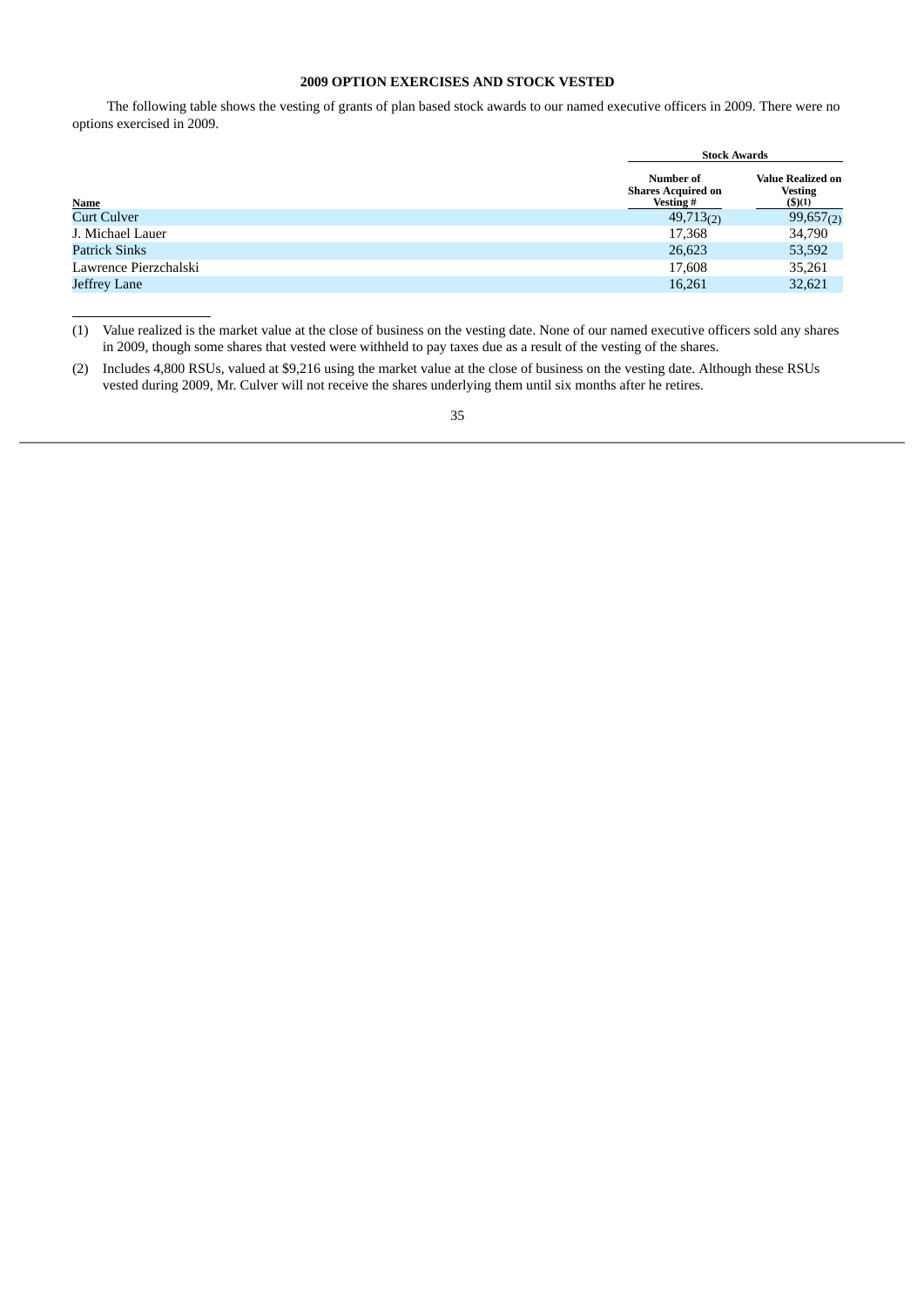# **2009 OPTION EXERCISES AND STOCK VESTED**

The following table shows the vesting of grants of plan based stock awards to our named executive officers in 2009. There were no options exercised in 2009.

|                       | <b>Stock Awards</b>                                               |                                                      |
|-----------------------|-------------------------------------------------------------------|------------------------------------------------------|
| <b>Name</b>           | <b>Number of</b><br><b>Shares Acquired on</b><br><b>Vesting #</b> | Value Realized on<br><b>Vesting</b><br>$($ \$ $)(1)$ |
| <b>Curt Culver</b>    | 49,713(2)                                                         | $99,657_{(2)}$                                       |
| J. Michael Lauer      | 17,368                                                            | 34,790                                               |
| Patrick Sinks         | 26,623                                                            | 53,592                                               |
| Lawrence Pierzchalski | 17,608                                                            | 35,261                                               |
| Jeffrey Lane          | 16,261                                                            | 32,621                                               |
|                       |                                                                   |                                                      |

(1) Value realized is the market value at the close of business on the vesting date. None of our named executive officers sold any shares in 2009, though some shares that vested were withheld to pay taxes due as a result of the vesting of the shares.

(2) Includes 4,800 RSUs, valued at \$9,216 using the market value at the close of business on the vesting date. Although these RSUs vested during 2009, Mr. Culver will not receive the shares underlying them until six months after he retires.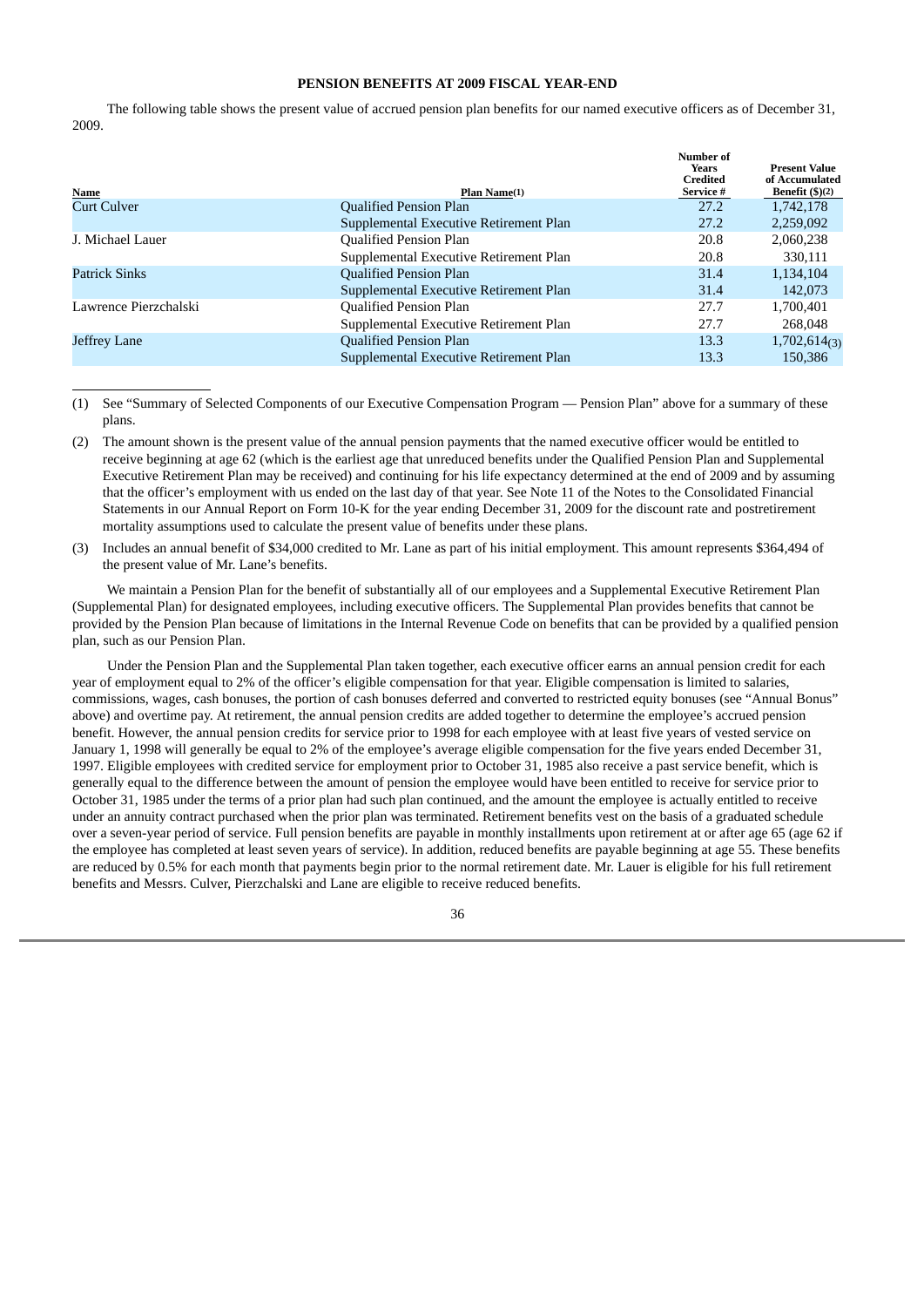## **PENSION BENEFITS AT 2009 FISCAL YEAR-END**

The following table shows the present value of accrued pension plan benefits for our named executive officers as of December 31, 2009.

| <b>Name</b>           | Plan Name(1)                           | Number of<br><b>Years</b><br><b>Credited</b><br>Service # | <b>Present Value</b><br>of Accumulated<br>Benefit $(\text{$}5)(2)$ |
|-----------------------|----------------------------------------|-----------------------------------------------------------|--------------------------------------------------------------------|
| <b>Curt Culver</b>    | <b>Qualified Pension Plan</b>          | 27.2                                                      | 1,742,178                                                          |
|                       | Supplemental Executive Retirement Plan | 27.2                                                      | 2,259,092                                                          |
| J. Michael Lauer      | <b>Qualified Pension Plan</b>          | 20.8                                                      | 2,060,238                                                          |
|                       | Supplemental Executive Retirement Plan | 20.8                                                      | 330,111                                                            |
| Patrick Sinks         | <b>Qualified Pension Plan</b>          | 31.4                                                      | 1,134,104                                                          |
|                       | Supplemental Executive Retirement Plan | 31.4                                                      | 142,073                                                            |
| Lawrence Pierzchalski | <b>Qualified Pension Plan</b>          | 27.7                                                      | 1,700,401                                                          |
|                       | Supplemental Executive Retirement Plan | 27.7                                                      | 268,048                                                            |
| Jeffrey Lane          | <b>Qualified Pension Plan</b>          | 13.3                                                      | $1,702,614_{(3)}$                                                  |
|                       | Supplemental Executive Retirement Plan | 13.3                                                      | 150,386                                                            |
|                       |                                        |                                                           |                                                                    |

(1) See "Summary of Selected Components of our Executive Compensation Program — Pension Plan" above for a summary of these plans.

- (2) The amount shown is the present value of the annual pension payments that the named executive officer would be entitled to receive beginning at age 62 (which is the earliest age that unreduced benefits under the Qualified Pension Plan and Supplemental Executive Retirement Plan may be received) and continuing for his life expectancy determined at the end of 2009 and by assuming that the officer's employment with us ended on the last day of that year. See Note 11 of the Notes to the Consolidated Financial Statements in our Annual Report on Form 10-K for the year ending December 31, 2009 for the discount rate and postretirement mortality assumptions used to calculate the present value of benefits under these plans.
- (3) Includes an annual benefit of \$34,000 credited to Mr. Lane as part of his initial employment. This amount represents \$364,494 of the present value of Mr. Lane's benefits.

We maintain a Pension Plan for the benefit of substantially all of our employees and a Supplemental Executive Retirement Plan (Supplemental Plan) for designated employees, including executive officers. The Supplemental Plan provides benefits that cannot be provided by the Pension Plan because of limitations in the Internal Revenue Code on benefits that can be provided by a qualified pension plan, such as our Pension Plan.

Under the Pension Plan and the Supplemental Plan taken together, each executive officer earns an annual pension credit for each year of employment equal to 2% of the officer's eligible compensation for that year. Eligible compensation is limited to salaries, commissions, wages, cash bonuses, the portion of cash bonuses deferred and converted to restricted equity bonuses (see "Annual Bonus" above) and overtime pay. At retirement, the annual pension credits are added together to determine the employee's accrued pension benefit. However, the annual pension credits for service prior to 1998 for each employee with at least five years of vested service on January 1, 1998 will generally be equal to 2% of the employee's average eligible compensation for the five years ended December 31, 1997. Eligible employees with credited service for employment prior to October 31, 1985 also receive a past service benefit, which is generally equal to the difference between the amount of pension the employee would have been entitled to receive for service prior to October 31, 1985 under the terms of a prior plan had such plan continued, and the amount the employee is actually entitled to receive under an annuity contract purchased when the prior plan was terminated. Retirement benefits vest on the basis of a graduated schedule over a seven-year period of service. Full pension benefits are payable in monthly installments upon retirement at or after age 65 (age 62 if the employee has completed at least seven years of service). In addition, reduced benefits are payable beginning at age 55. These benefits are reduced by 0.5% for each month that payments begin prior to the normal retirement date. Mr. Lauer is eligible for his full retirement benefits and Messrs. Culver, Pierzchalski and Lane are eligible to receive reduced benefits.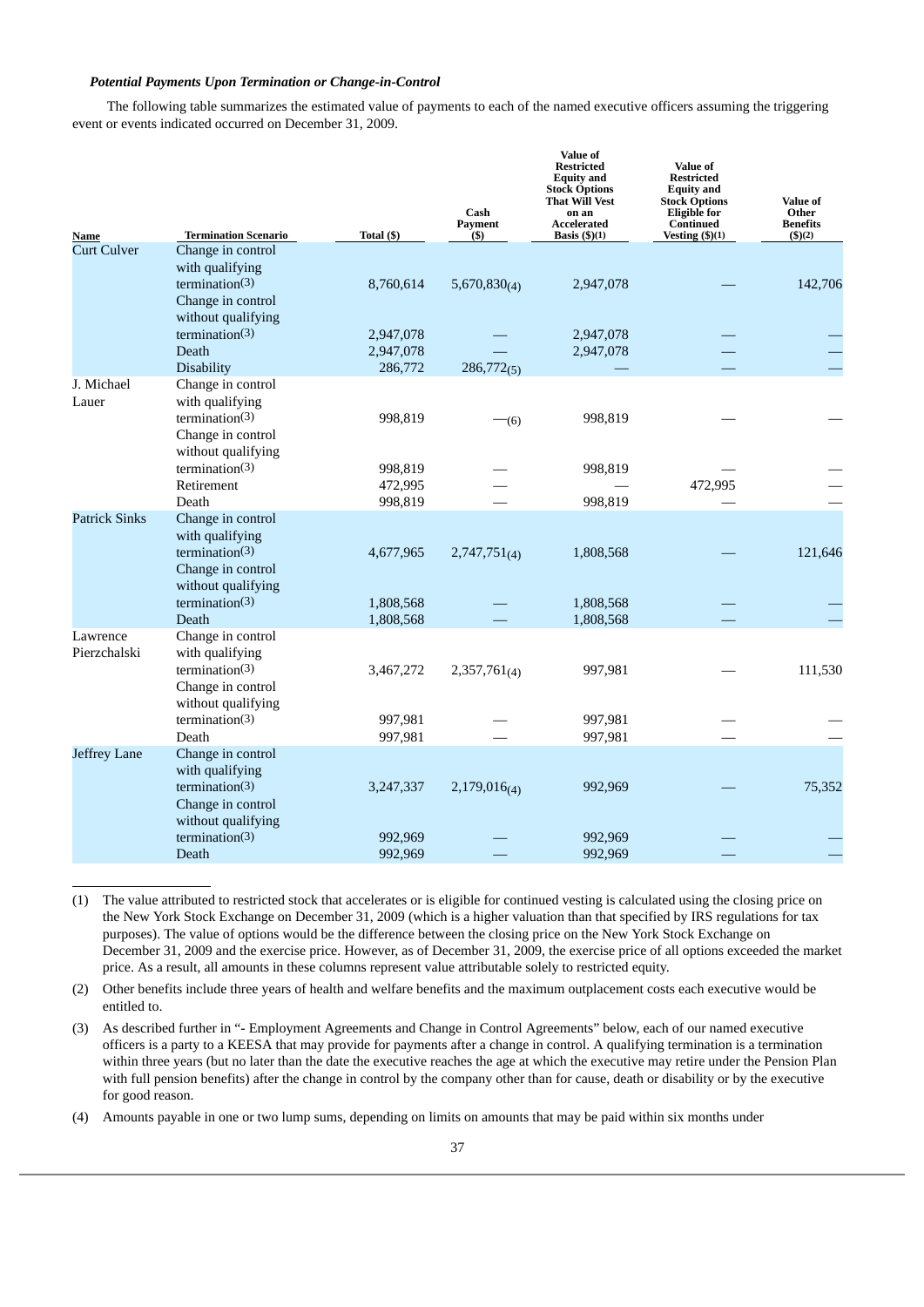## *Potential Payments Upon Termination or Change-in-Control*

The following table summarizes the estimated value of payments to each of the named executive officers assuming the triggering event or events indicated occurred on December 31, 2009.

| Name                 | <b>Termination Scenario</b>       | Total (\$) | Cash<br>Payment<br>(S) | <b>Value of</b><br><b>Restricted</b><br><b>Equity</b> and<br><b>Stock Options</b><br><b>That Will Vest</b><br>on an<br><b>Accelerated</b><br>Basis $(\text{$}0)(1)$ | <b>Value of</b><br><b>Restricted</b><br><b>Equity</b> and<br><b>Stock Options</b><br><b>Eligible</b> for<br>Continued<br>Vesting $(\text{\$})(1)$ | Value of<br>Other<br><b>Benefits</b><br>$($ \$ $)(2)$ |
|----------------------|-----------------------------------|------------|------------------------|---------------------------------------------------------------------------------------------------------------------------------------------------------------------|---------------------------------------------------------------------------------------------------------------------------------------------------|-------------------------------------------------------|
| <b>Curt Culver</b>   | Change in control                 |            |                        |                                                                                                                                                                     |                                                                                                                                                   |                                                       |
|                      | with qualifying                   |            |                        |                                                                                                                                                                     |                                                                                                                                                   |                                                       |
|                      | termination(3)                    | 8,760,614  | $5,670,830_{(4)}$      | 2,947,078                                                                                                                                                           |                                                                                                                                                   | 142,706                                               |
|                      | Change in control                 |            |                        |                                                                                                                                                                     |                                                                                                                                                   |                                                       |
|                      | without qualifying                |            |                        |                                                                                                                                                                     |                                                                                                                                                   |                                                       |
|                      | $t$ ermination(3)                 | 2,947,078  |                        | 2,947,078                                                                                                                                                           |                                                                                                                                                   |                                                       |
|                      | Death                             | 2,947,078  |                        | 2,947,078                                                                                                                                                           |                                                                                                                                                   |                                                       |
|                      | <b>Disability</b>                 | 286,772    | 286,772(5)             |                                                                                                                                                                     |                                                                                                                                                   |                                                       |
| J. Michael           | Change in control                 |            |                        |                                                                                                                                                                     |                                                                                                                                                   |                                                       |
| Lauer                | with qualifying                   |            |                        |                                                                                                                                                                     |                                                                                                                                                   |                                                       |
|                      | termination(3)                    | 998,819    | $-6$                   | 998,819                                                                                                                                                             |                                                                                                                                                   |                                                       |
|                      | Change in control                 |            |                        |                                                                                                                                                                     |                                                                                                                                                   |                                                       |
|                      | without qualifying                |            |                        |                                                                                                                                                                     |                                                                                                                                                   |                                                       |
|                      | $t$ ermination $(3)$              | 998,819    |                        | 998,819                                                                                                                                                             |                                                                                                                                                   |                                                       |
|                      | Retirement                        | 472,995    |                        |                                                                                                                                                                     | 472.995                                                                                                                                           |                                                       |
|                      | Death                             | 998,819    |                        | 998,819                                                                                                                                                             |                                                                                                                                                   |                                                       |
| <b>Patrick Sinks</b> | Change in control                 |            |                        |                                                                                                                                                                     |                                                                                                                                                   |                                                       |
|                      | with qualifying<br>termination(3) |            |                        |                                                                                                                                                                     |                                                                                                                                                   |                                                       |
|                      | Change in control                 | 4,677,965  | $2,747,751_{(4)}$      | 1,808,568                                                                                                                                                           |                                                                                                                                                   | 121,646                                               |
|                      | without qualifying                |            |                        |                                                                                                                                                                     |                                                                                                                                                   |                                                       |
|                      | termination $(3)$                 | 1,808,568  |                        | 1,808,568                                                                                                                                                           |                                                                                                                                                   |                                                       |
|                      | Death                             | 1,808,568  |                        | 1,808,568                                                                                                                                                           |                                                                                                                                                   |                                                       |
| Lawrence             | Change in control                 |            |                        |                                                                                                                                                                     |                                                                                                                                                   |                                                       |
| Pierzchalski         | with qualifying                   |            |                        |                                                                                                                                                                     |                                                                                                                                                   |                                                       |
|                      | $t$ ermination(3)                 | 3,467,272  | $2,357,761_{(4)}$      | 997,981                                                                                                                                                             |                                                                                                                                                   | 111,530                                               |
|                      | Change in control                 |            |                        |                                                                                                                                                                     |                                                                                                                                                   |                                                       |
|                      | without qualifying                |            |                        |                                                                                                                                                                     |                                                                                                                                                   |                                                       |
|                      | $t$ ermination $(3)$              | 997,981    |                        | 997,981                                                                                                                                                             |                                                                                                                                                   |                                                       |
|                      | Death                             | 997,981    |                        | 997,981                                                                                                                                                             |                                                                                                                                                   |                                                       |
| <b>Jeffrey Lane</b>  | Change in control                 |            |                        |                                                                                                                                                                     |                                                                                                                                                   |                                                       |
|                      | with qualifying                   |            |                        |                                                                                                                                                                     |                                                                                                                                                   |                                                       |
|                      | $t$ ermination $(3)$              | 3,247,337  | 2,179,016(4)           | 992,969                                                                                                                                                             |                                                                                                                                                   | 75,352                                                |
|                      | Change in control                 |            |                        |                                                                                                                                                                     |                                                                                                                                                   |                                                       |
|                      | without qualifying                |            |                        |                                                                                                                                                                     |                                                                                                                                                   |                                                       |
|                      | $t$ ermination(3)                 | 992,969    |                        | 992,969                                                                                                                                                             |                                                                                                                                                   |                                                       |
|                      | Death                             | 992,969    |                        | 992,969                                                                                                                                                             |                                                                                                                                                   |                                                       |

<sup>(1)</sup> The value attributed to restricted stock that accelerates or is eligible for continued vesting is calculated using the closing price on the New York Stock Exchange on December 31, 2009 (which is a higher valuation than that specified by IRS regulations for tax purposes). The value of options would be the difference between the closing price on the New York Stock Exchange on December 31, 2009 and the exercise price. However, as of December 31, 2009, the exercise price of all options exceeded the market price. As a result, all amounts in these columns represent value attributable solely to restricted equity.

(2) Other benefits include three years of health and welfare benefits and the maximum outplacement costs each executive would be entitled to.

<sup>(3)</sup> As described further in "- Employment Agreements and Change in Control Agreements" below, each of our named executive officers is a party to a KEESA that may provide for payments after a change in control. A qualifying termination is a termination within three years (but no later than the date the executive reaches the age at which the executive may retire under the Pension Plan with full pension benefits) after the change in control by the company other than for cause, death or disability or by the executive for good reason.

<sup>(4)</sup> Amounts payable in one or two lump sums, depending on limits on amounts that may be paid within six months under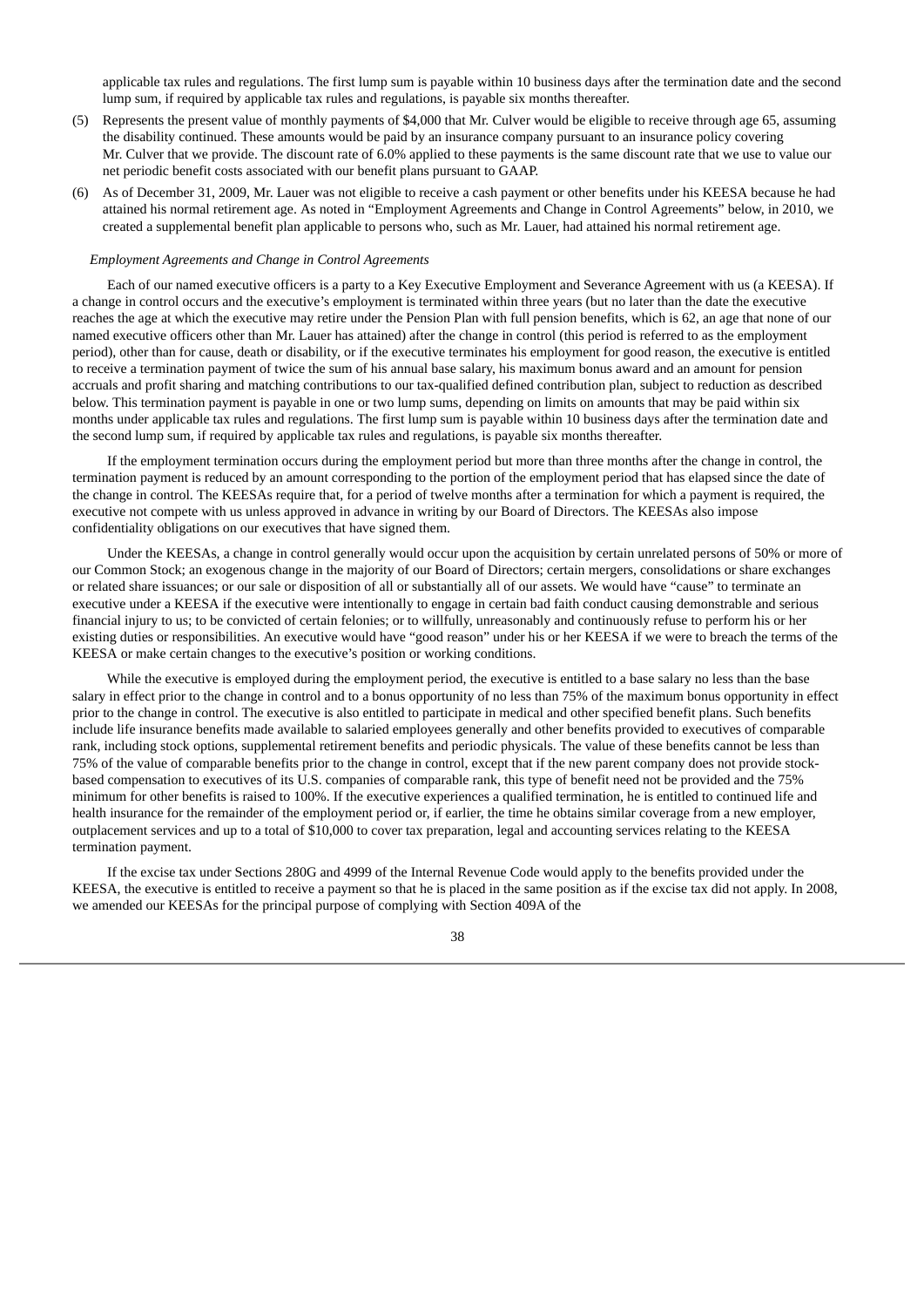applicable tax rules and regulations. The first lump sum is payable within 10 business days after the termination date and the second lump sum, if required by applicable tax rules and regulations, is payable six months thereafter.

- (5) Represents the present value of monthly payments of \$4,000 that Mr. Culver would be eligible to receive through age 65, assuming the disability continued. These amounts would be paid by an insurance company pursuant to an insurance policy covering Mr. Culver that we provide. The discount rate of 6.0% applied to these payments is the same discount rate that we use to value our net periodic benefit costs associated with our benefit plans pursuant to GAAP.
- (6) As of December 31, 2009, Mr. Lauer was not eligible to receive a cash payment or other benefits under his KEESA because he had attained his normal retirement age. As noted in "Employment Agreements and Change in Control Agreements" below, in 2010, we created a supplemental benefit plan applicable to persons who, such as Mr. Lauer, had attained his normal retirement age.

#### *Employment Agreements and Change in Control Agreements*

Each of our named executive officers is a party to a Key Executive Employment and Severance Agreement with us (a KEESA). If a change in control occurs and the executive's employment is terminated within three years (but no later than the date the executive reaches the age at which the executive may retire under the Pension Plan with full pension benefits, which is 62, an age that none of our named executive officers other than Mr. Lauer has attained) after the change in control (this period is referred to as the employment period), other than for cause, death or disability, or if the executive terminates his employment for good reason, the executive is entitled to receive a termination payment of twice the sum of his annual base salary, his maximum bonus award and an amount for pension accruals and profit sharing and matching contributions to our tax-qualified defined contribution plan, subject to reduction as described below. This termination payment is payable in one or two lump sums, depending on limits on amounts that may be paid within six months under applicable tax rules and regulations. The first lump sum is payable within 10 business days after the termination date and the second lump sum, if required by applicable tax rules and regulations, is payable six months thereafter.

If the employment termination occurs during the employment period but more than three months after the change in control, the termination payment is reduced by an amount corresponding to the portion of the employment period that has elapsed since the date of the change in control. The KEESAs require that, for a period of twelve months after a termination for which a payment is required, the executive not compete with us unless approved in advance in writing by our Board of Directors. The KEESAs also impose confidentiality obligations on our executives that have signed them.

Under the KEESAs, a change in control generally would occur upon the acquisition by certain unrelated persons of 50% or more of our Common Stock; an exogenous change in the majority of our Board of Directors; certain mergers, consolidations or share exchanges or related share issuances; or our sale or disposition of all or substantially all of our assets. We would have "cause" to terminate an executive under a KEESA if the executive were intentionally to engage in certain bad faith conduct causing demonstrable and serious financial injury to us; to be convicted of certain felonies; or to willfully, unreasonably and continuously refuse to perform his or her existing duties or responsibilities. An executive would have "good reason" under his or her KEESA if we were to breach the terms of the KEESA or make certain changes to the executive's position or working conditions.

While the executive is employed during the employment period, the executive is entitled to a base salary no less than the base salary in effect prior to the change in control and to a bonus opportunity of no less than 75% of the maximum bonus opportunity in effect prior to the change in control. The executive is also entitled to participate in medical and other specified benefit plans. Such benefits include life insurance benefits made available to salaried employees generally and other benefits provided to executives of comparable rank, including stock options, supplemental retirement benefits and periodic physicals. The value of these benefits cannot be less than 75% of the value of comparable benefits prior to the change in control, except that if the new parent company does not provide stockbased compensation to executives of its U.S. companies of comparable rank, this type of benefit need not be provided and the 75% minimum for other benefits is raised to 100%. If the executive experiences a qualified termination, he is entitled to continued life and health insurance for the remainder of the employment period or, if earlier, the time he obtains similar coverage from a new employer, outplacement services and up to a total of \$10,000 to cover tax preparation, legal and accounting services relating to the KEESA termination payment.

If the excise tax under Sections 280G and 4999 of the Internal Revenue Code would apply to the benefits provided under the KEESA, the executive is entitled to receive a payment so that he is placed in the same position as if the excise tax did not apply. In 2008, we amended our KEESAs for the principal purpose of complying with Section 409A of the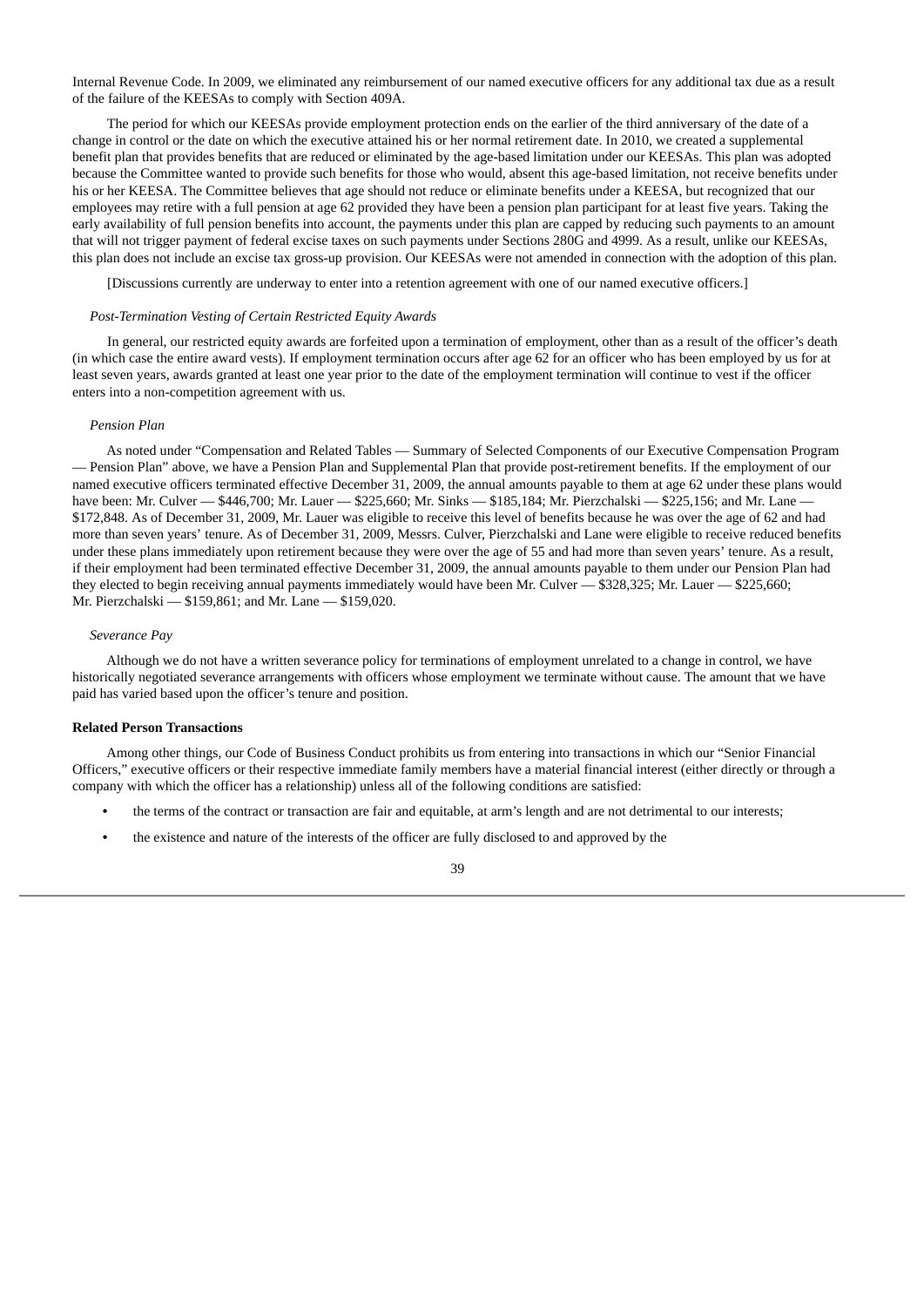Internal Revenue Code. In 2009, we eliminated any reimbursement of our named executive officers for any additional tax due as a result of the failure of the KEESAs to comply with Section 409A.

The period for which our KEESAs provide employment protection ends on the earlier of the third anniversary of the date of a change in control or the date on which the executive attained his or her normal retirement date. In 2010, we created a supplemental benefit plan that provides benefits that are reduced or eliminated by the age-based limitation under our KEESAs. This plan was adopted because the Committee wanted to provide such benefits for those who would, absent this age-based limitation, not receive benefits under his or her KEESA. The Committee believes that age should not reduce or eliminate benefits under a KEESA, but recognized that our employees may retire with a full pension at age 62 provided they have been a pension plan participant for at least five years. Taking the early availability of full pension benefits into account, the payments under this plan are capped by reducing such payments to an amount that will not trigger payment of federal excise taxes on such payments under Sections 280G and 4999. As a result, unlike our KEESAs, this plan does not include an excise tax gross-up provision. Our KEESAs were not amended in connection with the adoption of this plan.

[Discussions currently are underway to enter into a retention agreement with one of our named executive officers.]

#### *Post-Termination Vesting of Certain Restricted Equity Awards*

In general, our restricted equity awards are forfeited upon a termination of employment, other than as a result of the officer's death (in which case the entire award vests). If employment termination occurs after age 62 for an officer who has been employed by us for at least seven years, awards granted at least one year prior to the date of the employment termination will continue to vest if the officer enters into a non-competition agreement with us.

#### *Pension Plan*

As noted under "Compensation and Related Tables — Summary of Selected Components of our Executive Compensation Program — Pension Plan" above, we have a Pension Plan and Supplemental Plan that provide post-retirement benefits. If the employment of our named executive officers terminated effective December 31, 2009, the annual amounts payable to them at age 62 under these plans would have been: Mr. Culver — \$446,700; Mr. Lauer — \$225,660; Mr. Sinks — \$185,184; Mr. Pierzchalski — \$225,156; and Mr. Lane — \$172,848. As of December 31, 2009, Mr. Lauer was eligible to receive this level of benefits because he was over the age of 62 and had more than seven years' tenure. As of December 31, 2009, Messrs. Culver, Pierzchalski and Lane were eligible to receive reduced benefits under these plans immediately upon retirement because they were over the age of 55 and had more than seven years' tenure. As a result, if their employment had been terminated effective December 31, 2009, the annual amounts payable to them under our Pension Plan had they elected to begin receiving annual payments immediately would have been Mr. Culver — \$328,325; Mr. Lauer — \$225,660; Mr. Pierzchalski — \$159,861; and Mr. Lane — \$159,020.

#### *Severance Pay*

Although we do not have a written severance policy for terminations of employment unrelated to a change in control, we have historically negotiated severance arrangements with officers whose employment we terminate without cause. The amount that we have paid has varied based upon the officer's tenure and position.

## **Related Person Transactions**

Among other things, our Code of Business Conduct prohibits us from entering into transactions in which our "Senior Financial Officers," executive officers or their respective immediate family members have a material financial interest (either directly or through a company with which the officer has a relationship) unless all of the following conditions are satisfied:

- **•** the terms of the contract or transaction are fair and equitable, at arm's length and are not detrimental to our interests;
- **•** the existence and nature of the interests of the officer are fully disclosed to and approved by the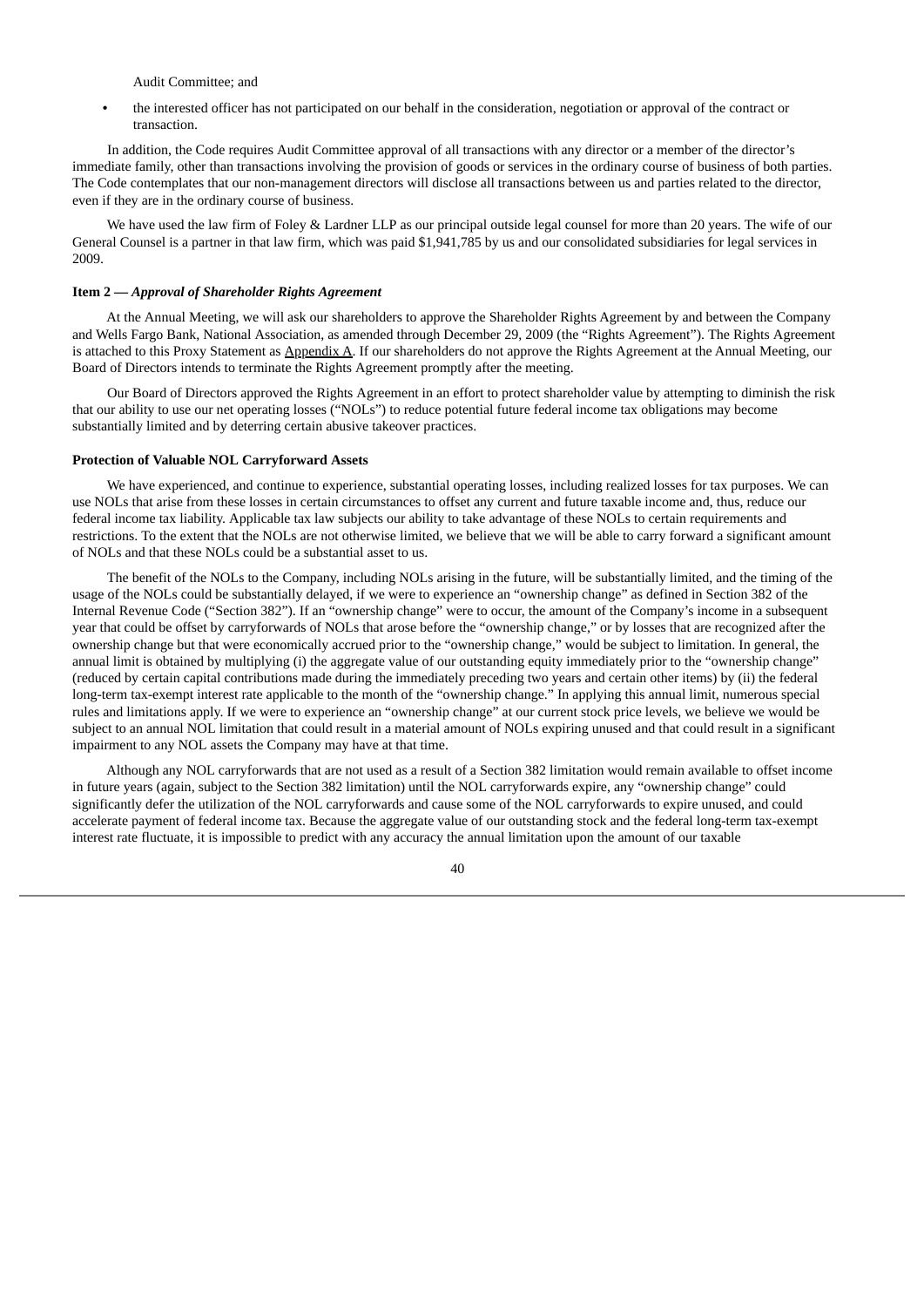Audit Committee; and

**•** the interested officer has not participated on our behalf in the consideration, negotiation or approval of the contract or transaction.

In addition, the Code requires Audit Committee approval of all transactions with any director or a member of the director's immediate family, other than transactions involving the provision of goods or services in the ordinary course of business of both parties. The Code contemplates that our non-management directors will disclose all transactions between us and parties related to the director, even if they are in the ordinary course of business.

We have used the law firm of Foley & Lardner LLP as our principal outside legal counsel for more than 20 years. The wife of our General Counsel is a partner in that law firm, which was paid \$1,941,785 by us and our consolidated subsidiaries for legal services in 2009.

#### **Item 2 —** *Approval of Shareholder Rights Agreement*

At the Annual Meeting, we will ask our shareholders to approve the Shareholder Rights Agreement by and between the Company and Wells Fargo Bank, National Association, as amended through December 29, 2009 (the "Rights Agreement"). The Rights Agreement is attached to this Proxy Statement as Appendix A. If our shareholders do not approve the Rights Agreement at the Annual Meeting, our Board of Directors intends to terminate the Rights Agreement promptly after the meeting.

Our Board of Directors approved the Rights Agreement in an effort to protect shareholder value by attempting to diminish the risk that our ability to use our net operating losses ("NOLs") to reduce potential future federal income tax obligations may become substantially limited and by deterring certain abusive takeover practices.

#### **Protection of Valuable NOL Carryforward Assets**

We have experienced, and continue to experience, substantial operating losses, including realized losses for tax purposes. We can use NOLs that arise from these losses in certain circumstances to offset any current and future taxable income and, thus, reduce our federal income tax liability. Applicable tax law subjects our ability to take advantage of these NOLs to certain requirements and restrictions. To the extent that the NOLs are not otherwise limited, we believe that we will be able to carry forward a significant amount of NOLs and that these NOLs could be a substantial asset to us.

The benefit of the NOLs to the Company, including NOLs arising in the future, will be substantially limited, and the timing of the usage of the NOLs could be substantially delayed, if we were to experience an "ownership change" as defined in Section 382 of the Internal Revenue Code ("Section 382"). If an "ownership change" were to occur, the amount of the Company's income in a subsequent year that could be offset by carryforwards of NOLs that arose before the "ownership change," or by losses that are recognized after the ownership change but that were economically accrued prior to the "ownership change," would be subject to limitation. In general, the annual limit is obtained by multiplying (i) the aggregate value of our outstanding equity immediately prior to the "ownership change" (reduced by certain capital contributions made during the immediately preceding two years and certain other items) by (ii) the federal long-term tax-exempt interest rate applicable to the month of the "ownership change." In applying this annual limit, numerous special rules and limitations apply. If we were to experience an "ownership change" at our current stock price levels, we believe we would be subject to an annual NOL limitation that could result in a material amount of NOLs expiring unused and that could result in a significant impairment to any NOL assets the Company may have at that time.

Although any NOL carryforwards that are not used as a result of a Section 382 limitation would remain available to offset income in future years (again, subject to the Section 382 limitation) until the NOL carryforwards expire, any "ownership change" could significantly defer the utilization of the NOL carryforwards and cause some of the NOL carryforwards to expire unused, and could accelerate payment of federal income tax. Because the aggregate value of our outstanding stock and the federal long-term tax-exempt interest rate fluctuate, it is impossible to predict with any accuracy the annual limitation upon the amount of our taxable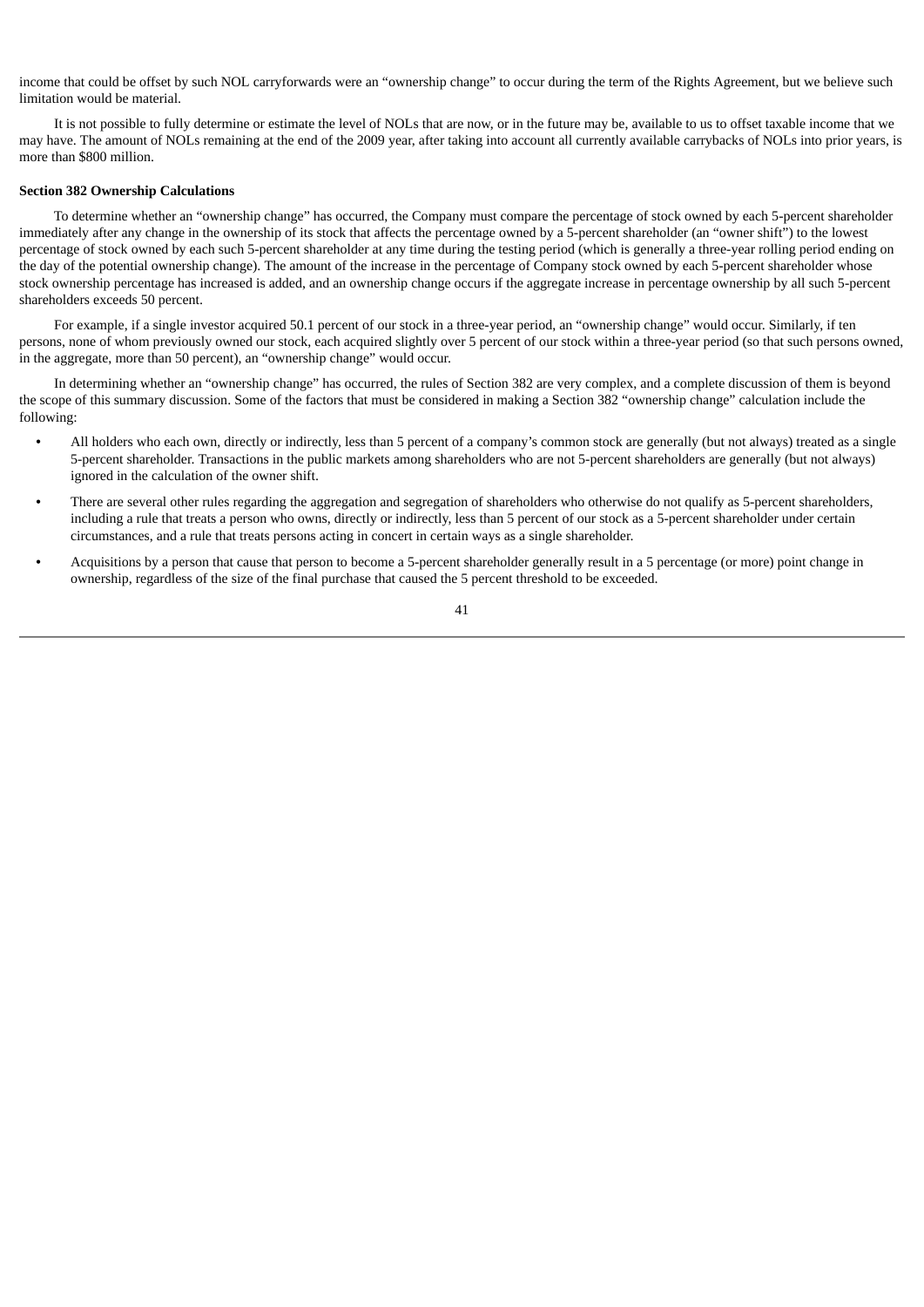income that could be offset by such NOL carryforwards were an "ownership change" to occur during the term of the Rights Agreement, but we believe such limitation would be material.

It is not possible to fully determine or estimate the level of NOLs that are now, or in the future may be, available to us to offset taxable income that we may have. The amount of NOLs remaining at the end of the 2009 year, after taking into account all currently available carrybacks of NOLs into prior years, is more than \$800 million.

### **Section 382 Ownership Calculations**

To determine whether an "ownership change" has occurred, the Company must compare the percentage of stock owned by each 5-percent shareholder immediately after any change in the ownership of its stock that affects the percentage owned by a 5-percent shareholder (an "owner shift") to the lowest percentage of stock owned by each such 5-percent shareholder at any time during the testing period (which is generally a three-year rolling period ending on the day of the potential ownership change). The amount of the increase in the percentage of Company stock owned by each 5-percent shareholder whose stock ownership percentage has increased is added, and an ownership change occurs if the aggregate increase in percentage ownership by all such 5-percent shareholders exceeds 50 percent.

For example, if a single investor acquired 50.1 percent of our stock in a three-year period, an "ownership change" would occur. Similarly, if ten persons, none of whom previously owned our stock, each acquired slightly over 5 percent of our stock within a three-year period (so that such persons owned, in the aggregate, more than 50 percent), an "ownership change" would occur.

In determining whether an "ownership change" has occurred, the rules of Section 382 are very complex, and a complete discussion of them is beyond the scope of this summary discussion. Some of the factors that must be considered in making a Section 382 "ownership change" calculation include the following:

- **•** All holders who each own, directly or indirectly, less than 5 percent of a company's common stock are generally (but not always) treated as a single 5-percent shareholder. Transactions in the public markets among shareholders who are not 5-percent shareholders are generally (but not always) ignored in the calculation of the owner shift.
- **•** There are several other rules regarding the aggregation and segregation of shareholders who otherwise do not qualify as 5-percent shareholders, including a rule that treats a person who owns, directly or indirectly, less than 5 percent of our stock as a 5-percent shareholder under certain circumstances, and a rule that treats persons acting in concert in certain ways as a single shareholder.
- **•** Acquisitions by a person that cause that person to become a 5-percent shareholder generally result in a 5 percentage (or more) point change in ownership, regardless of the size of the final purchase that caused the 5 percent threshold to be exceeded.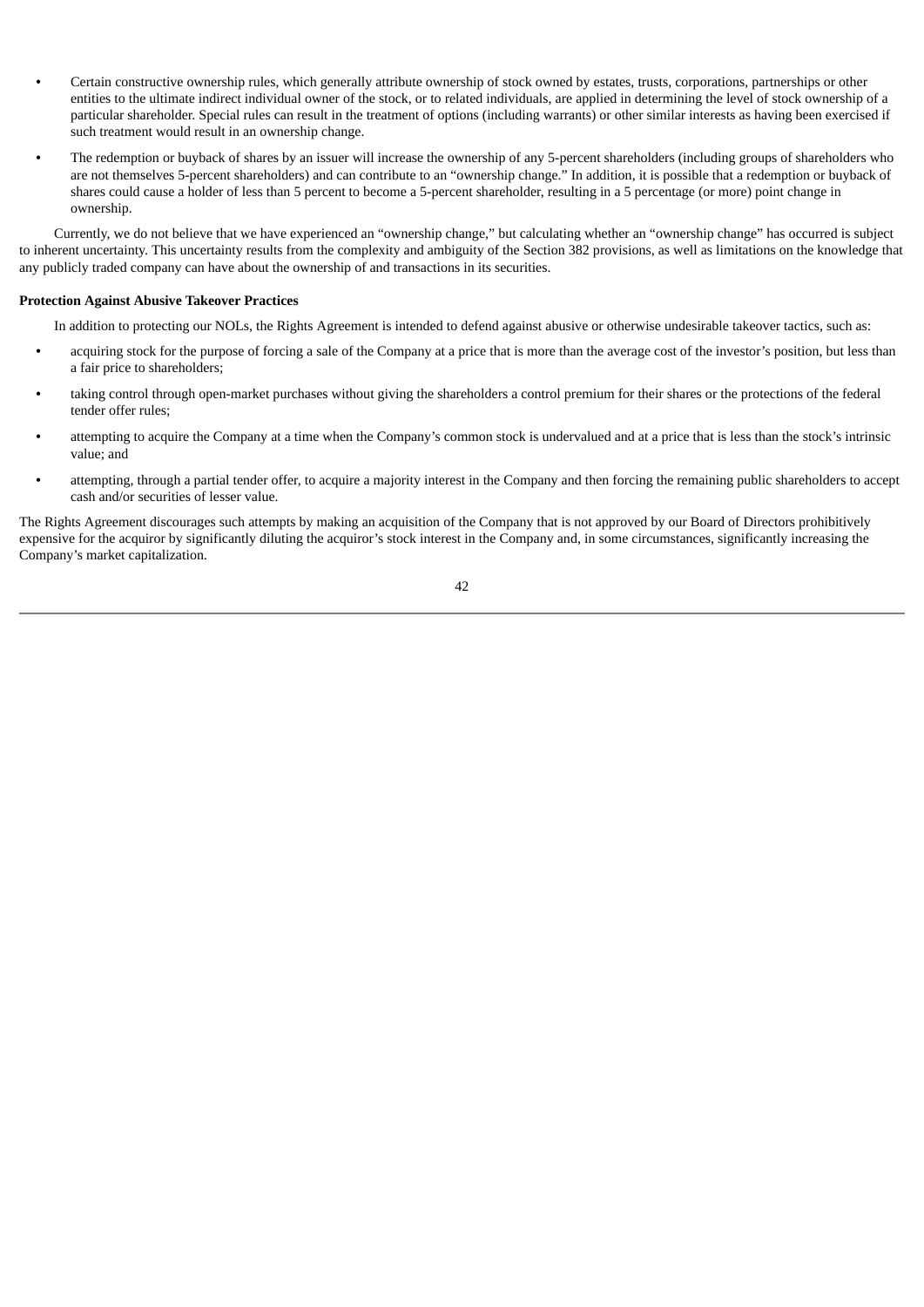- **•** Certain constructive ownership rules, which generally attribute ownership of stock owned by estates, trusts, corporations, partnerships or other entities to the ultimate indirect individual owner of the stock, or to related individuals, are applied in determining the level of stock ownership of a particular shareholder. Special rules can result in the treatment of options (including warrants) or other similar interests as having been exercised if such treatment would result in an ownership change.
- **•** The redemption or buyback of shares by an issuer will increase the ownership of any 5-percent shareholders (including groups of shareholders who are not themselves 5-percent shareholders) and can contribute to an "ownership change." In addition, it is possible that a redemption or buyback of shares could cause a holder of less than 5 percent to become a 5-percent shareholder, resulting in a 5 percentage (or more) point change in ownership.

Currently, we do not believe that we have experienced an "ownership change," but calculating whether an "ownership change" has occurred is subject to inherent uncertainty. This uncertainty results from the complexity and ambiguity of the Section 382 provisions, as well as limitations on the knowledge that any publicly traded company can have about the ownership of and transactions in its securities.

## **Protection Against Abusive Takeover Practices**

In addition to protecting our NOLs, the Rights Agreement is intended to defend against abusive or otherwise undesirable takeover tactics, such as:

- **•** acquiring stock for the purpose of forcing a sale of the Company at a price that is more than the average cost of the investor's position, but less than a fair price to shareholders;
- **•** taking control through open-market purchases without giving the shareholders a control premium for their shares or the protections of the federal tender offer rules;
- **•** attempting to acquire the Company at a time when the Company's common stock is undervalued and at a price that is less than the stock's intrinsic value; and
- **•** attempting, through a partial tender offer, to acquire a majority interest in the Company and then forcing the remaining public shareholders to accept cash and/or securities of lesser value.

The Rights Agreement discourages such attempts by making an acquisition of the Company that is not approved by our Board of Directors prohibitively expensive for the acquiror by significantly diluting the acquiror's stock interest in the Company and, in some circumstances, significantly increasing the Company's market capitalization.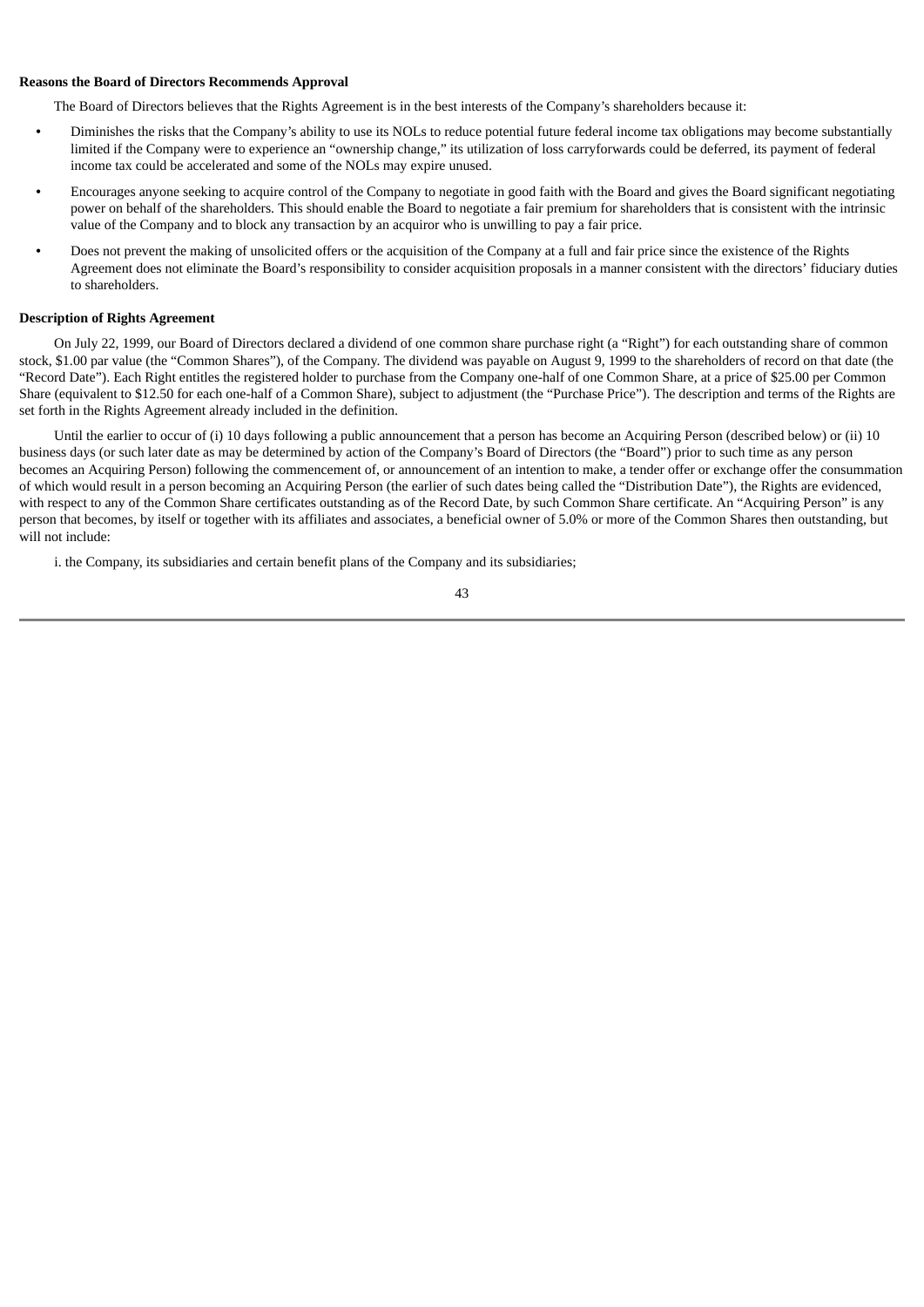#### **Reasons the Board of Directors Recommends Approval**

The Board of Directors believes that the Rights Agreement is in the best interests of the Company's shareholders because it:

- **•** Diminishes the risks that the Company's ability to use its NOLs to reduce potential future federal income tax obligations may become substantially limited if the Company were to experience an "ownership change," its utilization of loss carryforwards could be deferred, its payment of federal income tax could be accelerated and some of the NOLs may expire unused.
- **•** Encourages anyone seeking to acquire control of the Company to negotiate in good faith with the Board and gives the Board significant negotiating power on behalf of the shareholders. This should enable the Board to negotiate a fair premium for shareholders that is consistent with the intrinsic value of the Company and to block any transaction by an acquiror who is unwilling to pay a fair price.
- **•** Does not prevent the making of unsolicited offers or the acquisition of the Company at a full and fair price since the existence of the Rights Agreement does not eliminate the Board's responsibility to consider acquisition proposals in a manner consistent with the directors' fiduciary duties to shareholders.

## **Description of Rights Agreement**

On July 22, 1999, our Board of Directors declared a dividend of one common share purchase right (a "Right") for each outstanding share of common stock, \$1.00 par value (the "Common Shares"), of the Company. The dividend was payable on August 9, 1999 to the shareholders of record on that date (the "Record Date"). Each Right entitles the registered holder to purchase from the Company one-half of one Common Share, at a price of \$25.00 per Common Share (equivalent to \$12.50 for each one-half of a Common Share), subject to adjustment (the "Purchase Price"). The description and terms of the Rights are set forth in the Rights Agreement already included in the definition.

Until the earlier to occur of (i) 10 days following a public announcement that a person has become an Acquiring Person (described below) or (ii) 10 business days (or such later date as may be determined by action of the Company's Board of Directors (the "Board") prior to such time as any person becomes an Acquiring Person) following the commencement of, or announcement of an intention to make, a tender offer or exchange offer the consummation of which would result in a person becoming an Acquiring Person (the earlier of such dates being called the "Distribution Date"), the Rights are evidenced, with respect to any of the Common Share certificates outstanding as of the Record Date, by such Common Share certificate. An "Acquiring Person" is any person that becomes, by itself or together with its affiliates and associates, a beneficial owner of 5.0% or more of the Common Shares then outstanding, but will not include:

i. the Company, its subsidiaries and certain benefit plans of the Company and its subsidiaries;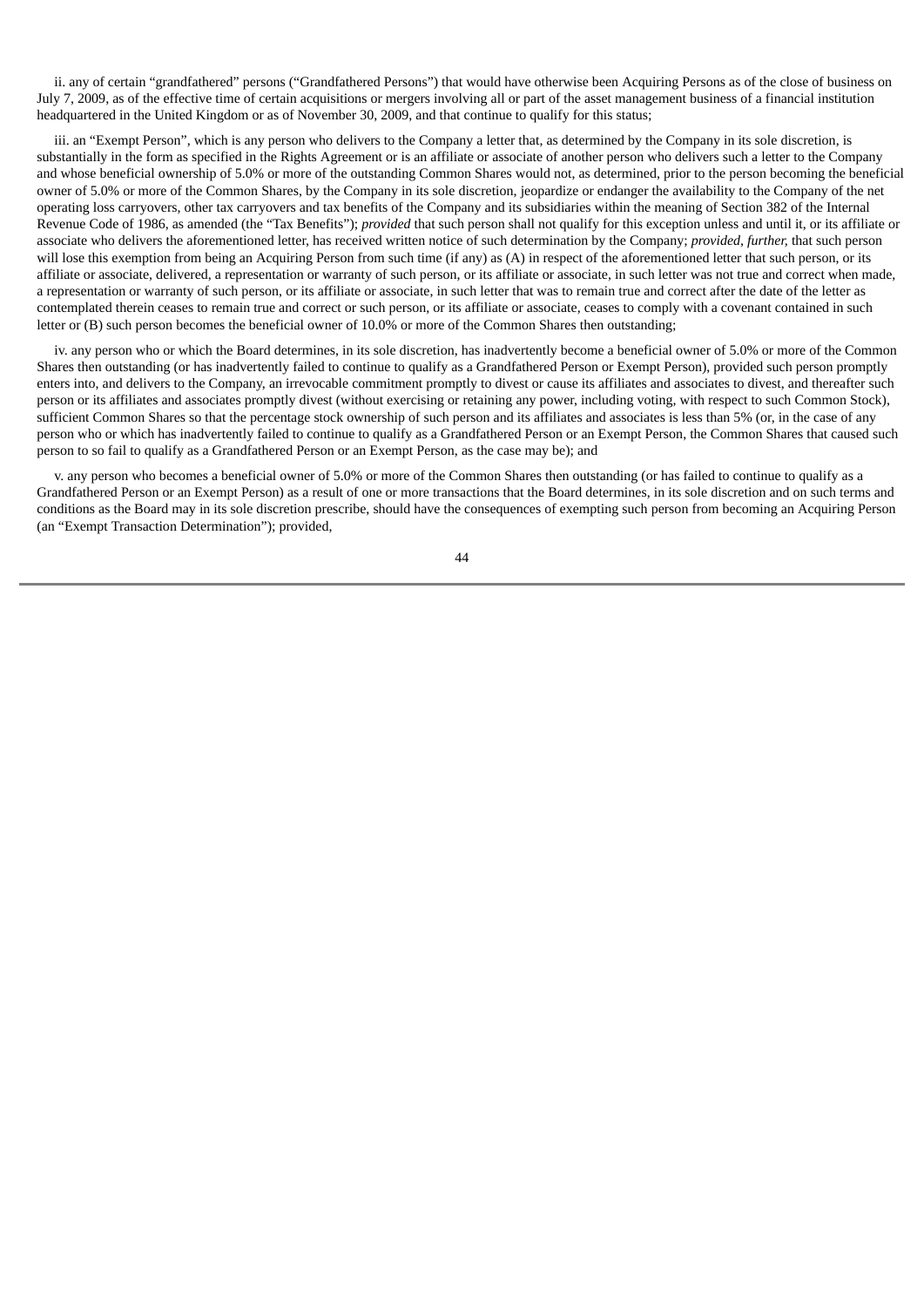ii. any of certain "grandfathered" persons ("Grandfathered Persons") that would have otherwise been Acquiring Persons as of the close of business on July 7, 2009, as of the effective time of certain acquisitions or mergers involving all or part of the asset management business of a financial institution headquartered in the United Kingdom or as of November 30, 2009, and that continue to qualify for this status;

iii. an "Exempt Person", which is any person who delivers to the Company a letter that, as determined by the Company in its sole discretion, is substantially in the form as specified in the Rights Agreement or is an affiliate or associate of another person who delivers such a letter to the Company and whose beneficial ownership of 5.0% or more of the outstanding Common Shares would not, as determined, prior to the person becoming the beneficial owner of 5.0% or more of the Common Shares, by the Company in its sole discretion, jeopardize or endanger the availability to the Company of the net operating loss carryovers, other tax carryovers and tax benefits of the Company and its subsidiaries within the meaning of Section 382 of the Internal Revenue Code of 1986, as amended (the "Tax Benefits"); *provided* that such person shall not qualify for this exception unless and until it, or its affiliate or associate who delivers the aforementioned letter, has received written notice of such determination by the Company; *provided, further,* that such person will lose this exemption from being an Acquiring Person from such time (if any) as (A) in respect of the aforementioned letter that such person, or its affiliate or associate, delivered, a representation or warranty of such person, or its affiliate or associate, in such letter was not true and correct when made, a representation or warranty of such person, or its affiliate or associate, in such letter that was to remain true and correct after the date of the letter as contemplated therein ceases to remain true and correct or such person, or its affiliate or associate, ceases to comply with a covenant contained in such letter or (B) such person becomes the beneficial owner of 10.0% or more of the Common Shares then outstanding;

iv. any person who or which the Board determines, in its sole discretion, has inadvertently become a beneficial owner of 5.0% or more of the Common Shares then outstanding (or has inadvertently failed to continue to qualify as a Grandfathered Person or Exempt Person), provided such person promptly enters into, and delivers to the Company, an irrevocable commitment promptly to divest or cause its affiliates and associates to divest, and thereafter such person or its affiliates and associates promptly divest (without exercising or retaining any power, including voting, with respect to such Common Stock), sufficient Common Shares so that the percentage stock ownership of such person and its affiliates and associates is less than 5% (or, in the case of any person who or which has inadvertently failed to continue to qualify as a Grandfathered Person or an Exempt Person, the Common Shares that caused such person to so fail to qualify as a Grandfathered Person or an Exempt Person, as the case may be); and

v. any person who becomes a beneficial owner of 5.0% or more of the Common Shares then outstanding (or has failed to continue to qualify as a Grandfathered Person or an Exempt Person) as a result of one or more transactions that the Board determines, in its sole discretion and on such terms and conditions as the Board may in its sole discretion prescribe, should have the consequences of exempting such person from becoming an Acquiring Person (an "Exempt Transaction Determination"); provided,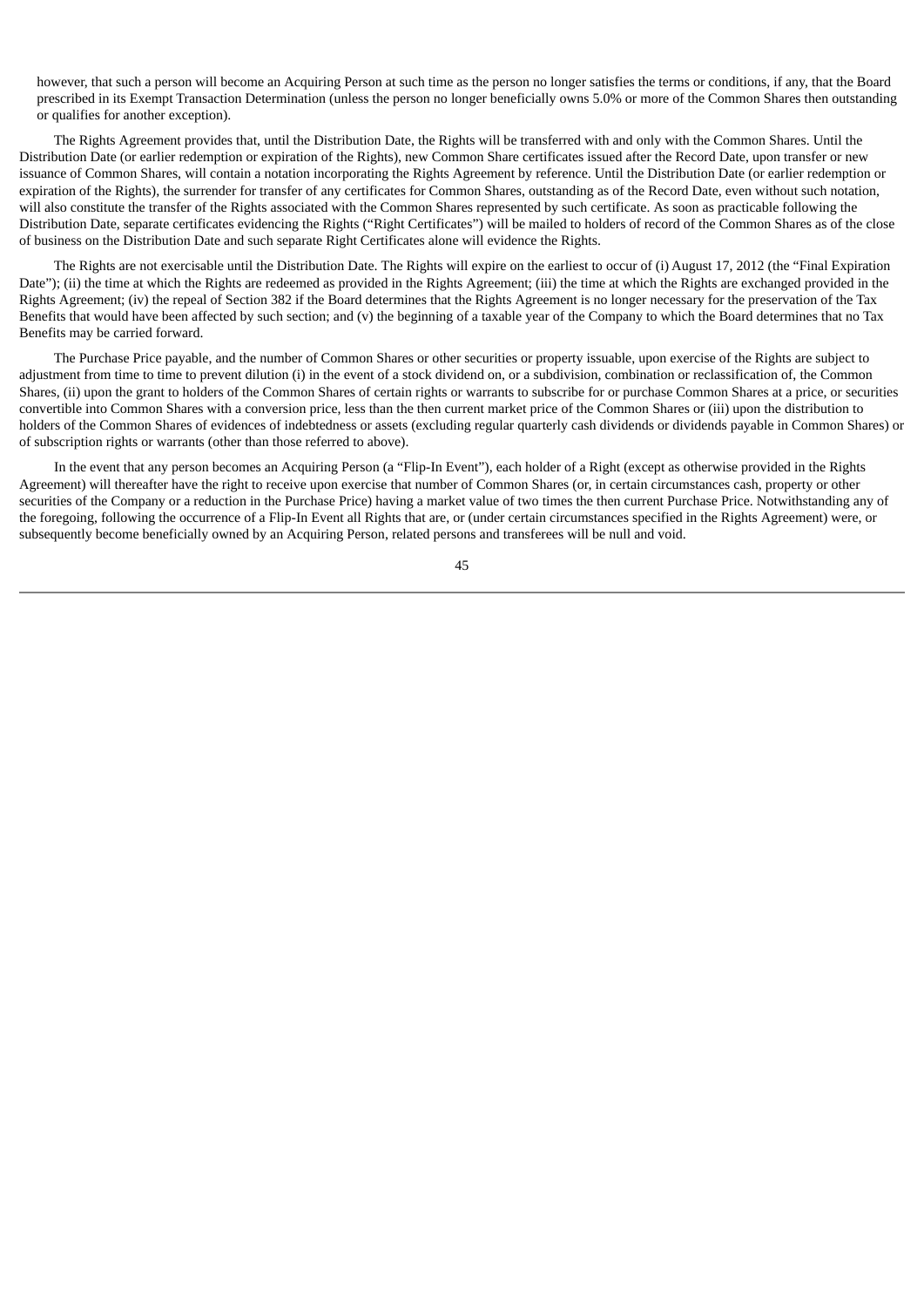however, that such a person will become an Acquiring Person at such time as the person no longer satisfies the terms or conditions, if any, that the Board prescribed in its Exempt Transaction Determination (unless the person no longer beneficially owns 5.0% or more of the Common Shares then outstanding or qualifies for another exception).

The Rights Agreement provides that, until the Distribution Date, the Rights will be transferred with and only with the Common Shares. Until the Distribution Date (or earlier redemption or expiration of the Rights), new Common Share certificates issued after the Record Date, upon transfer or new issuance of Common Shares, will contain a notation incorporating the Rights Agreement by reference. Until the Distribution Date (or earlier redemption or expiration of the Rights), the surrender for transfer of any certificates for Common Shares, outstanding as of the Record Date, even without such notation, will also constitute the transfer of the Rights associated with the Common Shares represented by such certificate. As soon as practicable following the Distribution Date, separate certificates evidencing the Rights ("Right Certificates") will be mailed to holders of record of the Common Shares as of the close of business on the Distribution Date and such separate Right Certificates alone will evidence the Rights.

The Rights are not exercisable until the Distribution Date. The Rights will expire on the earliest to occur of (i) August 17, 2012 (the "Final Expiration Date"); (ii) the time at which the Rights are redeemed as provided in the Rights Agreement; (iii) the time at which the Rights are exchanged provided in the Rights Agreement; (iv) the repeal of Section 382 if the Board determines that the Rights Agreement is no longer necessary for the preservation of the Tax Benefits that would have been affected by such section; and (v) the beginning of a taxable year of the Company to which the Board determines that no Tax Benefits may be carried forward.

The Purchase Price payable, and the number of Common Shares or other securities or property issuable, upon exercise of the Rights are subject to adjustment from time to time to prevent dilution (i) in the event of a stock dividend on, or a subdivision, combination or reclassification of, the Common Shares, (ii) upon the grant to holders of the Common Shares of certain rights or warrants to subscribe for or purchase Common Shares at a price, or securities convertible into Common Shares with a conversion price, less than the then current market price of the Common Shares or (iii) upon the distribution to holders of the Common Shares of evidences of indebtedness or assets (excluding regular quarterly cash dividends or dividends payable in Common Shares) or of subscription rights or warrants (other than those referred to above).

In the event that any person becomes an Acquiring Person (a "Flip-In Event"), each holder of a Right (except as otherwise provided in the Rights Agreement) will thereafter have the right to receive upon exercise that number of Common Shares (or, in certain circumstances cash, property or other securities of the Company or a reduction in the Purchase Price) having a market value of two times the then current Purchase Price. Notwithstanding any of the foregoing, following the occurrence of a Flip-In Event all Rights that are, or (under certain circumstances specified in the Rights Agreement) were, or subsequently become beneficially owned by an Acquiring Person, related persons and transferees will be null and void.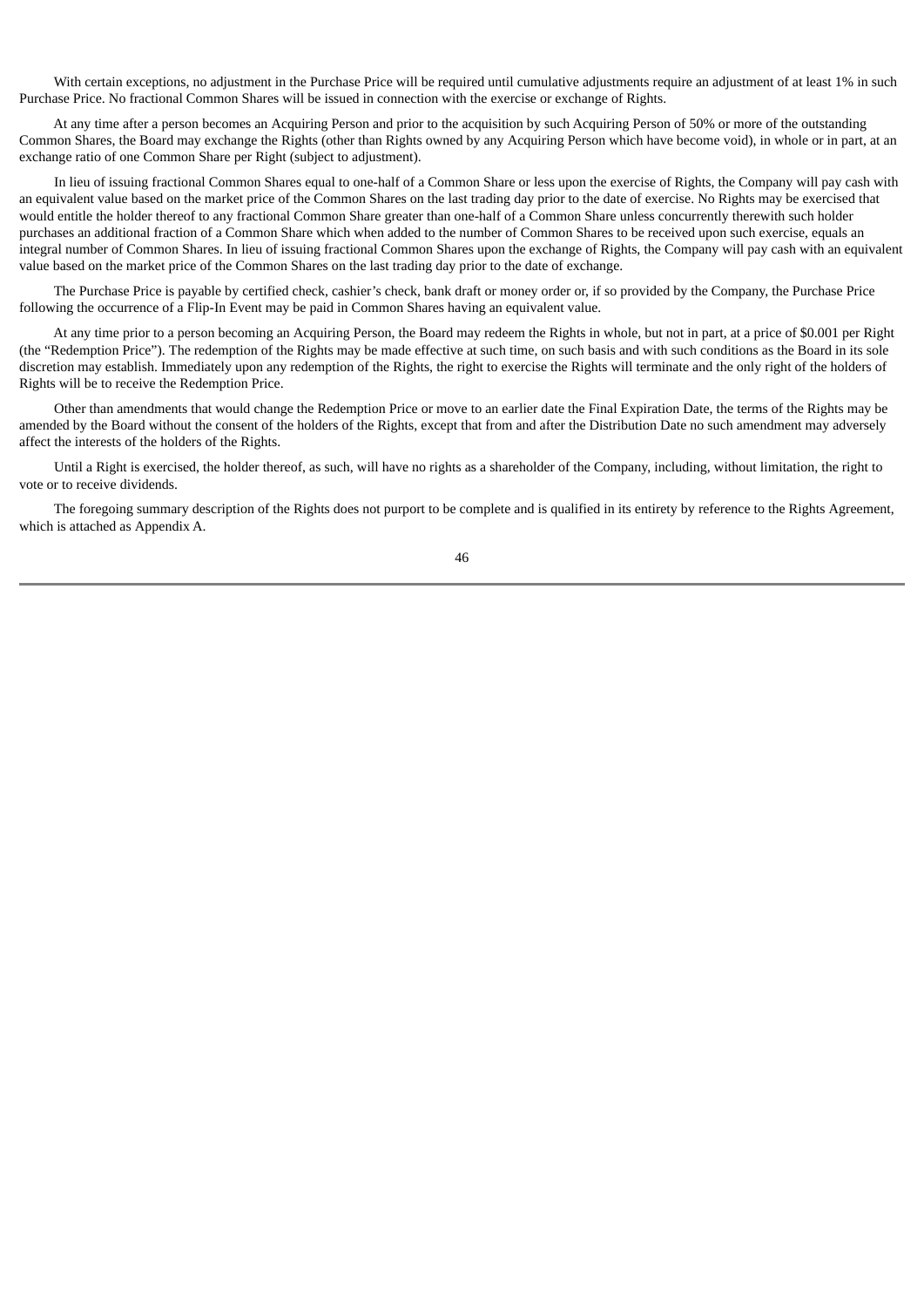With certain exceptions, no adjustment in the Purchase Price will be required until cumulative adjustments require an adjustment of at least 1% in such Purchase Price. No fractional Common Shares will be issued in connection with the exercise or exchange of Rights.

At any time after a person becomes an Acquiring Person and prior to the acquisition by such Acquiring Person of 50% or more of the outstanding Common Shares, the Board may exchange the Rights (other than Rights owned by any Acquiring Person which have become void), in whole or in part, at an exchange ratio of one Common Share per Right (subject to adjustment).

In lieu of issuing fractional Common Shares equal to one-half of a Common Share or less upon the exercise of Rights, the Company will pay cash with an equivalent value based on the market price of the Common Shares on the last trading day prior to the date of exercise. No Rights may be exercised that would entitle the holder thereof to any fractional Common Share greater than one-half of a Common Share unless concurrently therewith such holder purchases an additional fraction of a Common Share which when added to the number of Common Shares to be received upon such exercise, equals an integral number of Common Shares. In lieu of issuing fractional Common Shares upon the exchange of Rights, the Company will pay cash with an equivalent value based on the market price of the Common Shares on the last trading day prior to the date of exchange.

The Purchase Price is payable by certified check, cashier's check, bank draft or money order or, if so provided by the Company, the Purchase Price following the occurrence of a Flip-In Event may be paid in Common Shares having an equivalent value.

At any time prior to a person becoming an Acquiring Person, the Board may redeem the Rights in whole, but not in part, at a price of \$0.001 per Right (the "Redemption Price"). The redemption of the Rights may be made effective at such time, on such basis and with such conditions as the Board in its sole discretion may establish. Immediately upon any redemption of the Rights, the right to exercise the Rights will terminate and the only right of the holders of Rights will be to receive the Redemption Price.

Other than amendments that would change the Redemption Price or move to an earlier date the Final Expiration Date, the terms of the Rights may be amended by the Board without the consent of the holders of the Rights, except that from and after the Distribution Date no such amendment may adversely affect the interests of the holders of the Rights.

Until a Right is exercised, the holder thereof, as such, will have no rights as a shareholder of the Company, including, without limitation, the right to vote or to receive dividends.

The foregoing summary description of the Rights does not purport to be complete and is qualified in its entirety by reference to the Rights Agreement, which is attached as Appendix A.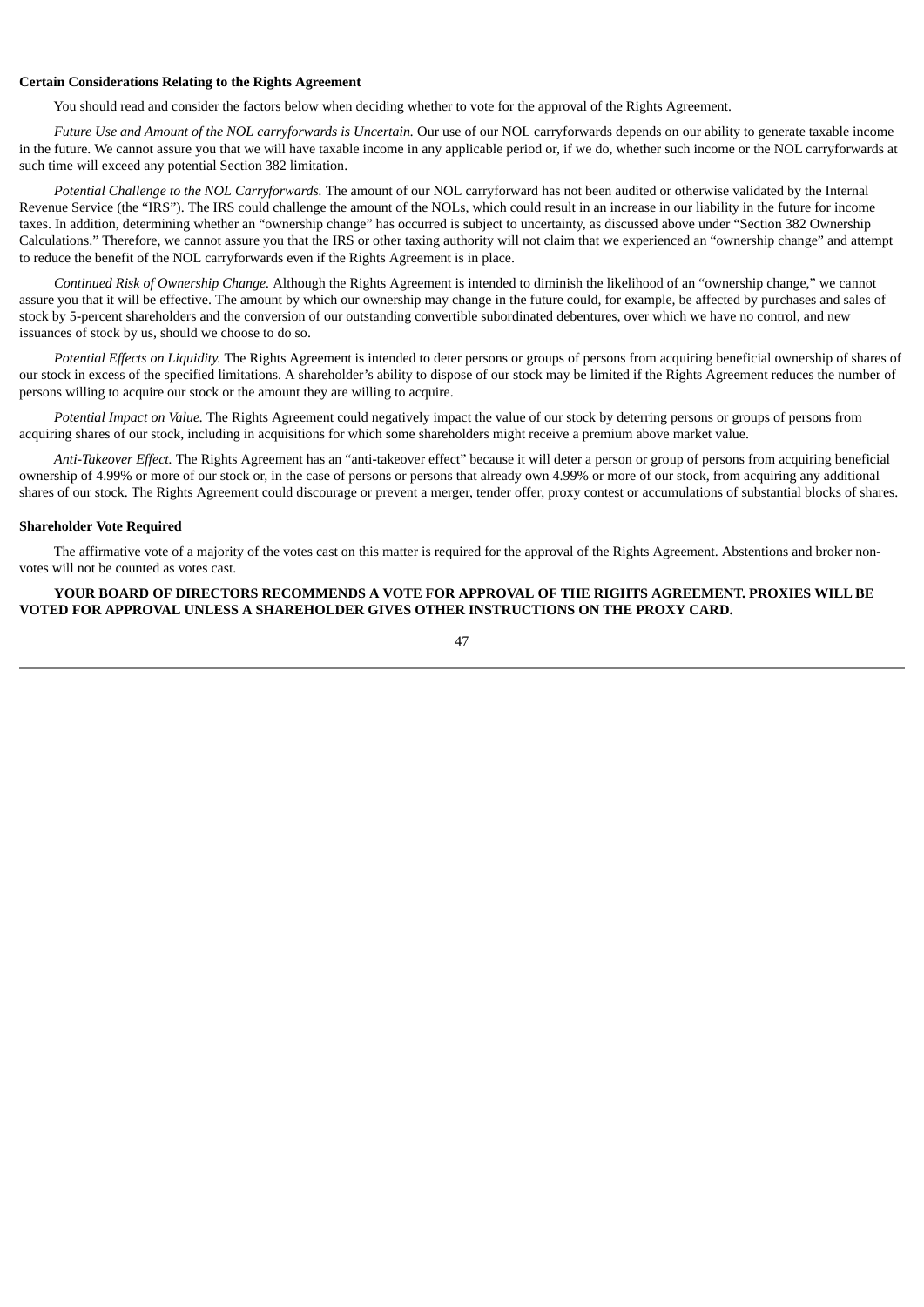#### **Certain Considerations Relating to the Rights Agreement**

You should read and consider the factors below when deciding whether to vote for the approval of the Rights Agreement.

*Future Use and Amount of the NOL carryforwards is Uncertain.* Our use of our NOL carryforwards depends on our ability to generate taxable income in the future. We cannot assure you that we will have taxable income in any applicable period or, if we do, whether such income or the NOL carryforwards at such time will exceed any potential Section 382 limitation.

*Potential Challenge to the NOL Carryforwards.* The amount of our NOL carryforward has not been audited or otherwise validated by the Internal Revenue Service (the "IRS"). The IRS could challenge the amount of the NOLs, which could result in an increase in our liability in the future for income taxes. In addition, determining whether an "ownership change" has occurred is subject to uncertainty, as discussed above under "Section 382 Ownership Calculations." Therefore, we cannot assure you that the IRS or other taxing authority will not claim that we experienced an "ownership change" and attempt to reduce the benefit of the NOL carryforwards even if the Rights Agreement is in place.

*Continued Risk of Ownership Change.* Although the Rights Agreement is intended to diminish the likelihood of an "ownership change," we cannot assure you that it will be effective. The amount by which our ownership may change in the future could, for example, be affected by purchases and sales of stock by 5-percent shareholders and the conversion of our outstanding convertible subordinated debentures, over which we have no control, and new issuances of stock by us, should we choose to do so.

*Potential Effects on Liquidity.* The Rights Agreement is intended to deter persons or groups of persons from acquiring beneficial ownership of shares of our stock in excess of the specified limitations. A shareholder's ability to dispose of our stock may be limited if the Rights Agreement reduces the number of persons willing to acquire our stock or the amount they are willing to acquire.

*Potential Impact on Value.* The Rights Agreement could negatively impact the value of our stock by deterring persons or groups of persons from acquiring shares of our stock, including in acquisitions for which some shareholders might receive a premium above market value.

*Anti-Takeover Effect.* The Rights Agreement has an "anti-takeover effect" because it will deter a person or group of persons from acquiring beneficial ownership of 4.99% or more of our stock or, in the case of persons or persons that already own 4.99% or more of our stock, from acquiring any additional shares of our stock. The Rights Agreement could discourage or prevent a merger, tender offer, proxy contest or accumulations of substantial blocks of shares.

#### **Shareholder Vote Required**

The affirmative vote of a majority of the votes cast on this matter is required for the approval of the Rights Agreement. Abstentions and broker nonvotes will not be counted as votes cast.

**YOUR BOARD OF DIRECTORS RECOMMENDS A VOTE FOR APPROVAL OF THE RIGHTS AGREEMENT. PROXIES WILL BE VOTED FOR APPROVAL UNLESS A SHAREHOLDER GIVES OTHER INSTRUCTIONS ON THE PROXY CARD.**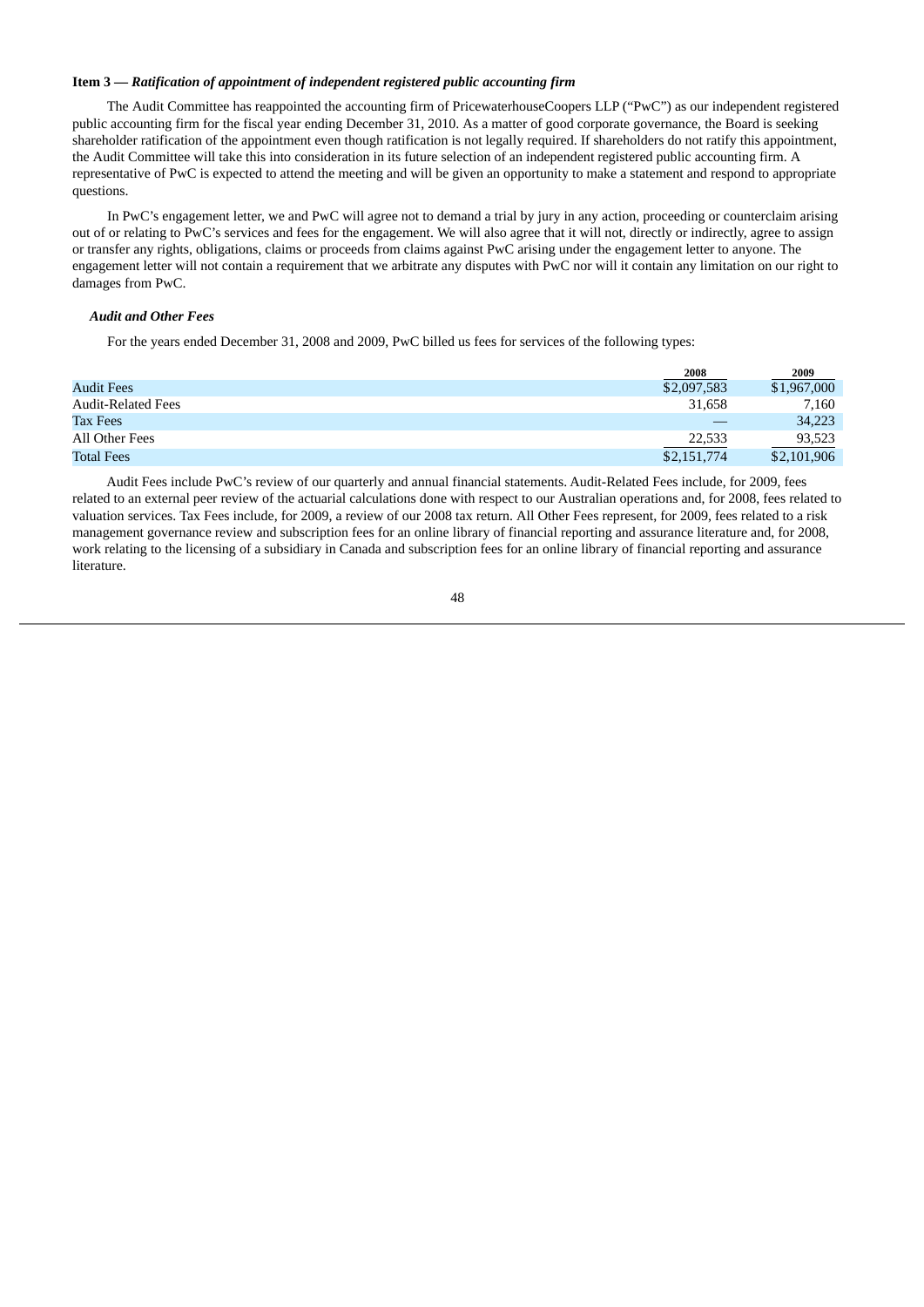### **Item 3 —** *Ratification of appointment of independent registered public accounting firm*

The Audit Committee has reappointed the accounting firm of PricewaterhouseCoopers LLP ("PwC") as our independent registered public accounting firm for the fiscal year ending December 31, 2010. As a matter of good corporate governance, the Board is seeking shareholder ratification of the appointment even though ratification is not legally required. If shareholders do not ratify this appointment, the Audit Committee will take this into consideration in its future selection of an independent registered public accounting firm. A representative of PwC is expected to attend the meeting and will be given an opportunity to make a statement and respond to appropriate questions.

In PwC's engagement letter, we and PwC will agree not to demand a trial by jury in any action, proceeding or counterclaim arising out of or relating to PwC's services and fees for the engagement. We will also agree that it will not, directly or indirectly, agree to assign or transfer any rights, obligations, claims or proceeds from claims against PwC arising under the engagement letter to anyone. The engagement letter will not contain a requirement that we arbitrate any disputes with PwC nor will it contain any limitation on our right to damages from PwC.

#### *Audit and Other Fees*

For the years ended December 31, 2008 and 2009, PwC billed us fees for services of the following types:

|                           | 2008        | 2009        |
|---------------------------|-------------|-------------|
| <b>Audit Fees</b>         | \$2,097,583 | \$1,967,000 |
| <b>Audit-Related Fees</b> | 31,658      | 7,160       |
| <b>Tax Fees</b>           |             | 34,223      |
| All Other Fees            | 22,533      | 93,523      |
| <b>Total Fees</b>         | \$2,151,774 | \$2,101,906 |

Audit Fees include PwC's review of our quarterly and annual financial statements. Audit-Related Fees include, for 2009, fees related to an external peer review of the actuarial calculations done with respect to our Australian operations and, for 2008, fees related to valuation services. Tax Fees include, for 2009, a review of our 2008 tax return. All Other Fees represent, for 2009, fees related to a risk management governance review and subscription fees for an online library of financial reporting and assurance literature and, for 2008, work relating to the licensing of a subsidiary in Canada and subscription fees for an online library of financial reporting and assurance literature.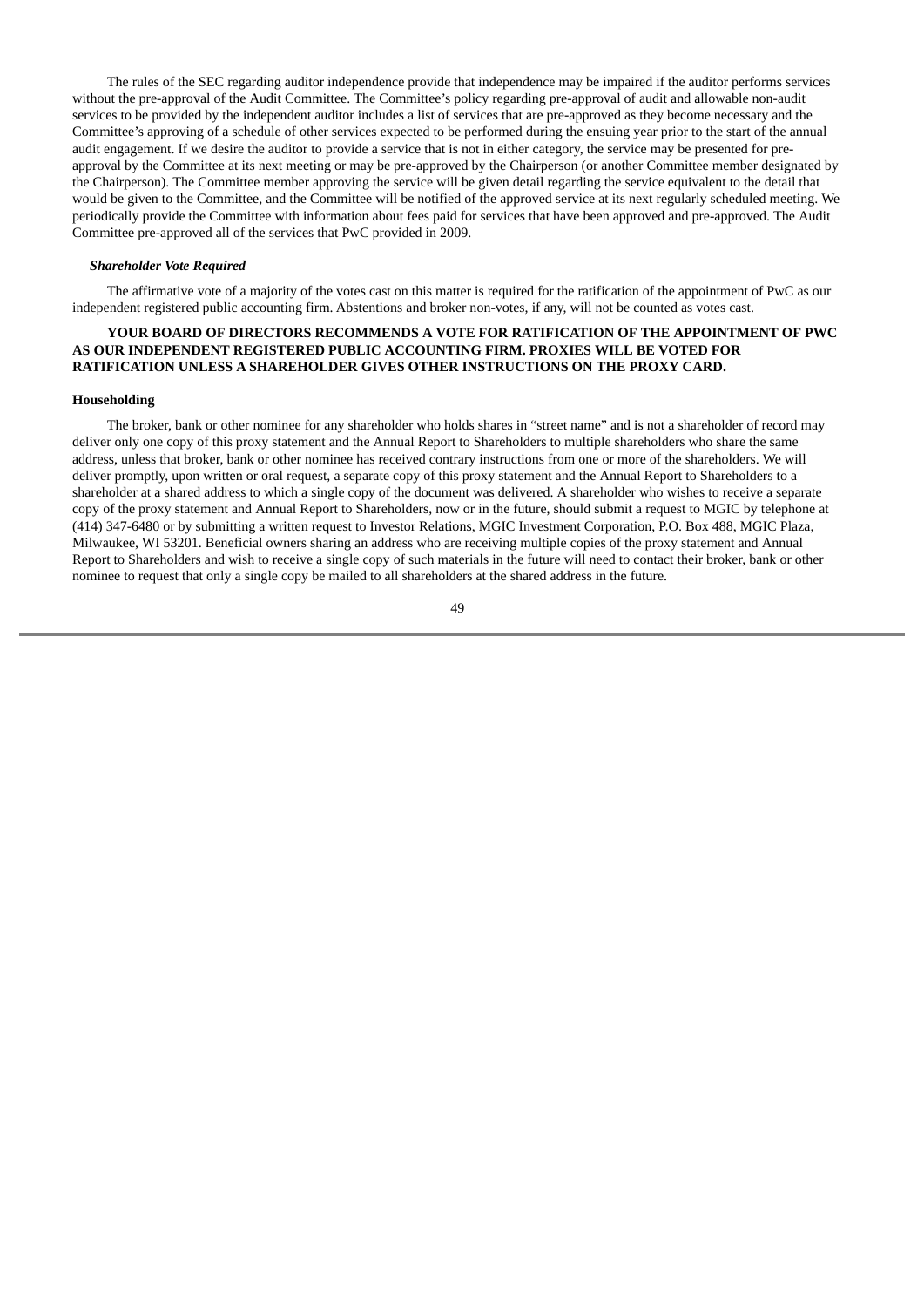The rules of the SEC regarding auditor independence provide that independence may be impaired if the auditor performs services without the pre-approval of the Audit Committee. The Committee's policy regarding pre-approval of audit and allowable non-audit services to be provided by the independent auditor includes a list of services that are pre-approved as they become necessary and the Committee's approving of a schedule of other services expected to be performed during the ensuing year prior to the start of the annual audit engagement. If we desire the auditor to provide a service that is not in either category, the service may be presented for preapproval by the Committee at its next meeting or may be pre-approved by the Chairperson (or another Committee member designated by the Chairperson). The Committee member approving the service will be given detail regarding the service equivalent to the detail that would be given to the Committee, and the Committee will be notified of the approved service at its next regularly scheduled meeting. We periodically provide the Committee with information about fees paid for services that have been approved and pre-approved. The Audit Committee pre-approved all of the services that PwC provided in 2009.

### *Shareholder Vote Required*

The affirmative vote of a majority of the votes cast on this matter is required for the ratification of the appointment of PwC as our independent registered public accounting firm. Abstentions and broker non-votes, if any, will not be counted as votes cast.

# **YOUR BOARD OF DIRECTORS RECOMMENDS A VOTE FOR RATIFICATION OF THE APPOINTMENT OF PWC AS OUR INDEPENDENT REGISTERED PUBLIC ACCOUNTING FIRM. PROXIES WILL BE VOTED FOR RATIFICATION UNLESS A SHAREHOLDER GIVES OTHER INSTRUCTIONS ON THE PROXY CARD.**

### **Householding**

The broker, bank or other nominee for any shareholder who holds shares in "street name" and is not a shareholder of record may deliver only one copy of this proxy statement and the Annual Report to Shareholders to multiple shareholders who share the same address, unless that broker, bank or other nominee has received contrary instructions from one or more of the shareholders. We will deliver promptly, upon written or oral request, a separate copy of this proxy statement and the Annual Report to Shareholders to a shareholder at a shared address to which a single copy of the document was delivered. A shareholder who wishes to receive a separate copy of the proxy statement and Annual Report to Shareholders, now or in the future, should submit a request to MGIC by telephone at (414) 347-6480 or by submitting a written request to Investor Relations, MGIC Investment Corporation, P.O. Box 488, MGIC Plaza, Milwaukee, WI 53201. Beneficial owners sharing an address who are receiving multiple copies of the proxy statement and Annual Report to Shareholders and wish to receive a single copy of such materials in the future will need to contact their broker, bank or other nominee to request that only a single copy be mailed to all shareholders at the shared address in the future.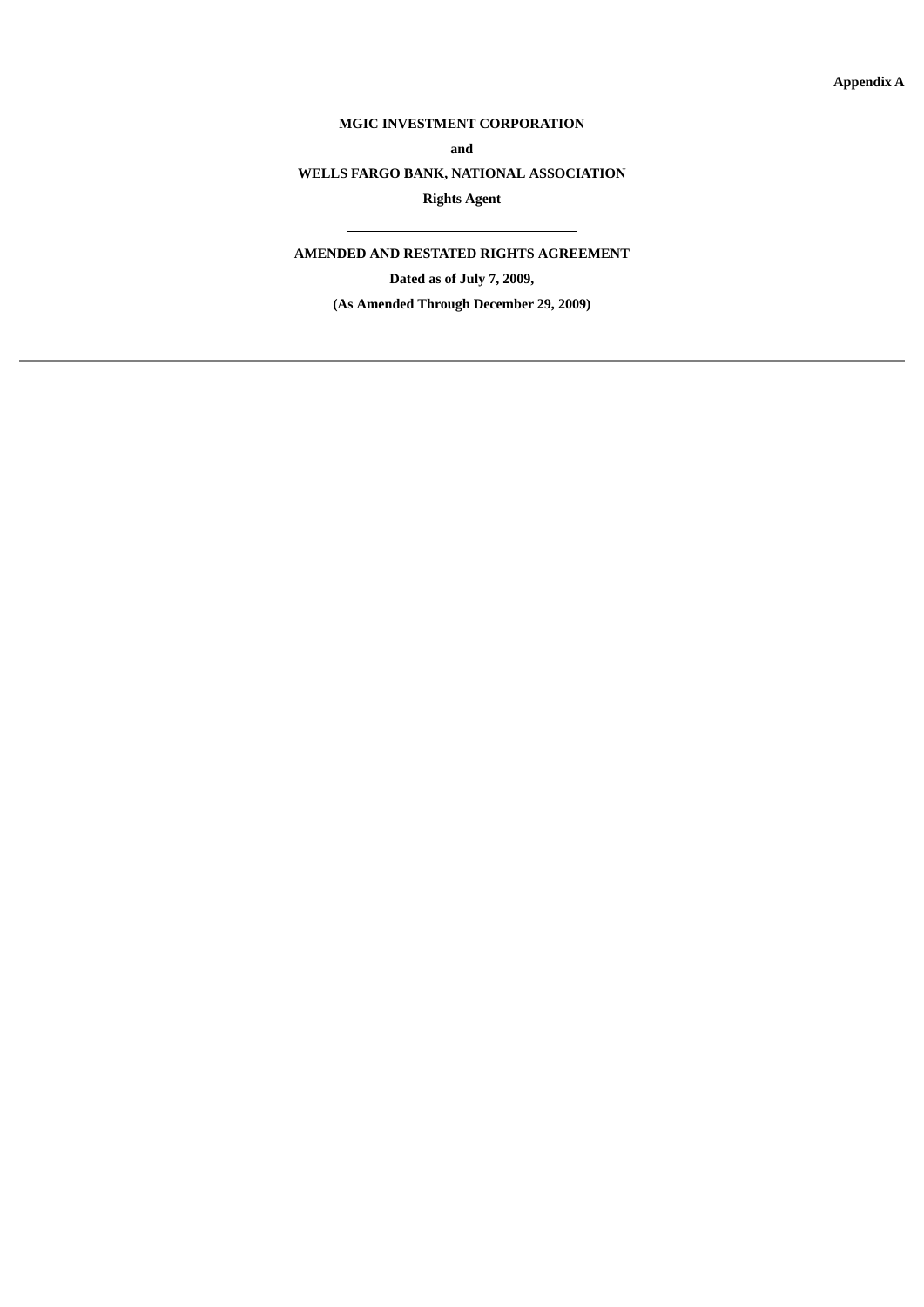# **MGIC INVESTMENT CORPORATION**

**and**

# **WELLS FARGO BANK, NATIONAL ASSOCIATION**

**Rights Agent**

# **AMENDED AND RESTATED RIGHTS AGREEMENT**

**Dated as of July 7, 2009, (As Amended Through December 29, 2009)**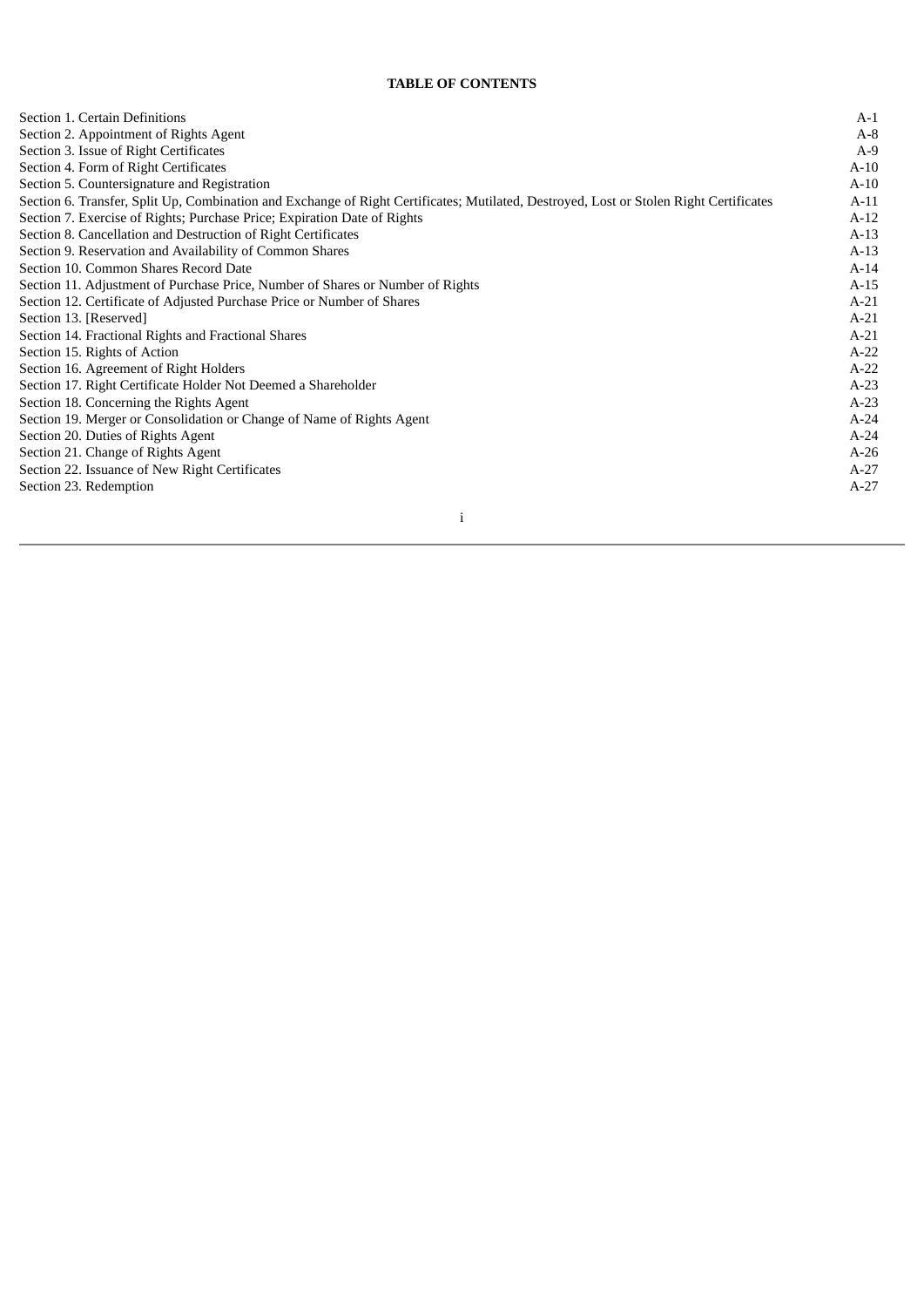# **TABLE OF CONTENTS**

| Section 1. Certain Definitions                                                                                                         | $A-1$  |
|----------------------------------------------------------------------------------------------------------------------------------------|--------|
| Section 2. Appointment of Rights Agent                                                                                                 | $A-8$  |
| Section 3. Issue of Right Certificates                                                                                                 | $A-9$  |
| Section 4. Form of Right Certificates                                                                                                  | $A-10$ |
| Section 5. Countersignature and Registration                                                                                           | $A-10$ |
| Section 6. Transfer, Split Up, Combination and Exchange of Right Certificates; Mutilated, Destroyed, Lost or Stolen Right Certificates | $A-11$ |
| Section 7. Exercise of Rights; Purchase Price; Expiration Date of Rights                                                               | $A-12$ |
| Section 8. Cancellation and Destruction of Right Certificates                                                                          | $A-13$ |
| Section 9. Reservation and Availability of Common Shares                                                                               | $A-13$ |
| Section 10, Common Shares Record Date                                                                                                  | $A-14$ |
| Section 11. Adjustment of Purchase Price, Number of Shares or Number of Rights                                                         | $A-15$ |
| Section 12. Certificate of Adjusted Purchase Price or Number of Shares                                                                 | $A-21$ |
| Section 13. [Reserved]                                                                                                                 | $A-21$ |
| Section 14. Fractional Rights and Fractional Shares                                                                                    | $A-21$ |
| Section 15. Rights of Action                                                                                                           | $A-22$ |
| Section 16. Agreement of Right Holders                                                                                                 | $A-22$ |
| Section 17. Right Certificate Holder Not Deemed a Shareholder                                                                          | $A-23$ |
| Section 18. Concerning the Rights Agent                                                                                                | $A-23$ |
| Section 19. Merger or Consolidation or Change of Name of Rights Agent                                                                  | $A-24$ |
| Section 20. Duties of Rights Agent                                                                                                     | $A-24$ |
| Section 21. Change of Rights Agent                                                                                                     | $A-26$ |
| Section 22. Issuance of New Right Certificates                                                                                         | $A-27$ |
| Section 23. Redemption                                                                                                                 | $A-27$ |
|                                                                                                                                        |        |
| i                                                                                                                                      |        |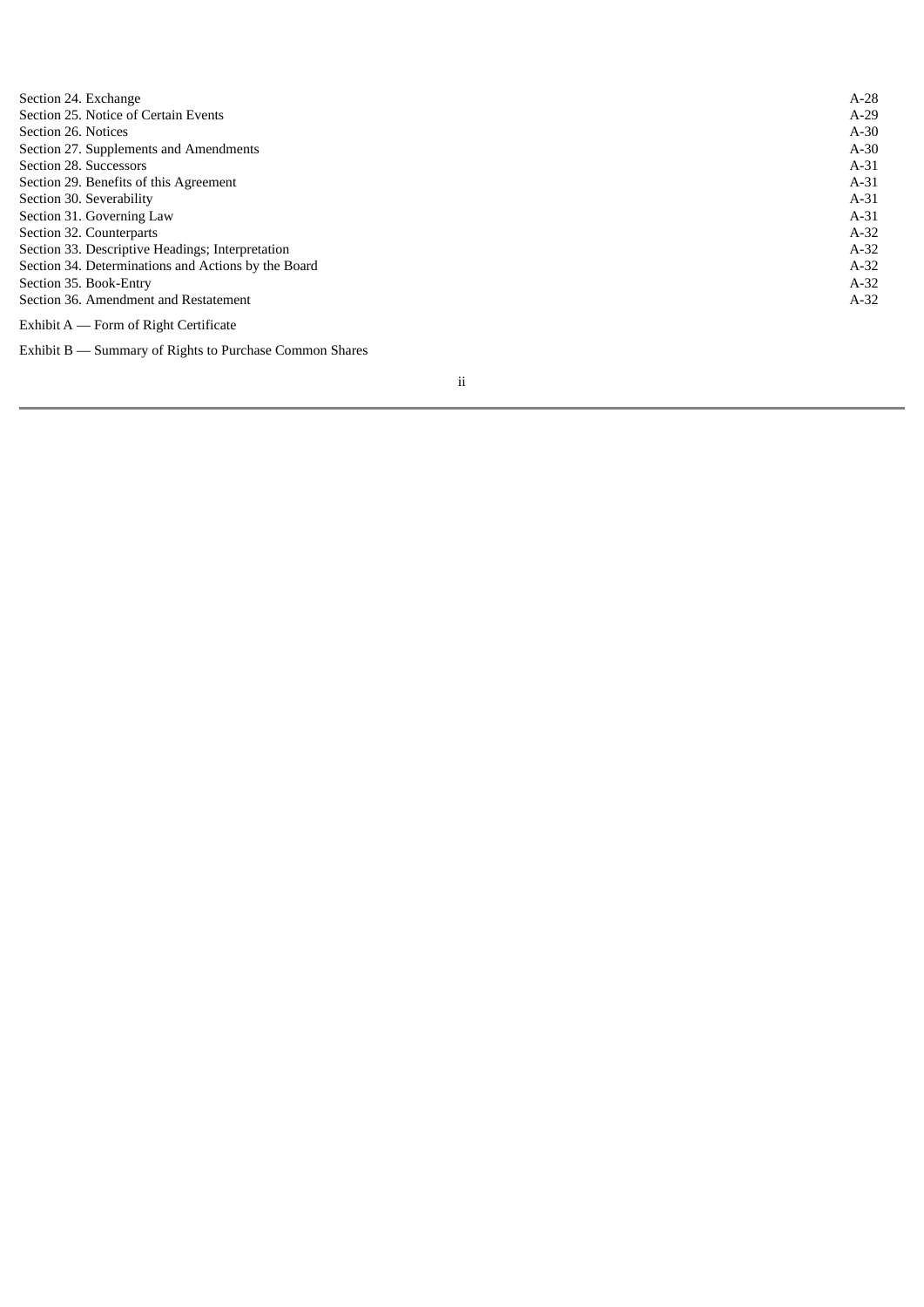| Section 24. Exchange                                    | $A-28$ |
|---------------------------------------------------------|--------|
| Section 25. Notice of Certain Events                    | $A-29$ |
| Section 26. Notices                                     | $A-30$ |
| Section 27. Supplements and Amendments                  | $A-30$ |
| Section 28. Successors                                  | $A-31$ |
| Section 29. Benefits of this Agreement                  | $A-31$ |
| Section 30. Severability                                | $A-31$ |
| Section 31. Governing Law                               | $A-31$ |
| Section 32. Counterparts                                | $A-32$ |
| Section 33. Descriptive Headings; Interpretation        | $A-32$ |
| Section 34. Determinations and Actions by the Board     | $A-32$ |
| Section 35. Book-Entry                                  | $A-32$ |
| Section 36. Amendment and Restatement                   | $A-32$ |
| Exhibit $A$ — Form of Right Certificate                 |        |
| Exhibit B — Summary of Rights to Purchase Common Shares |        |

i i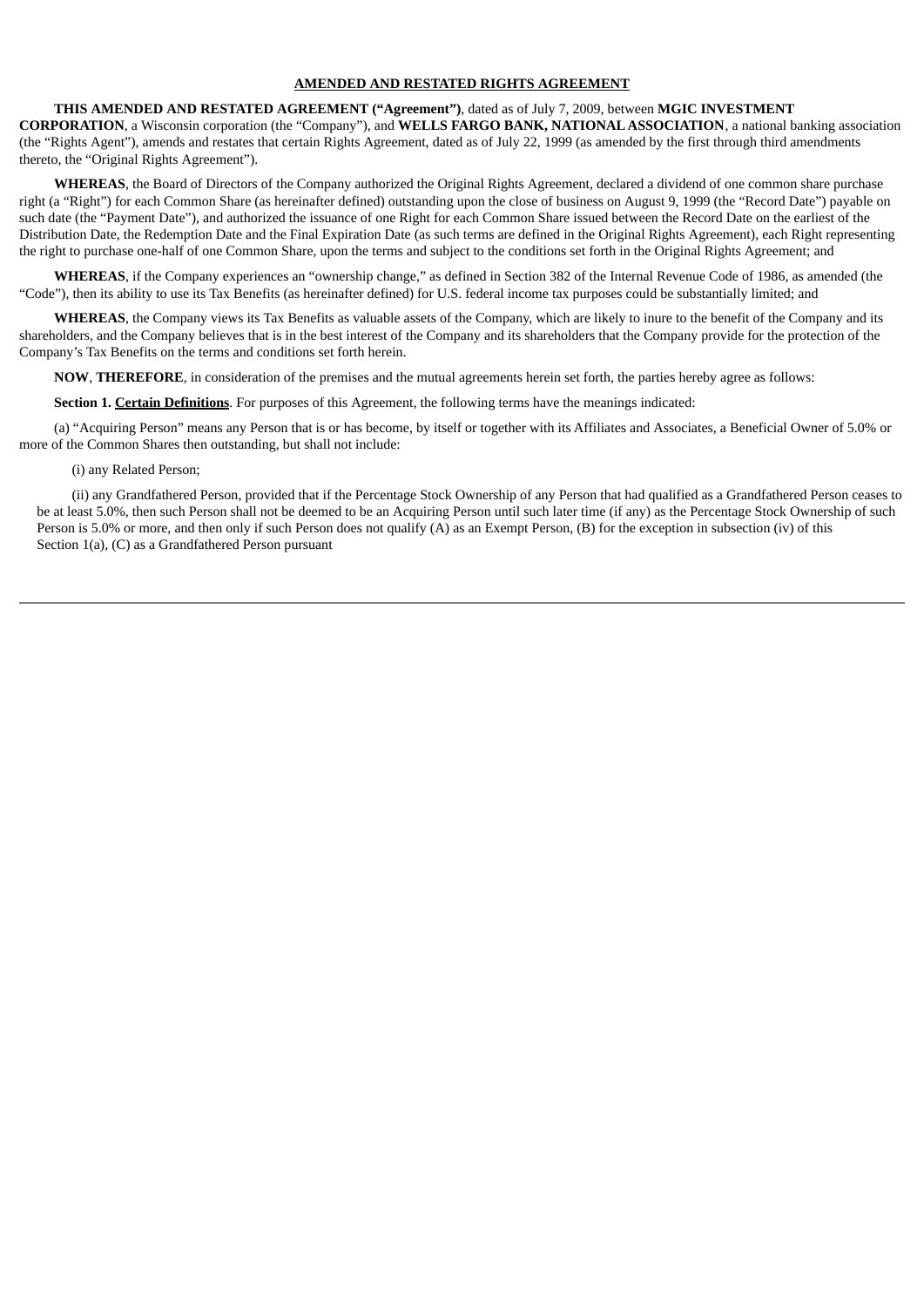## **AMENDED AND RESTATED RIGHTS AGREEMENT**

**THIS AMENDED AND RESTATED AGREEMENT ("Agreement")**, dated as of July 7, 2009, between **MGIC INVESTMENT**

**CORPORATION**, a Wisconsin corporation (the "Company"), and **WELLS FARGO BANK, NATIONALASSOCIATION**, a national banking association (the "Rights Agent"), amends and restates that certain Rights Agreement, dated as of July 22, 1999 (as amended by the first through third amendments thereto, the "Original Rights Agreement").

**WHEREAS**, the Board of Directors of the Company authorized the Original Rights Agreement, declared a dividend of one common share purchase right (a "Right") for each Common Share (as hereinafter defined) outstanding upon the close of business on August 9, 1999 (the "Record Date") payable on such date (the "Payment Date"), and authorized the issuance of one Right for each Common Share issued between the Record Date on the earliest of the Distribution Date, the Redemption Date and the Final Expiration Date (as such terms are defined in the Original Rights Agreement), each Right representing the right to purchase one-half of one Common Share, upon the terms and subject to the conditions set forth in the Original Rights Agreement; and

**WHEREAS**, if the Company experiences an "ownership change," as defined in Section 382 of the Internal Revenue Code of 1986, as amended (the "Code"), then its ability to use its Tax Benefits (as hereinafter defined) for U.S. federal income tax purposes could be substantially limited; and

**WHEREAS**, the Company views its Tax Benefits as valuable assets of the Company, which are likely to inure to the benefit of the Company and its shareholders, and the Company believes that is in the best interest of the Company and its shareholders that the Company provide for the protection of the Company's Tax Benefits on the terms and conditions set forth herein.

**NOW**, **THEREFORE**, in consideration of the premises and the mutual agreements herein set forth, the parties hereby agree as follows:

**Section 1. Certain Definitions**. For purposes of this Agreement, the following terms have the meanings indicated:

(a) "Acquiring Person" means any Person that is or has become, by itself or together with its Affiliates and Associates, a Beneficial Owner of 5.0% or more of the Common Shares then outstanding, but shall not include:

## (i) any Related Person;

(ii) any Grandfathered Person, provided that if the Percentage Stock Ownership of any Person that had qualified as a Grandfathered Person ceases to be at least 5.0%, then such Person shall not be deemed to be an Acquiring Person until such later time (if any) as the Percentage Stock Ownership of such Person is 5.0% or more, and then only if such Person does not qualify (A) as an Exempt Person, (B) for the exception in subsection (iv) of this Section 1(a), (C) as a Grandfathered Person pursuant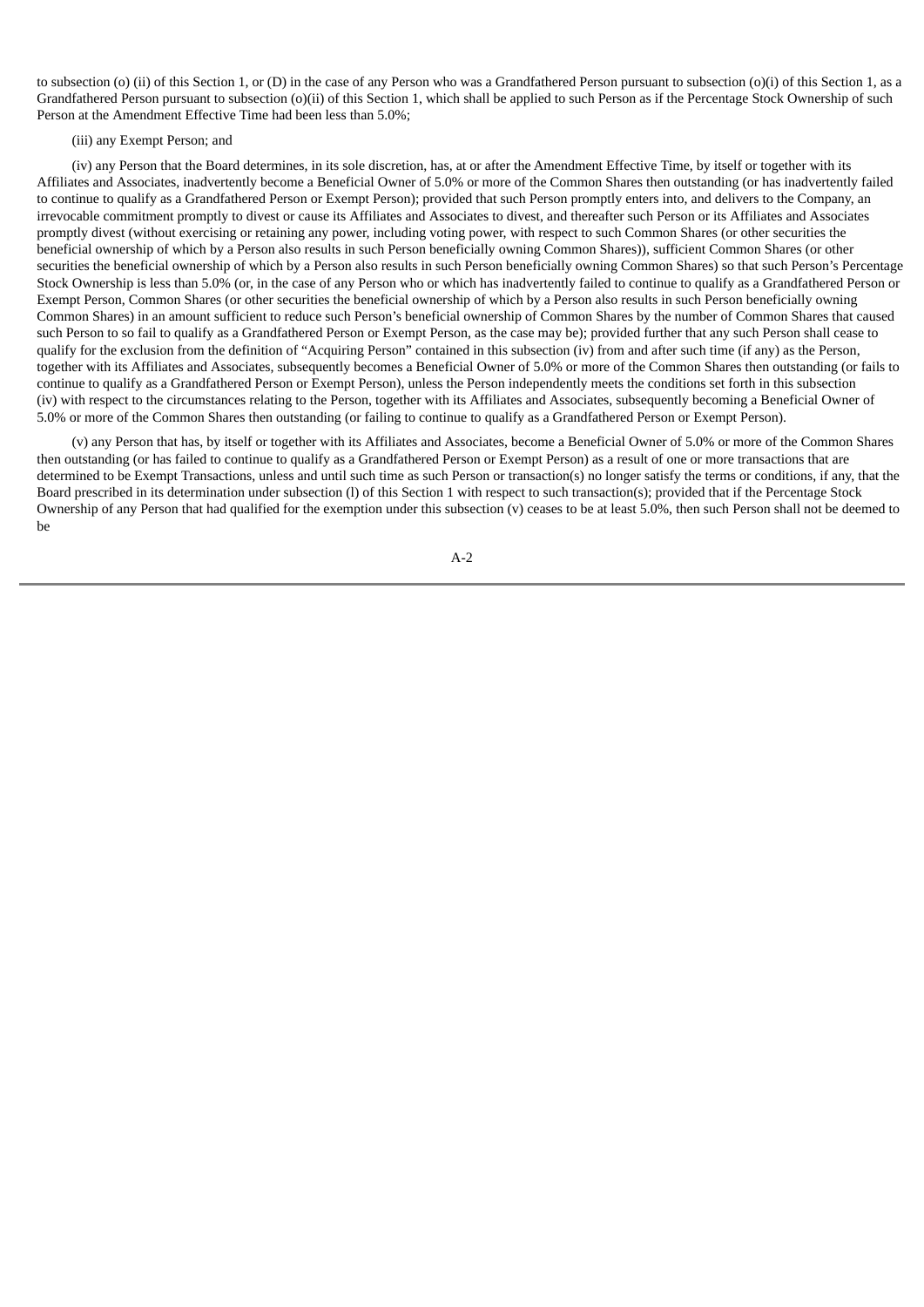to subsection (o) (ii) of this Section 1, or (D) in the case of any Person who was a Grandfathered Person pursuant to subsection (o)(i) of this Section 1, as a Grandfathered Person pursuant to subsection (o)(ii) of this Section 1, which shall be applied to such Person as if the Percentage Stock Ownership of such Person at the Amendment Effective Time had been less than 5.0%;

# (iii) any Exempt Person; and

(iv) any Person that the Board determines, in its sole discretion, has, at or after the Amendment Effective Time, by itself or together with its Affiliates and Associates, inadvertently become a Beneficial Owner of 5.0% or more of the Common Shares then outstanding (or has inadvertently failed to continue to qualify as a Grandfathered Person or Exempt Person); provided that such Person promptly enters into, and delivers to the Company, an irrevocable commitment promptly to divest or cause its Affiliates and Associates to divest, and thereafter such Person or its Affiliates and Associates promptly divest (without exercising or retaining any power, including voting power, with respect to such Common Shares (or other securities the beneficial ownership of which by a Person also results in such Person beneficially owning Common Shares)), sufficient Common Shares (or other securities the beneficial ownership of which by a Person also results in such Person beneficially owning Common Shares) so that such Person's Percentage Stock Ownership is less than 5.0% (or, in the case of any Person who or which has inadvertently failed to continue to qualify as a Grandfathered Person or Exempt Person, Common Shares (or other securities the beneficial ownership of which by a Person also results in such Person beneficially owning Common Shares) in an amount sufficient to reduce such Person's beneficial ownership of Common Shares by the number of Common Shares that caused such Person to so fail to qualify as a Grandfathered Person or Exempt Person, as the case may be); provided further that any such Person shall cease to qualify for the exclusion from the definition of "Acquiring Person" contained in this subsection (iv) from and after such time (if any) as the Person, together with its Affiliates and Associates, subsequently becomes a Beneficial Owner of 5.0% or more of the Common Shares then outstanding (or fails to continue to qualify as a Grandfathered Person or Exempt Person), unless the Person independently meets the conditions set forth in this subsection (iv) with respect to the circumstances relating to the Person, together with its Affiliates and Associates, subsequently becoming a Beneficial Owner of 5.0% or more of the Common Shares then outstanding (or failing to continue to qualify as a Grandfathered Person or Exempt Person).

(v) any Person that has, by itself or together with its Affiliates and Associates, become a Beneficial Owner of 5.0% or more of the Common Shares then outstanding (or has failed to continue to qualify as a Grandfathered Person or Exempt Person) as a result of one or more transactions that are determined to be Exempt Transactions, unless and until such time as such Person or transaction(s) no longer satisfy the terms or conditions, if any, that the Board prescribed in its determination under subsection (l) of this Section 1 with respect to such transaction(s); provided that if the Percentage Stock Ownership of any Person that had qualified for the exemption under this subsection (v) ceases to be at least 5.0%, then such Person shall not be deemed to be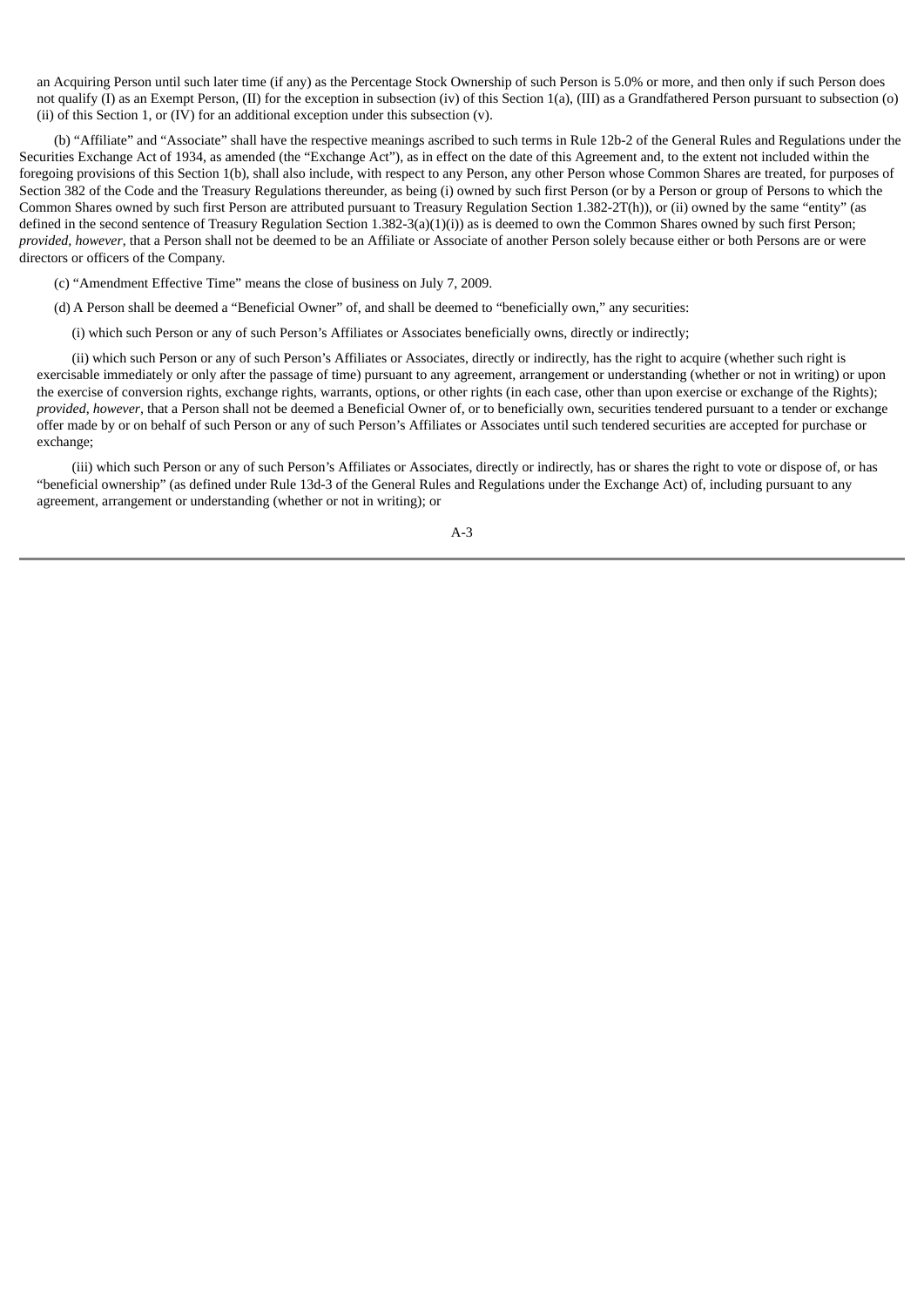an Acquiring Person until such later time (if any) as the Percentage Stock Ownership of such Person is 5.0% or more, and then only if such Person does not qualify (I) as an Exempt Person, (II) for the exception in subsection (iv) of this Section 1(a), (III) as a Grandfathered Person pursuant to subsection (o) (ii) of this Section 1, or  $(IV)$  for an additional exception under this subsection  $(v)$ .

(b) "Affiliate" and "Associate" shall have the respective meanings ascribed to such terms in Rule 12b-2 of the General Rules and Regulations under the Securities Exchange Act of 1934, as amended (the "Exchange Act"), as in effect on the date of this Agreement and, to the extent not included within the foregoing provisions of this Section 1(b), shall also include, with respect to any Person, any other Person whose Common Shares are treated, for purposes of Section 382 of the Code and the Treasury Regulations thereunder, as being (i) owned by such first Person (or by a Person or group of Persons to which the Common Shares owned by such first Person are attributed pursuant to Treasury Regulation Section 1.382-2T(h)), or (ii) owned by the same "entity" (as defined in the second sentence of Treasury Regulation Section 1.382-3(a)(1)(i)) as is deemed to own the Common Shares owned by such first Person; *provided, however*, that a Person shall not be deemed to be an Affiliate or Associate of another Person solely because either or both Persons are or were directors or officers of the Company.

(c) "Amendment Effective Time" means the close of business on July 7, 2009.

- (d) A Person shall be deemed a "Beneficial Owner" of, and shall be deemed to "beneficially own," any securities:
	- (i) which such Person or any of such Person's Affiliates or Associates beneficially owns, directly or indirectly;

(ii) which such Person or any of such Person's Affiliates or Associates, directly or indirectly, has the right to acquire (whether such right is exercisable immediately or only after the passage of time) pursuant to any agreement, arrangement or understanding (whether or not in writing) or upon the exercise of conversion rights, exchange rights, warrants, options, or other rights (in each case, other than upon exercise or exchange of the Rights); *provided*, *however*, that a Person shall not be deemed a Beneficial Owner of, or to beneficially own, securities tendered pursuant to a tender or exchange offer made by or on behalf of such Person or any of such Person's Affiliates or Associates until such tendered securities are accepted for purchase or exchange;

(iii) which such Person or any of such Person's Affiliates or Associates, directly or indirectly, has or shares the right to vote or dispose of, or has "beneficial ownership" (as defined under Rule 13d-3 of the General Rules and Regulations under the Exchange Act) of, including pursuant to any agreement, arrangement or understanding (whether or not in writing); or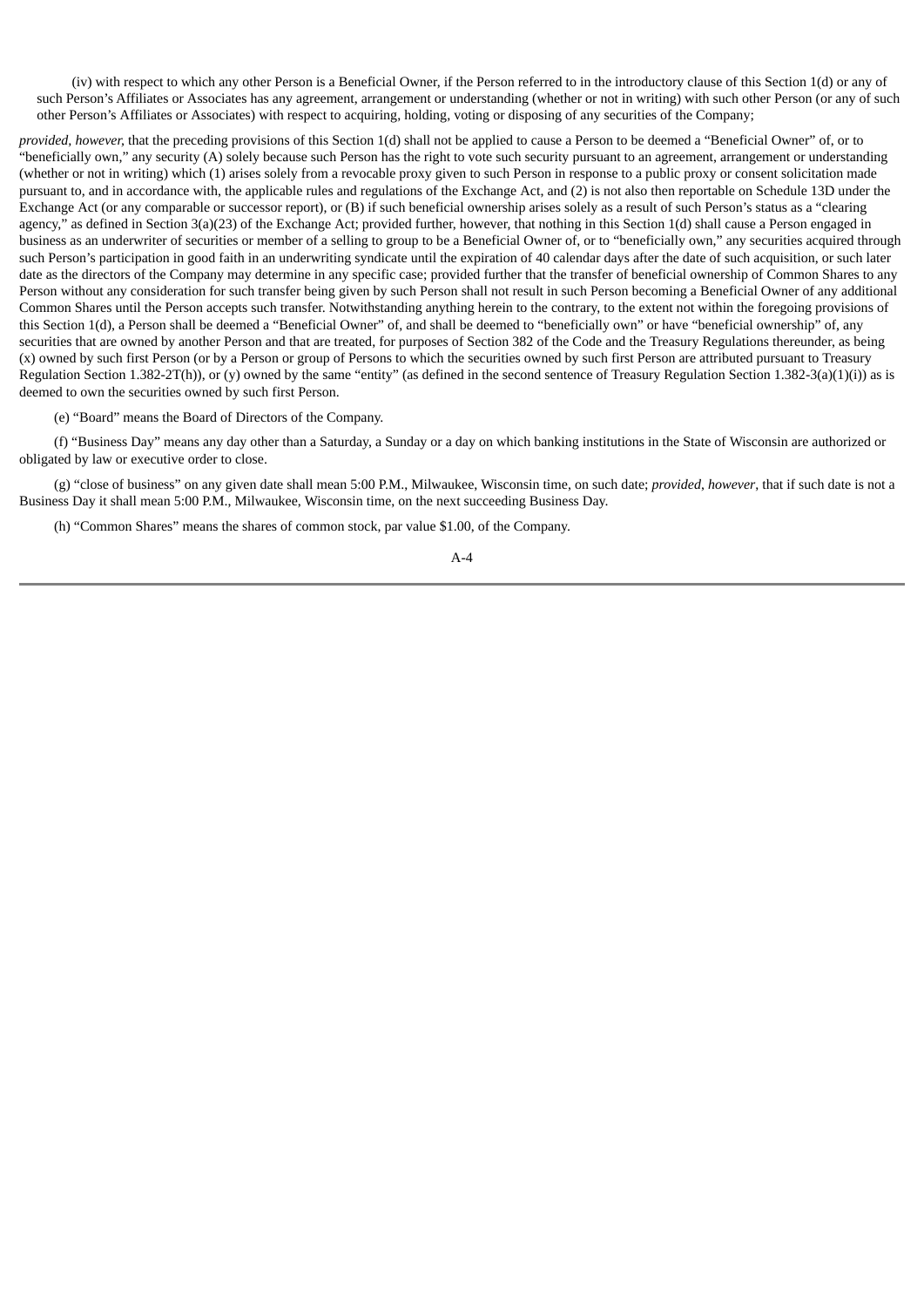(iv) with respect to which any other Person is a Beneficial Owner, if the Person referred to in the introductory clause of this Section 1(d) or any of such Person's Affiliates or Associates has any agreement, arrangement or understanding (whether or not in writing) with such other Person (or any of such other Person's Affiliates or Associates) with respect to acquiring, holding, voting or disposing of any securities of the Company;

*provided, however,* that the preceding provisions of this Section 1(d) shall not be applied to cause a Person to be deemed a "Beneficial Owner" of, or to "beneficially own," any security (A) solely because such Person has the right to vote such security pursuant to an agreement, arrangement or understanding (whether or not in writing) which (1) arises solely from a revocable proxy given to such Person in response to a public proxy or consent solicitation made pursuant to, and in accordance with, the applicable rules and regulations of the Exchange Act, and (2) is not also then reportable on Schedule 13D under the Exchange Act (or any comparable or successor report), or (B) if such beneficial ownership arises solely as a result of such Person's status as a "clearing agency," as defined in Section 3(a)(23) of the Exchange Act; provided further, however, that nothing in this Section 1(d) shall cause a Person engaged in business as an underwriter of securities or member of a selling to group to be a Beneficial Owner of, or to "beneficially own," any securities acquired through such Person's participation in good faith in an underwriting syndicate until the expiration of 40 calendar days after the date of such acquisition, or such later date as the directors of the Company may determine in any specific case; provided further that the transfer of beneficial ownership of Common Shares to any Person without any consideration for such transfer being given by such Person shall not result in such Person becoming a Beneficial Owner of any additional Common Shares until the Person accepts such transfer. Notwithstanding anything herein to the contrary, to the extent not within the foregoing provisions of this Section 1(d), a Person shall be deemed a "Beneficial Owner" of, and shall be deemed to "beneficially own" or have "beneficial ownership" of, any securities that are owned by another Person and that are treated, for purposes of Section 382 of the Code and the Treasury Regulations thereunder, as being (x) owned by such first Person (or by a Person or group of Persons to which the securities owned by such first Person are attributed pursuant to Treasury Regulation Section 1.382-2T(h)), or (y) owned by the same "entity" (as defined in the second sentence of Treasury Regulation Section 1.382-3(a)(1)(i)) as is deemed to own the securities owned by such first Person.

(e) "Board" means the Board of Directors of the Company.

(f) "Business Day" means any day other than a Saturday, a Sunday or a day on which banking institutions in the State of Wisconsin are authorized or obligated by law or executive order to close.

(g) "close of business" on any given date shall mean 5:00 P.M., Milwaukee, Wisconsin time, on such date; *provided*, *however*, that if such date is not a Business Day it shall mean 5:00 P.M., Milwaukee, Wisconsin time, on the next succeeding Business Day.

(h) "Common Shares" means the shares of common stock, par value \$1.00, of the Company.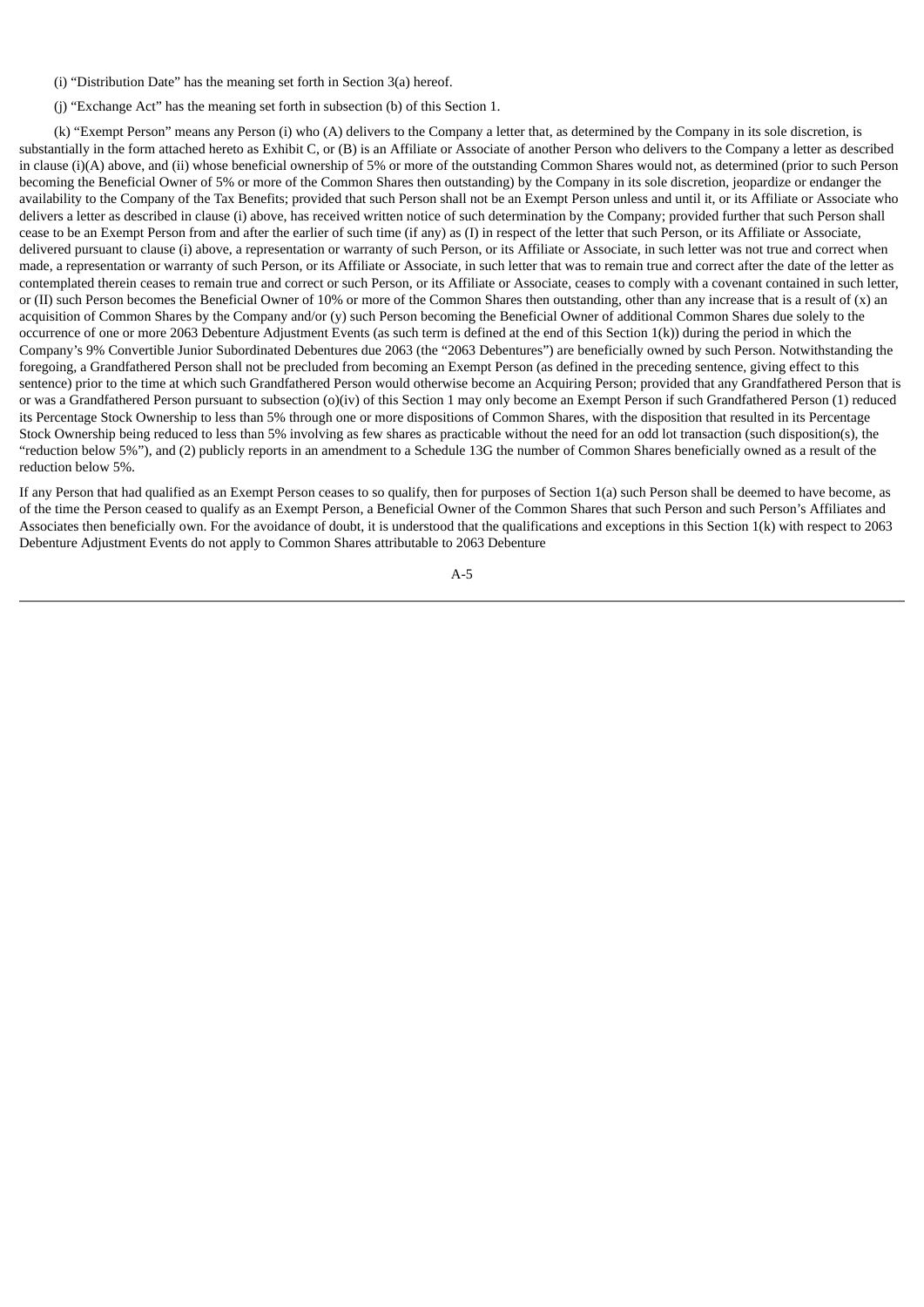- (i) "Distribution Date" has the meaning set forth in Section 3(a) hereof.
- (j) "Exchange Act" has the meaning set forth in subsection (b) of this Section 1.

(k) "Exempt Person" means any Person (i) who (A) delivers to the Company a letter that, as determined by the Company in its sole discretion, is substantially in the form attached hereto as Exhibit C, or (B) is an Affiliate or Associate of another Person who delivers to the Company a letter as described in clause (i)(A) above, and (ii) whose beneficial ownership of 5% or more of the outstanding Common Shares would not, as determined (prior to such Person becoming the Beneficial Owner of 5% or more of the Common Shares then outstanding) by the Company in its sole discretion, jeopardize or endanger the availability to the Company of the Tax Benefits; provided that such Person shall not be an Exempt Person unless and until it, or its Affiliate or Associate who delivers a letter as described in clause (i) above, has received written notice of such determination by the Company; provided further that such Person shall cease to be an Exempt Person from and after the earlier of such time (if any) as (I) in respect of the letter that such Person, or its Affiliate or Associate, delivered pursuant to clause (i) above, a representation or warranty of such Person, or its Affiliate or Associate, in such letter was not true and correct when made, a representation or warranty of such Person, or its Affiliate or Associate, in such letter that was to remain true and correct after the date of the letter as contemplated therein ceases to remain true and correct or such Person, or its Affiliate or Associate, ceases to comply with a covenant contained in such letter, or (II) such Person becomes the Beneficial Owner of 10% or more of the Common Shares then outstanding, other than any increase that is a result of (x) an acquisition of Common Shares by the Company and/or (y) such Person becoming the Beneficial Owner of additional Common Shares due solely to the occurrence of one or more 2063 Debenture Adjustment Events (as such term is defined at the end of this Section 1(k)) during the period in which the Company's 9% Convertible Junior Subordinated Debentures due 2063 (the "2063 Debentures") are beneficially owned by such Person. Notwithstanding the foregoing, a Grandfathered Person shall not be precluded from becoming an Exempt Person (as defined in the preceding sentence, giving effect to this sentence) prior to the time at which such Grandfathered Person would otherwise become an Acquiring Person; provided that any Grandfathered Person that is or was a Grandfathered Person pursuant to subsection (o)(iv) of this Section 1 may only become an Exempt Person if such Grandfathered Person (1) reduced its Percentage Stock Ownership to less than 5% through one or more dispositions of Common Shares, with the disposition that resulted in its Percentage Stock Ownership being reduced to less than 5% involving as few shares as practicable without the need for an odd lot transaction (such disposition(s), the "reduction below 5%"), and (2) publicly reports in an amendment to a Schedule 13G the number of Common Shares beneficially owned as a result of the reduction below 5%.

If any Person that had qualified as an Exempt Person ceases to so qualify, then for purposes of Section 1(a) such Person shall be deemed to have become, as of the time the Person ceased to qualify as an Exempt Person, a Beneficial Owner of the Common Shares that such Person and such Person's Affiliates and Associates then beneficially own. For the avoidance of doubt, it is understood that the qualifications and exceptions in this Section 1(k) with respect to 2063 Debenture Adjustment Events do not apply to Common Shares attributable to 2063 Debenture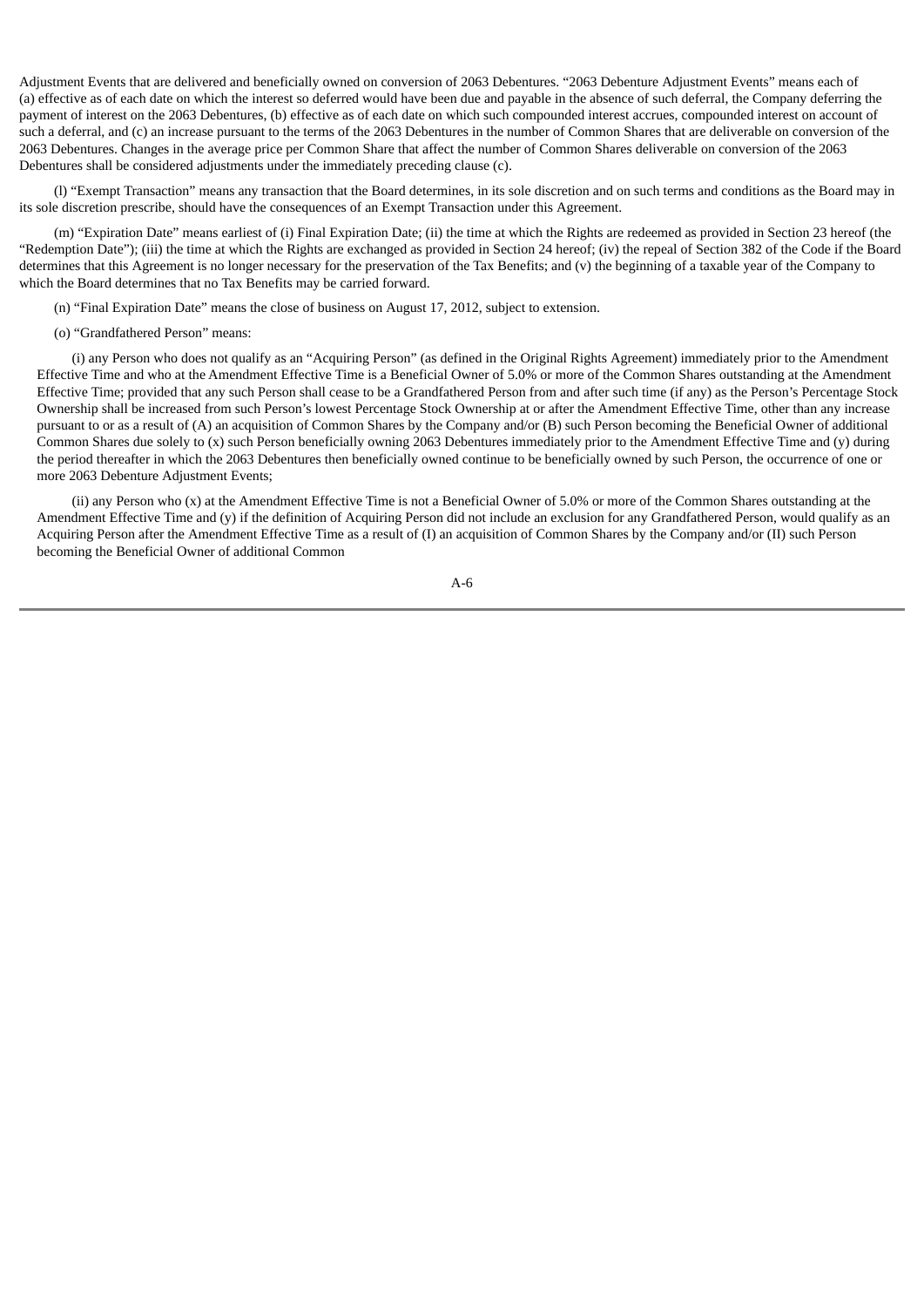Adjustment Events that are delivered and beneficially owned on conversion of 2063 Debentures. "2063 Debenture Adjustment Events" means each of (a) effective as of each date on which the interest so deferred would have been due and payable in the absence of such deferral, the Company deferring the payment of interest on the 2063 Debentures, (b) effective as of each date on which such compounded interest accrues, compounded interest on account of such a deferral, and (c) an increase pursuant to the terms of the 2063 Debentures in the number of Common Shares that are deliverable on conversion of the 2063 Debentures. Changes in the average price per Common Share that affect the number of Common Shares deliverable on conversion of the 2063 Debentures shall be considered adjustments under the immediately preceding clause (c).

(l) "Exempt Transaction" means any transaction that the Board determines, in its sole discretion and on such terms and conditions as the Board may in its sole discretion prescribe, should have the consequences of an Exempt Transaction under this Agreement.

(m) "Expiration Date" means earliest of (i) Final Expiration Date; (ii) the time at which the Rights are redeemed as provided in Section 23 hereof (the "Redemption Date"); (iii) the time at which the Rights are exchanged as provided in Section 24 hereof; (iv) the repeal of Section 382 of the Code if the Board determines that this Agreement is no longer necessary for the preservation of the Tax Benefits; and (v) the beginning of a taxable year of the Company to which the Board determines that no Tax Benefits may be carried forward.

(n) "Final Expiration Date" means the close of business on August 17, 2012, subject to extension.

(o) "Grandfathered Person" means:

(i) any Person who does not qualify as an "Acquiring Person" (as defined in the Original Rights Agreement) immediately prior to the Amendment Effective Time and who at the Amendment Effective Time is a Beneficial Owner of 5.0% or more of the Common Shares outstanding at the Amendment Effective Time; provided that any such Person shall cease to be a Grandfathered Person from and after such time (if any) as the Person's Percentage Stock Ownership shall be increased from such Person's lowest Percentage Stock Ownership at or after the Amendment Effective Time, other than any increase pursuant to or as a result of (A) an acquisition of Common Shares by the Company and/or (B) such Person becoming the Beneficial Owner of additional Common Shares due solely to (x) such Person beneficially owning 2063 Debentures immediately prior to the Amendment Effective Time and (y) during the period thereafter in which the 2063 Debentures then beneficially owned continue to be beneficially owned by such Person, the occurrence of one or more 2063 Debenture Adjustment Events;

(ii) any Person who (x) at the Amendment Effective Time is not a Beneficial Owner of 5.0% or more of the Common Shares outstanding at the Amendment Effective Time and (y) if the definition of Acquiring Person did not include an exclusion for any Grandfathered Person, would qualify as an Acquiring Person after the Amendment Effective Time as a result of (I) an acquisition of Common Shares by the Company and/or (II) such Person becoming the Beneficial Owner of additional Common

$$
A-6
$$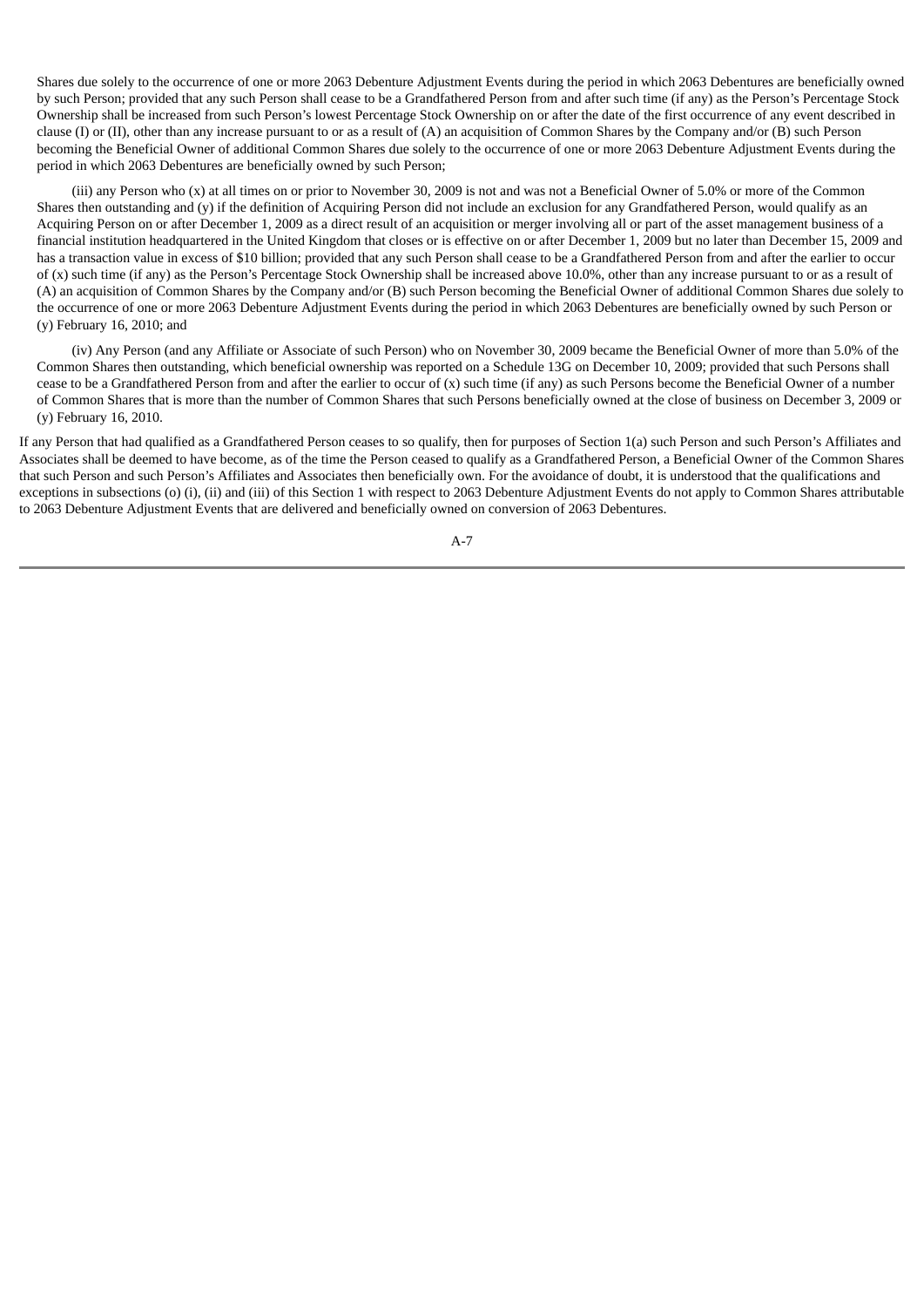Shares due solely to the occurrence of one or more 2063 Debenture Adjustment Events during the period in which 2063 Debentures are beneficially owned by such Person; provided that any such Person shall cease to be a Grandfathered Person from and after such time (if any) as the Person's Percentage Stock Ownership shall be increased from such Person's lowest Percentage Stock Ownership on or after the date of the first occurrence of any event described in clause (I) or (II), other than any increase pursuant to or as a result of (A) an acquisition of Common Shares by the Company and/or (B) such Person becoming the Beneficial Owner of additional Common Shares due solely to the occurrence of one or more 2063 Debenture Adjustment Events during the period in which 2063 Debentures are beneficially owned by such Person;

(iii) any Person who (x) at all times on or prior to November 30, 2009 is not and was not a Beneficial Owner of 5.0% or more of the Common Shares then outstanding and (y) if the definition of Acquiring Person did not include an exclusion for any Grandfathered Person, would qualify as an Acquiring Person on or after December 1, 2009 as a direct result of an acquisition or merger involving all or part of the asset management business of a financial institution headquartered in the United Kingdom that closes or is effective on or after December 1, 2009 but no later than December 15, 2009 and has a transaction value in excess of \$10 billion; provided that any such Person shall cease to be a Grandfathered Person from and after the earlier to occur of  $(x)$  such time (if any) as the Person's Percentage Stock Ownership shall be increased above 10.0%, other than any increase pursuant to or as a result of (A) an acquisition of Common Shares by the Company and/or (B) such Person becoming the Beneficial Owner of additional Common Shares due solely to the occurrence of one or more 2063 Debenture Adjustment Events during the period in which 2063 Debentures are beneficially owned by such Person or (y) February 16, 2010; and

(iv) Any Person (and any Affiliate or Associate of such Person) who on November 30, 2009 became the Beneficial Owner of more than 5.0% of the Common Shares then outstanding, which beneficial ownership was reported on a Schedule 13G on December 10, 2009; provided that such Persons shall cease to be a Grandfathered Person from and after the earlier to occur of (x) such time (if any) as such Persons become the Beneficial Owner of a number of Common Shares that is more than the number of Common Shares that such Persons beneficially owned at the close of business on December 3, 2009 or (y) February 16, 2010.

If any Person that had qualified as a Grandfathered Person ceases to so qualify, then for purposes of Section 1(a) such Person and such Person's Affiliates and Associates shall be deemed to have become, as of the time the Person ceased to qualify as a Grandfathered Person, a Beneficial Owner of the Common Shares that such Person and such Person's Affiliates and Associates then beneficially own. For the avoidance of doubt, it is understood that the qualifications and exceptions in subsections (o) (i), (ii) and (iii) of this Section 1 with respect to 2063 Debenture Adjustment Events do not apply to Common Shares attributable to 2063 Debenture Adjustment Events that are delivered and beneficially owned on conversion of 2063 Debentures.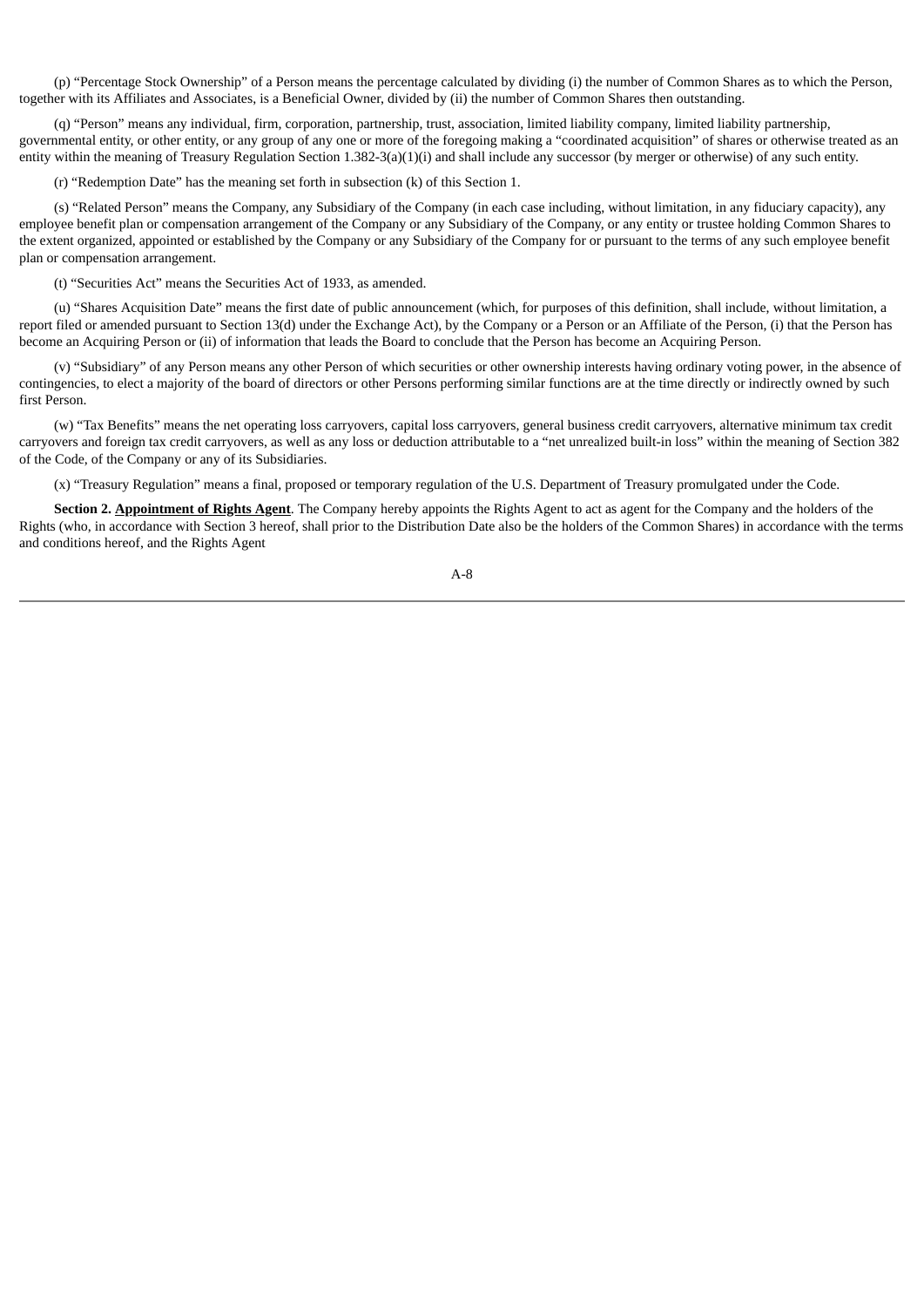(p) "Percentage Stock Ownership" of a Person means the percentage calculated by dividing (i) the number of Common Shares as to which the Person, together with its Affiliates and Associates, is a Beneficial Owner, divided by (ii) the number of Common Shares then outstanding.

(q) "Person" means any individual, firm, corporation, partnership, trust, association, limited liability company, limited liability partnership, governmental entity, or other entity, or any group of any one or more of the foregoing making a "coordinated acquisition" of shares or otherwise treated as an entity within the meaning of Treasury Regulation Section 1.382-3(a)(1)(i) and shall include any successor (by merger or otherwise) of any such entity.

(r) "Redemption Date" has the meaning set forth in subsection (k) of this Section 1.

(s) "Related Person" means the Company, any Subsidiary of the Company (in each case including, without limitation, in any fiduciary capacity), any employee benefit plan or compensation arrangement of the Company or any Subsidiary of the Company, or any entity or trustee holding Common Shares to the extent organized, appointed or established by the Company or any Subsidiary of the Company for or pursuant to the terms of any such employee benefit plan or compensation arrangement.

(t) "Securities Act" means the Securities Act of 1933, as amended.

(u) "Shares Acquisition Date" means the first date of public announcement (which, for purposes of this definition, shall include, without limitation, a report filed or amended pursuant to Section 13(d) under the Exchange Act), by the Company or a Person or an Affiliate of the Person, (i) that the Person has become an Acquiring Person or (ii) of information that leads the Board to conclude that the Person has become an Acquiring Person.

(v) "Subsidiary" of any Person means any other Person of which securities or other ownership interests having ordinary voting power, in the absence of contingencies, to elect a majority of the board of directors or other Persons performing similar functions are at the time directly or indirectly owned by such first Person.

(w) "Tax Benefits" means the net operating loss carryovers, capital loss carryovers, general business credit carryovers, alternative minimum tax credit carryovers and foreign tax credit carryovers, as well as any loss or deduction attributable to a "net unrealized built-in loss" within the meaning of Section 382 of the Code, of the Company or any of its Subsidiaries.

(x) "Treasury Regulation" means a final, proposed or temporary regulation of the U.S. Department of Treasury promulgated under the Code.

**Section 2. Appointment of Rights Agent**. The Company hereby appoints the Rights Agent to act as agent for the Company and the holders of the Rights (who, in accordance with Section 3 hereof, shall prior to the Distribution Date also be the holders of the Common Shares) in accordance with the terms and conditions hereof, and the Rights Agent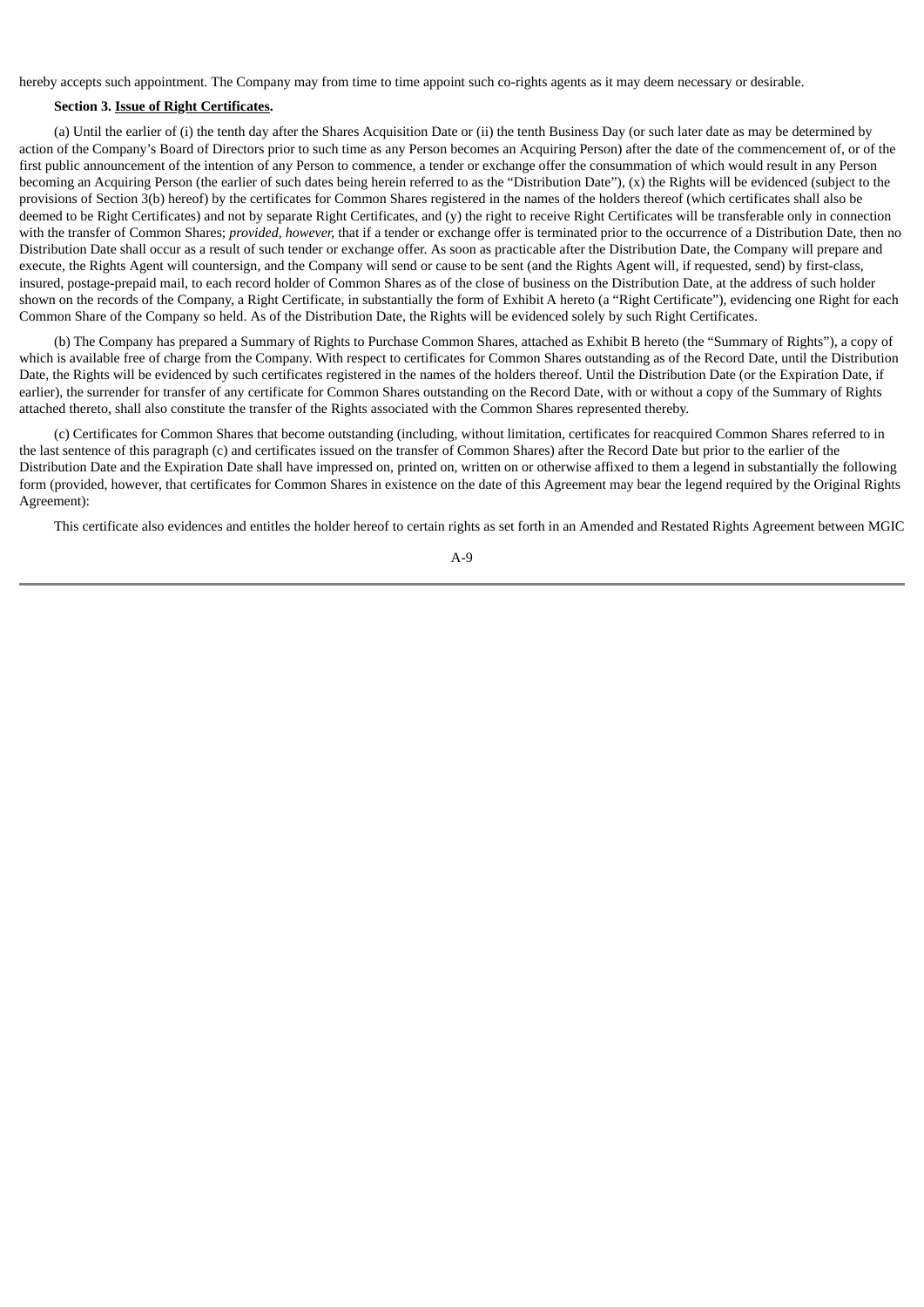hereby accepts such appointment. The Company may from time to time appoint such co-rights agents as it may deem necessary or desirable.

## **Section 3. Issue of Right Certificates.**

(a) Until the earlier of (i) the tenth day after the Shares Acquisition Date or (ii) the tenth Business Day (or such later date as may be determined by action of the Company's Board of Directors prior to such time as any Person becomes an Acquiring Person) after the date of the commencement of, or of the first public announcement of the intention of any Person to commence, a tender or exchange offer the consummation of which would result in any Person becoming an Acquiring Person (the earlier of such dates being herein referred to as the "Distribution Date"), (x) the Rights will be evidenced (subject to the provisions of Section 3(b) hereof) by the certificates for Common Shares registered in the names of the holders thereof (which certificates shall also be deemed to be Right Certificates) and not by separate Right Certificates, and (y) the right to receive Right Certificates will be transferable only in connection with the transfer of Common Shares; *provided, however,* that if a tender or exchange offer is terminated prior to the occurrence of a Distribution Date, then no Distribution Date shall occur as a result of such tender or exchange offer. As soon as practicable after the Distribution Date, the Company will prepare and execute, the Rights Agent will countersign, and the Company will send or cause to be sent (and the Rights Agent will, if requested, send) by first-class, insured, postage-prepaid mail, to each record holder of Common Shares as of the close of business on the Distribution Date, at the address of such holder shown on the records of the Company, a Right Certificate, in substantially the form of Exhibit A hereto (a "Right Certificate"), evidencing one Right for each Common Share of the Company so held. As of the Distribution Date, the Rights will be evidenced solely by such Right Certificates.

(b) The Company has prepared a Summary of Rights to Purchase Common Shares, attached as Exhibit B hereto (the "Summary of Rights"), a copy of which is available free of charge from the Company. With respect to certificates for Common Shares outstanding as of the Record Date, until the Distribution Date, the Rights will be evidenced by such certificates registered in the names of the holders thereof. Until the Distribution Date (or the Expiration Date, if earlier), the surrender for transfer of any certificate for Common Shares outstanding on the Record Date, with or without a copy of the Summary of Rights attached thereto, shall also constitute the transfer of the Rights associated with the Common Shares represented thereby.

(c) Certificates for Common Shares that become outstanding (including, without limitation, certificates for reacquired Common Shares referred to in the last sentence of this paragraph (c) and certificates issued on the transfer of Common Shares) after the Record Date but prior to the earlier of the Distribution Date and the Expiration Date shall have impressed on, printed on, written on or otherwise affixed to them a legend in substantially the following form (provided, however, that certificates for Common Shares in existence on the date of this Agreement may bear the legend required by the Original Rights Agreement):

This certificate also evidences and entitles the holder hereof to certain rights as set forth in an Amended and Restated Rights Agreement between MGIC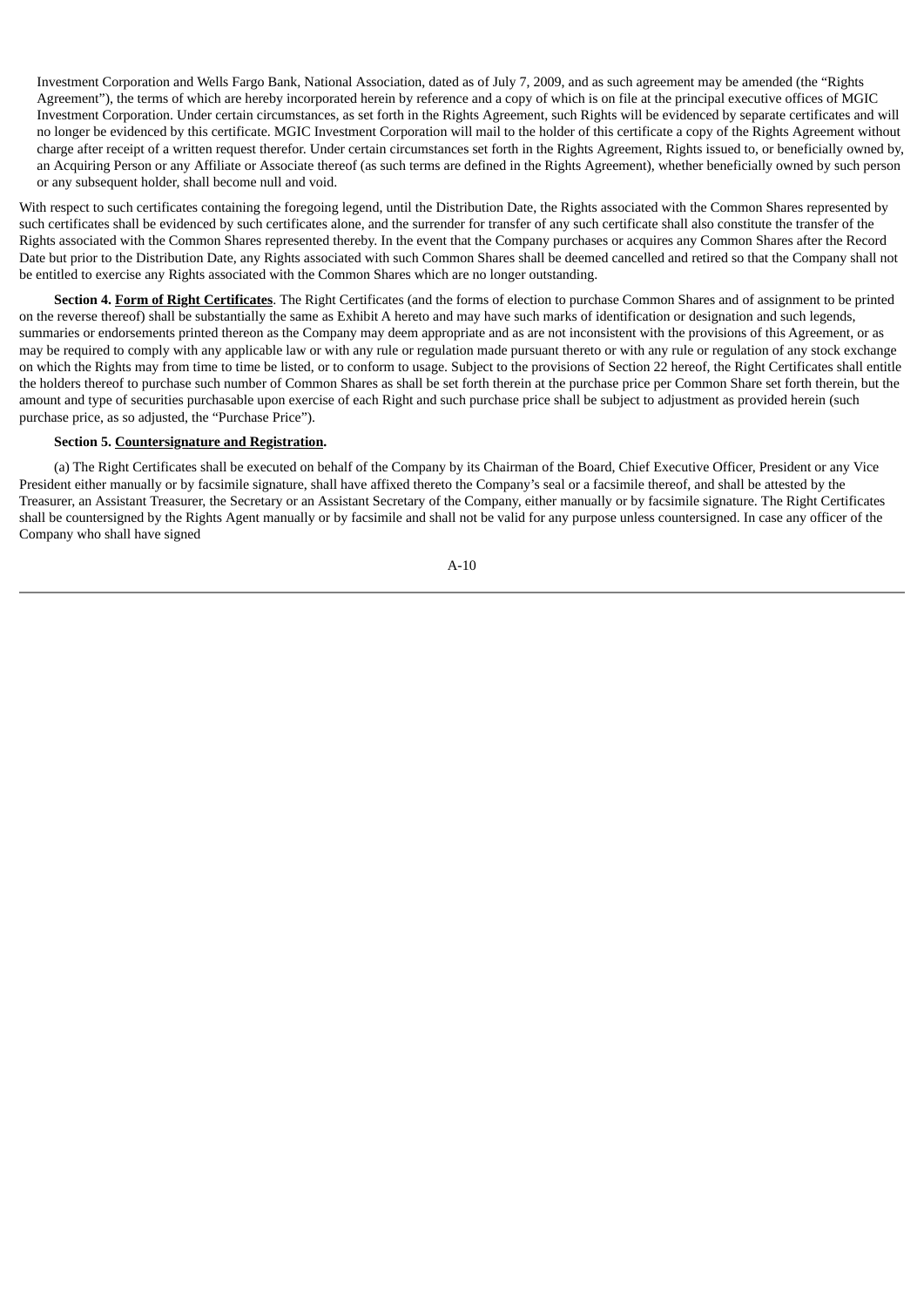Investment Corporation and Wells Fargo Bank, National Association, dated as of July 7, 2009, and as such agreement may be amended (the "Rights Agreement"), the terms of which are hereby incorporated herein by reference and a copy of which is on file at the principal executive offices of MGIC Investment Corporation. Under certain circumstances, as set forth in the Rights Agreement, such Rights will be evidenced by separate certificates and will no longer be evidenced by this certificate. MGIC Investment Corporation will mail to the holder of this certificate a copy of the Rights Agreement without charge after receipt of a written request therefor. Under certain circumstances set forth in the Rights Agreement, Rights issued to, or beneficially owned by, an Acquiring Person or any Affiliate or Associate thereof (as such terms are defined in the Rights Agreement), whether beneficially owned by such person or any subsequent holder, shall become null and void.

With respect to such certificates containing the foregoing legend, until the Distribution Date, the Rights associated with the Common Shares represented by such certificates shall be evidenced by such certificates alone, and the surrender for transfer of any such certificate shall also constitute the transfer of the Rights associated with the Common Shares represented thereby. In the event that the Company purchases or acquires any Common Shares after the Record Date but prior to the Distribution Date, any Rights associated with such Common Shares shall be deemed cancelled and retired so that the Company shall not be entitled to exercise any Rights associated with the Common Shares which are no longer outstanding.

**Section 4. Form of Right Certificates**. The Right Certificates (and the forms of election to purchase Common Shares and of assignment to be printed on the reverse thereof) shall be substantially the same as Exhibit A hereto and may have such marks of identification or designation and such legends, summaries or endorsements printed thereon as the Company may deem appropriate and as are not inconsistent with the provisions of this Agreement, or as may be required to comply with any applicable law or with any rule or regulation made pursuant thereto or with any rule or regulation of any stock exchange on which the Rights may from time to time be listed, or to conform to usage. Subject to the provisions of Section 22 hereof, the Right Certificates shall entitle the holders thereof to purchase such number of Common Shares as shall be set forth therein at the purchase price per Common Share set forth therein, but the amount and type of securities purchasable upon exercise of each Right and such purchase price shall be subject to adjustment as provided herein (such purchase price, as so adjusted, the "Purchase Price").

## **Section 5. Countersignature and Registration.**

(a) The Right Certificates shall be executed on behalf of the Company by its Chairman of the Board, Chief Executive Officer, President or any Vice President either manually or by facsimile signature, shall have affixed thereto the Company's seal or a facsimile thereof, and shall be attested by the Treasurer, an Assistant Treasurer, the Secretary or an Assistant Secretary of the Company, either manually or by facsimile signature. The Right Certificates shall be countersigned by the Rights Agent manually or by facsimile and shall not be valid for any purpose unless countersigned. In case any officer of the Company who shall have signed

$$
A-10
$$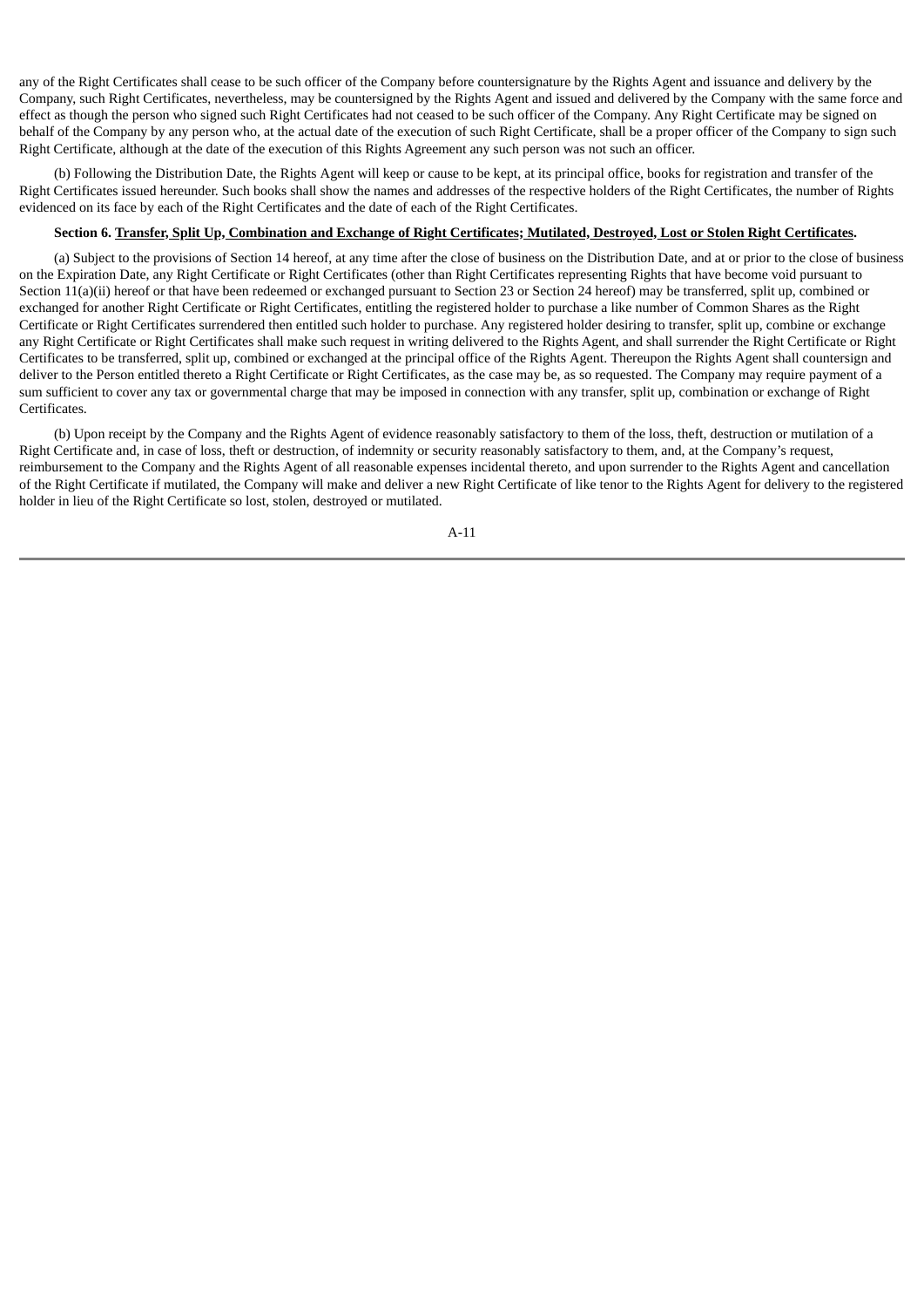any of the Right Certificates shall cease to be such officer of the Company before countersignature by the Rights Agent and issuance and delivery by the Company, such Right Certificates, nevertheless, may be countersigned by the Rights Agent and issued and delivered by the Company with the same force and effect as though the person who signed such Right Certificates had not ceased to be such officer of the Company. Any Right Certificate may be signed on behalf of the Company by any person who, at the actual date of the execution of such Right Certificate, shall be a proper officer of the Company to sign such Right Certificate, although at the date of the execution of this Rights Agreement any such person was not such an officer.

(b) Following the Distribution Date, the Rights Agent will keep or cause to be kept, at its principal office, books for registration and transfer of the Right Certificates issued hereunder. Such books shall show the names and addresses of the respective holders of the Right Certificates, the number of Rights evidenced on its face by each of the Right Certificates and the date of each of the Right Certificates.

# Section 6. Transfer, Split Up, Combination and Exchange of Right Certificates; Mutilated, Destroyed, Lost or Stolen Right Certificates.

(a) Subject to the provisions of Section 14 hereof, at any time after the close of business on the Distribution Date, and at or prior to the close of business on the Expiration Date, any Right Certificate or Right Certificates (other than Right Certificates representing Rights that have become void pursuant to Section 11(a)(ii) hereof or that have been redeemed or exchanged pursuant to Section 23 or Section 24 hereof) may be transferred, split up, combined or exchanged for another Right Certificate or Right Certificates, entitling the registered holder to purchase a like number of Common Shares as the Right Certificate or Right Certificates surrendered then entitled such holder to purchase. Any registered holder desiring to transfer, split up, combine or exchange any Right Certificate or Right Certificates shall make such request in writing delivered to the Rights Agent, and shall surrender the Right Certificate or Right Certificates to be transferred, split up, combined or exchanged at the principal office of the Rights Agent. Thereupon the Rights Agent shall countersign and deliver to the Person entitled thereto a Right Certificate or Right Certificates, as the case may be, as so requested. The Company may require payment of a sum sufficient to cover any tax or governmental charge that may be imposed in connection with any transfer, split up, combination or exchange of Right Certificates.

(b) Upon receipt by the Company and the Rights Agent of evidence reasonably satisfactory to them of the loss, theft, destruction or mutilation of a Right Certificate and, in case of loss, theft or destruction, of indemnity or security reasonably satisfactory to them, and, at the Company's request, reimbursement to the Company and the Rights Agent of all reasonable expenses incidental thereto, and upon surrender to the Rights Agent and cancellation of the Right Certificate if mutilated, the Company will make and deliver a new Right Certificate of like tenor to the Rights Agent for delivery to the registered holder in lieu of the Right Certificate so lost, stolen, destroyed or mutilated.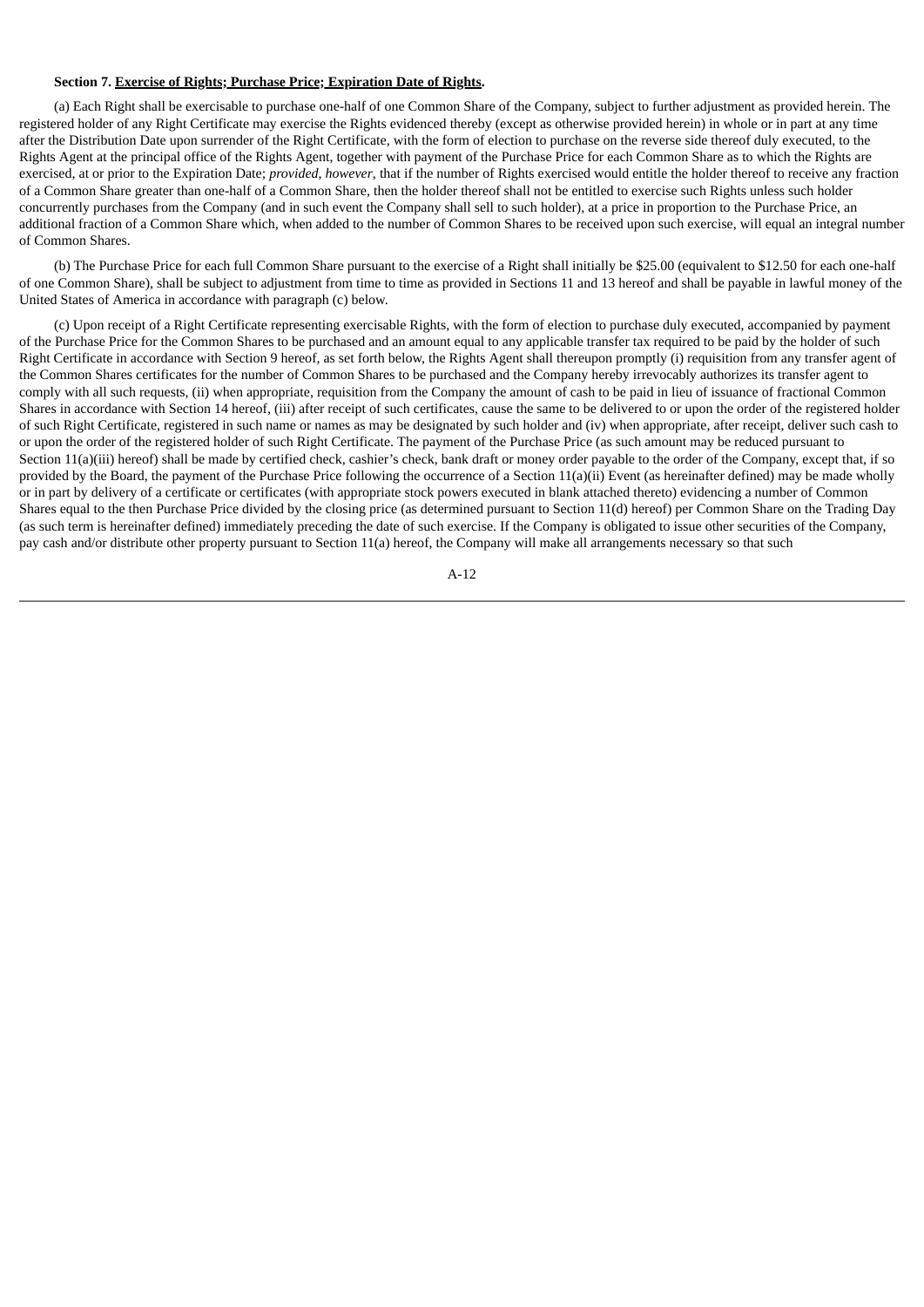# **Section 7. Exercise of Rights; Purchase Price; Expiration Date of Rights.**

(a) Each Right shall be exercisable to purchase one-half of one Common Share of the Company, subject to further adjustment as provided herein. The registered holder of any Right Certificate may exercise the Rights evidenced thereby (except as otherwise provided herein) in whole or in part at any time after the Distribution Date upon surrender of the Right Certificate, with the form of election to purchase on the reverse side thereof duly executed, to the Rights Agent at the principal office of the Rights Agent, together with payment of the Purchase Price for each Common Share as to which the Rights are exercised, at or prior to the Expiration Date; *provided*, *however*, that if the number of Rights exercised would entitle the holder thereof to receive any fraction of a Common Share greater than one-half of a Common Share, then the holder thereof shall not be entitled to exercise such Rights unless such holder concurrently purchases from the Company (and in such event the Company shall sell to such holder), at a price in proportion to the Purchase Price, an additional fraction of a Common Share which, when added to the number of Common Shares to be received upon such exercise, will equal an integral number of Common Shares.

(b) The Purchase Price for each full Common Share pursuant to the exercise of a Right shall initially be \$25.00 (equivalent to \$12.50 for each one-half of one Common Share), shall be subject to adjustment from time to time as provided in Sections 11 and 13 hereof and shall be payable in lawful money of the United States of America in accordance with paragraph (c) below.

(c) Upon receipt of a Right Certificate representing exercisable Rights, with the form of election to purchase duly executed, accompanied by payment of the Purchase Price for the Common Shares to be purchased and an amount equal to any applicable transfer tax required to be paid by the holder of such Right Certificate in accordance with Section 9 hereof, as set forth below, the Rights Agent shall thereupon promptly (i) requisition from any transfer agent of the Common Shares certificates for the number of Common Shares to be purchased and the Company hereby irrevocably authorizes its transfer agent to comply with all such requests, (ii) when appropriate, requisition from the Company the amount of cash to be paid in lieu of issuance of fractional Common Shares in accordance with Section 14 hereof, (iii) after receipt of such certificates, cause the same to be delivered to or upon the order of the registered holder of such Right Certificate, registered in such name or names as may be designated by such holder and (iv) when appropriate, after receipt, deliver such cash to or upon the order of the registered holder of such Right Certificate. The payment of the Purchase Price (as such amount may be reduced pursuant to Section 11(a)(iii) hereof) shall be made by certified check, cashier's check, bank draft or money order payable to the order of the Company, except that, if so provided by the Board, the payment of the Purchase Price following the occurrence of a Section 11(a)(ii) Event (as hereinafter defined) may be made wholly or in part by delivery of a certificate or certificates (with appropriate stock powers executed in blank attached thereto) evidencing a number of Common Shares equal to the then Purchase Price divided by the closing price (as determined pursuant to Section 11(d) hereof) per Common Share on the Trading Day (as such term is hereinafter defined) immediately preceding the date of such exercise. If the Company is obligated to issue other securities of the Company, pay cash and/or distribute other property pursuant to Section 11(a) hereof, the Company will make all arrangements necessary so that such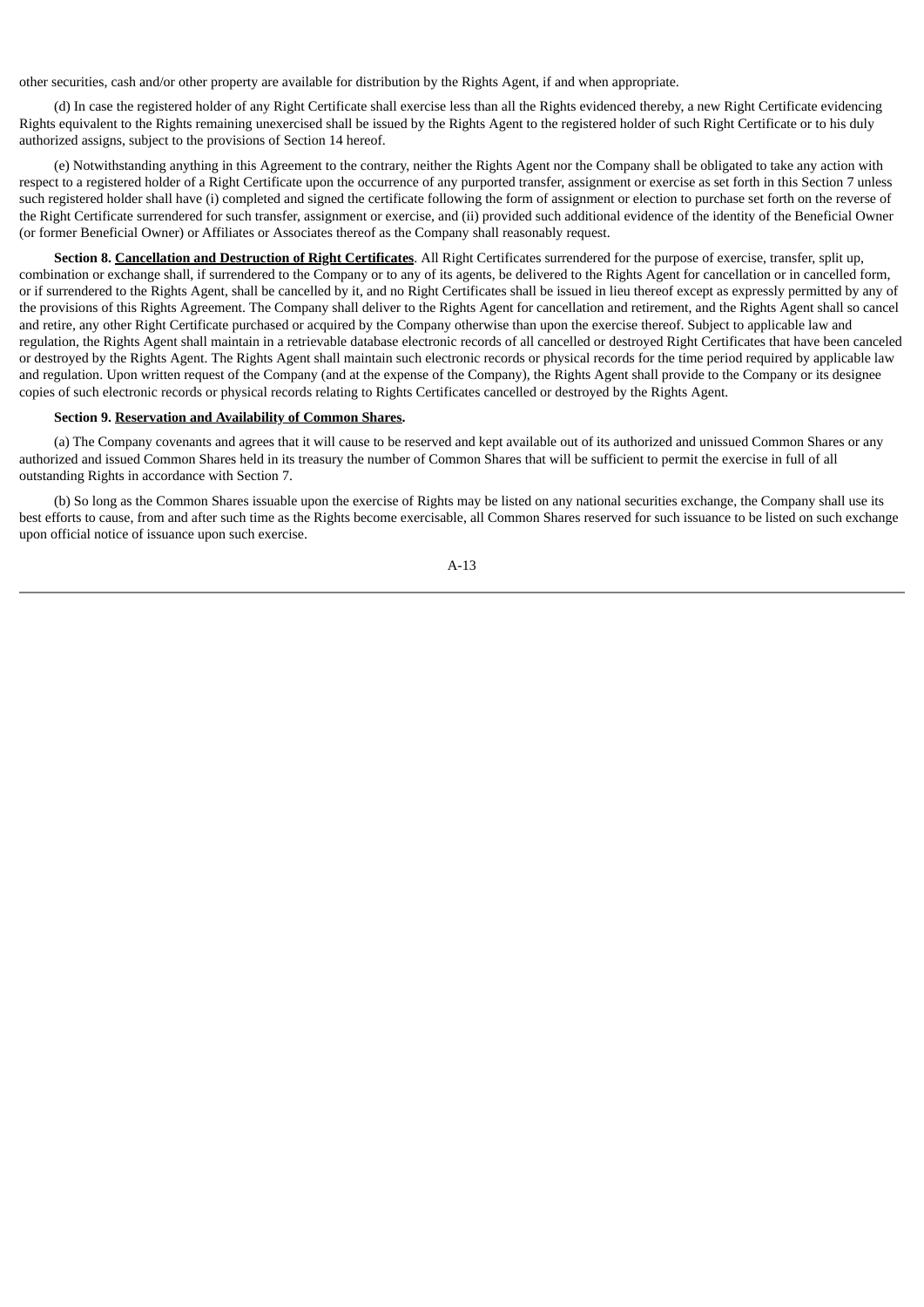other securities, cash and/or other property are available for distribution by the Rights Agent, if and when appropriate.

(d) In case the registered holder of any Right Certificate shall exercise less than all the Rights evidenced thereby, a new Right Certificate evidencing Rights equivalent to the Rights remaining unexercised shall be issued by the Rights Agent to the registered holder of such Right Certificate or to his duly authorized assigns, subject to the provisions of Section 14 hereof.

(e) Notwithstanding anything in this Agreement to the contrary, neither the Rights Agent nor the Company shall be obligated to take any action with respect to a registered holder of a Right Certificate upon the occurrence of any purported transfer, assignment or exercise as set forth in this Section 7 unless such registered holder shall have (i) completed and signed the certificate following the form of assignment or election to purchase set forth on the reverse of the Right Certificate surrendered for such transfer, assignment or exercise, and (ii) provided such additional evidence of the identity of the Beneficial Owner (or former Beneficial Owner) or Affiliates or Associates thereof as the Company shall reasonably request.

**Section 8. Cancellation and Destruction of Right Certificates**. All Right Certificates surrendered for the purpose of exercise, transfer, split up, combination or exchange shall, if surrendered to the Company or to any of its agents, be delivered to the Rights Agent for cancellation or in cancelled form, or if surrendered to the Rights Agent, shall be cancelled by it, and no Right Certificates shall be issued in lieu thereof except as expressly permitted by any of the provisions of this Rights Agreement. The Company shall deliver to the Rights Agent for cancellation and retirement, and the Rights Agent shall so cancel and retire, any other Right Certificate purchased or acquired by the Company otherwise than upon the exercise thereof. Subject to applicable law and regulation, the Rights Agent shall maintain in a retrievable database electronic records of all cancelled or destroyed Right Certificates that have been canceled or destroyed by the Rights Agent. The Rights Agent shall maintain such electronic records or physical records for the time period required by applicable law and regulation. Upon written request of the Company (and at the expense of the Company), the Rights Agent shall provide to the Company or its designee copies of such electronic records or physical records relating to Rights Certificates cancelled or destroyed by the Rights Agent.

## **Section 9. Reservation and Availability of Common Shares.**

(a) The Company covenants and agrees that it will cause to be reserved and kept available out of its authorized and unissued Common Shares or any authorized and issued Common Shares held in its treasury the number of Common Shares that will be sufficient to permit the exercise in full of all outstanding Rights in accordance with Section 7.

(b) So long as the Common Shares issuable upon the exercise of Rights may be listed on any national securities exchange, the Company shall use its best efforts to cause, from and after such time as the Rights become exercisable, all Common Shares reserved for such issuance to be listed on such exchange upon official notice of issuance upon such exercise.

$$
A-13
$$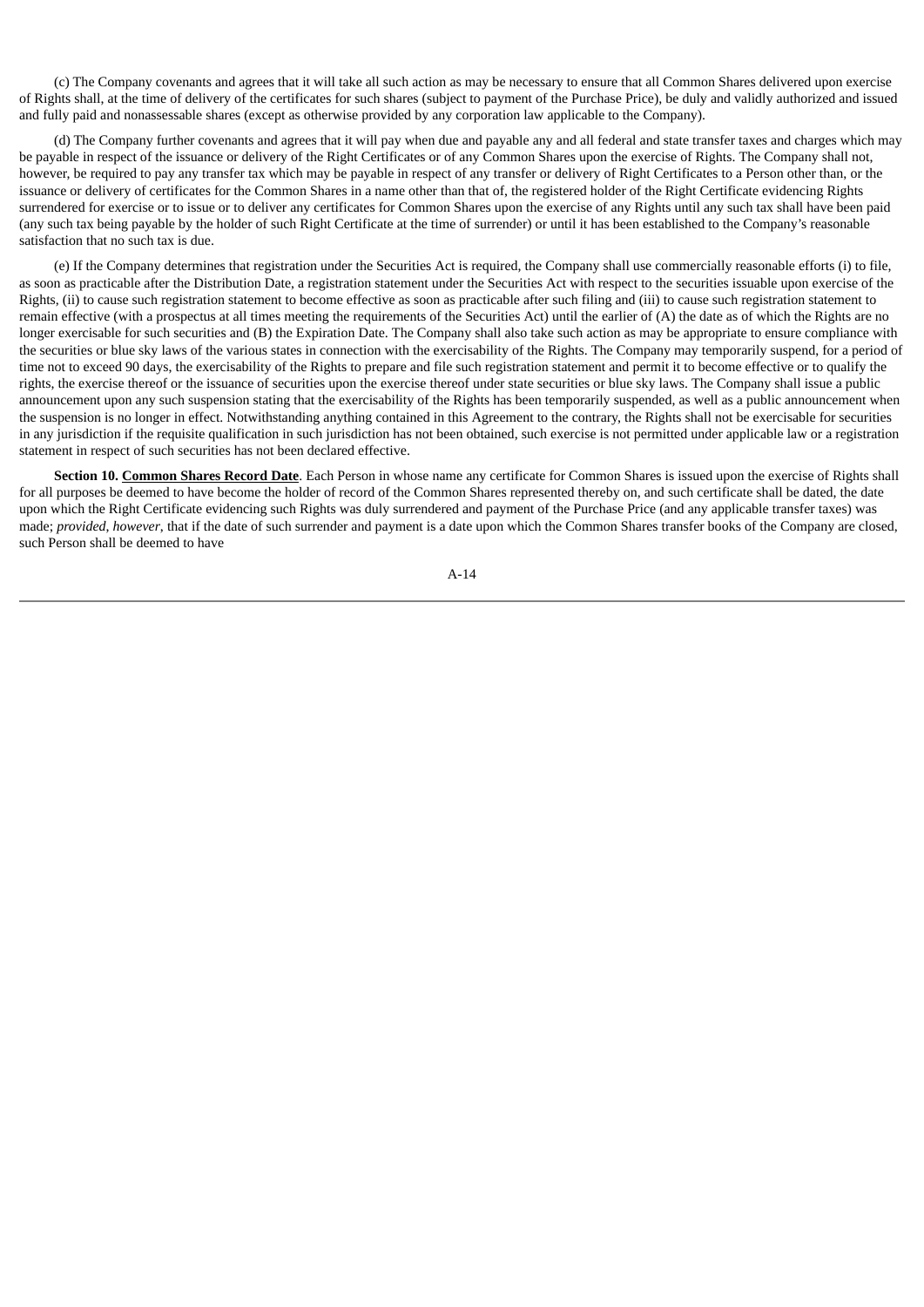(c) The Company covenants and agrees that it will take all such action as may be necessary to ensure that all Common Shares delivered upon exercise of Rights shall, at the time of delivery of the certificates for such shares (subject to payment of the Purchase Price), be duly and validly authorized and issued and fully paid and nonassessable shares (except as otherwise provided by any corporation law applicable to the Company).

(d) The Company further covenants and agrees that it will pay when due and payable any and all federal and state transfer taxes and charges which may be payable in respect of the issuance or delivery of the Right Certificates or of any Common Shares upon the exercise of Rights. The Company shall not, however, be required to pay any transfer tax which may be payable in respect of any transfer or delivery of Right Certificates to a Person other than, or the issuance or delivery of certificates for the Common Shares in a name other than that of, the registered holder of the Right Certificate evidencing Rights surrendered for exercise or to issue or to deliver any certificates for Common Shares upon the exercise of any Rights until any such tax shall have been paid (any such tax being payable by the holder of such Right Certificate at the time of surrender) or until it has been established to the Company's reasonable satisfaction that no such tax is due.

(e) If the Company determines that registration under the Securities Act is required, the Company shall use commercially reasonable efforts (i) to file, as soon as practicable after the Distribution Date, a registration statement under the Securities Act with respect to the securities issuable upon exercise of the Rights, (ii) to cause such registration statement to become effective as soon as practicable after such filing and (iii) to cause such registration statement to remain effective (with a prospectus at all times meeting the requirements of the Securities Act) until the earlier of (A) the date as of which the Rights are no longer exercisable for such securities and (B) the Expiration Date. The Company shall also take such action as may be appropriate to ensure compliance with the securities or blue sky laws of the various states in connection with the exercisability of the Rights. The Company may temporarily suspend, for a period of time not to exceed 90 days, the exercisability of the Rights to prepare and file such registration statement and permit it to become effective or to qualify the rights, the exercise thereof or the issuance of securities upon the exercise thereof under state securities or blue sky laws. The Company shall issue a public announcement upon any such suspension stating that the exercisability of the Rights has been temporarily suspended, as well as a public announcement when the suspension is no longer in effect. Notwithstanding anything contained in this Agreement to the contrary, the Rights shall not be exercisable for securities in any jurisdiction if the requisite qualification in such jurisdiction has not been obtained, such exercise is not permitted under applicable law or a registration statement in respect of such securities has not been declared effective.

**Section 10. Common Shares Record Date**. Each Person in whose name any certificate for Common Shares is issued upon the exercise of Rights shall for all purposes be deemed to have become the holder of record of the Common Shares represented thereby on, and such certificate shall be dated, the date upon which the Right Certificate evidencing such Rights was duly surrendered and payment of the Purchase Price (and any applicable transfer taxes) was made; *provided*, *however*, that if the date of such surrender and payment is a date upon which the Common Shares transfer books of the Company are closed, such Person shall be deemed to have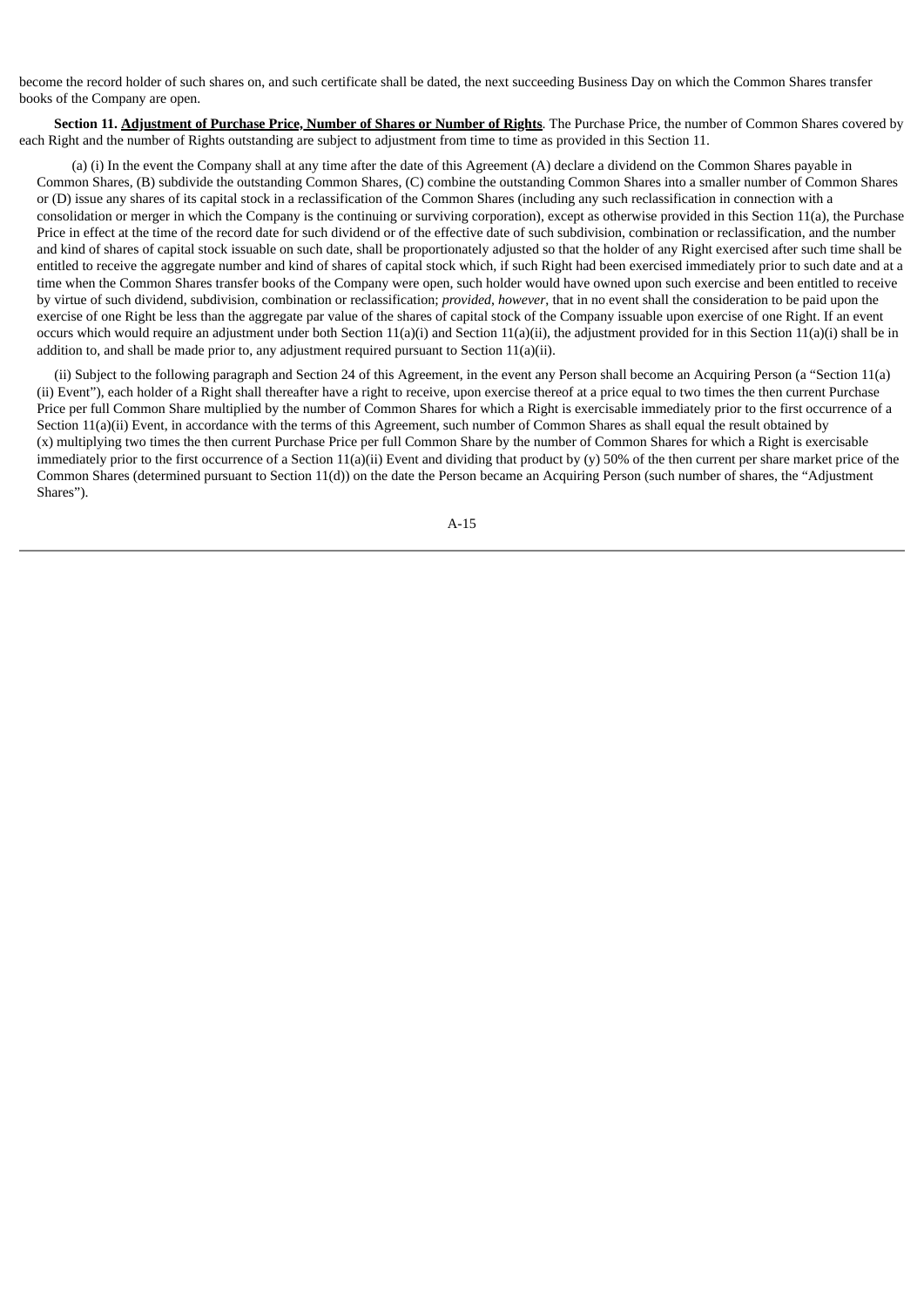become the record holder of such shares on, and such certificate shall be dated, the next succeeding Business Day on which the Common Shares transfer books of the Company are open.

Section 11. Adjustment of Purchase Price, Number of Shares or Number of Rights. The Purchase Price, the number of Common Shares covered by each Right and the number of Rights outstanding are subject to adjustment from time to time as provided in this Section 11.

(a) (i) In the event the Company shall at any time after the date of this Agreement (A) declare a dividend on the Common Shares payable in Common Shares, (B) subdivide the outstanding Common Shares, (C) combine the outstanding Common Shares into a smaller number of Common Shares or (D) issue any shares of its capital stock in a reclassification of the Common Shares (including any such reclassification in connection with a consolidation or merger in which the Company is the continuing or surviving corporation), except as otherwise provided in this Section 11(a), the Purchase Price in effect at the time of the record date for such dividend or of the effective date of such subdivision, combination or reclassification, and the number and kind of shares of capital stock issuable on such date, shall be proportionately adjusted so that the holder of any Right exercised after such time shall be entitled to receive the aggregate number and kind of shares of capital stock which, if such Right had been exercised immediately prior to such date and at a time when the Common Shares transfer books of the Company were open, such holder would have owned upon such exercise and been entitled to receive by virtue of such dividend, subdivision, combination or reclassification; *provided*, *however*, that in no event shall the consideration to be paid upon the exercise of one Right be less than the aggregate par value of the shares of capital stock of the Company issuable upon exercise of one Right. If an event occurs which would require an adjustment under both Section  $11(a)(i)$  and Section  $11(a)(ii)$ , the adjustment provided for in this Section  $11(a)(i)$  shall be in addition to, and shall be made prior to, any adjustment required pursuant to Section 11(a)(ii).

(ii) Subject to the following paragraph and Section 24 of this Agreement, in the event any Person shall become an Acquiring Person (a "Section 11(a) (ii) Event"), each holder of a Right shall thereafter have a right to receive, upon exercise thereof at a price equal to two times the then current Purchase Price per full Common Share multiplied by the number of Common Shares for which a Right is exercisable immediately prior to the first occurrence of a Section 11(a)(ii) Event, in accordance with the terms of this Agreement, such number of Common Shares as shall equal the result obtained by (x) multiplying two times the then current Purchase Price per full Common Share by the number of Common Shares for which a Right is exercisable immediately prior to the first occurrence of a Section  $11(a)(ii)$  Event and dividing that product by (y) 50% of the then current per share market price of the Common Shares (determined pursuant to Section 11(d)) on the date the Person became an Acquiring Person (such number of shares, the "Adjustment Shares").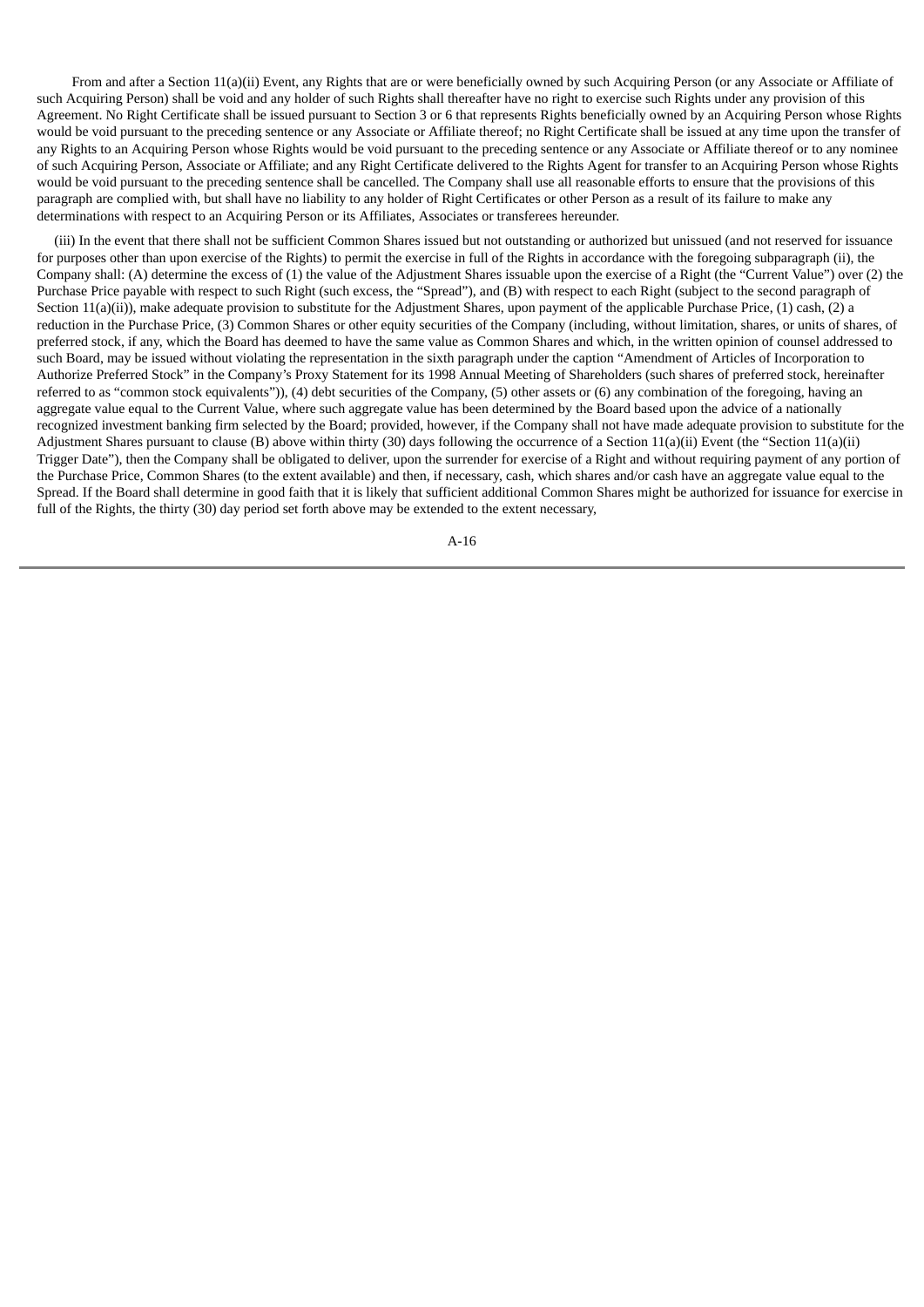From and after a Section 11(a)(ii) Event, any Rights that are or were beneficially owned by such Acquiring Person (or any Associate or Affiliate of such Acquiring Person) shall be void and any holder of such Rights shall thereafter have no right to exercise such Rights under any provision of this Agreement. No Right Certificate shall be issued pursuant to Section 3 or 6 that represents Rights beneficially owned by an Acquiring Person whose Rights would be void pursuant to the preceding sentence or any Associate or Affiliate thereof; no Right Certificate shall be issued at any time upon the transfer of any Rights to an Acquiring Person whose Rights would be void pursuant to the preceding sentence or any Associate or Affiliate thereof or to any nominee of such Acquiring Person, Associate or Affiliate; and any Right Certificate delivered to the Rights Agent for transfer to an Acquiring Person whose Rights would be void pursuant to the preceding sentence shall be cancelled. The Company shall use all reasonable efforts to ensure that the provisions of this paragraph are complied with, but shall have no liability to any holder of Right Certificates or other Person as a result of its failure to make any determinations with respect to an Acquiring Person or its Affiliates, Associates or transferees hereunder.

(iii) In the event that there shall not be sufficient Common Shares issued but not outstanding or authorized but unissued (and not reserved for issuance for purposes other than upon exercise of the Rights) to permit the exercise in full of the Rights in accordance with the foregoing subparagraph (ii), the Company shall: (A) determine the excess of (1) the value of the Adjustment Shares issuable upon the exercise of a Right (the "Current Value") over (2) the Purchase Price payable with respect to such Right (such excess, the "Spread"), and (B) with respect to each Right (subject to the second paragraph of Section 11(a)(ii)), make adequate provision to substitute for the Adjustment Shares, upon payment of the applicable Purchase Price, (1) cash, (2) a reduction in the Purchase Price, (3) Common Shares or other equity securities of the Company (including, without limitation, shares, or units of shares, of preferred stock, if any, which the Board has deemed to have the same value as Common Shares and which, in the written opinion of counsel addressed to such Board, may be issued without violating the representation in the sixth paragraph under the caption "Amendment of Articles of Incorporation to Authorize Preferred Stock" in the Company's Proxy Statement for its 1998 Annual Meeting of Shareholders (such shares of preferred stock, hereinafter referred to as "common stock equivalents")), (4) debt securities of the Company, (5) other assets or (6) any combination of the foregoing, having an aggregate value equal to the Current Value, where such aggregate value has been determined by the Board based upon the advice of a nationally recognized investment banking firm selected by the Board; provided, however, if the Company shall not have made adequate provision to substitute for the Adjustment Shares pursuant to clause (B) above within thirty (30) days following the occurrence of a Section 11(a)(ii) Event (the "Section 11(a)(ii) Trigger Date"), then the Company shall be obligated to deliver, upon the surrender for exercise of a Right and without requiring payment of any portion of the Purchase Price, Common Shares (to the extent available) and then, if necessary, cash, which shares and/or cash have an aggregate value equal to the Spread. If the Board shall determine in good faith that it is likely that sufficient additional Common Shares might be authorized for issuance for exercise in full of the Rights, the thirty (30) day period set forth above may be extended to the extent necessary,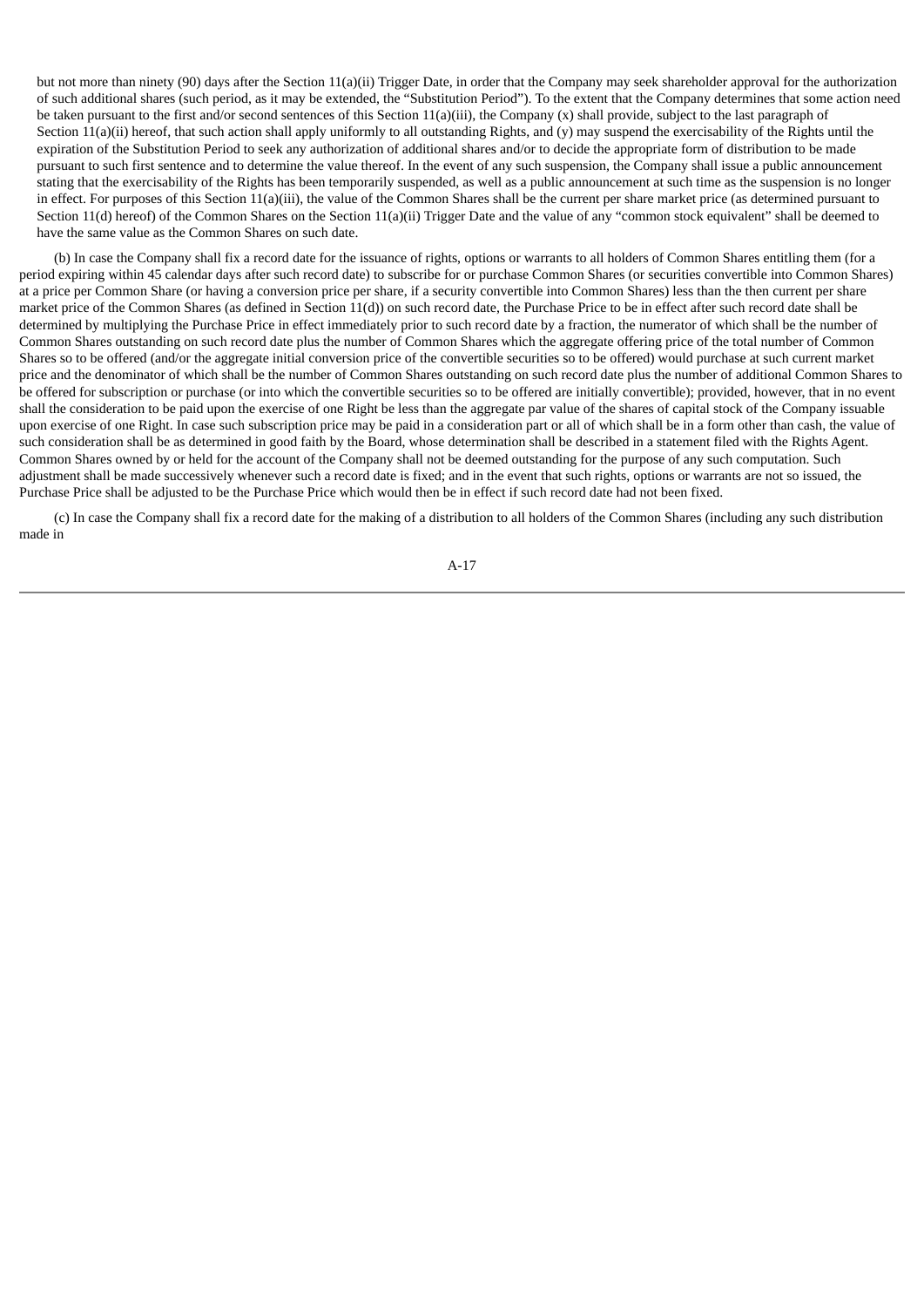but not more than ninety (90) days after the Section 11(a)(ii) Trigger Date, in order that the Company may seek shareholder approval for the authorization of such additional shares (such period, as it may be extended, the "Substitution Period"). To the extent that the Company determines that some action need be taken pursuant to the first and/or second sentences of this Section 11(a)(iii), the Company (x) shall provide, subject to the last paragraph of Section 11(a)(ii) hereof, that such action shall apply uniformly to all outstanding Rights, and (y) may suspend the exercisability of the Rights until the expiration of the Substitution Period to seek any authorization of additional shares and/or to decide the appropriate form of distribution to be made pursuant to such first sentence and to determine the value thereof. In the event of any such suspension, the Company shall issue a public announcement stating that the exercisability of the Rights has been temporarily suspended, as well as a public announcement at such time as the suspension is no longer in effect. For purposes of this Section 11(a)(iii), the value of the Common Shares shall be the current per share market price (as determined pursuant to Section 11(d) hereof) of the Common Shares on the Section 11(a)(ii) Trigger Date and the value of any "common stock equivalent" shall be deemed to have the same value as the Common Shares on such date.

(b) In case the Company shall fix a record date for the issuance of rights, options or warrants to all holders of Common Shares entitling them (for a period expiring within 45 calendar days after such record date) to subscribe for or purchase Common Shares (or securities convertible into Common Shares) at a price per Common Share (or having a conversion price per share, if a security convertible into Common Shares) less than the then current per share market price of the Common Shares (as defined in Section 11(d)) on such record date, the Purchase Price to be in effect after such record date shall be determined by multiplying the Purchase Price in effect immediately prior to such record date by a fraction, the numerator of which shall be the number of Common Shares outstanding on such record date plus the number of Common Shares which the aggregate offering price of the total number of Common Shares so to be offered (and/or the aggregate initial conversion price of the convertible securities so to be offered) would purchase at such current market price and the denominator of which shall be the number of Common Shares outstanding on such record date plus the number of additional Common Shares to be offered for subscription or purchase (or into which the convertible securities so to be offered are initially convertible); provided, however, that in no event shall the consideration to be paid upon the exercise of one Right be less than the aggregate par value of the shares of capital stock of the Company issuable upon exercise of one Right. In case such subscription price may be paid in a consideration part or all of which shall be in a form other than cash, the value of such consideration shall be as determined in good faith by the Board, whose determination shall be described in a statement filed with the Rights Agent. Common Shares owned by or held for the account of the Company shall not be deemed outstanding for the purpose of any such computation. Such adjustment shall be made successively whenever such a record date is fixed; and in the event that such rights, options or warrants are not so issued, the Purchase Price shall be adjusted to be the Purchase Price which would then be in effect if such record date had not been fixed.

(c) In case the Company shall fix a record date for the making of a distribution to all holders of the Common Shares (including any such distribution made in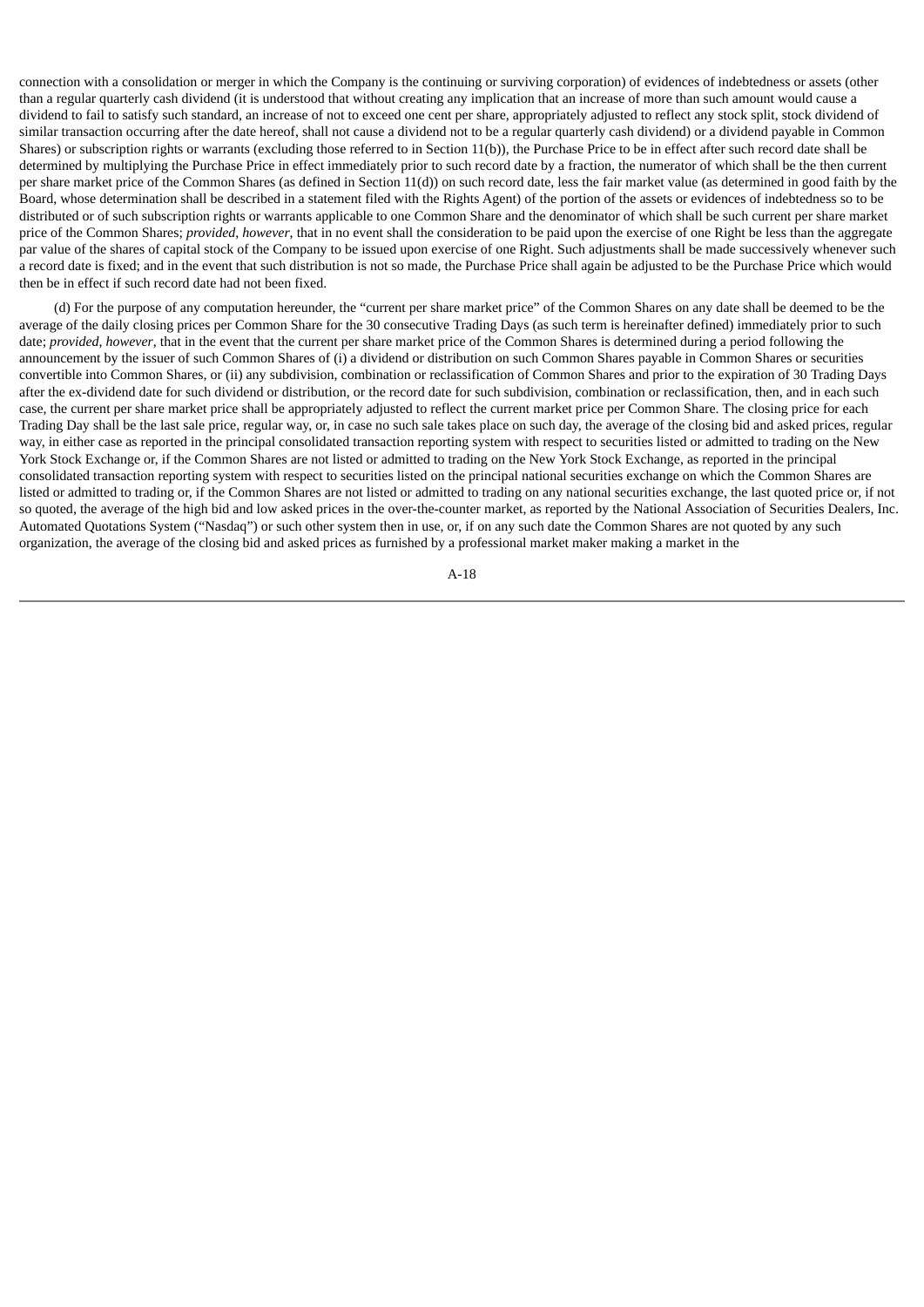connection with a consolidation or merger in which the Company is the continuing or surviving corporation) of evidences of indebtedness or assets (other than a regular quarterly cash dividend (it is understood that without creating any implication that an increase of more than such amount would cause a dividend to fail to satisfy such standard, an increase of not to exceed one cent per share, appropriately adjusted to reflect any stock split, stock dividend of similar transaction occurring after the date hereof, shall not cause a dividend not to be a regular quarterly cash dividend) or a dividend payable in Common Shares) or subscription rights or warrants (excluding those referred to in Section 11(b)), the Purchase Price to be in effect after such record date shall be determined by multiplying the Purchase Price in effect immediately prior to such record date by a fraction, the numerator of which shall be the then current per share market price of the Common Shares (as defined in Section 11(d)) on such record date, less the fair market value (as determined in good faith by the Board, whose determination shall be described in a statement filed with the Rights Agent) of the portion of the assets or evidences of indebtedness so to be distributed or of such subscription rights or warrants applicable to one Common Share and the denominator of which shall be such current per share market price of the Common Shares; *provided*, *however*, that in no event shall the consideration to be paid upon the exercise of one Right be less than the aggregate par value of the shares of capital stock of the Company to be issued upon exercise of one Right. Such adjustments shall be made successively whenever such a record date is fixed; and in the event that such distribution is not so made, the Purchase Price shall again be adjusted to be the Purchase Price which would then be in effect if such record date had not been fixed.

(d) For the purpose of any computation hereunder, the "current per share market price" of the Common Shares on any date shall be deemed to be the average of the daily closing prices per Common Share for the 30 consecutive Trading Days (as such term is hereinafter defined) immediately prior to such date; *provided*, *however*, that in the event that the current per share market price of the Common Shares is determined during a period following the announcement by the issuer of such Common Shares of (i) a dividend or distribution on such Common Shares payable in Common Shares or securities convertible into Common Shares, or (ii) any subdivision, combination or reclassification of Common Shares and prior to the expiration of 30 Trading Days after the ex-dividend date for such dividend or distribution, or the record date for such subdivision, combination or reclassification, then, and in each such case, the current per share market price shall be appropriately adjusted to reflect the current market price per Common Share. The closing price for each Trading Day shall be the last sale price, regular way, or, in case no such sale takes place on such day, the average of the closing bid and asked prices, regular way, in either case as reported in the principal consolidated transaction reporting system with respect to securities listed or admitted to trading on the New York Stock Exchange or, if the Common Shares are not listed or admitted to trading on the New York Stock Exchange, as reported in the principal consolidated transaction reporting system with respect to securities listed on the principal national securities exchange on which the Common Shares are listed or admitted to trading or, if the Common Shares are not listed or admitted to trading on any national securities exchange, the last quoted price or, if not so quoted, the average of the high bid and low asked prices in the over-the-counter market, as reported by the National Association of Securities Dealers, Inc. Automated Quotations System ("Nasdaq") or such other system then in use, or, if on any such date the Common Shares are not quoted by any such organization, the average of the closing bid and asked prices as furnished by a professional market maker making a market in the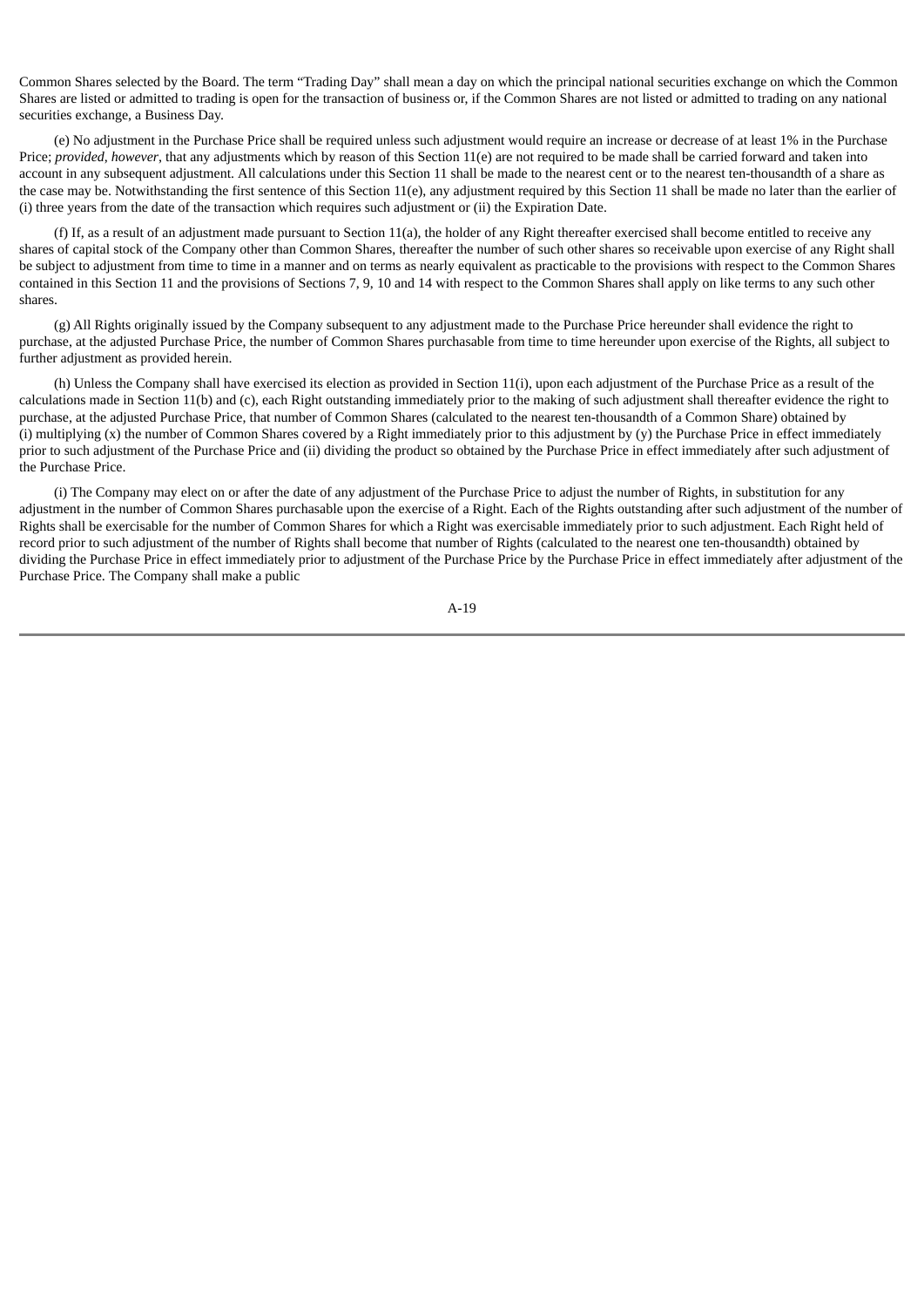Common Shares selected by the Board. The term "Trading Day" shall mean a day on which the principal national securities exchange on which the Common Shares are listed or admitted to trading is open for the transaction of business or, if the Common Shares are not listed or admitted to trading on any national securities exchange, a Business Day.

(e) No adjustment in the Purchase Price shall be required unless such adjustment would require an increase or decrease of at least 1% in the Purchase Price; *provided*, *however*, that any adjustments which by reason of this Section 11(e) are not required to be made shall be carried forward and taken into account in any subsequent adjustment. All calculations under this Section 11 shall be made to the nearest cent or to the nearest ten-thousandth of a share as the case may be. Notwithstanding the first sentence of this Section  $11(e)$ , any adjustment required by this Section 11 shall be made no later than the earlier of (i) three years from the date of the transaction which requires such adjustment or (ii) the Expiration Date.

(f) If, as a result of an adjustment made pursuant to Section 11(a), the holder of any Right thereafter exercised shall become entitled to receive any shares of capital stock of the Company other than Common Shares, thereafter the number of such other shares so receivable upon exercise of any Right shall be subject to adjustment from time to time in a manner and on terms as nearly equivalent as practicable to the provisions with respect to the Common Shares contained in this Section 11 and the provisions of Sections 7, 9, 10 and 14 with respect to the Common Shares shall apply on like terms to any such other shares.

(g) All Rights originally issued by the Company subsequent to any adjustment made to the Purchase Price hereunder shall evidence the right to purchase, at the adjusted Purchase Price, the number of Common Shares purchasable from time to time hereunder upon exercise of the Rights, all subject to further adjustment as provided herein.

(h) Unless the Company shall have exercised its election as provided in Section 11(i), upon each adjustment of the Purchase Price as a result of the calculations made in Section 11(b) and (c), each Right outstanding immediately prior to the making of such adjustment shall thereafter evidence the right to purchase, at the adjusted Purchase Price, that number of Common Shares (calculated to the nearest ten-thousandth of a Common Share) obtained by (i) multiplying (x) the number of Common Shares covered by a Right immediately prior to this adjustment by (y) the Purchase Price in effect immediately prior to such adjustment of the Purchase Price and (ii) dividing the product so obtained by the Purchase Price in effect immediately after such adjustment of the Purchase Price.

(i) The Company may elect on or after the date of any adjustment of the Purchase Price to adjust the number of Rights, in substitution for any adjustment in the number of Common Shares purchasable upon the exercise of a Right. Each of the Rights outstanding after such adjustment of the number of Rights shall be exercisable for the number of Common Shares for which a Right was exercisable immediately prior to such adjustment. Each Right held of record prior to such adjustment of the number of Rights shall become that number of Rights (calculated to the nearest one ten-thousandth) obtained by dividing the Purchase Price in effect immediately prior to adjustment of the Purchase Price by the Purchase Price in effect immediately after adjustment of the Purchase Price. The Company shall make a public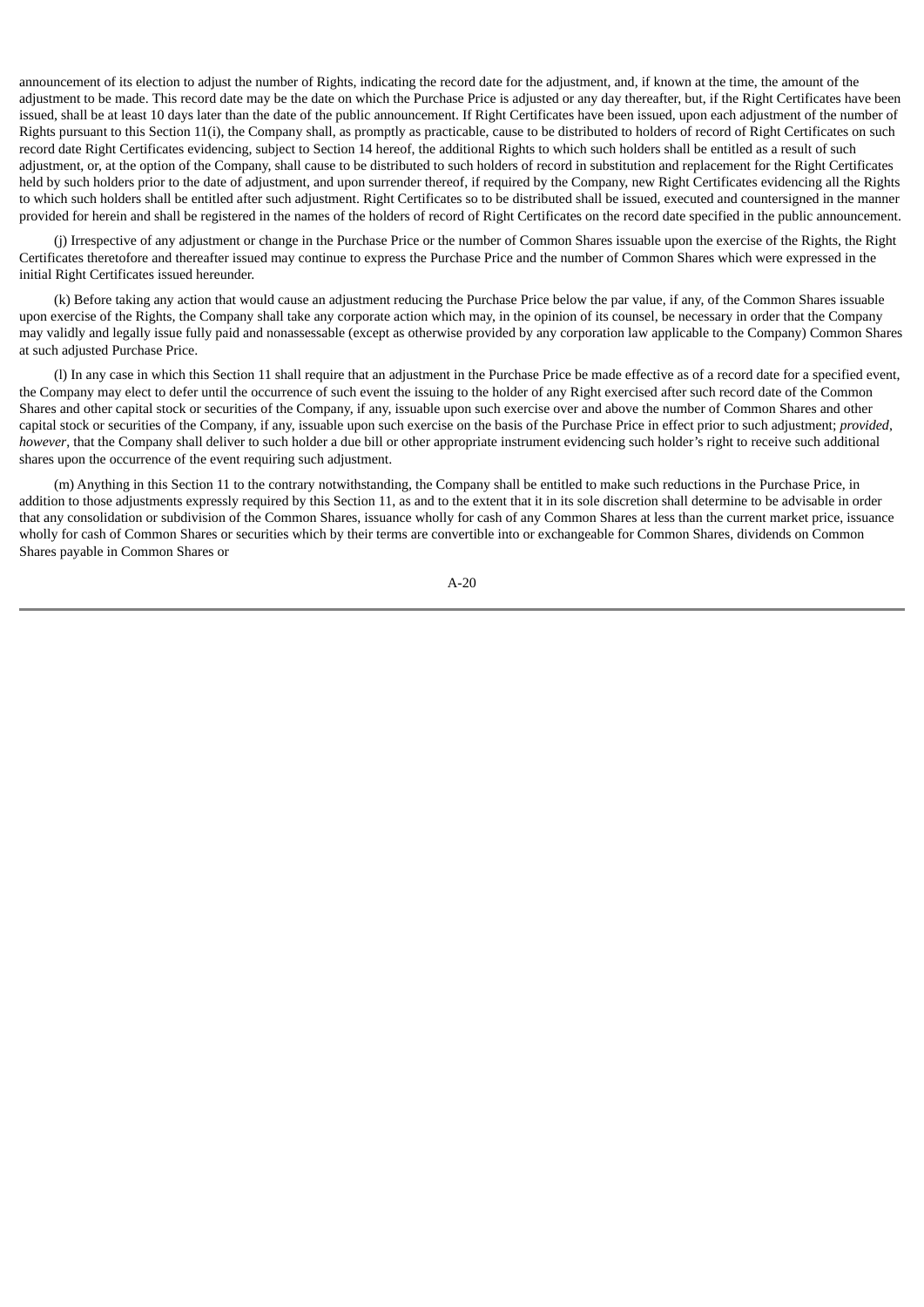announcement of its election to adjust the number of Rights, indicating the record date for the adjustment, and, if known at the time, the amount of the adjustment to be made. This record date may be the date on which the Purchase Price is adjusted or any day thereafter, but, if the Right Certificates have been issued, shall be at least 10 days later than the date of the public announcement. If Right Certificates have been issued, upon each adjustment of the number of Rights pursuant to this Section 11(i), the Company shall, as promptly as practicable, cause to be distributed to holders of record of Right Certificates on such record date Right Certificates evidencing, subject to Section 14 hereof, the additional Rights to which such holders shall be entitled as a result of such adjustment, or, at the option of the Company, shall cause to be distributed to such holders of record in substitution and replacement for the Right Certificates held by such holders prior to the date of adjustment, and upon surrender thereof, if required by the Company, new Right Certificates evidencing all the Rights to which such holders shall be entitled after such adjustment. Right Certificates so to be distributed shall be issued, executed and countersigned in the manner provided for herein and shall be registered in the names of the holders of record of Right Certificates on the record date specified in the public announcement.

(j) Irrespective of any adjustment or change in the Purchase Price or the number of Common Shares issuable upon the exercise of the Rights, the Right Certificates theretofore and thereafter issued may continue to express the Purchase Price and the number of Common Shares which were expressed in the initial Right Certificates issued hereunder.

(k) Before taking any action that would cause an adjustment reducing the Purchase Price below the par value, if any, of the Common Shares issuable upon exercise of the Rights, the Company shall take any corporate action which may, in the opinion of its counsel, be necessary in order that the Company may validly and legally issue fully paid and nonassessable (except as otherwise provided by any corporation law applicable to the Company) Common Shares at such adjusted Purchase Price.

(l) In any case in which this Section 11 shall require that an adjustment in the Purchase Price be made effective as of a record date for a specified event, the Company may elect to defer until the occurrence of such event the issuing to the holder of any Right exercised after such record date of the Common Shares and other capital stock or securities of the Company, if any, issuable upon such exercise over and above the number of Common Shares and other capital stock or securities of the Company, if any, issuable upon such exercise on the basis of the Purchase Price in effect prior to such adjustment; *provided*, *however*, that the Company shall deliver to such holder a due bill or other appropriate instrument evidencing such holder's right to receive such additional shares upon the occurrence of the event requiring such adjustment.

(m) Anything in this Section 11 to the contrary notwithstanding, the Company shall be entitled to make such reductions in the Purchase Price, in addition to those adjustments expressly required by this Section 11, as and to the extent that it in its sole discretion shall determine to be advisable in order that any consolidation or subdivision of the Common Shares, issuance wholly for cash of any Common Shares at less than the current market price, issuance wholly for cash of Common Shares or securities which by their terms are convertible into or exchangeable for Common Shares, dividends on Common Shares payable in Common Shares or

$$
A-20
$$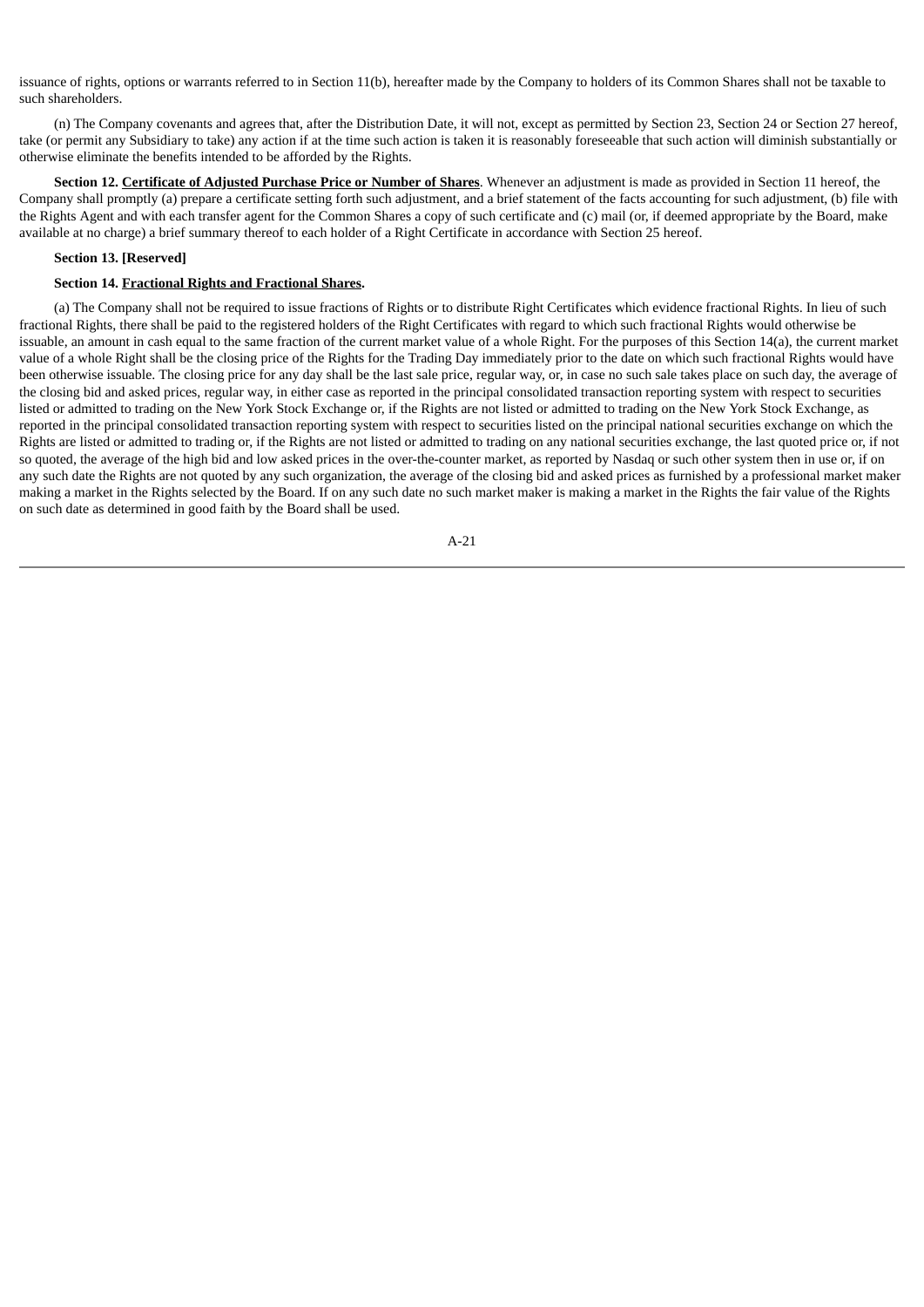issuance of rights, options or warrants referred to in Section 11(b), hereafter made by the Company to holders of its Common Shares shall not be taxable to such shareholders.

(n) The Company covenants and agrees that, after the Distribution Date, it will not, except as permitted by Section 23, Section 24 or Section 27 hereof, take (or permit any Subsidiary to take) any action if at the time such action is taken it is reasonably foreseeable that such action will diminish substantially or otherwise eliminate the benefits intended to be afforded by the Rights.

**Section 12. Certificate of Adjusted Purchase Price or Number of Shares**. Whenever an adjustment is made as provided in Section 11 hereof, the Company shall promptly (a) prepare a certificate setting forth such adjustment, and a brief statement of the facts accounting for such adjustment, (b) file with the Rights Agent and with each transfer agent for the Common Shares a copy of such certificate and (c) mail (or, if deemed appropriate by the Board, make available at no charge) a brief summary thereof to each holder of a Right Certificate in accordance with Section 25 hereof.

# **Section 13. [Reserved]**

# **Section 14. Fractional Rights and Fractional Shares.**

(a) The Company shall not be required to issue fractions of Rights or to distribute Right Certificates which evidence fractional Rights. In lieu of such fractional Rights, there shall be paid to the registered holders of the Right Certificates with regard to which such fractional Rights would otherwise be issuable, an amount in cash equal to the same fraction of the current market value of a whole Right. For the purposes of this Section 14(a), the current market value of a whole Right shall be the closing price of the Rights for the Trading Day immediately prior to the date on which such fractional Rights would have been otherwise issuable. The closing price for any day shall be the last sale price, regular way, or, in case no such sale takes place on such day, the average of the closing bid and asked prices, regular way, in either case as reported in the principal consolidated transaction reporting system with respect to securities listed or admitted to trading on the New York Stock Exchange or, if the Rights are not listed or admitted to trading on the New York Stock Exchange, as reported in the principal consolidated transaction reporting system with respect to securities listed on the principal national securities exchange on which the Rights are listed or admitted to trading or, if the Rights are not listed or admitted to trading on any national securities exchange, the last quoted price or, if not so quoted, the average of the high bid and low asked prices in the over-the-counter market, as reported by Nasdaq or such other system then in use or, if on any such date the Rights are not quoted by any such organization, the average of the closing bid and asked prices as furnished by a professional market maker making a market in the Rights selected by the Board. If on any such date no such market maker is making a market in the Rights the fair value of the Rights on such date as determined in good faith by the Board shall be used.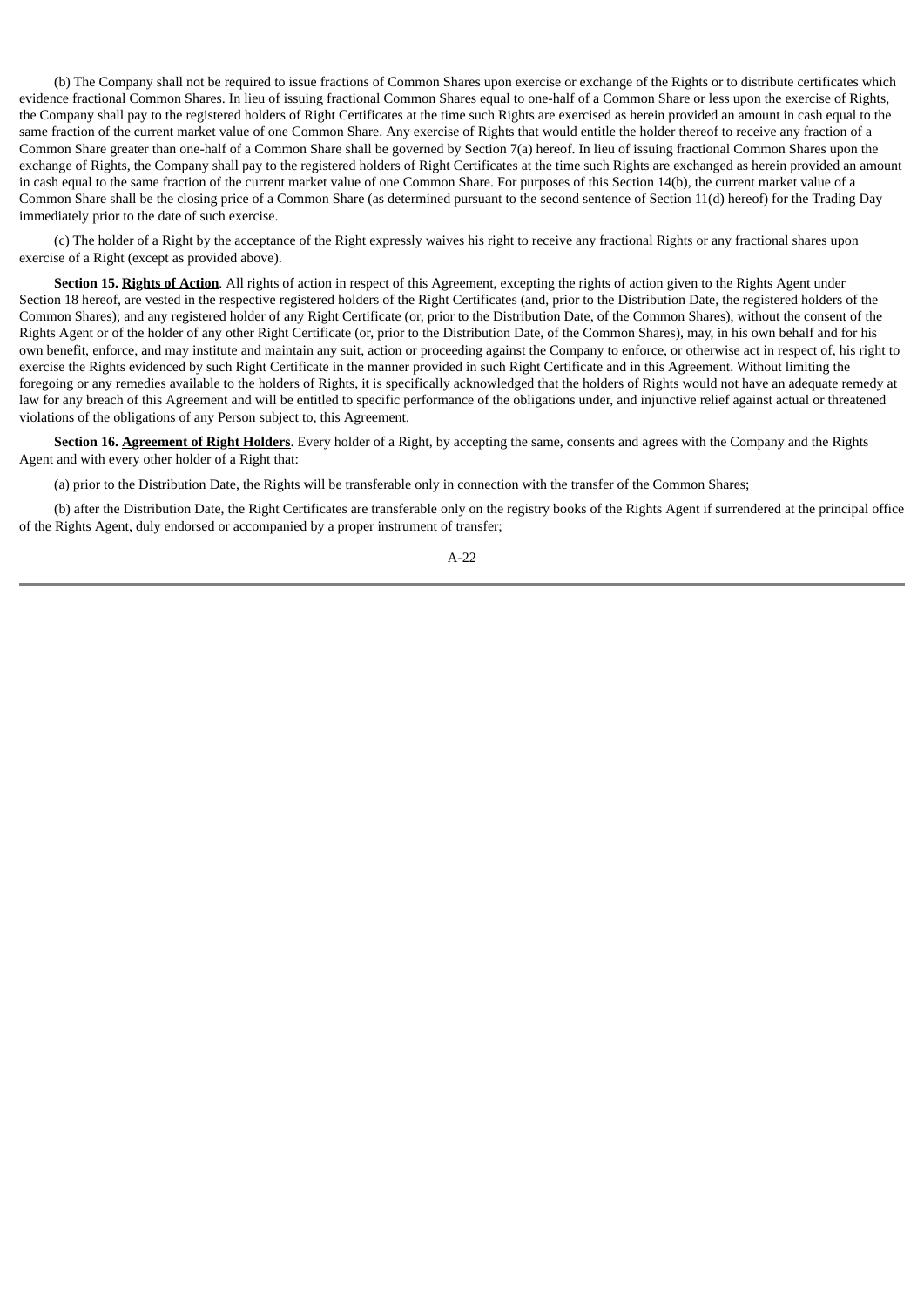(b) The Company shall not be required to issue fractions of Common Shares upon exercise or exchange of the Rights or to distribute certificates which evidence fractional Common Shares. In lieu of issuing fractional Common Shares equal to one-half of a Common Share or less upon the exercise of Rights, the Company shall pay to the registered holders of Right Certificates at the time such Rights are exercised as herein provided an amount in cash equal to the same fraction of the current market value of one Common Share. Any exercise of Rights that would entitle the holder thereof to receive any fraction of a Common Share greater than one-half of a Common Share shall be governed by Section 7(a) hereof. In lieu of issuing fractional Common Shares upon the exchange of Rights, the Company shall pay to the registered holders of Right Certificates at the time such Rights are exchanged as herein provided an amount in cash equal to the same fraction of the current market value of one Common Share. For purposes of this Section 14(b), the current market value of a Common Share shall be the closing price of a Common Share (as determined pursuant to the second sentence of Section 11(d) hereof) for the Trading Day immediately prior to the date of such exercise.

(c) The holder of a Right by the acceptance of the Right expressly waives his right to receive any fractional Rights or any fractional shares upon exercise of a Right (except as provided above).

**Section 15. Rights of Action**. All rights of action in respect of this Agreement, excepting the rights of action given to the Rights Agent under Section 18 hereof, are vested in the respective registered holders of the Right Certificates (and, prior to the Distribution Date, the registered holders of the Common Shares); and any registered holder of any Right Certificate (or, prior to the Distribution Date, of the Common Shares), without the consent of the Rights Agent or of the holder of any other Right Certificate (or, prior to the Distribution Date, of the Common Shares), may, in his own behalf and for his own benefit, enforce, and may institute and maintain any suit, action or proceeding against the Company to enforce, or otherwise act in respect of, his right to exercise the Rights evidenced by such Right Certificate in the manner provided in such Right Certificate and in this Agreement. Without limiting the foregoing or any remedies available to the holders of Rights, it is specifically acknowledged that the holders of Rights would not have an adequate remedy at law for any breach of this Agreement and will be entitled to specific performance of the obligations under, and injunctive relief against actual or threatened violations of the obligations of any Person subject to, this Agreement.

**Section 16. Agreement of Right Holders**. Every holder of a Right, by accepting the same, consents and agrees with the Company and the Rights Agent and with every other holder of a Right that:

(a) prior to the Distribution Date, the Rights will be transferable only in connection with the transfer of the Common Shares;

(b) after the Distribution Date, the Right Certificates are transferable only on the registry books of the Rights Agent if surrendered at the principal office of the Rights Agent, duly endorsed or accompanied by a proper instrument of transfer;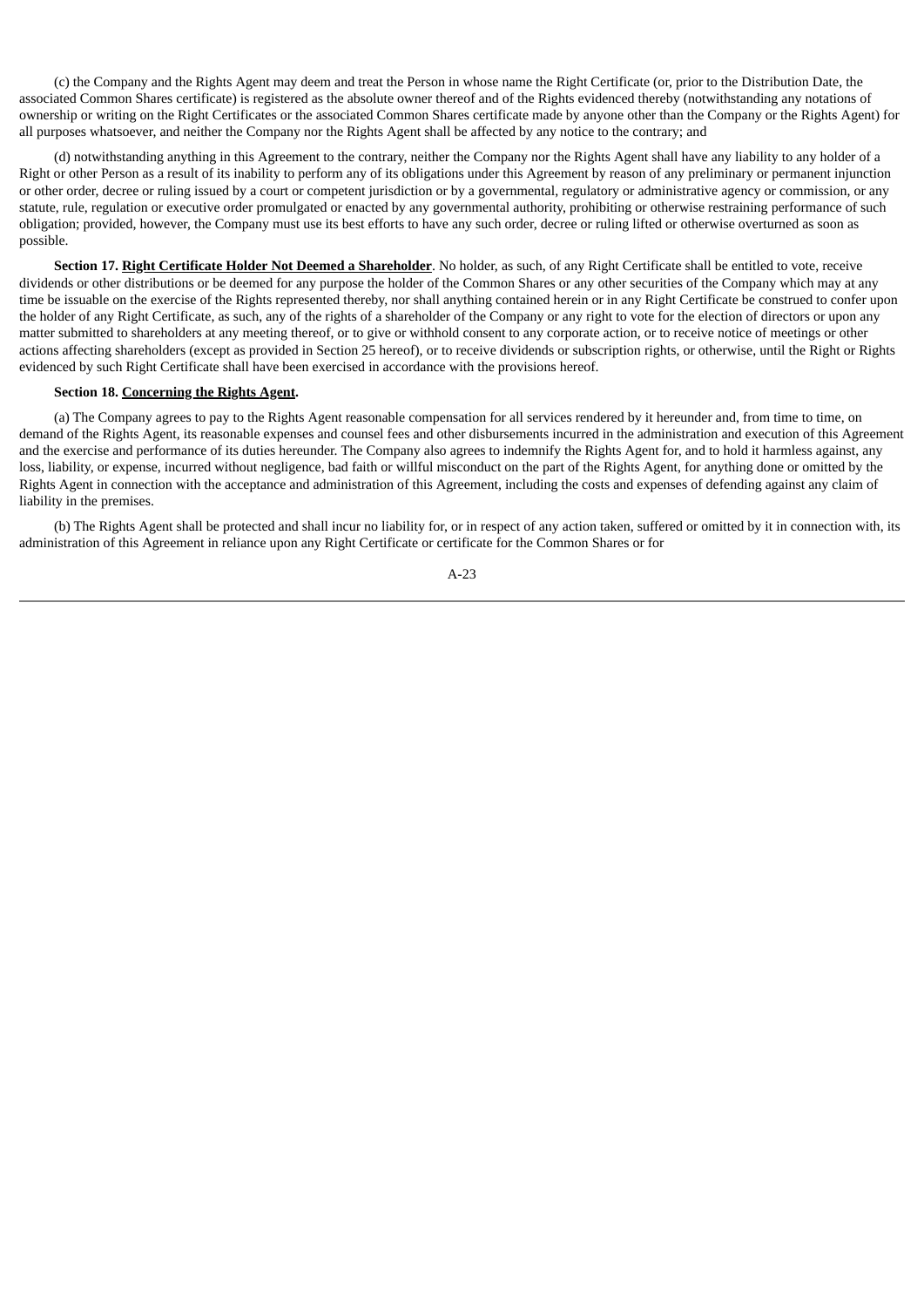(c) the Company and the Rights Agent may deem and treat the Person in whose name the Right Certificate (or, prior to the Distribution Date, the associated Common Shares certificate) is registered as the absolute owner thereof and of the Rights evidenced thereby (notwithstanding any notations of ownership or writing on the Right Certificates or the associated Common Shares certificate made by anyone other than the Company or the Rights Agent) for all purposes whatsoever, and neither the Company nor the Rights Agent shall be affected by any notice to the contrary; and

(d) notwithstanding anything in this Agreement to the contrary, neither the Company nor the Rights Agent shall have any liability to any holder of a Right or other Person as a result of its inability to perform any of its obligations under this Agreement by reason of any preliminary or permanent injunction or other order, decree or ruling issued by a court or competent jurisdiction or by a governmental, regulatory or administrative agency or commission, or any statute, rule, regulation or executive order promulgated or enacted by any governmental authority, prohibiting or otherwise restraining performance of such obligation; provided, however, the Company must use its best efforts to have any such order, decree or ruling lifted or otherwise overturned as soon as possible.

**Section 17. Right Certificate Holder Not Deemed a Shareholder**. No holder, as such, of any Right Certificate shall be entitled to vote, receive dividends or other distributions or be deemed for any purpose the holder of the Common Shares or any other securities of the Company which may at any time be issuable on the exercise of the Rights represented thereby, nor shall anything contained herein or in any Right Certificate be construed to confer upon the holder of any Right Certificate, as such, any of the rights of a shareholder of the Company or any right to vote for the election of directors or upon any matter submitted to shareholders at any meeting thereof, or to give or withhold consent to any corporate action, or to receive notice of meetings or other actions affecting shareholders (except as provided in Section 25 hereof), or to receive dividends or subscription rights, or otherwise, until the Right or Rights evidenced by such Right Certificate shall have been exercised in accordance with the provisions hereof.

## **Section 18. Concerning the Rights Agent.**

(a) The Company agrees to pay to the Rights Agent reasonable compensation for all services rendered by it hereunder and, from time to time, on demand of the Rights Agent, its reasonable expenses and counsel fees and other disbursements incurred in the administration and execution of this Agreement and the exercise and performance of its duties hereunder. The Company also agrees to indemnify the Rights Agent for, and to hold it harmless against, any loss, liability, or expense, incurred without negligence, bad faith or willful misconduct on the part of the Rights Agent, for anything done or omitted by the Rights Agent in connection with the acceptance and administration of this Agreement, including the costs and expenses of defending against any claim of liability in the premises.

(b) The Rights Agent shall be protected and shall incur no liability for, or in respect of any action taken, suffered or omitted by it in connection with, its administration of this Agreement in reliance upon any Right Certificate or certificate for the Common Shares or for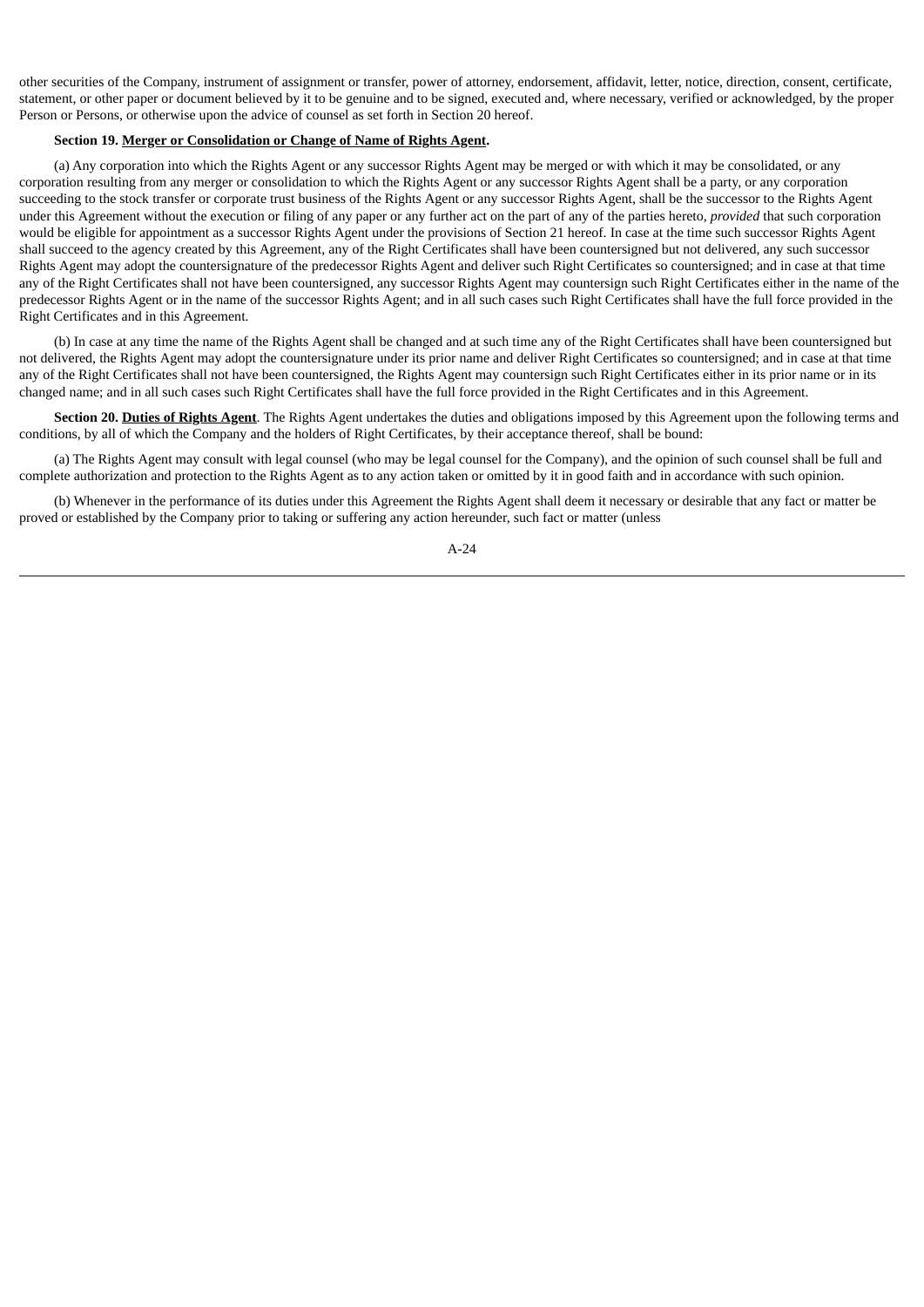other securities of the Company, instrument of assignment or transfer, power of attorney, endorsement, affidavit, letter, notice, direction, consent, certificate, statement, or other paper or document believed by it to be genuine and to be signed, executed and, where necessary, verified or acknowledged, by the proper Person or Persons, or otherwise upon the advice of counsel as set forth in Section 20 hereof.

### **Section 19. Merger or Consolidation or Change of Name of Rights Agent.**

(a) Any corporation into which the Rights Agent or any successor Rights Agent may be merged or with which it may be consolidated, or any corporation resulting from any merger or consolidation to which the Rights Agent or any successor Rights Agent shall be a party, or any corporation succeeding to the stock transfer or corporate trust business of the Rights Agent or any successor Rights Agent, shall be the successor to the Rights Agent under this Agreement without the execution or filing of any paper or any further act on the part of any of the parties hereto, *provided* that such corporation would be eligible for appointment as a successor Rights Agent under the provisions of Section 21 hereof. In case at the time such successor Rights Agent shall succeed to the agency created by this Agreement, any of the Right Certificates shall have been countersigned but not delivered, any such successor Rights Agent may adopt the countersignature of the predecessor Rights Agent and deliver such Right Certificates so countersigned; and in case at that time any of the Right Certificates shall not have been countersigned, any successor Rights Agent may countersign such Right Certificates either in the name of the predecessor Rights Agent or in the name of the successor Rights Agent; and in all such cases such Right Certificates shall have the full force provided in the Right Certificates and in this Agreement.

(b) In case at any time the name of the Rights Agent shall be changed and at such time any of the Right Certificates shall have been countersigned but not delivered, the Rights Agent may adopt the countersignature under its prior name and deliver Right Certificates so countersigned; and in case at that time any of the Right Certificates shall not have been countersigned, the Rights Agent may countersign such Right Certificates either in its prior name or in its changed name; and in all such cases such Right Certificates shall have the full force provided in the Right Certificates and in this Agreement.

**Section 20. Duties of Rights Agent**. The Rights Agent undertakes the duties and obligations imposed by this Agreement upon the following terms and conditions, by all of which the Company and the holders of Right Certificates, by their acceptance thereof, shall be bound:

(a) The Rights Agent may consult with legal counsel (who may be legal counsel for the Company), and the opinion of such counsel shall be full and complete authorization and protection to the Rights Agent as to any action taken or omitted by it in good faith and in accordance with such opinion.

(b) Whenever in the performance of its duties under this Agreement the Rights Agent shall deem it necessary or desirable that any fact or matter be proved or established by the Company prior to taking or suffering any action hereunder, such fact or matter (unless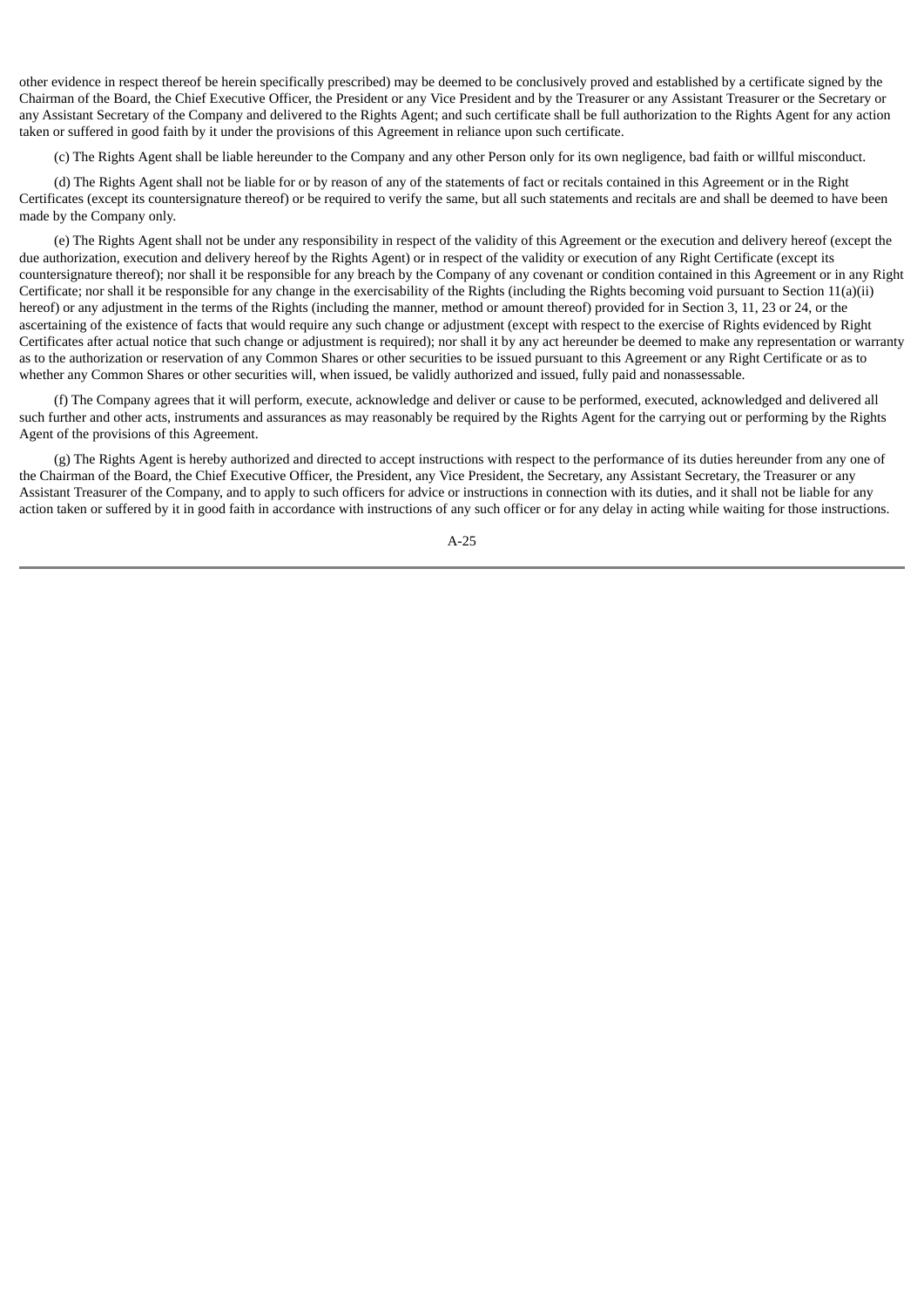other evidence in respect thereof be herein specifically prescribed) may be deemed to be conclusively proved and established by a certificate signed by the Chairman of the Board, the Chief Executive Officer, the President or any Vice President and by the Treasurer or any Assistant Treasurer or the Secretary or any Assistant Secretary of the Company and delivered to the Rights Agent; and such certificate shall be full authorization to the Rights Agent for any action taken or suffered in good faith by it under the provisions of this Agreement in reliance upon such certificate.

(c) The Rights Agent shall be liable hereunder to the Company and any other Person only for its own negligence, bad faith or willful misconduct.

(d) The Rights Agent shall not be liable for or by reason of any of the statements of fact or recitals contained in this Agreement or in the Right Certificates (except its countersignature thereof) or be required to verify the same, but all such statements and recitals are and shall be deemed to have been made by the Company only.

(e) The Rights Agent shall not be under any responsibility in respect of the validity of this Agreement or the execution and delivery hereof (except the due authorization, execution and delivery hereof by the Rights Agent) or in respect of the validity or execution of any Right Certificate (except its countersignature thereof); nor shall it be responsible for any breach by the Company of any covenant or condition contained in this Agreement or in any Right Certificate; nor shall it be responsible for any change in the exercisability of the Rights (including the Rights becoming void pursuant to Section 11(a)(ii) hereof) or any adjustment in the terms of the Rights (including the manner, method or amount thereof) provided for in Section 3, 11, 23 or 24, or the ascertaining of the existence of facts that would require any such change or adjustment (except with respect to the exercise of Rights evidenced by Right Certificates after actual notice that such change or adjustment is required); nor shall it by any act hereunder be deemed to make any representation or warranty as to the authorization or reservation of any Common Shares or other securities to be issued pursuant to this Agreement or any Right Certificate or as to whether any Common Shares or other securities will, when issued, be validly authorized and issued, fully paid and nonassessable.

(f) The Company agrees that it will perform, execute, acknowledge and deliver or cause to be performed, executed, acknowledged and delivered all such further and other acts, instruments and assurances as may reasonably be required by the Rights Agent for the carrying out or performing by the Rights Agent of the provisions of this Agreement.

(g) The Rights Agent is hereby authorized and directed to accept instructions with respect to the performance of its duties hereunder from any one of the Chairman of the Board, the Chief Executive Officer, the President, any Vice President, the Secretary, any Assistant Secretary, the Treasurer or any Assistant Treasurer of the Company, and to apply to such officers for advice or instructions in connection with its duties, and it shall not be liable for any action taken or suffered by it in good faith in accordance with instructions of any such officer or for any delay in acting while waiting for those instructions.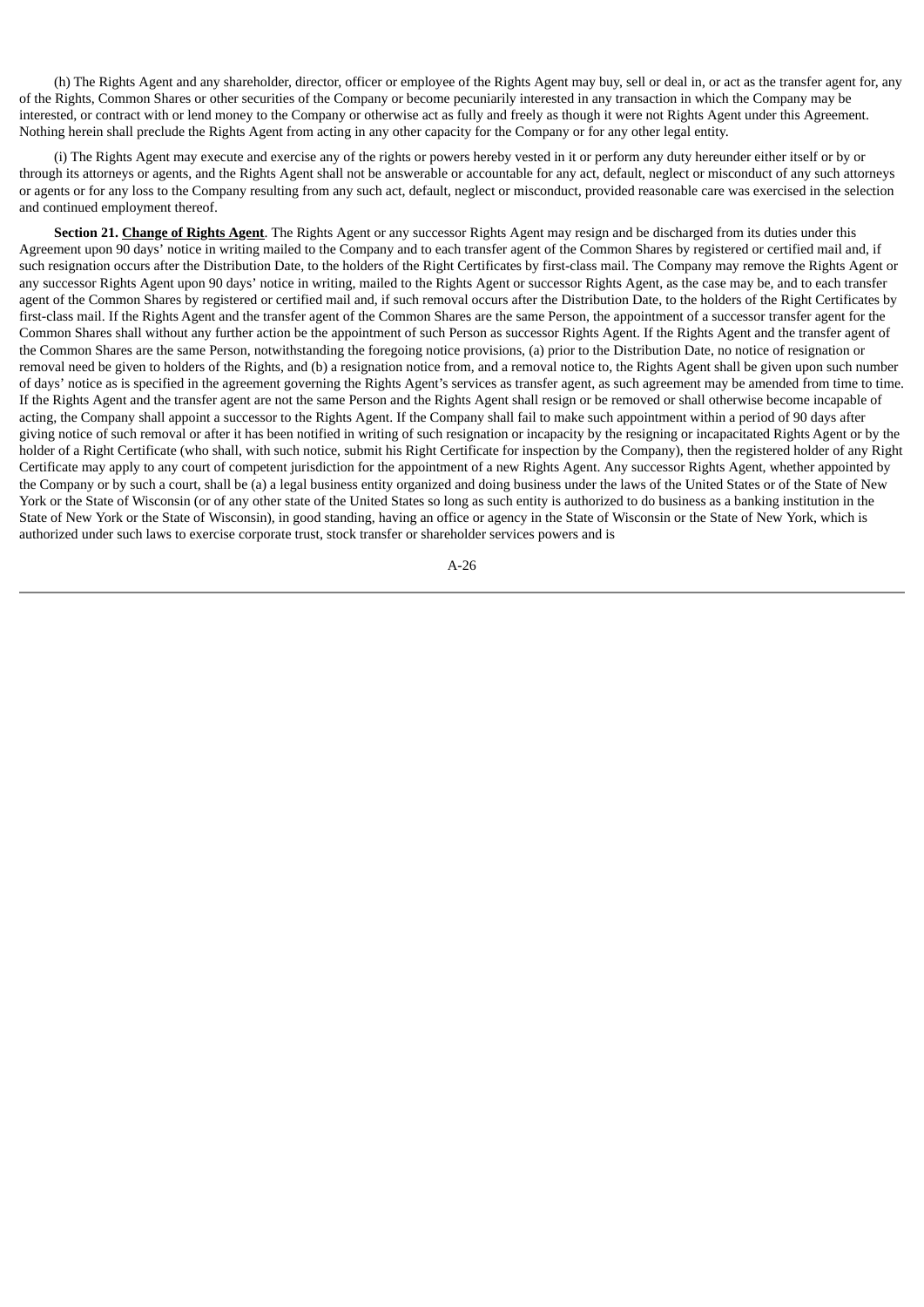(h) The Rights Agent and any shareholder, director, officer or employee of the Rights Agent may buy, sell or deal in, or act as the transfer agent for, any of the Rights, Common Shares or other securities of the Company or become pecuniarily interested in any transaction in which the Company may be interested, or contract with or lend money to the Company or otherwise act as fully and freely as though it were not Rights Agent under this Agreement. Nothing herein shall preclude the Rights Agent from acting in any other capacity for the Company or for any other legal entity.

(i) The Rights Agent may execute and exercise any of the rights or powers hereby vested in it or perform any duty hereunder either itself or by or through its attorneys or agents, and the Rights Agent shall not be answerable or accountable for any act, default, neglect or misconduct of any such attorneys or agents or for any loss to the Company resulting from any such act, default, neglect or misconduct, provided reasonable care was exercised in the selection and continued employment thereof.

**Section 21. Change of Rights Agent**. The Rights Agent or any successor Rights Agent may resign and be discharged from its duties under this Agreement upon 90 days' notice in writing mailed to the Company and to each transfer agent of the Common Shares by registered or certified mail and, if such resignation occurs after the Distribution Date, to the holders of the Right Certificates by first-class mail. The Company may remove the Rights Agent or any successor Rights Agent upon 90 days' notice in writing, mailed to the Rights Agent or successor Rights Agent, as the case may be, and to each transfer agent of the Common Shares by registered or certified mail and, if such removal occurs after the Distribution Date, to the holders of the Right Certificates by first-class mail. If the Rights Agent and the transfer agent of the Common Shares are the same Person, the appointment of a successor transfer agent for the Common Shares shall without any further action be the appointment of such Person as successor Rights Agent. If the Rights Agent and the transfer agent of the Common Shares are the same Person, notwithstanding the foregoing notice provisions, (a) prior to the Distribution Date, no notice of resignation or removal need be given to holders of the Rights, and (b) a resignation notice from, and a removal notice to, the Rights Agent shall be given upon such number of days' notice as is specified in the agreement governing the Rights Agent's services as transfer agent, as such agreement may be amended from time to time. If the Rights Agent and the transfer agent are not the same Person and the Rights Agent shall resign or be removed or shall otherwise become incapable of acting, the Company shall appoint a successor to the Rights Agent. If the Company shall fail to make such appointment within a period of 90 days after giving notice of such removal or after it has been notified in writing of such resignation or incapacity by the resigning or incapacitated Rights Agent or by the holder of a Right Certificate (who shall, with such notice, submit his Right Certificate for inspection by the Company), then the registered holder of any Right Certificate may apply to any court of competent jurisdiction for the appointment of a new Rights Agent. Any successor Rights Agent, whether appointed by the Company or by such a court, shall be (a) a legal business entity organized and doing business under the laws of the United States or of the State of New York or the State of Wisconsin (or of any other state of the United States so long as such entity is authorized to do business as a banking institution in the State of New York or the State of Wisconsin), in good standing, having an office or agency in the State of Wisconsin or the State of New York, which is authorized under such laws to exercise corporate trust, stock transfer or shareholder services powers and is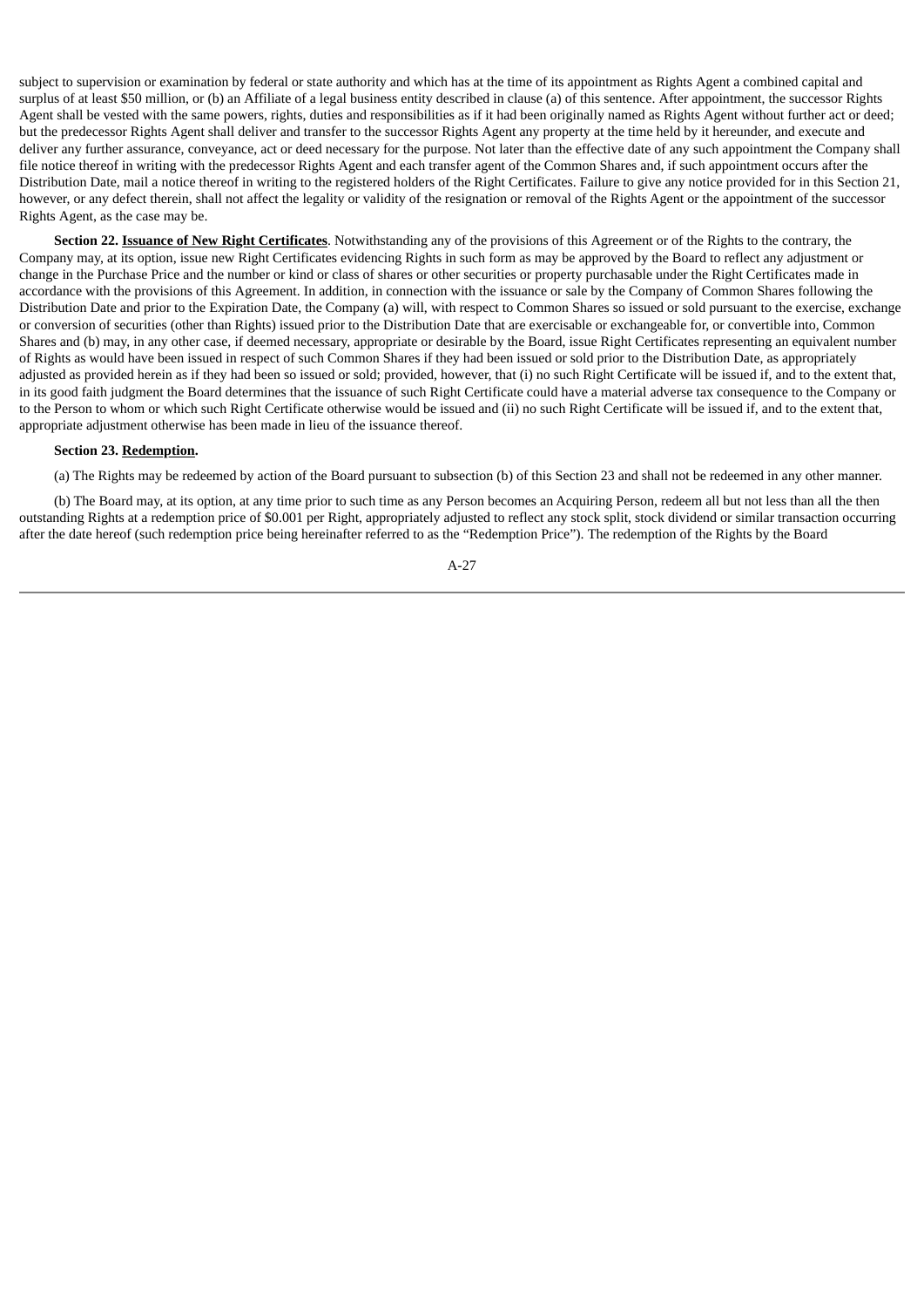subject to supervision or examination by federal or state authority and which has at the time of its appointment as Rights Agent a combined capital and surplus of at least \$50 million, or (b) an Affiliate of a legal business entity described in clause (a) of this sentence. After appointment, the successor Rights Agent shall be vested with the same powers, rights, duties and responsibilities as if it had been originally named as Rights Agent without further act or deed; but the predecessor Rights Agent shall deliver and transfer to the successor Rights Agent any property at the time held by it hereunder, and execute and deliver any further assurance, conveyance, act or deed necessary for the purpose. Not later than the effective date of any such appointment the Company shall file notice thereof in writing with the predecessor Rights Agent and each transfer agent of the Common Shares and, if such appointment occurs after the Distribution Date, mail a notice thereof in writing to the registered holders of the Right Certificates. Failure to give any notice provided for in this Section 21, however, or any defect therein, shall not affect the legality or validity of the resignation or removal of the Rights Agent or the appointment of the successor Rights Agent, as the case may be.

**Section 22. Issuance of New Right Certificates**. Notwithstanding any of the provisions of this Agreement or of the Rights to the contrary, the Company may, at its option, issue new Right Certificates evidencing Rights in such form as may be approved by the Board to reflect any adjustment or change in the Purchase Price and the number or kind or class of shares or other securities or property purchasable under the Right Certificates made in accordance with the provisions of this Agreement. In addition, in connection with the issuance or sale by the Company of Common Shares following the Distribution Date and prior to the Expiration Date, the Company (a) will, with respect to Common Shares so issued or sold pursuant to the exercise, exchange or conversion of securities (other than Rights) issued prior to the Distribution Date that are exercisable or exchangeable for, or convertible into, Common Shares and (b) may, in any other case, if deemed necessary, appropriate or desirable by the Board, issue Right Certificates representing an equivalent number of Rights as would have been issued in respect of such Common Shares if they had been issued or sold prior to the Distribution Date, as appropriately adjusted as provided herein as if they had been so issued or sold; provided, however, that (i) no such Right Certificate will be issued if, and to the extent that, in its good faith judgment the Board determines that the issuance of such Right Certificate could have a material adverse tax consequence to the Company or to the Person to whom or which such Right Certificate otherwise would be issued and (ii) no such Right Certificate will be issued if, and to the extent that, appropriate adjustment otherwise has been made in lieu of the issuance thereof.

### **Section 23. Redemption.**

(a) The Rights may be redeemed by action of the Board pursuant to subsection (b) of this Section 23 and shall not be redeemed in any other manner.

(b) The Board may, at its option, at any time prior to such time as any Person becomes an Acquiring Person, redeem all but not less than all the then outstanding Rights at a redemption price of \$0.001 per Right, appropriately adjusted to reflect any stock split, stock dividend or similar transaction occurring after the date hereof (such redemption price being hereinafter referred to as the "Redemption Price"). The redemption of the Rights by the Board

$$
A-27
$$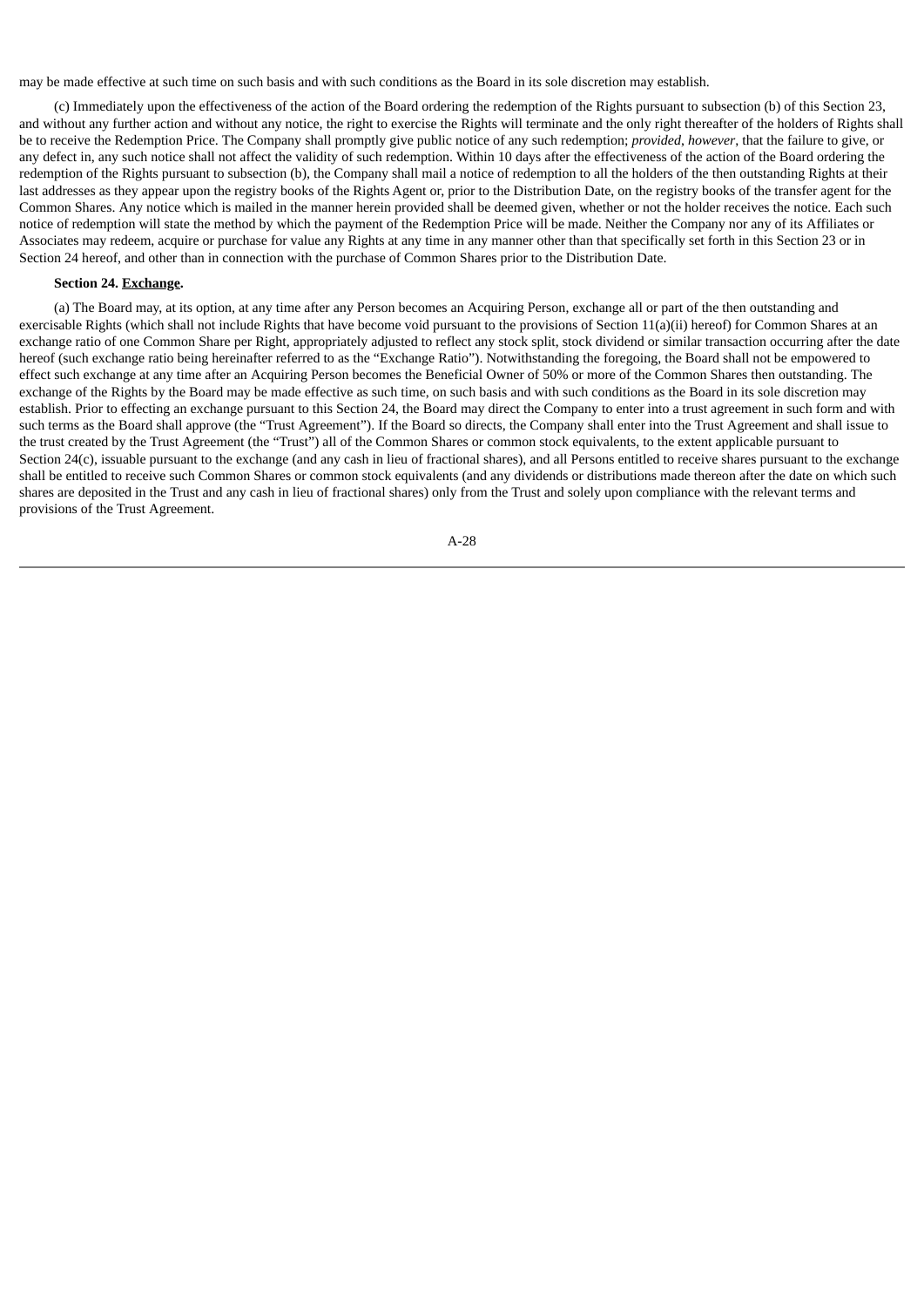may be made effective at such time on such basis and with such conditions as the Board in its sole discretion may establish.

(c) Immediately upon the effectiveness of the action of the Board ordering the redemption of the Rights pursuant to subsection (b) of this Section 23, and without any further action and without any notice, the right to exercise the Rights will terminate and the only right thereafter of the holders of Rights shall be to receive the Redemption Price. The Company shall promptly give public notice of any such redemption; *provided*, *however*, that the failure to give, or any defect in, any such notice shall not affect the validity of such redemption. Within 10 days after the effectiveness of the action of the Board ordering the redemption of the Rights pursuant to subsection (b), the Company shall mail a notice of redemption to all the holders of the then outstanding Rights at their last addresses as they appear upon the registry books of the Rights Agent or, prior to the Distribution Date, on the registry books of the transfer agent for the Common Shares. Any notice which is mailed in the manner herein provided shall be deemed given, whether or not the holder receives the notice. Each such notice of redemption will state the method by which the payment of the Redemption Price will be made. Neither the Company nor any of its Affiliates or Associates may redeem, acquire or purchase for value any Rights at any time in any manner other than that specifically set forth in this Section 23 or in Section 24 hereof, and other than in connection with the purchase of Common Shares prior to the Distribution Date.

# **Section 24. Exchange.**

(a) The Board may, at its option, at any time after any Person becomes an Acquiring Person, exchange all or part of the then outstanding and exercisable Rights (which shall not include Rights that have become void pursuant to the provisions of Section 11(a)(ii) hereof) for Common Shares at an exchange ratio of one Common Share per Right, appropriately adjusted to reflect any stock split, stock dividend or similar transaction occurring after the date hereof (such exchange ratio being hereinafter referred to as the "Exchange Ratio"). Notwithstanding the foregoing, the Board shall not be empowered to effect such exchange at any time after an Acquiring Person becomes the Beneficial Owner of 50% or more of the Common Shares then outstanding. The exchange of the Rights by the Board may be made effective as such time, on such basis and with such conditions as the Board in its sole discretion may establish. Prior to effecting an exchange pursuant to this Section 24, the Board may direct the Company to enter into a trust agreement in such form and with such terms as the Board shall approve (the "Trust Agreement"). If the Board so directs, the Company shall enter into the Trust Agreement and shall issue to the trust created by the Trust Agreement (the "Trust") all of the Common Shares or common stock equivalents, to the extent applicable pursuant to Section 24(c), issuable pursuant to the exchange (and any cash in lieu of fractional shares), and all Persons entitled to receive shares pursuant to the exchange shall be entitled to receive such Common Shares or common stock equivalents (and any dividends or distributions made thereon after the date on which such shares are deposited in the Trust and any cash in lieu of fractional shares) only from the Trust and solely upon compliance with the relevant terms and provisions of the Trust Agreement.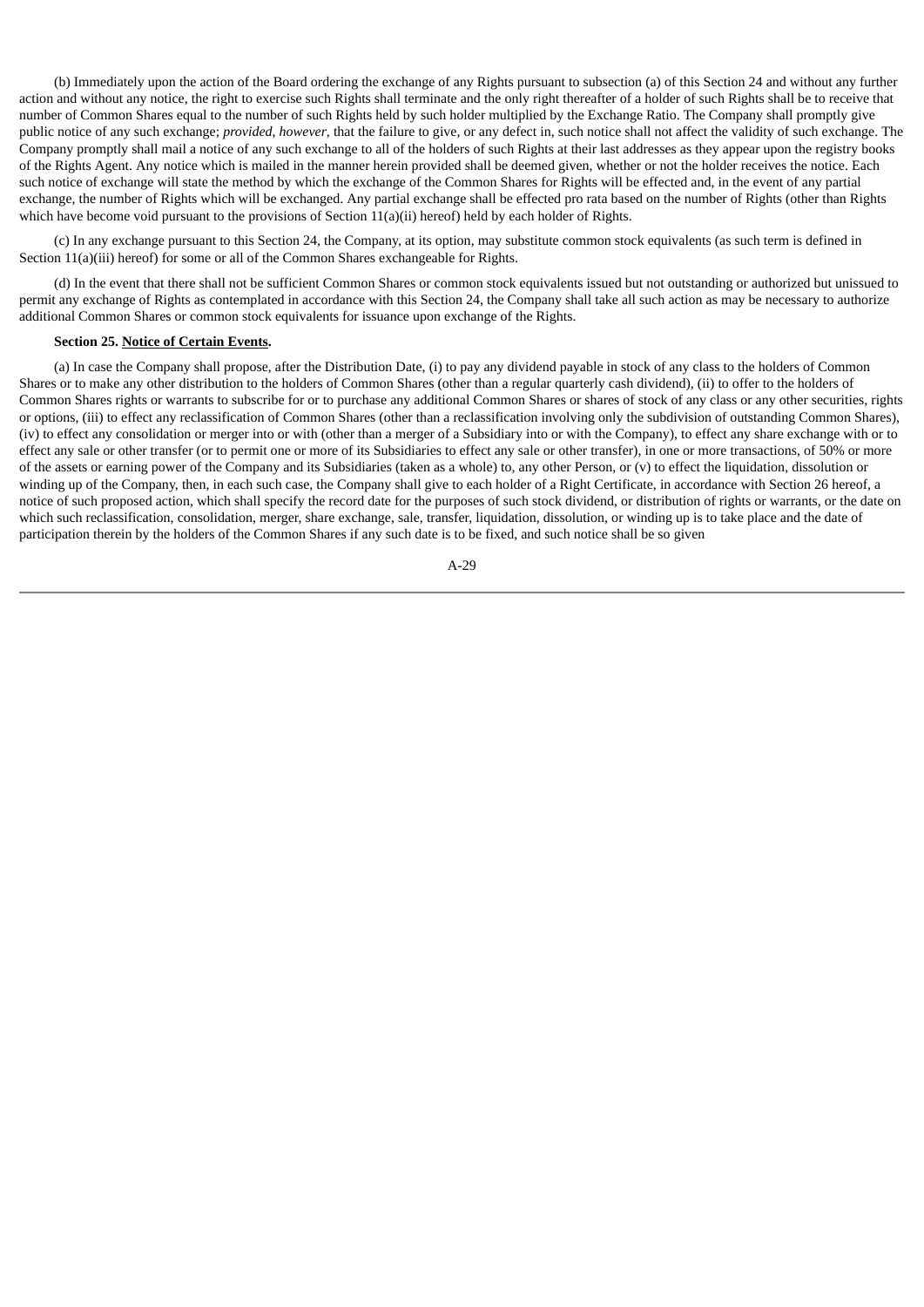(b) Immediately upon the action of the Board ordering the exchange of any Rights pursuant to subsection (a) of this Section 24 and without any further action and without any notice, the right to exercise such Rights shall terminate and the only right thereafter of a holder of such Rights shall be to receive that number of Common Shares equal to the number of such Rights held by such holder multiplied by the Exchange Ratio. The Company shall promptly give public notice of any such exchange; *provided*, *however*, that the failure to give, or any defect in, such notice shall not affect the validity of such exchange. The Company promptly shall mail a notice of any such exchange to all of the holders of such Rights at their last addresses as they appear upon the registry books of the Rights Agent. Any notice which is mailed in the manner herein provided shall be deemed given, whether or not the holder receives the notice. Each such notice of exchange will state the method by which the exchange of the Common Shares for Rights will be effected and, in the event of any partial exchange, the number of Rights which will be exchanged. Any partial exchange shall be effected pro rata based on the number of Rights (other than Rights which have become void pursuant to the provisions of Section 11(a)(ii) hereof) held by each holder of Rights.

(c) In any exchange pursuant to this Section 24, the Company, at its option, may substitute common stock equivalents (as such term is defined in Section 11(a)(iii) hereof) for some or all of the Common Shares exchangeable for Rights.

(d) In the event that there shall not be sufficient Common Shares or common stock equivalents issued but not outstanding or authorized but unissued to permit any exchange of Rights as contemplated in accordance with this Section 24, the Company shall take all such action as may be necessary to authorize additional Common Shares or common stock equivalents for issuance upon exchange of the Rights.

### **Section 25. Notice of Certain Events.**

(a) In case the Company shall propose, after the Distribution Date, (i) to pay any dividend payable in stock of any class to the holders of Common Shares or to make any other distribution to the holders of Common Shares (other than a regular quarterly cash dividend), (ii) to offer to the holders of Common Shares rights or warrants to subscribe for or to purchase any additional Common Shares or shares of stock of any class or any other securities, rights or options, (iii) to effect any reclassification of Common Shares (other than a reclassification involving only the subdivision of outstanding Common Shares), (iv) to effect any consolidation or merger into or with (other than a merger of a Subsidiary into or with the Company), to effect any share exchange with or to effect any sale or other transfer (or to permit one or more of its Subsidiaries to effect any sale or other transfer), in one or more transactions, of 50% or more of the assets or earning power of the Company and its Subsidiaries (taken as a whole) to, any other Person, or (v) to effect the liquidation, dissolution or winding up of the Company, then, in each such case, the Company shall give to each holder of a Right Certificate, in accordance with Section 26 hereof, a notice of such proposed action, which shall specify the record date for the purposes of such stock dividend, or distribution of rights or warrants, or the date on which such reclassification, consolidation, merger, share exchange, sale, transfer, liquidation, dissolution, or winding up is to take place and the date of participation therein by the holders of the Common Shares if any such date is to be fixed, and such notice shall be so given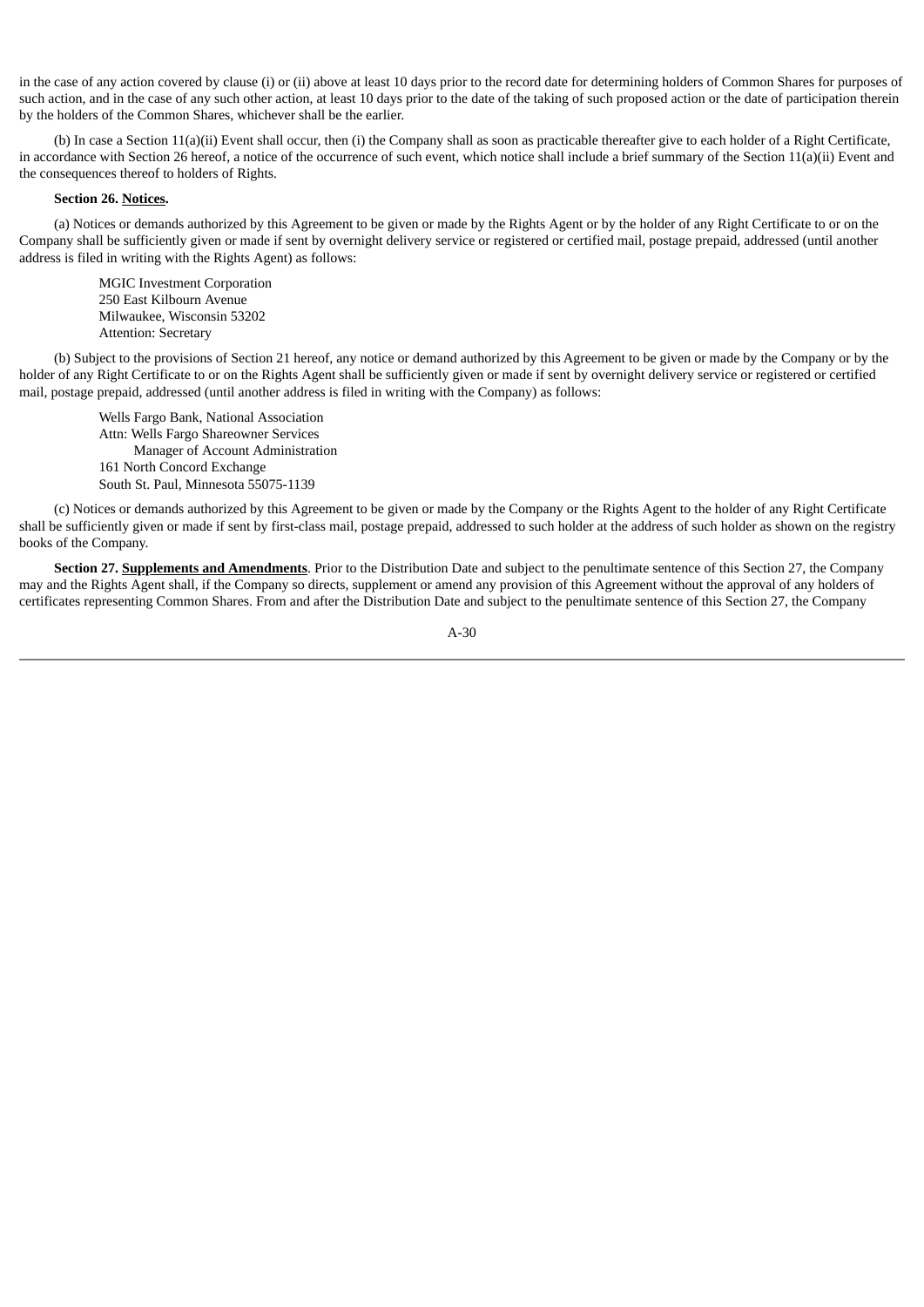in the case of any action covered by clause (i) or (ii) above at least 10 days prior to the record date for determining holders of Common Shares for purposes of such action, and in the case of any such other action, at least 10 days prior to the date of the taking of such proposed action or the date of participation therein by the holders of the Common Shares, whichever shall be the earlier.

(b) In case a Section 11(a)(ii) Event shall occur, then (i) the Company shall as soon as practicable thereafter give to each holder of a Right Certificate, in accordance with Section 26 hereof, a notice of the occurrence of such event, which notice shall include a brief summary of the Section 11(a)(ii) Event and the consequences thereof to holders of Rights.

## **Section 26. Notices.**

(a) Notices or demands authorized by this Agreement to be given or made by the Rights Agent or by the holder of any Right Certificate to or on the Company shall be sufficiently given or made if sent by overnight delivery service or registered or certified mail, postage prepaid, addressed (until another address is filed in writing with the Rights Agent) as follows:

MGIC Investment Corporation 250 East Kilbourn Avenue Milwaukee, Wisconsin 53202 Attention: Secretary

(b) Subject to the provisions of Section 21 hereof, any notice or demand authorized by this Agreement to be given or made by the Company or by the holder of any Right Certificate to or on the Rights Agent shall be sufficiently given or made if sent by overnight delivery service or registered or certified mail, postage prepaid, addressed (until another address is filed in writing with the Company) as follows:

Wells Fargo Bank, National Association Attn: Wells Fargo Shareowner Services Manager of Account Administration 161 North Concord Exchange South St. Paul, Minnesota 55075-1139

(c) Notices or demands authorized by this Agreement to be given or made by the Company or the Rights Agent to the holder of any Right Certificate shall be sufficiently given or made if sent by first-class mail, postage prepaid, addressed to such holder at the address of such holder as shown on the registry books of the Company.

**Section 27. Supplements and Amendments**. Prior to the Distribution Date and subject to the penultimate sentence of this Section 27, the Company may and the Rights Agent shall, if the Company so directs, supplement or amend any provision of this Agreement without the approval of any holders of certificates representing Common Shares. From and after the Distribution Date and subject to the penultimate sentence of this Section 27, the Company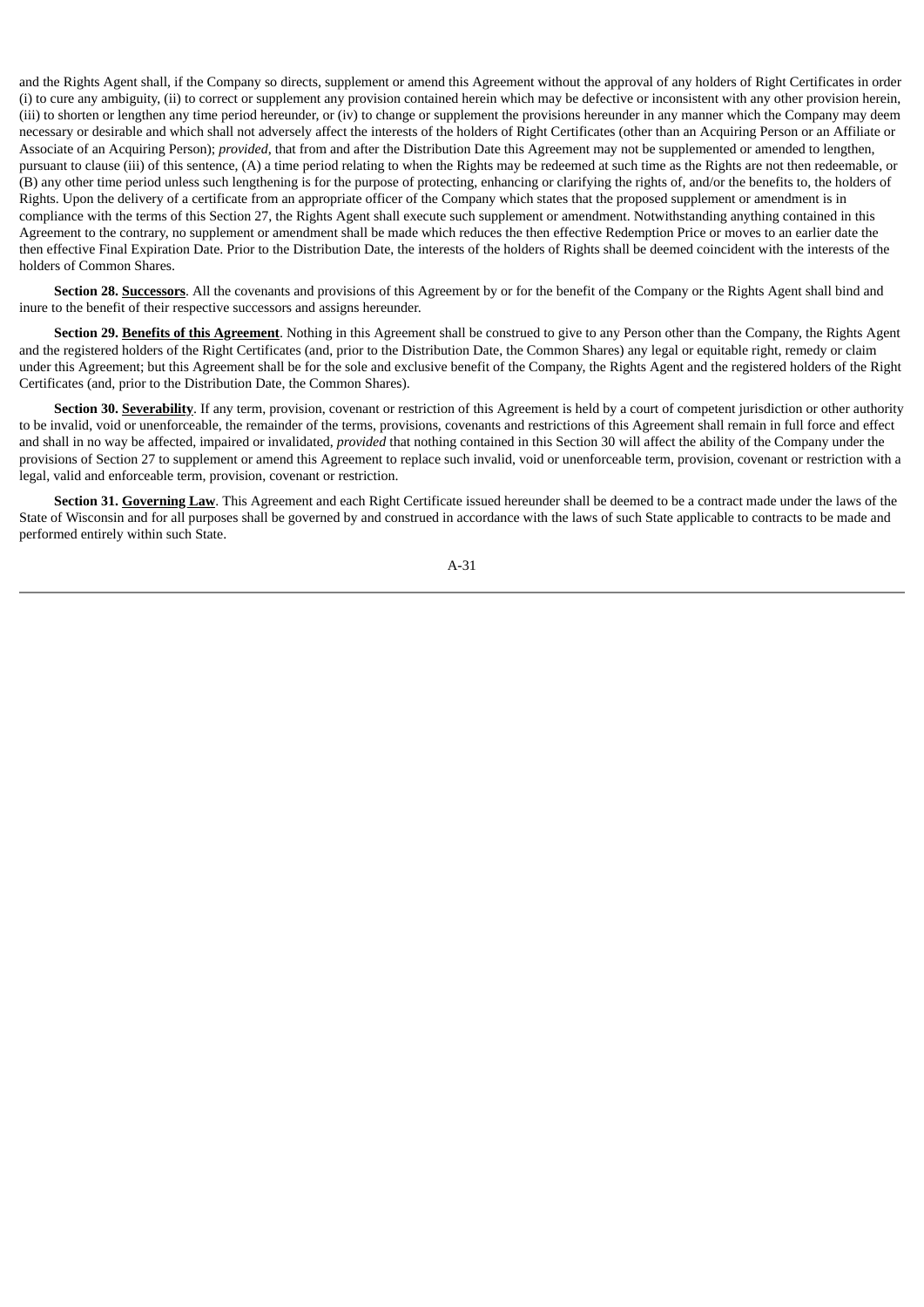and the Rights Agent shall, if the Company so directs, supplement or amend this Agreement without the approval of any holders of Right Certificates in order (i) to cure any ambiguity, (ii) to correct or supplement any provision contained herein which may be defective or inconsistent with any other provision herein, (iii) to shorten or lengthen any time period hereunder, or (iv) to change or supplement the provisions hereunder in any manner which the Company may deem necessary or desirable and which shall not adversely affect the interests of the holders of Right Certificates (other than an Acquiring Person or an Affiliate or Associate of an Acquiring Person); *provided*, that from and after the Distribution Date this Agreement may not be supplemented or amended to lengthen, pursuant to clause (iii) of this sentence, (A) a time period relating to when the Rights may be redeemed at such time as the Rights are not then redeemable, or (B) any other time period unless such lengthening is for the purpose of protecting, enhancing or clarifying the rights of, and/or the benefits to, the holders of Rights. Upon the delivery of a certificate from an appropriate officer of the Company which states that the proposed supplement or amendment is in compliance with the terms of this Section 27, the Rights Agent shall execute such supplement or amendment. Notwithstanding anything contained in this Agreement to the contrary, no supplement or amendment shall be made which reduces the then effective Redemption Price or moves to an earlier date the then effective Final Expiration Date. Prior to the Distribution Date, the interests of the holders of Rights shall be deemed coincident with the interests of the holders of Common Shares.

**Section 28. Successors**. All the covenants and provisions of this Agreement by or for the benefit of the Company or the Rights Agent shall bind and inure to the benefit of their respective successors and assigns hereunder.

**Section 29. Benefits of this Agreement**. Nothing in this Agreement shall be construed to give to any Person other than the Company, the Rights Agent and the registered holders of the Right Certificates (and, prior to the Distribution Date, the Common Shares) any legal or equitable right, remedy or claim under this Agreement; but this Agreement shall be for the sole and exclusive benefit of the Company, the Rights Agent and the registered holders of the Right Certificates (and, prior to the Distribution Date, the Common Shares).

**Section 30. Severability**. If any term, provision, covenant or restriction of this Agreement is held by a court of competent jurisdiction or other authority to be invalid, void or unenforceable, the remainder of the terms, provisions, covenants and restrictions of this Agreement shall remain in full force and effect and shall in no way be affected, impaired or invalidated, *provided* that nothing contained in this Section 30 will affect the ability of the Company under the provisions of Section 27 to supplement or amend this Agreement to replace such invalid, void or unenforceable term, provision, covenant or restriction with a legal, valid and enforceable term, provision, covenant or restriction.

**Section 31. Governing Law**. This Agreement and each Right Certificate issued hereunder shall be deemed to be a contract made under the laws of the State of Wisconsin and for all purposes shall be governed by and construed in accordance with the laws of such State applicable to contracts to be made and performed entirely within such State.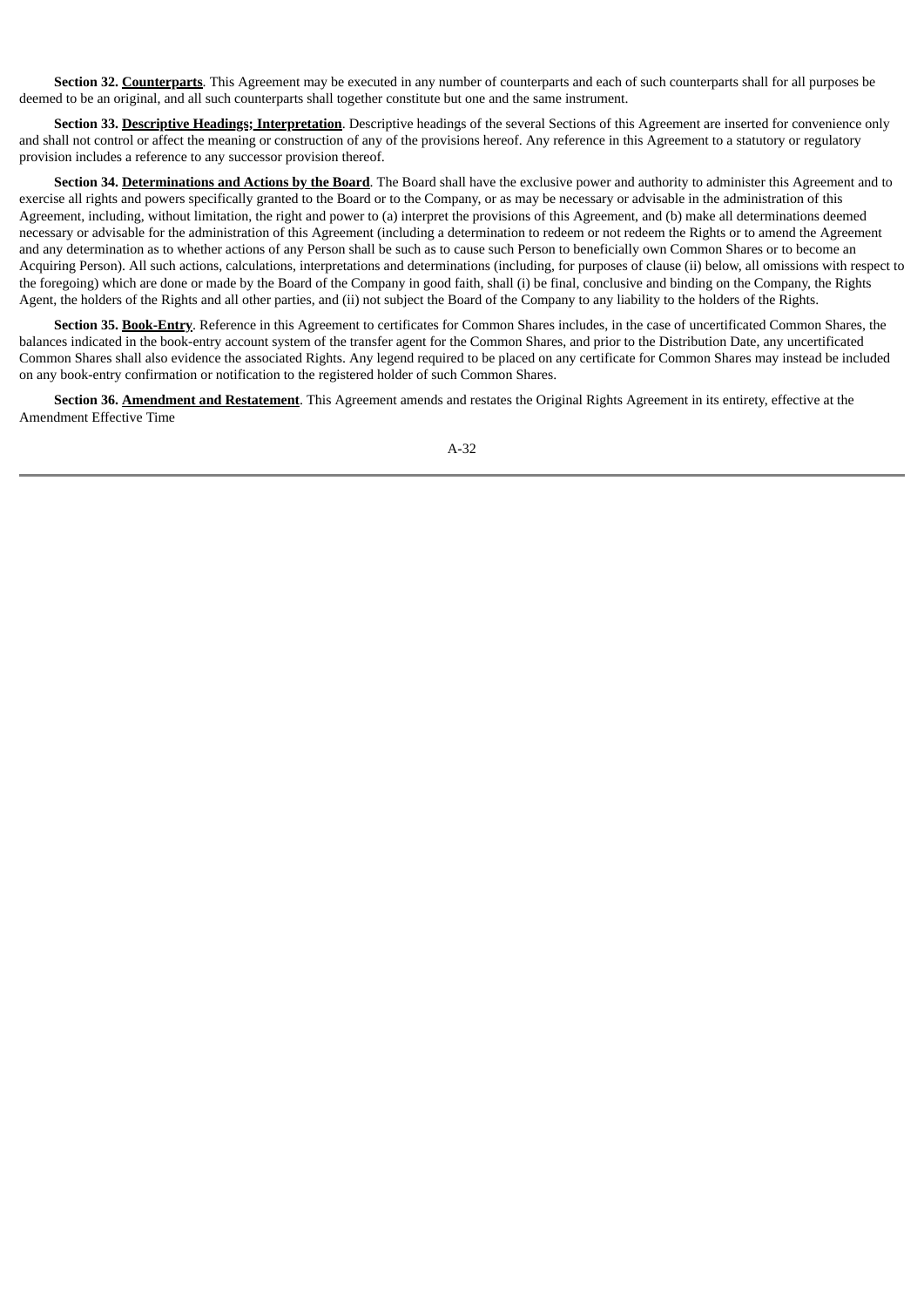**Section 32. Counterparts**. This Agreement may be executed in any number of counterparts and each of such counterparts shall for all purposes be deemed to be an original, and all such counterparts shall together constitute but one and the same instrument.

**Section 33. Descriptive Headings; Interpretation**. Descriptive headings of the several Sections of this Agreement are inserted for convenience only and shall not control or affect the meaning or construction of any of the provisions hereof. Any reference in this Agreement to a statutory or regulatory provision includes a reference to any successor provision thereof.

**Section 34. Determinations and Actions by the Board**. The Board shall have the exclusive power and authority to administer this Agreement and to exercise all rights and powers specifically granted to the Board or to the Company, or as may be necessary or advisable in the administration of this Agreement, including, without limitation, the right and power to (a) interpret the provisions of this Agreement, and (b) make all determinations deemed necessary or advisable for the administration of this Agreement (including a determination to redeem or not redeem the Rights or to amend the Agreement and any determination as to whether actions of any Person shall be such as to cause such Person to beneficially own Common Shares or to become an Acquiring Person). All such actions, calculations, interpretations and determinations (including, for purposes of clause (ii) below, all omissions with respect to the foregoing) which are done or made by the Board of the Company in good faith, shall (i) be final, conclusive and binding on the Company, the Rights Agent, the holders of the Rights and all other parties, and (ii) not subject the Board of the Company to any liability to the holders of the Rights.

**Section 35. Book-Entry**. Reference in this Agreement to certificates for Common Shares includes, in the case of uncertificated Common Shares, the balances indicated in the book-entry account system of the transfer agent for the Common Shares, and prior to the Distribution Date, any uncertificated Common Shares shall also evidence the associated Rights. Any legend required to be placed on any certificate for Common Shares may instead be included on any book-entry confirmation or notification to the registered holder of such Common Shares.

**Section 36. Amendment and Restatement**. This Agreement amends and restates the Original Rights Agreement in its entirety, effective at the Amendment Effective Time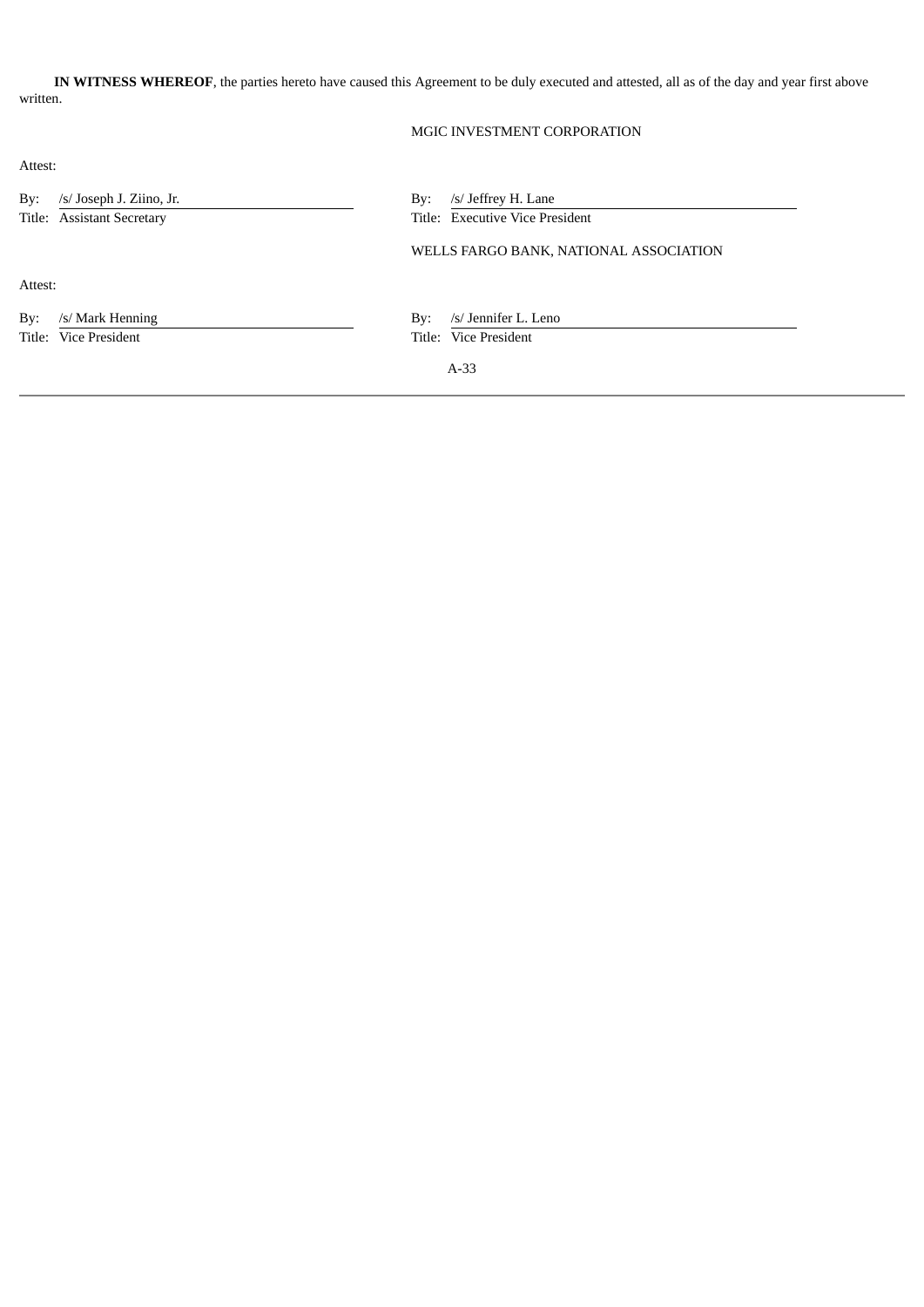**IN WITNESS WHEREOF**, the parties hereto have caused this Agreement to be duly executed and attested, all as of the day and year first above written.

# MGIC INVESTMENT CORPORATION

By: /s/ Joseph J. Ziino, Jr. By: /s/ Jeffrey H. Lane Title: Assistant Secretary Title: Executive Vice President WELLS FARGO BANK, NATIONAL ASSOCIATION Attest: By: /s/ Mark Henning By: /s/ Jennifer L. Leno Title: Vice President Title: Vice President A-33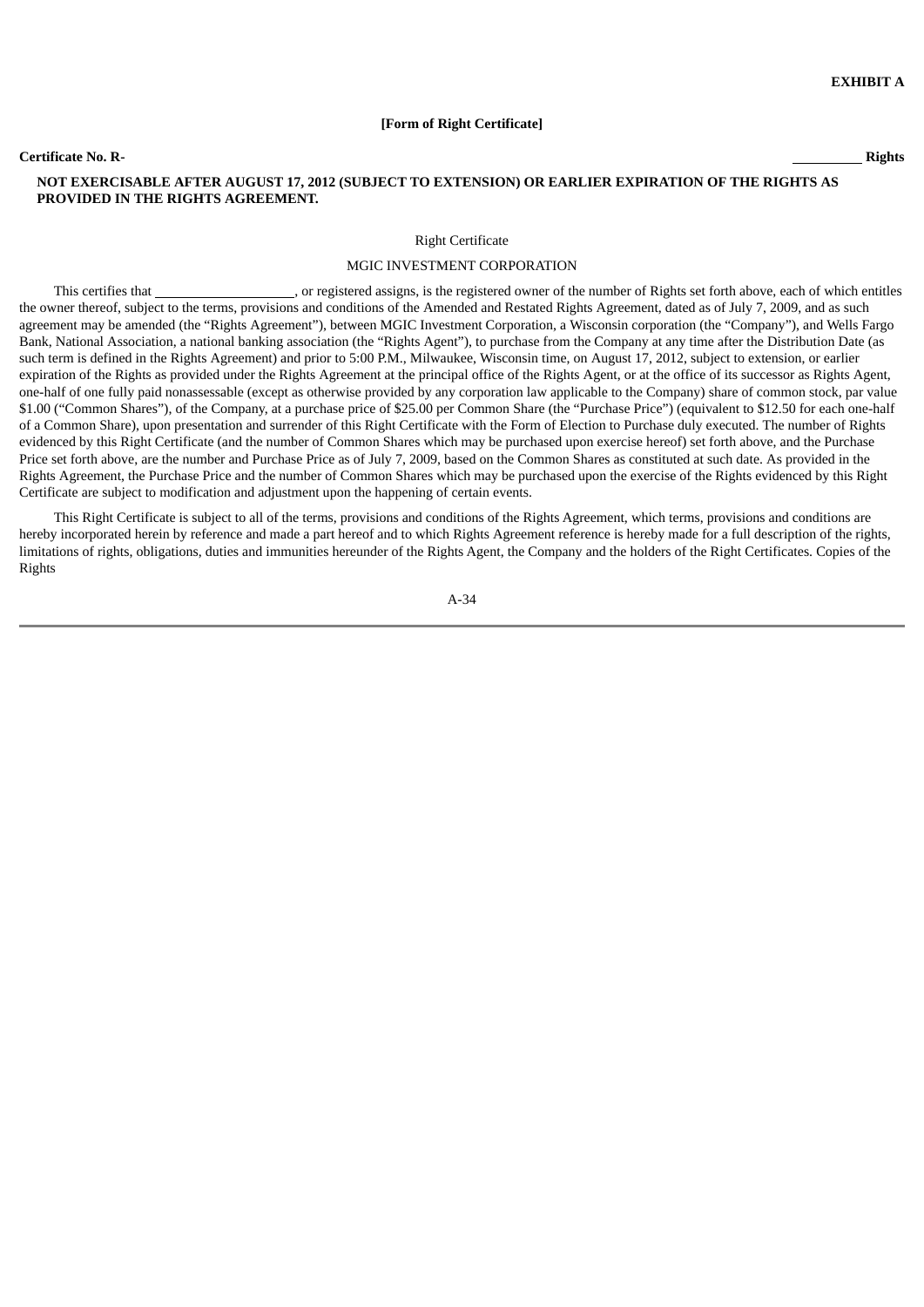### **[Form of Right Certificate]**

### **Certificate No. R- Rights**

### **NOT EXERCISABLE AFTER AUGUST 17, 2012 (SUBJECT TO EXTENSION) OR EARLIER EXPIRATION OF THE RIGHTS AS PROVIDED IN THE RIGHTS AGREEMENT.**

## Right Certificate

# MGIC INVESTMENT CORPORATION

This certifies that *lead to the registered assigns*, is the registered owner of the number of Rights set forth above, each of which entitles the owner thereof, subject to the terms, provisions and conditions of the Amended and Restated Rights Agreement, dated as of July 7, 2009, and as such agreement may be amended (the "Rights Agreement"), between MGIC Investment Corporation, a Wisconsin corporation (the "Company"), and Wells Fargo Bank, National Association, a national banking association (the "Rights Agent"), to purchase from the Company at any time after the Distribution Date (as such term is defined in the Rights Agreement) and prior to 5:00 P.M., Milwaukee, Wisconsin time, on August 17, 2012, subject to extension, or earlier expiration of the Rights as provided under the Rights Agreement at the principal office of the Rights Agent, or at the office of its successor as Rights Agent, one-half of one fully paid nonassessable (except as otherwise provided by any corporation law applicable to the Company) share of common stock, par value \$1.00 ("Common Shares"), of the Company, at a purchase price of \$25.00 per Common Share (the "Purchase Price") (equivalent to \$12.50 for each one-half of a Common Share), upon presentation and surrender of this Right Certificate with the Form of Election to Purchase duly executed. The number of Rights evidenced by this Right Certificate (and the number of Common Shares which may be purchased upon exercise hereof) set forth above, and the Purchase Price set forth above, are the number and Purchase Price as of July 7, 2009, based on the Common Shares as constituted at such date. As provided in the Rights Agreement, the Purchase Price and the number of Common Shares which may be purchased upon the exercise of the Rights evidenced by this Right Certificate are subject to modification and adjustment upon the happening of certain events.

This Right Certificate is subject to all of the terms, provisions and conditions of the Rights Agreement, which terms, provisions and conditions are hereby incorporated herein by reference and made a part hereof and to which Rights Agreement reference is hereby made for a full description of the rights, limitations of rights, obligations, duties and immunities hereunder of the Rights Agent, the Company and the holders of the Right Certificates. Copies of the Rights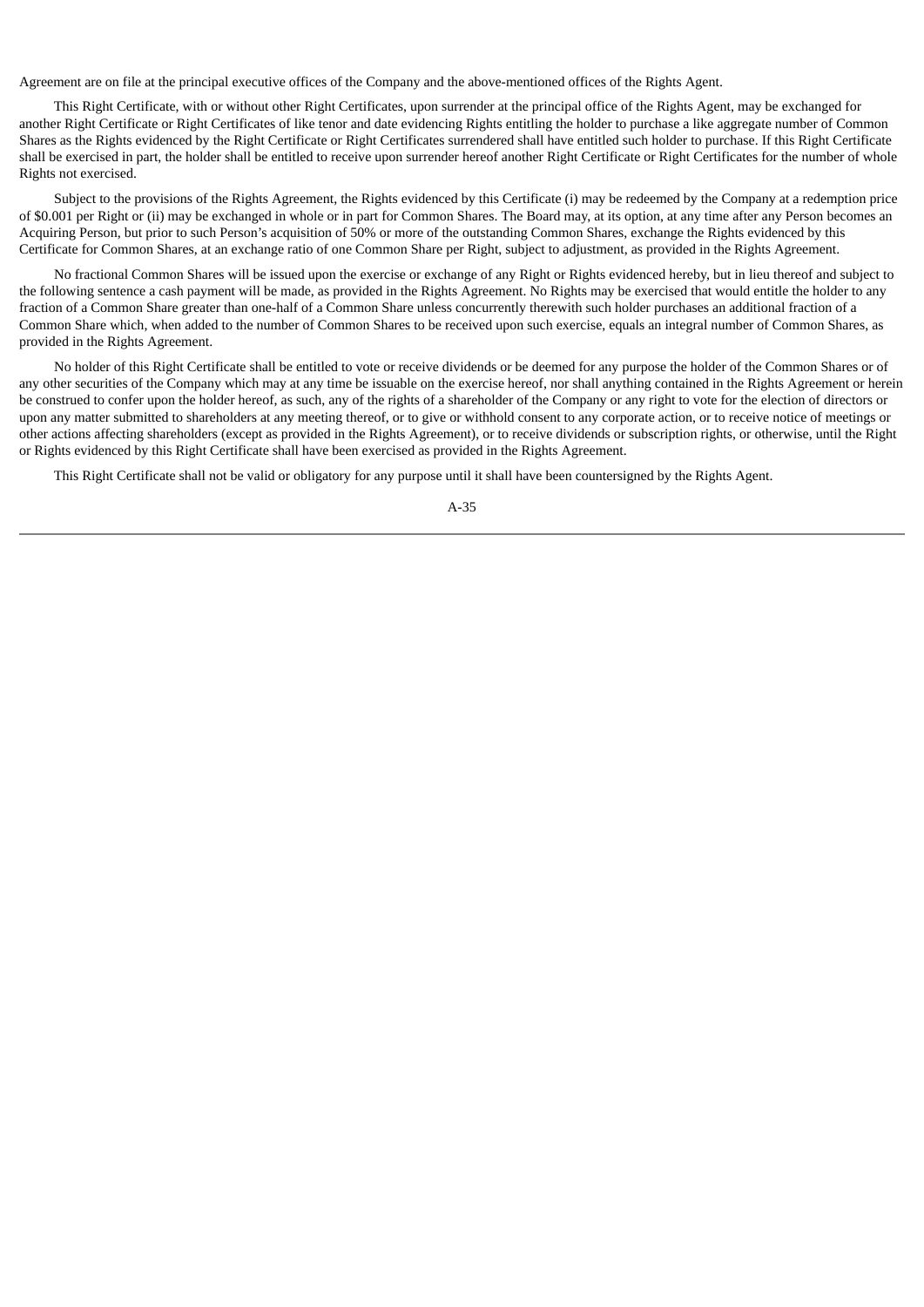Agreement are on file at the principal executive offices of the Company and the above-mentioned offices of the Rights Agent.

This Right Certificate, with or without other Right Certificates, upon surrender at the principal office of the Rights Agent, may be exchanged for another Right Certificate or Right Certificates of like tenor and date evidencing Rights entitling the holder to purchase a like aggregate number of Common Shares as the Rights evidenced by the Right Certificate or Right Certificates surrendered shall have entitled such holder to purchase. If this Right Certificate shall be exercised in part, the holder shall be entitled to receive upon surrender hereof another Right Certificate or Right Certificates for the number of whole Rights not exercised.

Subject to the provisions of the Rights Agreement, the Rights evidenced by this Certificate (i) may be redeemed by the Company at a redemption price of \$0.001 per Right or (ii) may be exchanged in whole or in part for Common Shares. The Board may, at its option, at any time after any Person becomes an Acquiring Person, but prior to such Person's acquisition of 50% or more of the outstanding Common Shares, exchange the Rights evidenced by this Certificate for Common Shares, at an exchange ratio of one Common Share per Right, subject to adjustment, as provided in the Rights Agreement.

No fractional Common Shares will be issued upon the exercise or exchange of any Right or Rights evidenced hereby, but in lieu thereof and subject to the following sentence a cash payment will be made, as provided in the Rights Agreement. No Rights may be exercised that would entitle the holder to any fraction of a Common Share greater than one-half of a Common Share unless concurrently therewith such holder purchases an additional fraction of a Common Share which, when added to the number of Common Shares to be received upon such exercise, equals an integral number of Common Shares, as provided in the Rights Agreement.

No holder of this Right Certificate shall be entitled to vote or receive dividends or be deemed for any purpose the holder of the Common Shares or of any other securities of the Company which may at any time be issuable on the exercise hereof, nor shall anything contained in the Rights Agreement or herein be construed to confer upon the holder hereof, as such, any of the rights of a shareholder of the Company or any right to vote for the election of directors or upon any matter submitted to shareholders at any meeting thereof, or to give or withhold consent to any corporate action, or to receive notice of meetings or other actions affecting shareholders (except as provided in the Rights Agreement), or to receive dividends or subscription rights, or otherwise, until the Right or Rights evidenced by this Right Certificate shall have been exercised as provided in the Rights Agreement.

This Right Certificate shall not be valid or obligatory for any purpose until it shall have been countersigned by the Rights Agent.

$$
A-35
$$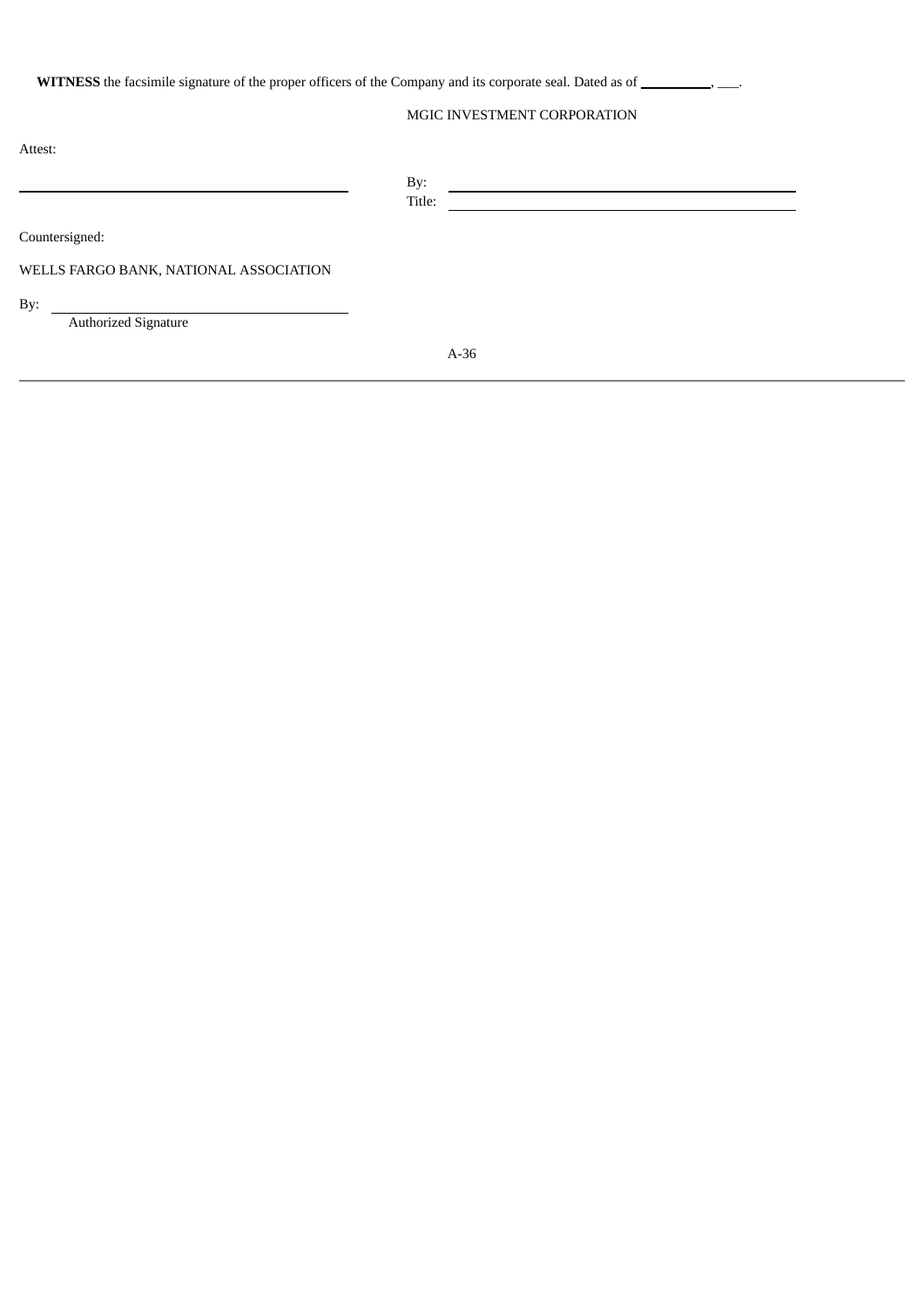|                                        | WITNESS the facsimile signature of the proper officers of the Company and its corporate seal. Dated as of _________, ___. |  |  |  |  |
|----------------------------------------|---------------------------------------------------------------------------------------------------------------------------|--|--|--|--|
|                                        | MGIC INVESTMENT CORPORATION                                                                                               |  |  |  |  |
| Attest:                                |                                                                                                                           |  |  |  |  |
|                                        | By:<br>Title:                                                                                                             |  |  |  |  |
| Countersigned:                         |                                                                                                                           |  |  |  |  |
| WELLS FARGO BANK, NATIONAL ASSOCIATION |                                                                                                                           |  |  |  |  |
| By:<br><b>Authorized Signature</b>     |                                                                                                                           |  |  |  |  |
|                                        | $A-36$                                                                                                                    |  |  |  |  |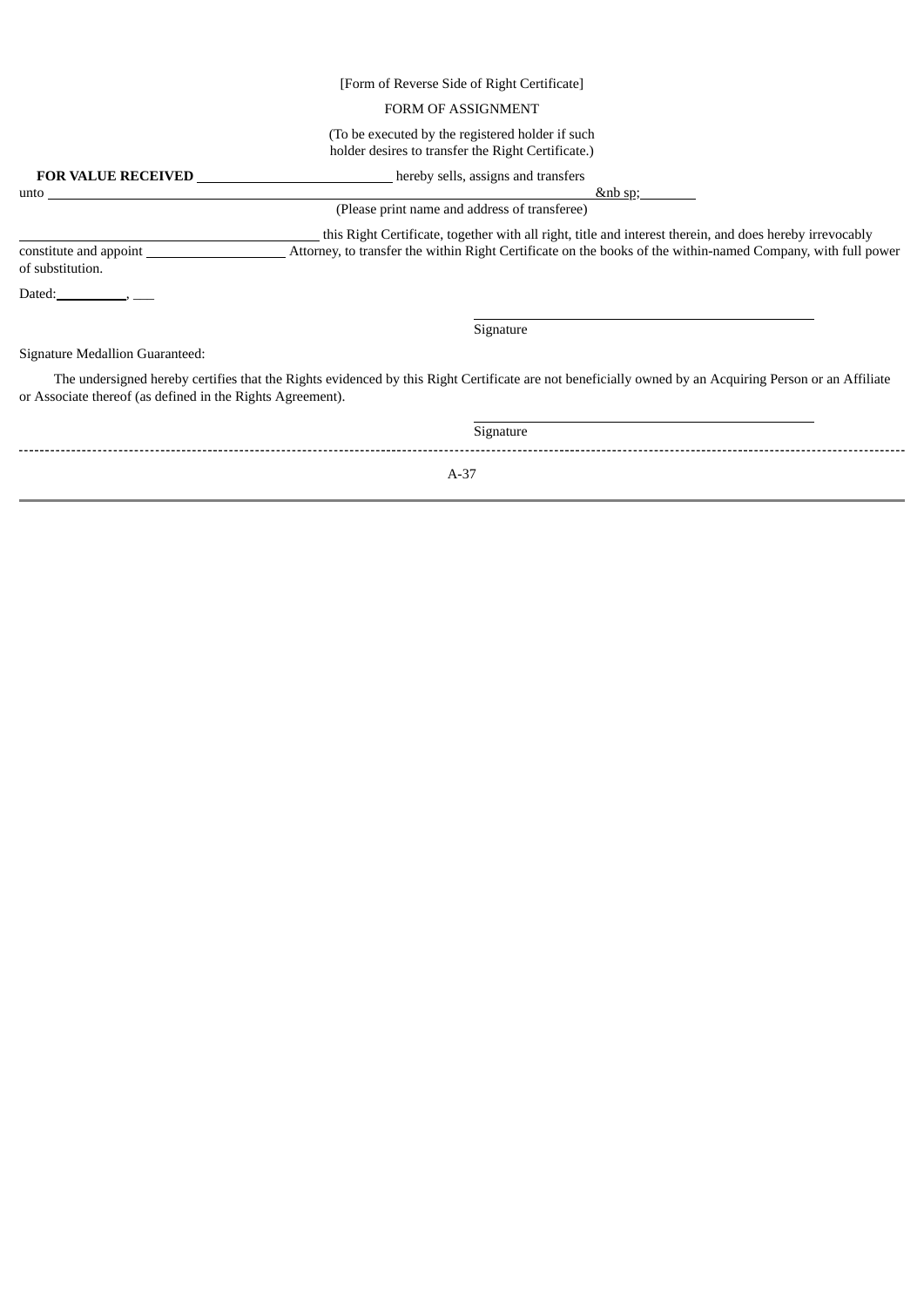|                                                                   | [Form of Reverse Side of Right Certificate]                                                                                                            |
|-------------------------------------------------------------------|--------------------------------------------------------------------------------------------------------------------------------------------------------|
|                                                                   | <b>FORM OF ASSIGNMENT</b>                                                                                                                              |
|                                                                   | (To be executed by the registered holder if such<br>holder desires to transfer the Right Certificate.)                                                 |
| $\mathsf{unto}$                                                   | <b>FOR VALUE RECEIVED</b> <u><b>Example 2016</b></u> Thereby sells, assigns and transfers<br>$&$ nb sp;                                                |
|                                                                   | (Please print name and address of transferee)                                                                                                          |
| of substitution.<br>Dated: $\_\_\_\_\_\_\_\_\_\_\_\_\_\_\_\_\_\_$ | this Right Certificate, together with all right, title and interest therein, and does hereby irrevocably                                               |
|                                                                   |                                                                                                                                                        |
|                                                                   | Signature                                                                                                                                              |
| <b>Signature Medallion Guaranteed:</b>                            |                                                                                                                                                        |
| or Associate thereof (as defined in the Rights Agreement).        | The undersigned hereby certifies that the Rights evidenced by this Right Certificate are not beneficially owned by an Acquiring Person or an Affiliate |
|                                                                   | Signature                                                                                                                                              |
|                                                                   | $A-37$                                                                                                                                                 |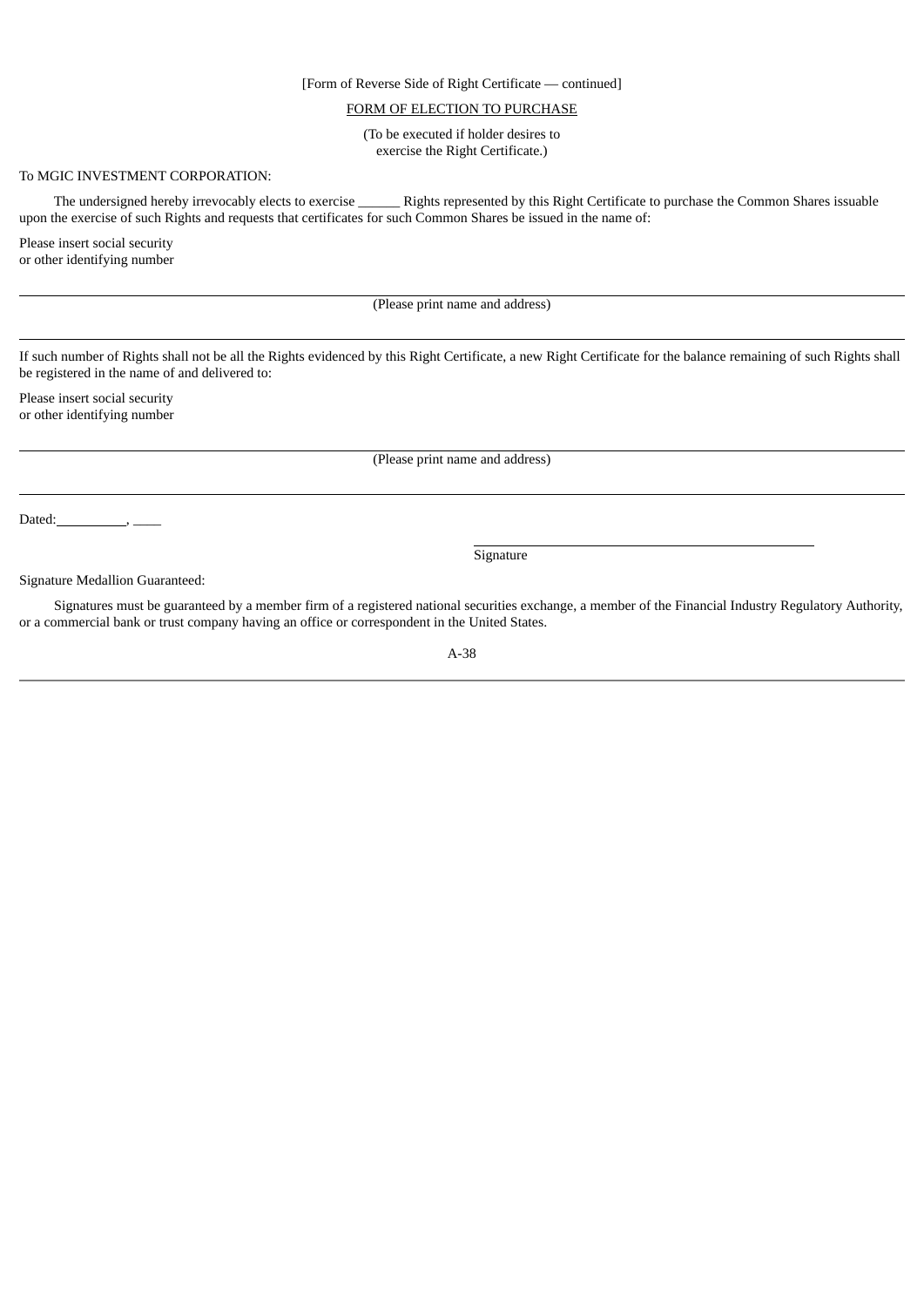# [Form of Reverse Side of Right Certificate — continued]

## FORM OF ELECTION TO PURCHASE

(To be executed if holder desires to exercise the Right Certificate.)

## To MGIC INVESTMENT CORPORATION:

The undersigned hereby irrevocably elects to exercise \_\_\_\_\_\_\_ Rights represented by this Right Certificate to purchase the Common Shares issuable upon the exercise of such Rights and requests that certificates for such Common Shares be issued in the name of:

Please insert social security or other identifying number

(Please print name and address)

If such number of Rights shall not be all the Rights evidenced by this Right Certificate, a new Right Certificate for the balance remaining of such Rights shall be registered in the name of and delivered to:

Please insert social security or other identifying number

(Please print name and address)

Dated:

**Signature** 

Signature Medallion Guaranteed:

Signatures must be guaranteed by a member firm of a registered national securities exchange, a member of the Financial Industry Regulatory Authority, or a commercial bank or trust company having an office or correspondent in the United States.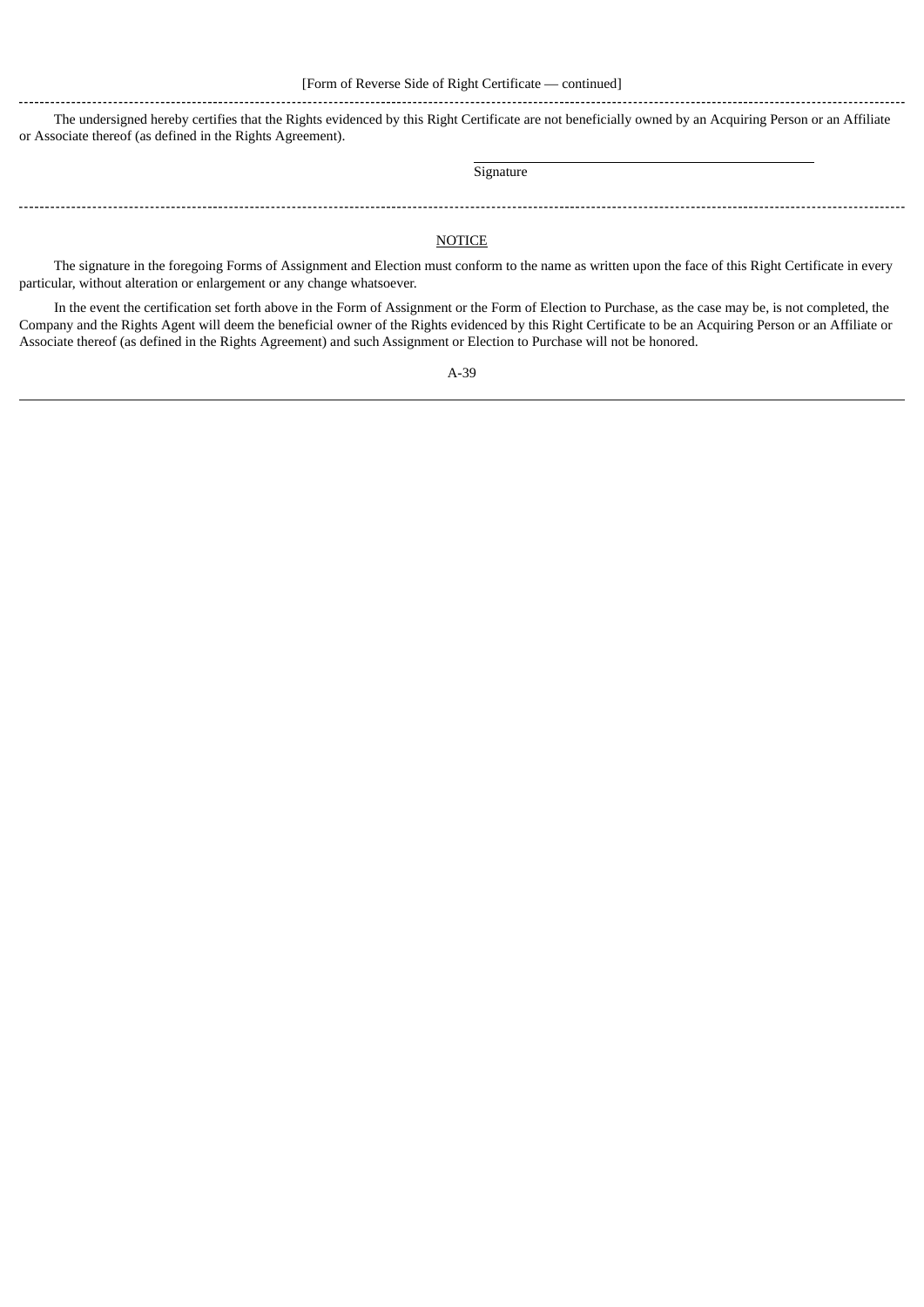The undersigned hereby certifies that the Rights evidenced by this Right Certificate are not beneficially owned by an Acquiring Person or an Affiliate or Associate thereof (as defined in the Rights Agreement).

Signature

### **NOTICE**

The signature in the foregoing Forms of Assignment and Election must conform to the name as written upon the face of this Right Certificate in every particular, without alteration or enlargement or any change whatsoever.

In the event the certification set forth above in the Form of Assignment or the Form of Election to Purchase, as the case may be, is not completed, the Company and the Rights Agent will deem the beneficial owner of the Rights evidenced by this Right Certificate to be an Acquiring Person or an Affiliate or Associate thereof (as defined in the Rights Agreement) and such Assignment or Election to Purchase will not be honored.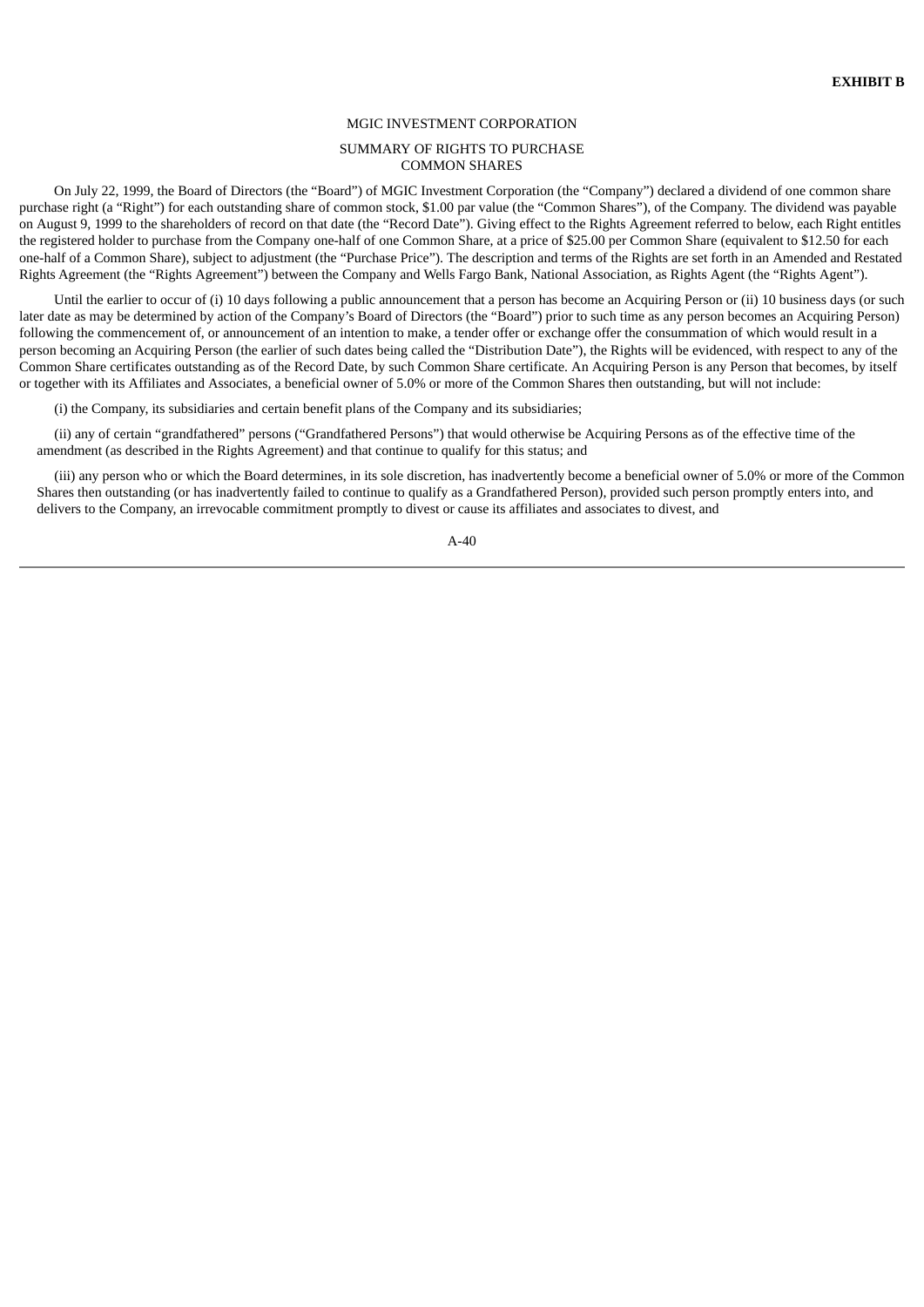### MGIC INVESTMENT CORPORATION

## SUMMARY OF RIGHTS TO PURCHASE COMMON SHARES

On July 22, 1999, the Board of Directors (the "Board") of MGIC Investment Corporation (the "Company") declared a dividend of one common share purchase right (a "Right") for each outstanding share of common stock, \$1.00 par value (the "Common Shares"), of the Company. The dividend was payable on August 9, 1999 to the shareholders of record on that date (the "Record Date"). Giving effect to the Rights Agreement referred to below, each Right entitles the registered holder to purchase from the Company one-half of one Common Share, at a price of \$25.00 per Common Share (equivalent to \$12.50 for each one-half of a Common Share), subject to adjustment (the "Purchase Price"). The description and terms of the Rights are set forth in an Amended and Restated Rights Agreement (the "Rights Agreement") between the Company and Wells Fargo Bank, National Association, as Rights Agent (the "Rights Agent").

Until the earlier to occur of (i) 10 days following a public announcement that a person has become an Acquiring Person or (ii) 10 business days (or such later date as may be determined by action of the Company's Board of Directors (the "Board") prior to such time as any person becomes an Acquiring Person) following the commencement of, or announcement of an intention to make, a tender offer or exchange offer the consummation of which would result in a person becoming an Acquiring Person (the earlier of such dates being called the "Distribution Date"), the Rights will be evidenced, with respect to any of the Common Share certificates outstanding as of the Record Date, by such Common Share certificate. An Acquiring Person is any Person that becomes, by itself or together with its Affiliates and Associates, a beneficial owner of 5.0% or more of the Common Shares then outstanding, but will not include:

(i) the Company, its subsidiaries and certain benefit plans of the Company and its subsidiaries;

(ii) any of certain "grandfathered" persons ("Grandfathered Persons") that would otherwise be Acquiring Persons as of the effective time of the amendment (as described in the Rights Agreement) and that continue to qualify for this status; and

(iii) any person who or which the Board determines, in its sole discretion, has inadvertently become a beneficial owner of 5.0% or more of the Common Shares then outstanding (or has inadvertently failed to continue to qualify as a Grandfathered Person), provided such person promptly enters into, and delivers to the Company, an irrevocable commitment promptly to divest or cause its affiliates and associates to divest, and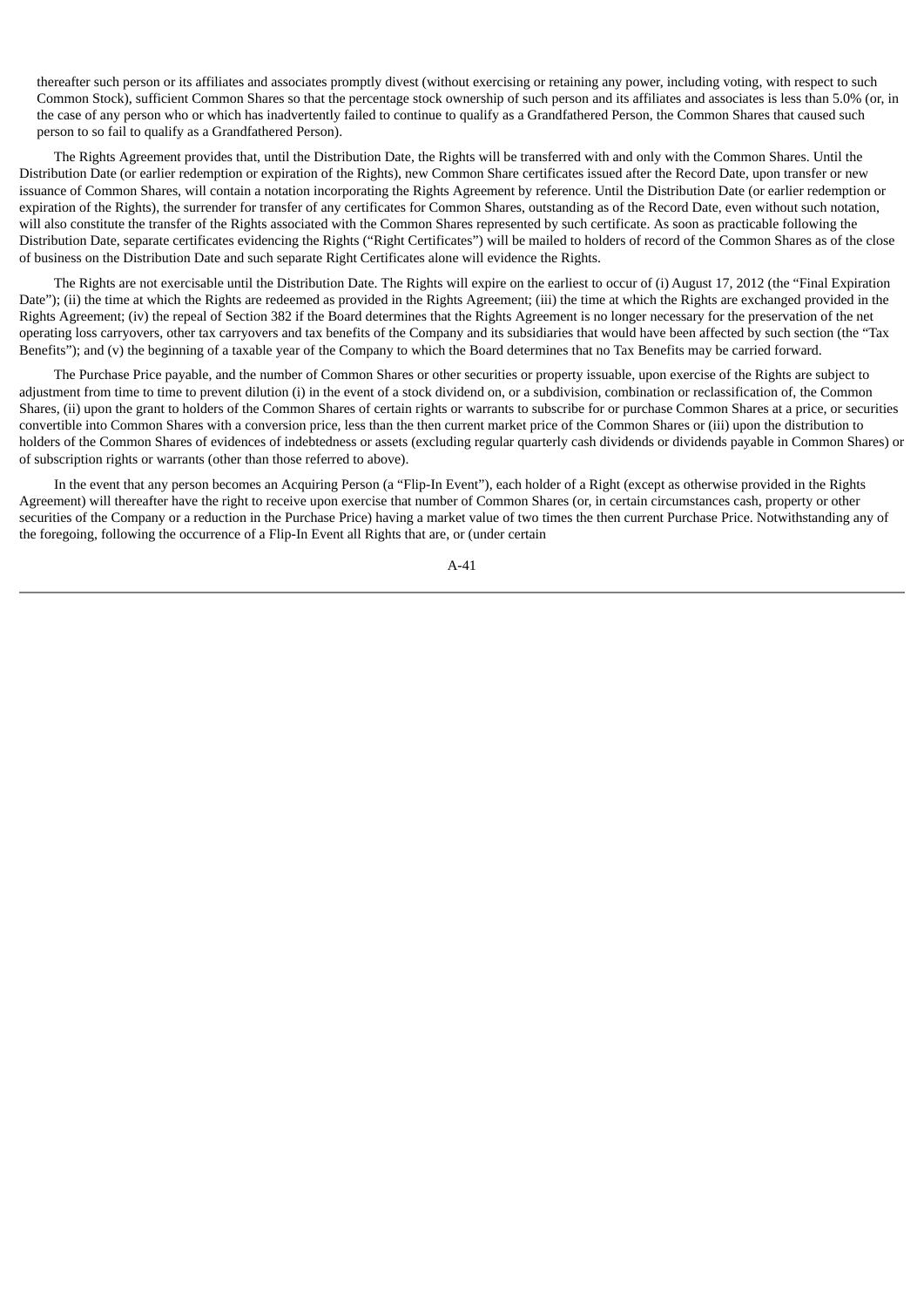thereafter such person or its affiliates and associates promptly divest (without exercising or retaining any power, including voting, with respect to such Common Stock), sufficient Common Shares so that the percentage stock ownership of such person and its affiliates and associates is less than 5.0% (or, in the case of any person who or which has inadvertently failed to continue to qualify as a Grandfathered Person, the Common Shares that caused such person to so fail to qualify as a Grandfathered Person).

The Rights Agreement provides that, until the Distribution Date, the Rights will be transferred with and only with the Common Shares. Until the Distribution Date (or earlier redemption or expiration of the Rights), new Common Share certificates issued after the Record Date, upon transfer or new issuance of Common Shares, will contain a notation incorporating the Rights Agreement by reference. Until the Distribution Date (or earlier redemption or expiration of the Rights), the surrender for transfer of any certificates for Common Shares, outstanding as of the Record Date, even without such notation, will also constitute the transfer of the Rights associated with the Common Shares represented by such certificate. As soon as practicable following the Distribution Date, separate certificates evidencing the Rights ("Right Certificates") will be mailed to holders of record of the Common Shares as of the close of business on the Distribution Date and such separate Right Certificates alone will evidence the Rights.

The Rights are not exercisable until the Distribution Date. The Rights will expire on the earliest to occur of (i) August 17, 2012 (the "Final Expiration Date"); (ii) the time at which the Rights are redeemed as provided in the Rights Agreement; (iii) the time at which the Rights are exchanged provided in the Rights Agreement; (iv) the repeal of Section 382 if the Board determines that the Rights Agreement is no longer necessary for the preservation of the net operating loss carryovers, other tax carryovers and tax benefits of the Company and its subsidiaries that would have been affected by such section (the "Tax Benefits"); and (v) the beginning of a taxable year of the Company to which the Board determines that no Tax Benefits may be carried forward.

The Purchase Price payable, and the number of Common Shares or other securities or property issuable, upon exercise of the Rights are subject to adjustment from time to time to prevent dilution (i) in the event of a stock dividend on, or a subdivision, combination or reclassification of, the Common Shares, (ii) upon the grant to holders of the Common Shares of certain rights or warrants to subscribe for or purchase Common Shares at a price, or securities convertible into Common Shares with a conversion price, less than the then current market price of the Common Shares or (iii) upon the distribution to holders of the Common Shares of evidences of indebtedness or assets (excluding regular quarterly cash dividends or dividends payable in Common Shares) or of subscription rights or warrants (other than those referred to above).

In the event that any person becomes an Acquiring Person (a "Flip-In Event"), each holder of a Right (except as otherwise provided in the Rights Agreement) will thereafter have the right to receive upon exercise that number of Common Shares (or, in certain circumstances cash, property or other securities of the Company or a reduction in the Purchase Price) having a market value of two times the then current Purchase Price. Notwithstanding any of the foregoing, following the occurrence of a Flip-In Event all Rights that are, or (under certain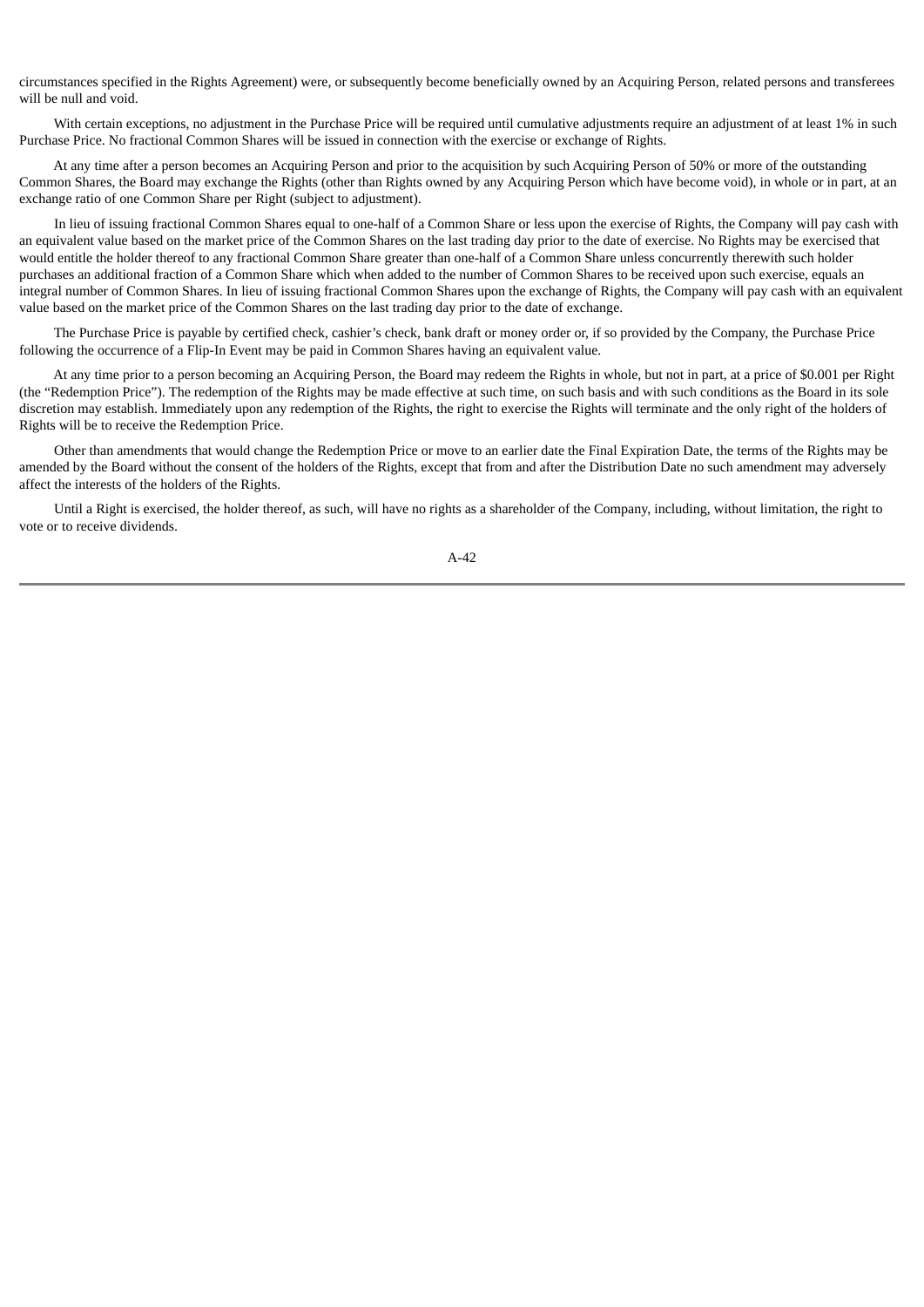circumstances specified in the Rights Agreement) were, or subsequently become beneficially owned by an Acquiring Person, related persons and transferees will be null and void.

With certain exceptions, no adjustment in the Purchase Price will be required until cumulative adjustments require an adjustment of at least 1% in such Purchase Price. No fractional Common Shares will be issued in connection with the exercise or exchange of Rights.

At any time after a person becomes an Acquiring Person and prior to the acquisition by such Acquiring Person of 50% or more of the outstanding Common Shares, the Board may exchange the Rights (other than Rights owned by any Acquiring Person which have become void), in whole or in part, at an exchange ratio of one Common Share per Right (subject to adjustment).

In lieu of issuing fractional Common Shares equal to one-half of a Common Share or less upon the exercise of Rights, the Company will pay cash with an equivalent value based on the market price of the Common Shares on the last trading day prior to the date of exercise. No Rights may be exercised that would entitle the holder thereof to any fractional Common Share greater than one-half of a Common Share unless concurrently therewith such holder purchases an additional fraction of a Common Share which when added to the number of Common Shares to be received upon such exercise, equals an integral number of Common Shares. In lieu of issuing fractional Common Shares upon the exchange of Rights, the Company will pay cash with an equivalent value based on the market price of the Common Shares on the last trading day prior to the date of exchange.

The Purchase Price is payable by certified check, cashier's check, bank draft or money order or, if so provided by the Company, the Purchase Price following the occurrence of a Flip-In Event may be paid in Common Shares having an equivalent value.

At any time prior to a person becoming an Acquiring Person, the Board may redeem the Rights in whole, but not in part, at a price of \$0.001 per Right (the "Redemption Price"). The redemption of the Rights may be made effective at such time, on such basis and with such conditions as the Board in its sole discretion may establish. Immediately upon any redemption of the Rights, the right to exercise the Rights will terminate and the only right of the holders of Rights will be to receive the Redemption Price.

Other than amendments that would change the Redemption Price or move to an earlier date the Final Expiration Date, the terms of the Rights may be amended by the Board without the consent of the holders of the Rights, except that from and after the Distribution Date no such amendment may adversely affect the interests of the holders of the Rights.

Until a Right is exercised, the holder thereof, as such, will have no rights as a shareholder of the Company, including, without limitation, the right to vote or to receive dividends.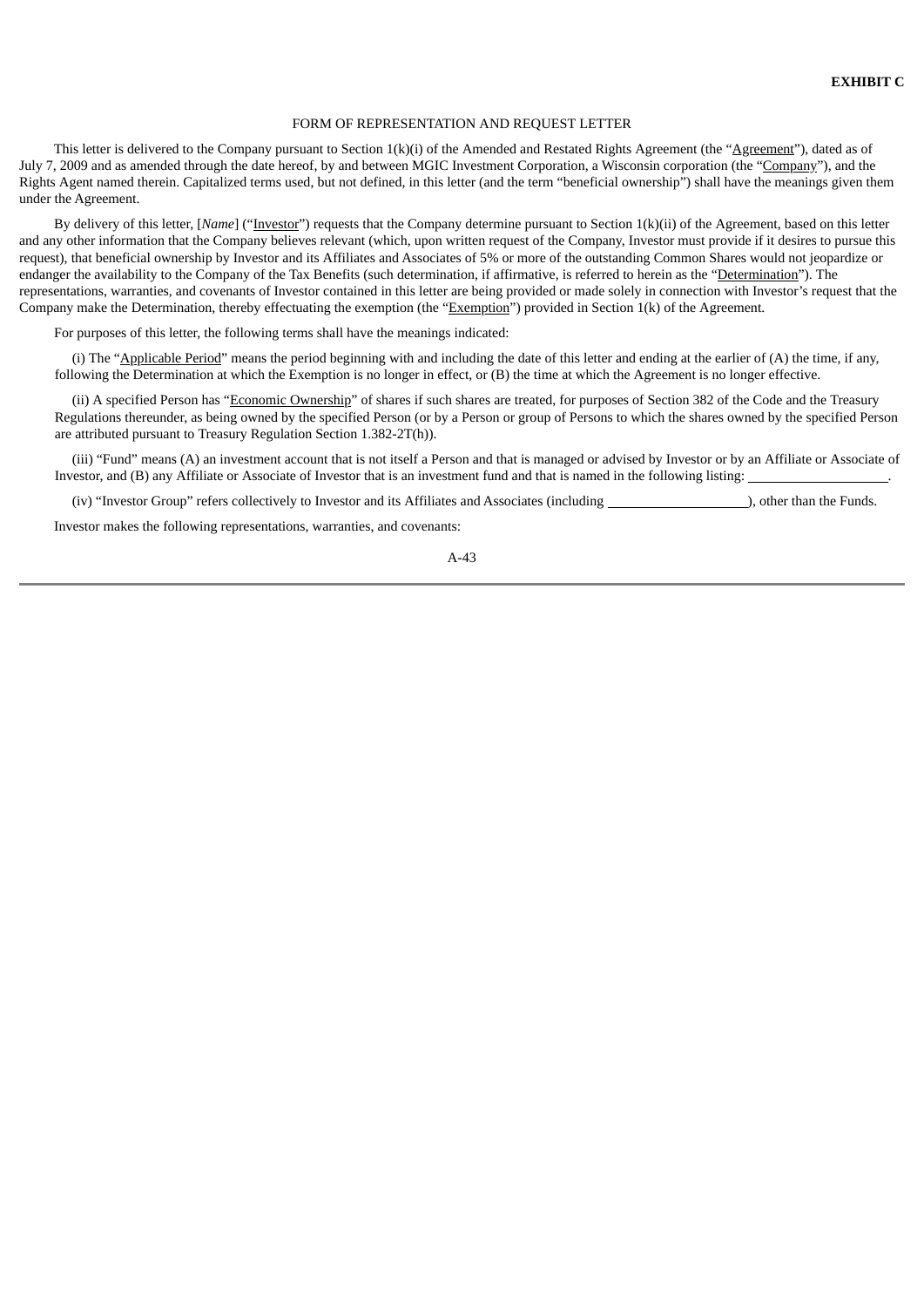### FORM OF REPRESENTATION AND REQUEST LETTER

This letter is delivered to the Company pursuant to Section  $1(k)(i)$  of the Amended and Restated Rights Agreement (the "Agreement"), dated as of July 7, 2009 and as amended through the date hereof, by and between MGIC Investment Corporation, a Wisconsin corporation (the "Company"), and the Rights Agent named therein. Capitalized terms used, but not defined, in this letter (and the term "beneficial ownership") shall have the meanings given them under the Agreement.

By delivery of this letter, [*Name*] ("Investor") requests that the Company determine pursuant to Section 1(k)(ii) of the Agreement, based on this letter and any other information that the Company believes relevant (which, upon written request of the Company, Investor must provide if it desires to pursue this request), that beneficial ownership by Investor and its Affiliates and Associates of 5% or more of the outstanding Common Shares would not jeopardize or endanger the availability to the Company of the Tax Benefits (such determination, if affirmative, is referred to herein as the "Determination"). The representations, warranties, and covenants of Investor contained in this letter are being provided or made solely in connection with Investor's request that the Company make the Determination, thereby effectuating the exemption (the "Exemption") provided in Section 1(k) of the Agreement.

For purposes of this letter, the following terms shall have the meanings indicated:

(i) The "Applicable Period" means the period beginning with and including the date of this letter and ending at the earlier of  $(A)$  the time, if any, following the Determination at which the Exemption is no longer in effect, or (B) the time at which the Agreement is no longer effective.

(ii) A specified Person has "Economic Ownership" of shares if such shares are treated, for purposes of Section 382 of the Code and the Treasury Regulations thereunder, as being owned by the specified Person (or by a Person or group of Persons to which the shares owned by the specified Person are attributed pursuant to Treasury Regulation Section 1.382-2T(h)).

(iii) "Fund" means (A) an investment account that is not itself a Person and that is managed or advised by Investor or by an Affiliate or Associate of Investor, and (B) any Affiliate or Associate of Investor that is an investment fund and that is named in the following listing: .

(iv) "Investor Group" refers collectively to Investor and its Affiliates and Associates (including ), other than the Funds.

Investor makes the following representations, warranties, and covenants: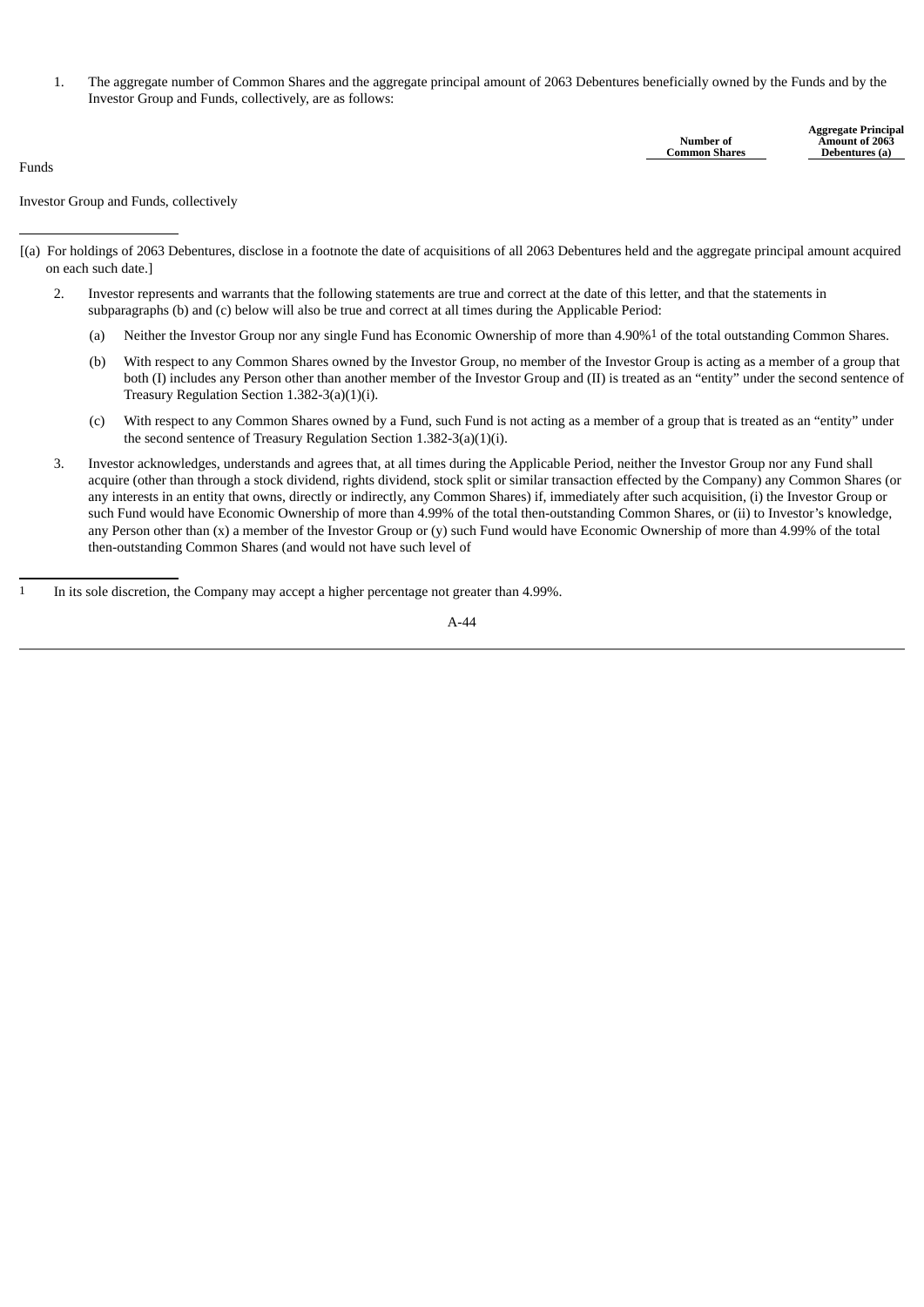1. The aggregate number of Common Shares and the aggregate principal amount of 2063 Debentures beneficially owned by the Funds and by the Investor Group and Funds, collectively, are as follows:

> **Number of Amount of 2063 Common Shares Debentures (a)**

**Aggregate Principal**

Investor Group and Funds, collectively

Funds

- 2. Investor represents and warrants that the following statements are true and correct at the date of this letter, and that the statements in subparagraphs (b) and (c) below will also be true and correct at all times during the Applicable Period:
	- (a) Neither the Investor Group nor any single Fund has Economic Ownership of more than 4.90%1 of the total outstanding Common Shares.
	- (b) With respect to any Common Shares owned by the Investor Group, no member of the Investor Group is acting as a member of a group that both (I) includes any Person other than another member of the Investor Group and (II) is treated as an "entity" under the second sentence of Treasury Regulation Section 1.382-3(a)(1)(i).
	- (c) With respect to any Common Shares owned by a Fund, such Fund is not acting as a member of a group that is treated as an "entity" under the second sentence of Treasury Regulation Section 1.382-3(a)(1)(i).
- 3. Investor acknowledges, understands and agrees that, at all times during the Applicable Period, neither the Investor Group nor any Fund shall acquire (other than through a stock dividend, rights dividend, stock split or similar transaction effected by the Company) any Common Shares (or any interests in an entity that owns, directly or indirectly, any Common Shares) if, immediately after such acquisition, (i) the Investor Group or such Fund would have Economic Ownership of more than 4.99% of the total then-outstanding Common Shares, or (ii) to Investor's knowledge, any Person other than (x) a member of the Investor Group or (y) such Fund would have Economic Ownership of more than 4.99% of the total then-outstanding Common Shares (and would not have such level of

<sup>[(</sup>a) For holdings of 2063 Debentures, disclose in a footnote the date of acquisitions of all 2063 Debentures held and the aggregate principal amount acquired on each such date.]

In its sole discretion, the Company may accept a higher percentage not greater than 4.99%.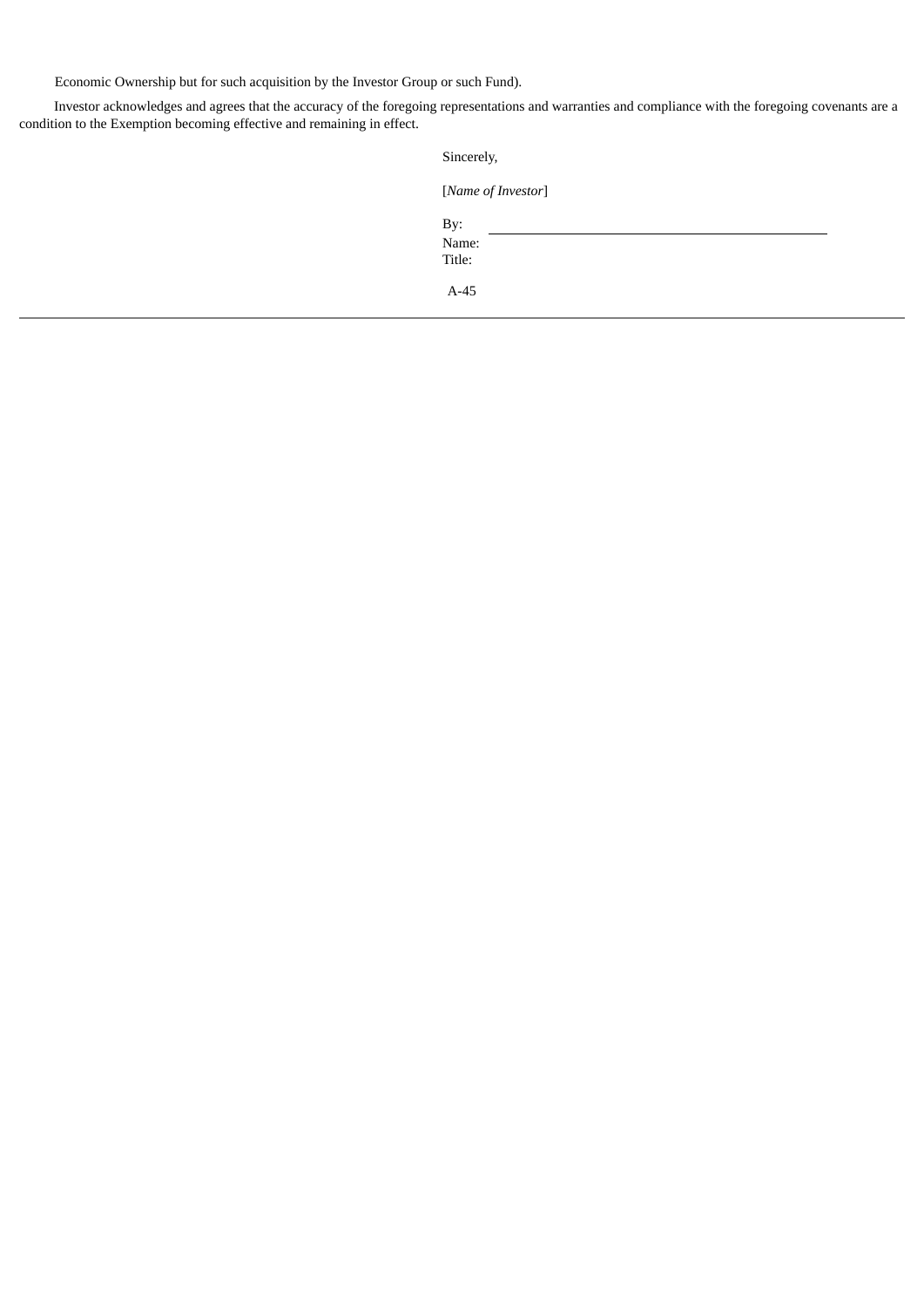Economic Ownership but for such acquisition by the Investor Group or such Fund).

Investor acknowledges and agrees that the accuracy of the foregoing representations and warranties and compliance with the foregoing covenants are a condition to the Exemption becoming effective and remaining in effect.

| me eres |
|---------|
|---------|

[*Name of Investor*] By: Name: Title: A-45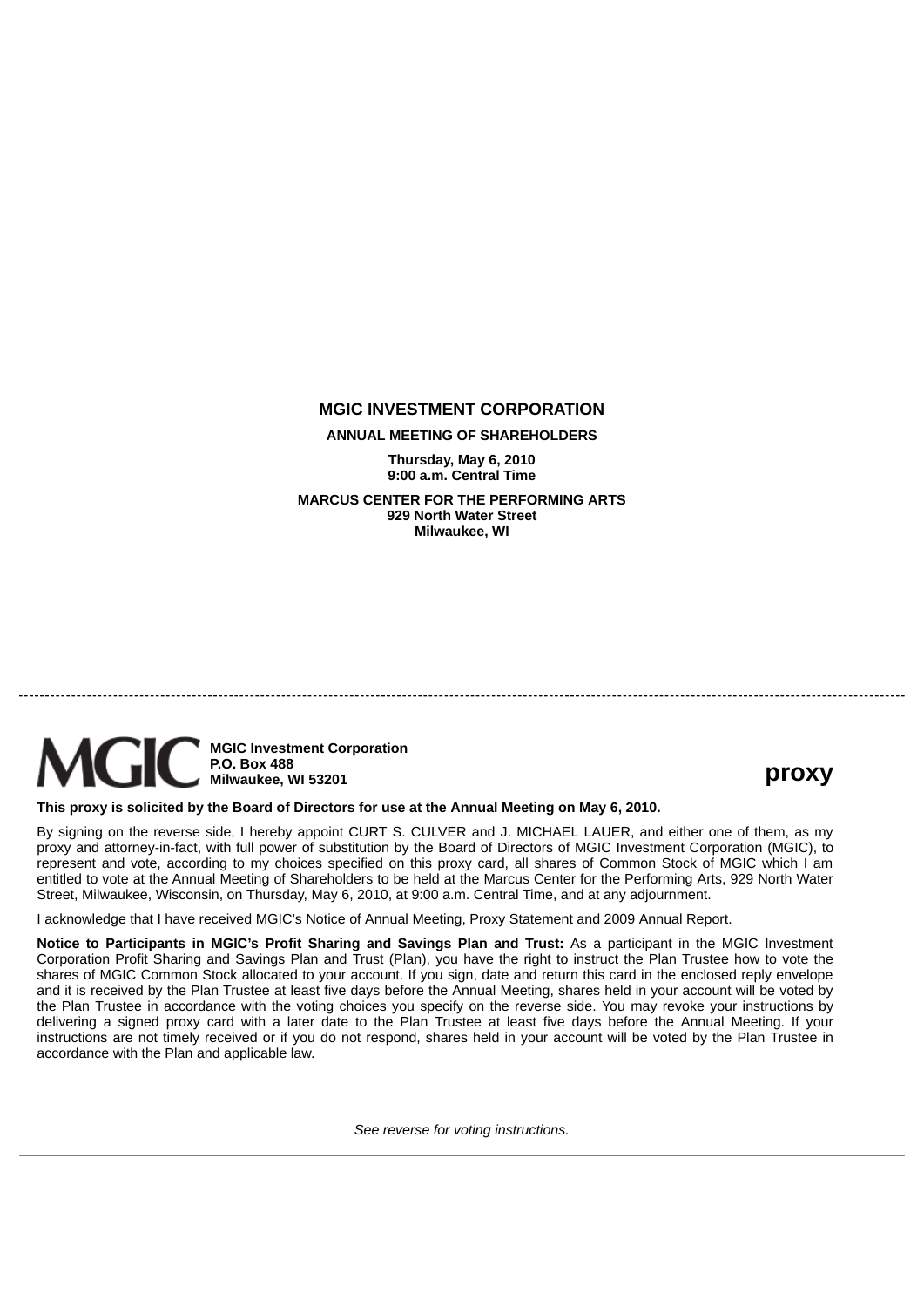# **MGIC INVESTMENT CORPORATION**

**ANNUAL MEETING OF SHAREHOLDERS**

**Thursday, May 6, 2010 9:00 a.m. Central Time**

**MARCUS CENTER FOR THE PERFORMING ARTS 929 North Water Street Milwaukee, WI**



# This proxy is solicited by the Board of Directors for use at the Annual Meeting on May 6, 2010.

By signing on the reverse side, I hereby appoint CURT S. CULVER and J. MICHAEL LAUER, and either one of them, as my proxy and attorney-in-fact, with full power of substitution by the Board of Directors of MGIC Investment Corporation (MGIC), to represent and vote, according to my choices specified on this proxy card, all shares of Common Stock of MGIC which I am entitled to vote at the Annual Meeting of Shareholders to be held at the Marcus Center for the Performing Arts, 929 North Water Street, Milwaukee, Wisconsin, on Thursday, May 6, 2010, at 9:00 a.m. Central Time, and at any adjournment.

I acknowledge that I have received MGIC's Notice of Annual Meeting, Proxy Statement and 2009 Annual Report.

**Notice to Participants in MGIC's Profit Sharing and Savings Plan and Trust:** As a participant in the MGIC Investment Corporation Profit Sharing and Savings Plan and Trust (Plan), you have the right to instruct the Plan Trustee how to vote the shares of MGIC Common Stock allocated to your account. If you sign, date and return this card in the enclosed reply envelope and it is received by the Plan Trustee at least five days before the Annual Meeting, shares held in your account will be voted by the Plan Trustee in accordance with the voting choices you specify on the reverse side. You may revoke your instructions by delivering a signed proxy card with a later date to the Plan Trustee at least five days before the Annual Meeting. If your instructions are not timely received or if you do not respond, shares held in your account will be voted by the Plan Trustee in accordance with the Plan and applicable law.

*See reverse for voting instructions.*